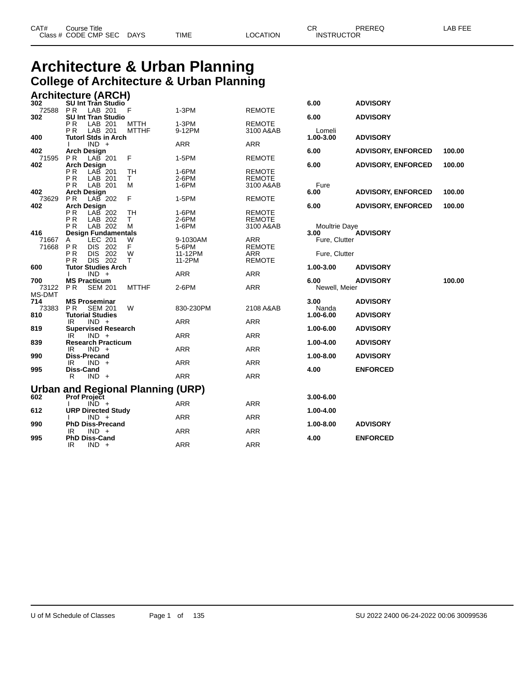## **Architecture & Urban Planning College of Architecture & Urban Planning**

|                | Architecture (ARCH)                          |              |                   |               |                      |                           |        |
|----------------|----------------------------------------------|--------------|-------------------|---------------|----------------------|---------------------------|--------|
| 302            | <b>SU Int Tran Studio</b>                    |              |                   |               | 6.00                 | <b>ADVISORY</b>           |        |
| 72588<br>302   | PR<br>LAB 201<br><b>SU Int Tran Studio</b>   | F            | $1-3PM$           | <b>REMOTE</b> | 6.00                 | <b>ADVISORY</b>           |        |
|                | P <sub>R</sub><br>LAB 201                    | MTTH         | $1-3PM$           | <b>REMOTE</b> |                      |                           |        |
|                | LAB 201<br>P R                               | <b>MTTHF</b> | 9-12PM            | 3100 A&AB     | Lomeli               |                           |        |
| 400            | <b>Tutorl Stds in Arch</b>                   |              |                   |               | 1.00-3.00            | <b>ADVISORY</b>           |        |
|                | $IND +$                                      |              | <b>ARR</b>        | <b>ARR</b>    |                      |                           |        |
| 402            | <b>Arch Design</b>                           |              | 1-5PM             |               | 6.00                 | <b>ADVISORY, ENFORCED</b> | 100.00 |
| 71595<br>402   | PR.<br>LAB 201<br><b>Arch Design</b>         | F            |                   | <b>REMOTE</b> | 6.00                 | <b>ADVISORY, ENFORCED</b> | 100.00 |
|                | PR.<br>$LAB$ 201                             | TH           | 1-6PM             | <b>REMOTE</b> |                      |                           |        |
|                | P <sub>R</sub><br>LAB 201                    | T.           | 2-6PM             | <b>REMOTE</b> |                      |                           |        |
|                | P <sub>R</sub><br>LAB 201                    | м            | 1-6PM             | 3100 A&AB     | Fure                 |                           |        |
| 402<br>73629   | <b>Arch Design</b><br><b>PR</b><br>$LAB$ 202 | F.           | 1-5PM             | <b>REMOTE</b> | 6.00                 | <b>ADVISORY, ENFORCED</b> | 100.00 |
| 402            | <b>Arch Design</b>                           |              |                   |               | 6.00                 | <b>ADVISORY, ENFORCED</b> | 100.00 |
|                | PR<br>LAB 202                                | <b>TH</b>    | 1-6PM             | REMOTE        |                      |                           |        |
|                | <b>PR</b><br>LAB 202                         | T.           | 2-6PM             | <b>REMOTE</b> |                      |                           |        |
|                | P <sub>R</sub><br>LAB 202                    | м            | 1-6PM             | 3100 A&AB     | <b>Moultrie Daye</b> |                           |        |
| 416            | <b>Design Fundamentals</b>                   |              |                   | <b>ARR</b>    | 3.00                 | <b>ADVISORY</b>           |        |
| 71667<br>71668 | LEC 201<br>A<br>DIS 202<br>PR                | W<br>F       | 9-1030AM<br>5-6PM | <b>REMOTE</b> | Fure, Clutter        |                           |        |
|                | P <sub>R</sub><br>DIS 202                    | W            | 11-12PM           | ARR           | Fure, Clutter        |                           |        |
|                | P <sub>R</sub><br>DIS 202                    | T.           | 11-2PM            | <b>REMOTE</b> |                      |                           |        |
| 600            | <b>Tutor Studies Arch</b>                    |              |                   |               | 1.00-3.00            | <b>ADVISORY</b>           |        |
| 700            | $IND +$<br>Ι.<br><b>MS Practicum</b>         |              | <b>ARR</b>        | <b>ARR</b>    | 6.00                 | <b>ADVISORY</b>           | 100.00 |
| 73122          | PR.<br><b>SEM 201</b>                        | <b>MTTHF</b> | 2-6PM             | <b>ARR</b>    | Newell, Meier        |                           |        |
| MS-DMT         |                                              |              |                   |               |                      |                           |        |
| 714            | <b>MS Proseminar</b>                         |              |                   |               | 3.00                 | <b>ADVISORY</b>           |        |
| 73383          | PR.<br><b>SEM 201</b>                        | W            | 830-230PM         | 2108 A&AB     | Nanda                |                           |        |
| 810            | <b>Tutorial Studies</b><br>IR.<br>$IND +$    |              | <b>ARR</b>        | <b>ARR</b>    | 1.00-6.00            | <b>ADVISORY</b>           |        |
| 819            | <b>Supervised Research</b>                   |              |                   |               | 1.00-6.00            | <b>ADVISORY</b>           |        |
|                | IR.<br>$IND +$                               |              | <b>ARR</b>        | <b>ARR</b>    |                      |                           |        |
| 839            | <b>Research Practicum</b>                    |              |                   |               | 1.00-4.00            | <b>ADVISORY</b>           |        |
|                | IR<br>$IND +$                                |              | ARR               | <b>ARR</b>    |                      |                           |        |
| 990            | <b>Diss-Precand</b><br>$IND +$<br>IR         |              | <b>ARR</b>        | <b>ARR</b>    | 1.00-8.00            | <b>ADVISORY</b>           |        |
| 995            | Diss-Cand                                    |              |                   |               | 4.00                 | <b>ENFORCED</b>           |        |
|                | $IND +$<br>R                                 |              | <b>ARR</b>        | <b>ARR</b>    |                      |                           |        |
|                |                                              |              |                   |               |                      |                           |        |
|                | Urban and Regional Planning (URP)            |              |                   |               |                      |                           |        |
| 602            | <b>Prof Project</b><br>$\overline{IND}$ +    |              | ARR               | <b>ARR</b>    | $3.00 - 6.00$        |                           |        |
| 612            | <b>URP Directed Study</b>                    |              |                   |               | 1.00-4.00            |                           |        |
|                | $IND +$                                      |              | ARR               | <b>ARR</b>    |                      |                           |        |
| 990            | <b>PhD Diss-Precand</b>                      |              |                   |               | 1.00-8.00            | <b>ADVISORY</b>           |        |
|                | IR<br>$IND +$                                |              | <b>ARR</b>        | <b>ARR</b>    |                      |                           |        |
| 995            | <b>PhD Diss-Cand</b><br>IR.<br>$IND +$       |              | <b>ARR</b>        | <b>ARR</b>    | 4.00                 | <b>ENFORCED</b>           |        |
|                |                                              |              |                   |               |                      |                           |        |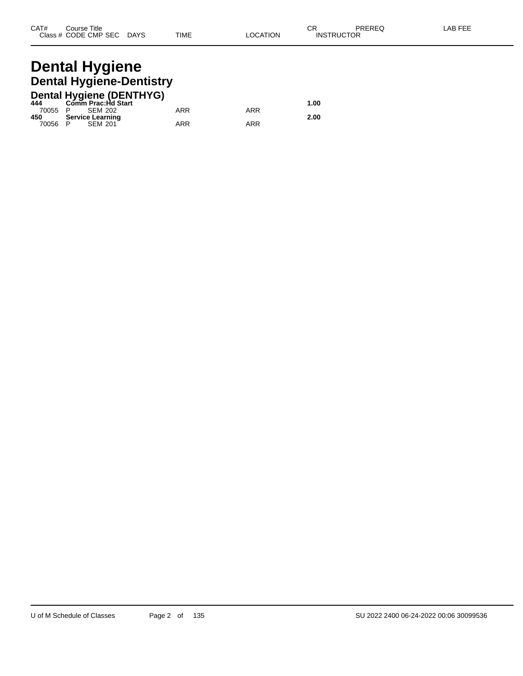## **Dental Hygiene Dental Hygiene-Dentistry**

|         | <b>Dental Hygiene (DENTHYG)</b> |     |     |      |
|---------|---------------------------------|-----|-----|------|
| 444     | Comm Prac:Hd Start              |     |     | 1.00 |
| 70055 P | SEM 202                         | ARR | ARR |      |
| 450     | Service Learning                |     |     | 2.00 |
| 70056 P | <b>SEM 201</b>                  | ARR | ARR |      |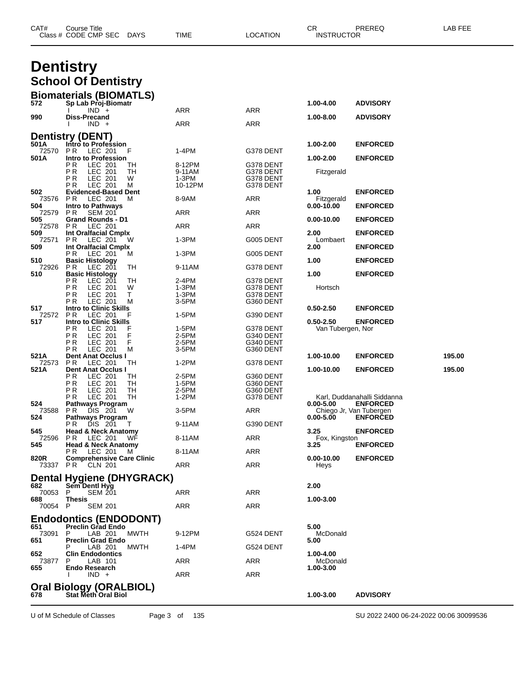|                         | Class # CODE CMP SEC<br><b>DAYS</b>                             | TIME             | LOCATION               | <b>INSTRUCTOR</b>              |                                            |        |
|-------------------------|-----------------------------------------------------------------|------------------|------------------------|--------------------------------|--------------------------------------------|--------|
|                         | <b>Dentistry</b>                                                |                  |                        |                                |                                            |        |
|                         | <b>School Of Dentistry</b>                                      |                  |                        |                                |                                            |        |
|                         |                                                                 |                  |                        |                                |                                            |        |
| 572                     | <b>Biomaterials (BIOMATLS)</b><br>Sp Lab Proj-Biomatr           |                  |                        | 1.00-4.00                      | <b>ADVISORY</b>                            |        |
| 990                     | $IND +$<br>Diss-Precand                                         | ARR              | ARR                    | 1.00-8.00                      | <b>ADVISORY</b>                            |        |
|                         | $IND +$                                                         | ARR              | ARR                    |                                |                                            |        |
|                         | <b>Dentistry (DENT)</b>                                         |                  |                        |                                |                                            |        |
| 501A<br>72570           | Intro to Profession<br>P <sub>R</sub><br>LEC 201<br>F           | 1-4PM            | G378 DENT              | 1.00-2.00                      | <b>ENFORCED</b>                            |        |
| 501A                    | Intro to Profession                                             |                  |                        | 1.00-2.00                      | <b>ENFORCED</b>                            |        |
|                         | ΡR<br>LEC 201<br>ТH<br>PR<br><b>LEC 201</b><br>ТH               | 8-12PM<br>9-11AM | G378 DENT<br>G378 DENT | Fitzgerald                     |                                            |        |
|                         | LEC 201<br>P R<br>W<br>P <sub>R</sub><br>LEC 201<br>м           | 1-3PM<br>10-12PM | G378 DENT<br>G378 DENT |                                |                                            |        |
| 502                     | <b>Evidenced-Based Dent</b>                                     |                  |                        | 1.00                           | <b>ENFORCED</b>                            |        |
| 73576<br>504            | LEC 201<br>P R<br>м<br><b>Intro to Pathways</b>                 | 8-9AM            | <b>ARR</b>             | Fitzgerald<br>0.00-10.00       | <b>ENFORCED</b>                            |        |
| 72579<br>505            | P R<br><b>SEM 201</b><br>Grand Rounds - D1                      | ARR              | ARR                    | 0.00-10.00                     | <b>ENFORCED</b>                            |        |
| 72578                   | LEC 201<br>P R                                                  | ARR              | ARR                    |                                |                                            |        |
| 509<br>72571            | Int Oralfacial Cmplx<br>P R<br>LEC 201<br>w                     | 1-3PM            | G005 DENT              | 2.00<br>Lombaert               | <b>ENFORCED</b>                            |        |
| 509                     | Int Oralfacial Cmplx                                            |                  |                        | 2.00                           | <b>ENFORCED</b>                            |        |
| 510                     | P R<br>LEC 201<br>M<br><b>Basic Histology</b>                   | 1-3PM            | G005 DENT              | 1.00                           | <b>ENFORCED</b>                            |        |
| 72926<br>510            | P R<br>LEC 201<br>TН<br><b>Basic Histology</b>                  | 9-11AM           | G378 DENT              | 1.00                           | <b>ENFORCED</b>                            |        |
|                         | РR<br>LEC 201<br>TН                                             | 2-4PM            | G378 DENT              |                                |                                            |        |
|                         | P <sub>R</sub><br>LEC 201<br>W<br>ΡR<br>LEC 201<br>Т            | 1-3PM<br>1-3PM   | G378 DENT<br>G378 DENT | Hortsch                        |                                            |        |
| 517                     | LEC 201<br>P R<br>м<br><b>Intro to Clinic Skills</b>            | 3-5PM            | G360 DENT              | 0.50-2.50                      | <b>ENFORCED</b>                            |        |
| 72572                   | P R<br>LEC 201                                                  | 1-5PM            | G390 DENT              |                                |                                            |        |
| 517                     | <b>Intro to Clinic Skills</b><br>P <sub>R</sub><br>LEC 201<br>F | 1-5PM            | G378 DENT              | 0.50-2.50<br>Van Tubergen, Nor | <b>ENFORCED</b>                            |        |
|                         | ΡR<br>LEC 201<br>F<br>LEC 201<br>F<br>P R                       | 2-5PM<br>2-5PM   | G340 DENT<br>G340 DENT |                                |                                            |        |
|                         | P <sub>R</sub><br>LEC 201<br>м                                  | 3-5PM            | G360 DENT              |                                |                                            |        |
| 521A<br>72573           | Dent Anat Occlus I<br>LEC 201<br>P R<br>TH                      | 1-2PM            | G378 DENT              | 1.00-10.00                     | <b>ENFORCED</b>                            | 195.00 |
| 521 A                   | Dent Anat Occlus I<br>РR<br>LEC 201<br>TН                       | 2-5PM            | G360 DENT              | 1.00-10.00                     | <b>ENFORCED</b>                            | 195.00 |
|                         | ΡR<br>LEC 201<br>TН                                             | 1-5PM            | G360 DENT              |                                |                                            |        |
|                         | ΡR<br>LEC 201<br>TН<br>РR<br>LEC 201<br>TН                      | 2-5PM<br>1-2PM   | G360 DENT<br>G378 DENT |                                | Karl, Duddanahalli Siddanna                |        |
| 524                     | Pathways Program                                                |                  |                        | 0.00-5.00                      | <b>ENFORCED</b>                            |        |
| 73588<br>524            | P R<br>DIS 201<br>W<br><b>Pathways Program</b>                  | 3-5PM            | ARR                    | $0.00 - 5.00$                  | Chiego Jr, Van Tubergen<br><b>ENFORCED</b> |        |
| 545                     | PR.<br>DIS 201<br>T<br><b>Head &amp; Neck Anatomy</b>           | 9-11AM           | G390 DENT              | 3.25                           | <b>ENFORCED</b>                            |        |
| 72596                   | LEC 201<br>WF<br>PR.                                            | 8-11AM           | ARR                    | Fox, Kingston<br>3.25          |                                            |        |
| 545 -                   | <b>Head &amp; Neck Anatomy</b><br>PR LEC 201<br>M               | 8-11AM           | ARR                    |                                | <b>ENFORCED</b>                            |        |
| <b>820R</b><br>73337 PR | <b>Comprehensive Care Clinic</b><br>CLN 201                     | ARR              | ARR                    | 0.00-10.00<br>Heys             | <b>ENFORCED</b>                            |        |
|                         | Dental Hygiene (DHYGRACK)                                       |                  |                        |                                |                                            |        |
| 682                     | Sem Dentl Hyg                                                   |                  |                        | 2.00                           |                                            |        |
| 70053 P<br>688          | <b>SEM 201</b><br><b>Thesis</b>                                 | ARR              | ARR                    | 1.00-3.00                      |                                            |        |
| 70054 P                 | <b>SEM 201</b>                                                  | ARR              | ARR                    |                                |                                            |        |
|                         | <b>Endodontics (ENDODONT)</b>                                   |                  |                        |                                |                                            |        |
| 651<br>73091            | <b>Preclin Grad Endo</b><br>P.<br>LAB 201<br>MWTH               | 9-12PM           | G524 DENT              | 5.00<br>McDonald               |                                            |        |
| 651                     | <b>Preclin Grad Endo</b>                                        |                  |                        | 5.00                           |                                            |        |
| 652                     | MWTH<br>LAB 201<br><b>Clin Endodontics</b>                      | 1-4PM            | G524 DENT              | 1.00-4.00                      |                                            |        |
| 73877<br>655            | LAB 101<br>P.<br><b>Endo Research</b>                           | ARR              | ARR                    | McDonald<br>1.00-3.00          |                                            |        |
|                         | $IND +$                                                         | ARR              | ARR                    |                                |                                            |        |
|                         | <b>Oral Biology (ORALBIOL)</b>                                  |                  |                        |                                |                                            |        |
| 678                     | <b>Stat Meth Oral Biol</b>                                      |                  |                        | 1.00-3.00                      | <b>ADVISORY</b>                            |        |

U of M Schedule of Classes Page 3 of 135 SU 2022 2400 06-24-2022 00:06 30099536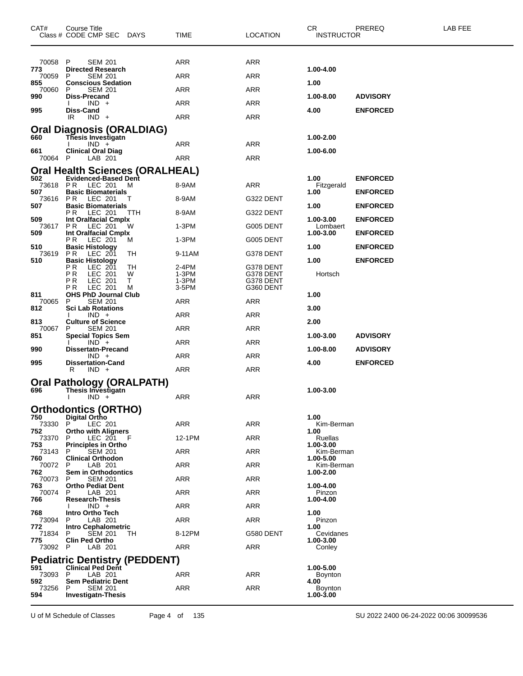| CAT#           | Course Title<br>Class # CODE CMP SEC DAYS                        | TIME             | <b>LOCATION</b>        | CR.<br><b>INSTRUCTOR</b> | PREREQ          | LAB FEE |
|----------------|------------------------------------------------------------------|------------------|------------------------|--------------------------|-----------------|---------|
| 70058          | P<br><b>SEM 201</b>                                              | ARR              | ARR                    |                          |                 |         |
| 773<br>70059   | <b>Directed Research</b><br>P.<br><b>SEM 201</b>                 | ARR              | <b>ARR</b>             | 1.00-4.00                |                 |         |
| 855            | <b>Conscious Sedation</b>                                        |                  |                        | 1.00                     |                 |         |
| 70060<br>990   | <b>SEM 201</b><br>P<br>Diss-Precand                              | ARR              | ARR                    | 1.00-8.00                | <b>ADVISORY</b> |         |
|                | $IND +$                                                          | ARR              | ARR                    |                          |                 |         |
| 995            | <b>Diss-Cand</b><br>IR<br>$IND +$                                | <b>ARR</b>       | <b>ARR</b>             | 4.00                     | <b>ENFORCED</b> |         |
|                | Oral Diagnosis (ORALDIAG)                                        |                  |                        |                          |                 |         |
| 660            | <b>Thesis Investigatn</b>                                        |                  |                        | 1.00-2.00                |                 |         |
| 661            | $IND +$<br><b>Clinical Oral Diag</b>                             | ARR              | ARR                    | 1.00-6.00                |                 |         |
| 70064 P        | LAB 201                                                          | <b>ARR</b>       | <b>ARR</b>             |                          |                 |         |
| 502            | Oral Health Sciences (ORALHEAL)<br><b>Evidenced-Based Dent</b>   |                  |                        | 1.00                     | <b>ENFORCED</b> |         |
|                | 73618 PR LEC 201<br>M                                            | 8-9AM            | ARR                    | Fitzgerald               |                 |         |
| 507            | <b>Basic Biomaterials</b><br>73616 PR LEC 201<br>Τ               | 8-9AM            | G322 DENT              | 1.00                     | <b>ENFORCED</b> |         |
| 507            | <b>Basic Biomaterials</b>                                        |                  |                        | 1.00                     | <b>ENFORCED</b> |         |
| 509            | <b>PR LEC 201</b><br>TTH<br>Int Oralfacial Cmplx                 | 8-9AM            | G322 DENT              | 1.00-3.00                | <b>ENFORCED</b> |         |
| 73617<br>509   | PR.<br>LEC 201<br>w<br>Int Oralfacial Cmplx                      | $1-3PM$          | G005 DENT              | Lombaert<br>1.00-3.00    | <b>ENFORCED</b> |         |
|                | P R<br>LEC 201<br>M                                              | $1-3PM$          | G005 DENT              |                          |                 |         |
| 510<br>73619   | <b>Basic Histology</b><br>PR.<br>LEC 201<br>TН                   | 9-11AM           | G378 DENT              | 1.00                     | <b>ENFORCED</b> |         |
| 510            | <b>Basic Histology</b><br>РR<br>LEC 201<br>TН                    | 2-4PM            | G378 DENT              | 1.00                     | <b>ENFORCED</b> |         |
|                | ΡR<br>LEC 201<br>W                                               | 1-3PM            | G378 DENT              | Hortsch                  |                 |         |
|                | LEC 201<br>Τ<br>ΡR<br>LEC 201<br>РR<br>м                         | $1-3PM$<br>3-5PM | G378 DENT<br>G360 DENT |                          |                 |         |
| 811<br>70065   | <b>OHS PhD Journal Club</b><br><b>SEM 201</b><br>P               | ARR              | ARR                    | 1.00                     |                 |         |
| 812            | <b>Sci Lab Rotations</b>                                         |                  |                        | 3.00                     |                 |         |
| 813            | $IND +$<br><b>Culture of Science</b>                             | ARR              | ARR                    | 2.00                     |                 |         |
| 70067<br>851   | P<br><b>SEM 201</b><br><b>Special Topics Sem</b>                 | ARR              | ARR                    | 1.00-3.00                | <b>ADVISORY</b> |         |
| 990            | $IND +$<br><b>Dissertatn-Precand</b>                             | ARR              | <b>ARR</b>             | 1.00-8.00                | <b>ADVISORY</b> |         |
|                | $IND +$                                                          | ARR              | ARR                    |                          |                 |         |
| 995            | <b>Dissertation-Cand</b><br>R<br>$IND +$                         | ARR              | ARR                    | 4.00                     | <b>ENFORCED</b> |         |
|                | Oral Pathology (ORALPATH)                                        |                  |                        |                          |                 |         |
| 696            | <b>Thesis Investigatn</b>                                        |                  |                        | 1.00-3.00                |                 |         |
|                | $IND +$                                                          | ARR              | ARR                    |                          |                 |         |
| 750            | <b>Orthodontics (ORTHO)</b><br><b>Digital Ortho</b>              |                  |                        | 1.00                     |                 |         |
| 73330<br>752   | LEC 201<br>P.<br><b>Ortho with Aligners</b>                      | ARR              | <b>ARR</b>             | Kim-Berman<br>1.00       |                 |         |
| 73370          | P<br>LEC 201<br>- F                                              | 12-1PM           | ARR                    | Ruellas                  |                 |         |
| 753<br>73143   | <b>Principles in Ortho</b><br><b>SEM 201</b><br>P                | ARR              | ARR                    | 1.00-3.00<br>Kim-Berman  |                 |         |
| 760<br>70072   | <b>Clinical Orthodon</b><br>LAB 201<br>P                         | <b>ARR</b>       | <b>ARR</b>             | 1.00-5.00<br>Kim-Berman  |                 |         |
| 762            | <b>Sem in Orthodontics</b>                                       |                  |                        | 1.00-2.00                |                 |         |
| 70073<br>763   | <b>SEM 201</b><br>P.<br><b>Ortho Pediat Dent</b>                 | ARR              | ARR                    | 1.00-4.00                |                 |         |
| 70074<br>766   | P<br>LAB 201<br><b>Research-Thesis</b>                           | ARR              | ARR                    | Pinzon<br>1.00-4.00      |                 |         |
|                | $IND +$                                                          | <b>ARR</b>       | <b>ARR</b>             |                          |                 |         |
| 768<br>73094   | Intro Ortho Tech<br>P.<br>LAB 201                                | ARR              | ARR                    | 1.00<br>Pinzon           |                 |         |
| 772<br>71834   | Intro Cephalometric<br><b>SEM 201</b><br>P<br>TН                 | 8-12PM           | G580 DENT              | 1.00<br>Cevidanes        |                 |         |
| 775            | <b>Clin Ped Ortho</b>                                            |                  |                        | 1.00-3.00                |                 |         |
| 73092 P        | LAB 201                                                          | ARR              | ARR                    | Conley                   |                 |         |
| 591            | <b>Pediatric Dentistry (PEDDENT)</b><br><b>Clinical Ped Dent</b> |                  |                        | 1.00-5.00                |                 |         |
| 73093 P<br>592 | LAB 201<br><b>Sem Pediatric Dent</b>                             | ARR              | ARR                    | <b>Boynton</b>           |                 |         |
| 73256          | <b>SEM 201</b><br>P                                              | <b>ARR</b>       | <b>ARR</b>             | 4.00<br><b>Boynton</b>   |                 |         |
| 594            | <b>Investigatn-Thesis</b>                                        |                  |                        | 1.00-3.00                |                 |         |

U of M Schedule of Classes Page 4 of 135 SU 2022 2400 06-24-2022 00:06 30099536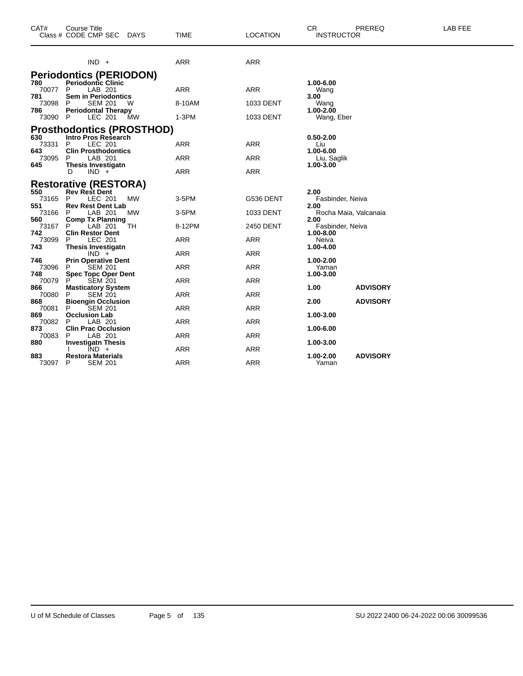| CAT#                | <b>Course Title</b><br>Class # CODE CMP SEC<br>DAYS                             | <b>TIME</b> | <b>LOCATION</b> | CR.<br>PREREQ<br><b>INSTRUCTOR</b>                 | LAB FEE |
|---------------------|---------------------------------------------------------------------------------|-------------|-----------------|----------------------------------------------------|---------|
|                     | $IND +$                                                                         | <b>ARR</b>  | <b>ARR</b>      |                                                    |         |
|                     | <b>Periodontics (PERIODON)</b>                                                  |             |                 |                                                    |         |
| 780<br>70077<br>781 | <b>Periodontic Clinic</b><br>LAB 201<br>P<br><b>Sem in Periodontics</b>         | <b>ARR</b>  | <b>ARR</b>      | 1.00-6.00<br>Wang<br>3.00                          |         |
| 73098<br>786        | <b>SEM 201</b><br>P<br>W<br><b>Periodontal Therapy</b>                          | 8-10AM      | 1033 DENT       | Wang<br>$1.00 - 2.00$                              |         |
| 73090               | LEC 201<br><b>MW</b><br>P                                                       | 1-3PM       | 1033 DENT       | Wang, Eber                                         |         |
|                     | <b>Prosthodontics (PROSTHOD)</b>                                                |             |                 |                                                    |         |
| 630<br>73331        | <b>Intro Pros Research</b><br><b>LEC 201</b><br>P                               | ARR         | <b>ARR</b>      | $0.50 - 2.00$<br>Liu                               |         |
| 643<br>73095        | <b>Clin Prosthodontics</b><br>LAB 201<br>P                                      | ARR         | ARR             | 1.00-6.00<br>Liu, Saglik                           |         |
| 645                 | <b>Thesis Investigatn</b><br>$IND +$<br>D                                       | <b>ARR</b>  | <b>ARR</b>      | 1.00-3.00                                          |         |
|                     | <b>Restorative (RESTORA)</b>                                                    |             |                 |                                                    |         |
| 550<br>73165        | <b>Rev Rest Dent</b><br>LEC 201<br><b>MW</b><br>P                               | 3-5PM       | G536 DENT       | 2.00<br>Fasbinder, Neiva                           |         |
| 551<br>73166        | <b>Rev Rest Dent Lab</b><br>LAB 201<br><b>MW</b><br>P                           | 3-5PM       | 1033 DENT       | 2.00<br>Rocha Maia, Valcanaia                      |         |
| 560<br>73167        | <b>Comp Tx Planning</b><br><b>TH</b><br>P<br>LAB 201                            | 8-12PM      | 2450 DENT       | 2.00<br>Fasbinder, Neiva                           |         |
| 742<br>73099        | <b>Clin Restor Dent</b><br>LEC 201<br>P                                         | ARR         | ARR             | 1.00-8.00<br>Neiva                                 |         |
| 743                 | <b>Thesis Investigatn</b><br>$IND +$                                            | ARR         | <b>ARR</b>      | 1.00-4.00                                          |         |
| 746<br>73096<br>748 | <b>Prin Operative Dent</b><br><b>SEM 201</b><br>P<br><b>Spec Topc Oper Dent</b> | <b>ARR</b>  | <b>ARR</b>      | 1.00-2.00<br>Yaman<br>1.00-3.00                    |         |
| 70079               | <b>SEM 201</b><br>P                                                             | <b>ARR</b>  | <b>ARR</b>      |                                                    |         |
| 866<br>70080<br>868 | <b>Masticatory System</b><br>P<br><b>SEM 201</b><br><b>Bioengin Occlusion</b>   | <b>ARR</b>  | <b>ARR</b>      | 1.00<br><b>ADVISORY</b><br>2.00<br><b>ADVISORY</b> |         |
| 70081               | P<br><b>SEM 201</b>                                                             | <b>ARR</b>  | <b>ARR</b>      |                                                    |         |
| 869<br>70082        | <b>Occlusion Lab</b><br>P<br>LAB 201                                            | <b>ARR</b>  | ARR             | 1.00-3.00                                          |         |
| 873<br>70083        | <b>Clin Prac Occlusion</b><br>LAB 201<br>P                                      | ARR         | ARR             | 1.00-6.00                                          |         |
| 880                 | <b>Investigatn Thesis</b><br>$IND +$                                            | <b>ARR</b>  | <b>ARR</b>      | 1.00-3.00                                          |         |
| 883<br>73097        | <b>Restora Materials</b><br>P<br><b>SEM 201</b>                                 | <b>ARR</b>  | <b>ARR</b>      | 1.00-2.00<br><b>ADVISORY</b><br>Yaman              |         |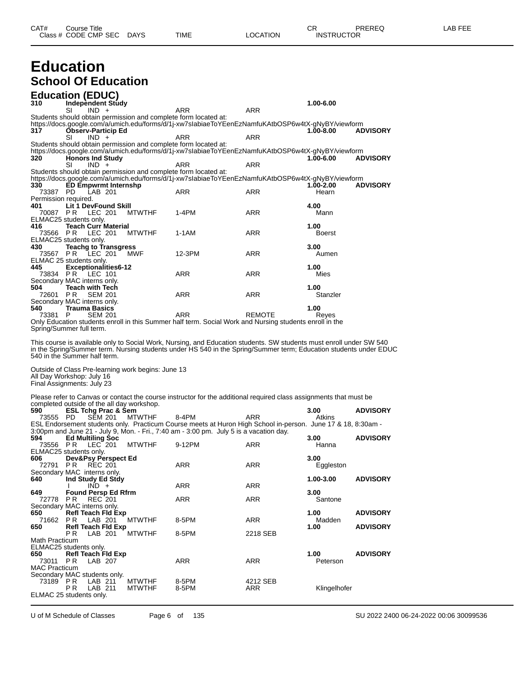# **Education**

# **School Of Education**

|                                  | <b>Education (EDUC)</b>                                                                                         |                                |                                                                                                                                                                                                        |                 |                   |                 |
|----------------------------------|-----------------------------------------------------------------------------------------------------------------|--------------------------------|--------------------------------------------------------------------------------------------------------------------------------------------------------------------------------------------------------|-----------------|-------------------|-----------------|
| 310                              | <b>Independent Study</b>                                                                                        |                                |                                                                                                                                                                                                        | <b>ARR</b>      | 1.00-6.00         |                 |
|                                  | SI<br>$IND +$<br>Students should obtain permission and complete form located at:                                |                                | ARR                                                                                                                                                                                                    |                 |                   |                 |
|                                  |                                                                                                                 |                                | https://docs.google.com/a/umich.edu/forms/d/1j-xw7slabiaeToYEenEzNamfuKAtbOSP6w4tX-gNyBY/viewform                                                                                                      |                 | 1.00-8.00         | <b>ADVISORY</b> |
| 317                              | <b>Observ-Particip Ed</b><br>SI<br>$IND +$                                                                      |                                | ARR                                                                                                                                                                                                    | <b>ARR</b>      |                   |                 |
|                                  | Students should obtain permission and complete form located at:                                                 |                                |                                                                                                                                                                                                        |                 |                   |                 |
| 320                              | <b>Honors Ind Study</b>                                                                                         |                                | https://docs.google.com/a/umich.edu/forms/d/1j-xw7slabiaeToYEenEzNamfuKAtbOSP6w4tX-gNyBY/viewform                                                                                                      |                 | 1.00-6.00         | <b>ADVISORY</b> |
|                                  | $IND +$<br>SI                                                                                                   |                                | ARR                                                                                                                                                                                                    | ARR             |                   |                 |
|                                  | Students should obtain permission and complete form located at:                                                 |                                | https://docs.google.com/a/umich.edu/forms/d/1j-xw7slabiaeToYEenEzNamfuKAtbOSP6w4tX-gNyBY/viewform                                                                                                      |                 |                   |                 |
| 330                              | <b>ED Empwrmt Internshp</b>                                                                                     |                                |                                                                                                                                                                                                        |                 | 1.00-2.00         | <b>ADVISORY</b> |
| 73387 PD<br>Permission required. | LAB 201                                                                                                         |                                | ARR                                                                                                                                                                                                    | ARR             | Hearn             |                 |
| 401<br>70087 PR                  | Lit 1 DevFound Skill                                                                                            |                                | $1-4PM$                                                                                                                                                                                                | <b>ARR</b>      | 4.00<br>Mann      |                 |
|                                  | LEC 201<br>ELMAC25 students only.                                                                               | <b>MTWTHF</b>                  |                                                                                                                                                                                                        |                 |                   |                 |
| 416                              | <b>Teach Curr Material</b>                                                                                      |                                |                                                                                                                                                                                                        | <b>ARR</b>      | 1.00              |                 |
| 73566 PR                         | LEC 201<br>ELMAC25 students only.                                                                               | <b>MTWTHF</b>                  | 1-1AM                                                                                                                                                                                                  |                 | Boerst            |                 |
| 430                              | <b>Teachg to Transgress</b>                                                                                     |                                |                                                                                                                                                                                                        |                 | 3.00              |                 |
| 73567 PR                         | LEC 201<br>ELMAC 25 students only.                                                                              | MWF                            | 12-3PM                                                                                                                                                                                                 | <b>ARR</b>      | Aumen             |                 |
| 445                              | <b>Exceptionalities6-12</b>                                                                                     |                                |                                                                                                                                                                                                        |                 | 1.00              |                 |
| 73834 PR                         | LEC 101<br>Secondary MAC interns only.                                                                          |                                | ARR                                                                                                                                                                                                    | <b>ARR</b>      | Mies              |                 |
| 504                              | <b>Teach with Tech</b>                                                                                          |                                |                                                                                                                                                                                                        |                 | 1.00              |                 |
| 72601 PR                         | <b>SEM 201</b><br>Secondary MAC interns only.                                                                   |                                | ARR                                                                                                                                                                                                    | <b>ARR</b>      | Stanzler          |                 |
| 540                              | <b>Trauma Basics</b>                                                                                            |                                |                                                                                                                                                                                                        |                 | 1.00              |                 |
| 73381                            | <b>SEM 201</b><br>- P                                                                                           |                                | ARR<br>Only Education students enroll in this Summer half term. Social Work and Nursing students enroll in the                                                                                         | <b>REMOTE</b>   | Reyes             |                 |
|                                  | Spring/Summer full term.                                                                                        |                                |                                                                                                                                                                                                        |                 |                   |                 |
|                                  | 540 in the Summer half term.<br>Outside of Class Pre-learning work begins: June 13<br>All Day Workshop: July 16 |                                | in the Spring/Summer term. Nursing students under HS 540 in the Spring/Summer term; Education students under EDUC                                                                                      |                 |                   |                 |
|                                  | Final Assignments: July 23                                                                                      |                                |                                                                                                                                                                                                        |                 |                   |                 |
|                                  |                                                                                                                 |                                | Please refer to Canvas or contact the course instructor for the additional required class assignments that must be                                                                                     |                 |                   |                 |
| 590                              | completed outside of the all day workshop.<br><b>ESL Tchg Prac &amp; Sem</b>                                    |                                |                                                                                                                                                                                                        |                 | 3.00              | <b>ADVISORY</b> |
| 73555 PD                         | <b>SEM 201</b>                                                                                                  | <b>MTWTHF</b>                  | 8-4PM                                                                                                                                                                                                  | ARR             | Atkins            |                 |
|                                  |                                                                                                                 |                                | ESL Endorsement students only. Practicum Course meets at Huron High School in-person. June 17 & 18, 8:30am -<br>3:00pm and June 21 - July 9, Mon. - Fri., 7:40 am - 3:00 pm. July 5 is a vacation day. |                 |                   |                 |
| 594<br>73556 PR                  | <b>Ed Multiling Soc</b><br>LEC 201                                                                              | <b>MTWTHF</b>                  | 9-12PM                                                                                                                                                                                                 | ARR             | 3.00<br>Hanna     | <b>ADVISORY</b> |
|                                  | ELMAC25 students only.                                                                                          |                                |                                                                                                                                                                                                        |                 |                   |                 |
| 606<br>72791 PR                  | Dev&Psy Perspect Ed<br>REC 201                                                                                  |                                | ARR                                                                                                                                                                                                    | ARR             | 3.00<br>Eggleston |                 |
|                                  | Secondary MAC interns only.                                                                                     |                                |                                                                                                                                                                                                        |                 |                   |                 |
| 640                              | Ind Study Ed Stdy<br>$IND +$                                                                                    |                                | ARR                                                                                                                                                                                                    | ARR             | 1.00-3.00         | <b>ADVISORY</b> |
| 649                              | <b>Found Persp Ed Rfrm</b>                                                                                      |                                |                                                                                                                                                                                                        |                 | 3.00              |                 |
| 72778 PR                         | REC 201<br>Secondary MAC interns only.                                                                          |                                | ARR                                                                                                                                                                                                    | ARR             | Santone           |                 |
| 650                              | <b>Refl Teach Fld Exp</b>                                                                                       |                                |                                                                                                                                                                                                        |                 | 1.00              | <b>ADVISORY</b> |
| 71662<br>650                     | LAB 201<br>PR.<br><b>Refl Teach Fld Exp</b>                                                                     | <b>MTWTHF</b>                  | 8-5PM                                                                                                                                                                                                  | ARR             | Madden<br>1.00    | <b>ADVISORY</b> |
|                                  | PR.<br>LAB 201                                                                                                  | <b>MTWTHF</b>                  | 8-5PM                                                                                                                                                                                                  | 2218 SEB        |                   |                 |
| Math Practicum                   | ELMAC25 students only.                                                                                          |                                |                                                                                                                                                                                                        |                 |                   |                 |
| 650                              | <b>Refl Teach Fld Exp</b>                                                                                       |                                |                                                                                                                                                                                                        |                 | 1.00              | <b>ADVISORY</b> |
| 73011<br><b>MAC Practicum</b>    | P R<br>LAB 207                                                                                                  |                                | ARR                                                                                                                                                                                                    | ARR             | Peterson          |                 |
|                                  | Secondary MAC students only.                                                                                    |                                |                                                                                                                                                                                                        |                 |                   |                 |
| 73189 PR                         | LAB 211<br>LAB 211<br>P R                                                                                       | <b>MTWTHF</b><br><b>MTWTHF</b> | 8-5PM<br>8-5PM                                                                                                                                                                                         | 4212 SEB<br>ARR | Klingelhofer      |                 |
|                                  | ELMAC 25 students only.                                                                                         |                                |                                                                                                                                                                                                        |                 |                   |                 |
|                                  |                                                                                                                 |                                |                                                                                                                                                                                                        |                 |                   |                 |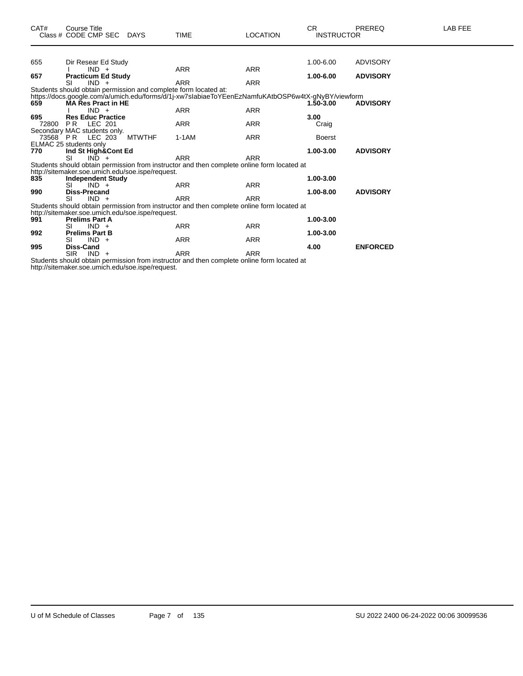| CAT# | <b>Course Title</b>                                                                               |             |                 | CR.               | <b>PREREQ</b>   | LAB FEE |
|------|---------------------------------------------------------------------------------------------------|-------------|-----------------|-------------------|-----------------|---------|
|      | Class # CODE CMP SEC DAYS                                                                         | <b>TIME</b> | <b>LOCATION</b> | <b>INSTRUCTOR</b> |                 |         |
|      |                                                                                                   |             |                 |                   |                 |         |
| 655  | Dir Resear Ed Study                                                                               |             |                 | 1.00-6.00         | ADVISORY        |         |
|      | $IND +$                                                                                           | <b>ARR</b>  | <b>ARR</b>      |                   |                 |         |
| 657  | <b>Practicum Ed Study</b>                                                                         |             |                 | 1.00-6.00         | <b>ADVISORY</b> |         |
|      | $IND +$<br>SI                                                                                     | <b>ARR</b>  | <b>ARR</b>      |                   |                 |         |
|      | Students should obtain permission and complete form located at:                                   |             |                 |                   |                 |         |
|      | https://docs.google.com/a/umich.edu/forms/d/1j-xw7slabiaeToYEenEzNamfuKAtbOSP6w4tX-gNyBY/viewform |             |                 |                   |                 |         |
| 659  | <b>MA Res Pract in HE</b>                                                                         |             |                 | 1.50-3.00         | <b>ADVISORY</b> |         |
|      | $IND +$                                                                                           | <b>ARR</b>  | <b>ARR</b>      |                   |                 |         |
| 695  | <b>Res Educ Practice</b>                                                                          |             |                 | 3.00              |                 |         |
|      | 72800 PR LEC 201                                                                                  | <b>ARR</b>  | <b>ARR</b>      | Craig             |                 |         |
|      | Secondary MAC students only.<br><b>MTWTHF</b><br>73568 PR LEC 203                                 | $1-1AM$     | <b>ARR</b>      | <b>Boerst</b>     |                 |         |
|      | ELMAC 25 students only                                                                            |             |                 |                   |                 |         |
| 770  | Ind St High&Cont Ed                                                                               |             |                 | 1.00-3.00         | <b>ADVISORY</b> |         |
|      | <b>SI</b><br>$IND +$                                                                              | <b>ARR</b>  | <b>ARR</b>      |                   |                 |         |
|      | Students should obtain permission from instructor and then complete online form located at        |             |                 |                   |                 |         |
|      | http://sitemaker.soe.umich.edu/soe.ispe/request.                                                  |             |                 |                   |                 |         |
| 835  | <b>Independent Study</b>                                                                          |             |                 | 1.00-3.00         |                 |         |
|      | $IND +$<br>SL                                                                                     | <b>ARR</b>  | <b>ARR</b>      |                   |                 |         |
| 990  | <b>Diss-Precand</b>                                                                               |             |                 | $1.00 - 8.00$     | <b>ADVISORY</b> |         |
|      | <b>SI</b><br>$IND +$                                                                              | <b>ARR</b>  | <b>ARR</b>      |                   |                 |         |
|      | Students should obtain permission from instructor and then complete online form located at        |             |                 |                   |                 |         |
|      | http://sitemaker.soe.umich.edu/soe.ispe/request.                                                  |             |                 |                   |                 |         |
| 991  | <b>Prelims Part A</b>                                                                             |             |                 | 1.00-3.00         |                 |         |
|      | $IND +$<br>SI                                                                                     | <b>ARR</b>  | <b>ARR</b>      |                   |                 |         |
| 992  | <b>Prelims Part B</b>                                                                             |             |                 | 1.00-3.00         |                 |         |
|      | $IND +$<br>SI.                                                                                    | <b>ARR</b>  | ARR             |                   |                 |         |
| 995  | <b>Diss-Cand</b>                                                                                  |             |                 | 4.00              | <b>ENFORCED</b> |         |
|      | <b>SIR</b><br>$IND +$                                                                             | <b>ARR</b>  | <b>ARR</b>      |                   |                 |         |

Students should obtain permission from instructor and then complete online form located at http://sitemaker.soe.umich.edu/soe.ispe/request.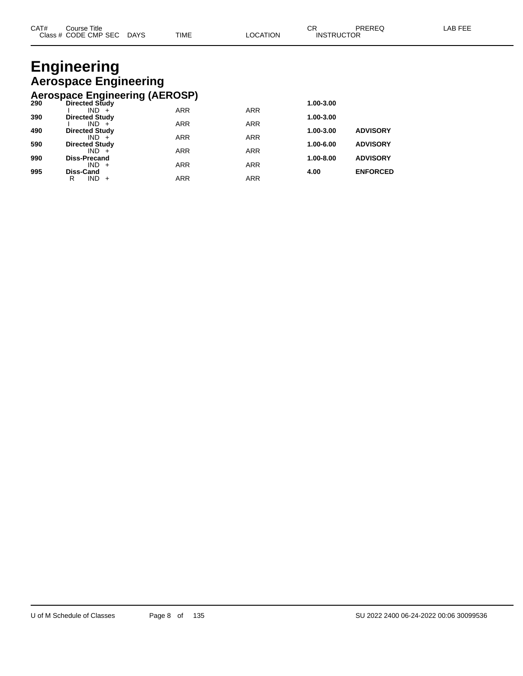### **Engineering Aerospace Engineering Aerospace Engineering (AEROSP)**

|     | Acrospace Engineering (AEROOL) |            |            |           |                 |
|-----|--------------------------------|------------|------------|-----------|-----------------|
| 290 | <b>Directed Study</b>          |            |            | 1.00-3.00 |                 |
|     | $IND +$                        | <b>ARR</b> | <b>ARR</b> |           |                 |
| 390 | <b>Directed Study</b>          |            |            | 1.00-3.00 |                 |
|     | $IND +$                        | <b>ARR</b> | <b>ARR</b> |           |                 |
| 490 | <b>Directed Study</b>          |            |            | 1.00-3.00 | <b>ADVISORY</b> |
|     | $IND +$                        | <b>ARR</b> | <b>ARR</b> |           |                 |
| 590 | <b>Directed Study</b>          |            |            | 1.00-6.00 | <b>ADVISORY</b> |
|     | $IND +$                        | <b>ARR</b> | <b>ARR</b> |           |                 |
| 990 | <b>Diss-Precand</b>            |            |            | 1.00-8.00 | <b>ADVISORY</b> |
|     | $IND +$                        | <b>ARR</b> | <b>ARR</b> |           |                 |
| 995 | Diss-Cand                      |            |            | 4.00      | <b>ENFORCED</b> |
|     | $IND +$<br>R                   | <b>ARR</b> | <b>ARR</b> |           |                 |
|     |                                |            |            |           |                 |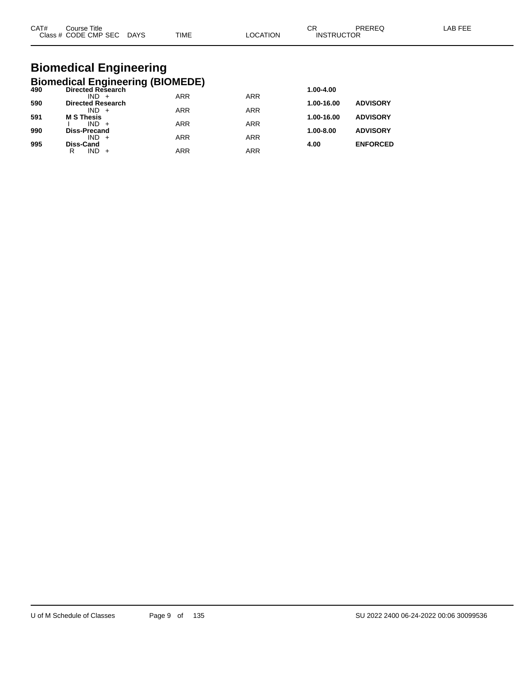| CAT# | Title<br>Course      |             |             |                | ົ<br>◡            | <b>PREREC</b> | AB FFF |
|------|----------------------|-------------|-------------|----------------|-------------------|---------------|--------|
|      | Class # CODE CMP SEC | <b>DAYS</b> | <b>TIME</b> | <b>OCATION</b> | <b>INSTRUCTOR</b> |               |        |

# **Biomedical Engineering**

|     | <b>Biomedical Engineering (BIOMEDE)</b> |            |            |               |                 |
|-----|-----------------------------------------|------------|------------|---------------|-----------------|
| 490 | <b>Directed Research</b>                |            |            | 1.00-4.00     |                 |
|     | $IND +$                                 | <b>ARR</b> | <b>ARR</b> |               |                 |
| 590 | <b>Directed Research</b>                |            |            | 1.00-16.00    | <b>ADVISORY</b> |
|     | $IND +$                                 | <b>ARR</b> | <b>ARR</b> |               |                 |
| 591 | <b>M S Thesis</b>                       |            |            | 1.00-16.00    | <b>ADVISORY</b> |
| 990 | $IND +$<br><b>Diss-Precand</b>          | <b>ARR</b> | <b>ARR</b> | $1.00 - 8.00$ | <b>ADVISORY</b> |
|     | $IND +$                                 | <b>ARR</b> | <b>ARR</b> |               |                 |
| 995 | <b>Diss-Cand</b>                        |            |            | 4.00          | <b>ENFORCED</b> |
|     | $IND +$<br>R                            | ARR        | ARR        |               |                 |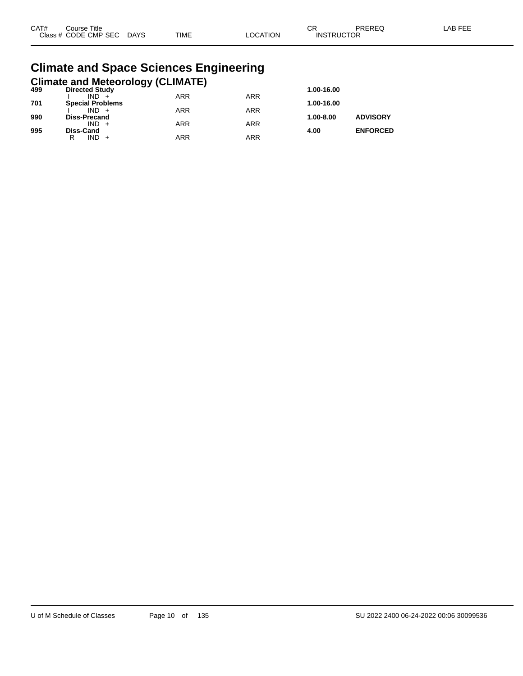| CAT# | ourse Titleٽ              |      |          | ⌒冖<br>◡ド          | PREREQ | LAB FEE |
|------|---------------------------|------|----------|-------------------|--------|---------|
|      | Class # CODE CMP SEC DAYS | TIME | LOCATION | <b>INSTRUCTOR</b> |        |         |

#### **Climate and Space Sciences Engineering Climate and Meteorology (CLIMATE)**

| 499 | <b>Directed Study</b>   | - 33 1 - |            | 1.00-16.00    |                 |
|-----|-------------------------|----------|------------|---------------|-----------------|
|     | $IND +$                 | ARR      | <b>ARR</b> |               |                 |
| 701 | <b>Special Problems</b> |          |            | 1.00-16.00    |                 |
|     | $IND +$                 | ARR      | <b>ARR</b> |               |                 |
| 990 | <b>Diss-Precand</b>     |          |            | $1.00 - 8.00$ | <b>ADVISORY</b> |
|     | $IND +$                 | ARR      | <b>ARR</b> |               |                 |
| 995 | <b>Diss-Cand</b>        |          |            | 4.00          | <b>ENFORCED</b> |
|     | $IND +$<br>R            | ARR      | ARR        |               |                 |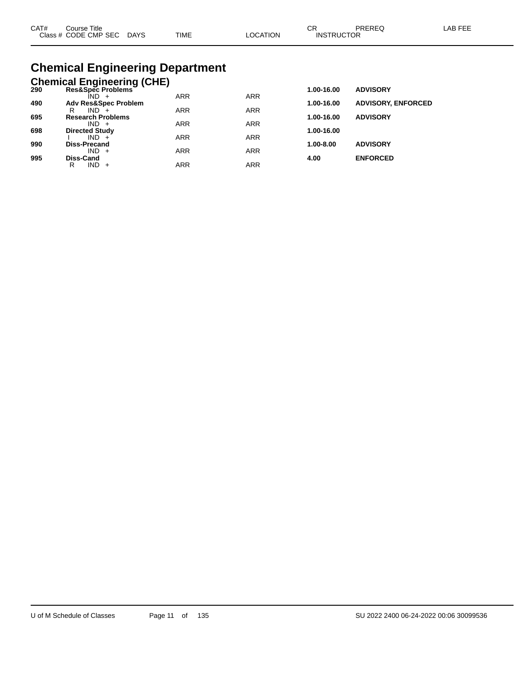| CAT# | Course Title              |             |          | ∩⊓                | PREREQ | LAB FEE |
|------|---------------------------|-------------|----------|-------------------|--------|---------|
|      | Class # CODE CMP SEC DAYS | <b>TIME</b> | ∟OCATION | <b>INSTRUCTOR</b> |        |         |

# **Chemical Engineering Department**

|     | <b>Chemical Engineering (CHE)</b> |            |            |            |                           |
|-----|-----------------------------------|------------|------------|------------|---------------------------|
| 290 | Res&Spec Problems                 |            |            | 1.00-16.00 | <b>ADVISORY</b>           |
|     | ÎND -                             | <b>ARR</b> | <b>ARR</b> |            |                           |
| 490 | <b>Adv Res&amp;Spec Problem</b>   |            |            | 1.00-16.00 | <b>ADVISORY, ENFORCED</b> |
|     | $IND +$<br>R                      | <b>ARR</b> | <b>ARR</b> |            |                           |
| 695 | <b>Research Problems</b>          |            |            | 1.00-16.00 | <b>ADVISORY</b>           |
| 698 | $IND +$<br><b>Directed Study</b>  | <b>ARR</b> | <b>ARR</b> | 1.00-16.00 |                           |
|     | $IND +$                           | <b>ARR</b> | <b>ARR</b> |            |                           |
| 990 | Diss-Precand                      |            |            | 1.00-8.00  | <b>ADVISORY</b>           |
|     | $IND +$                           | <b>ARR</b> | <b>ARR</b> |            |                           |
| 995 | Diss-Cand                         |            |            | 4.00       | <b>ENFORCED</b>           |
|     | IND.<br>R<br>$+$                  | ARR        | ARR        |            |                           |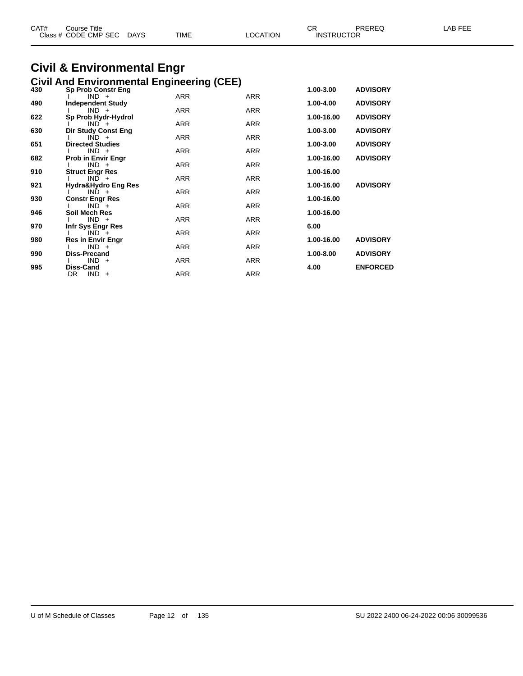| CAT# | Course Title<br>Class # CODE CMP SEC | <b>DAYS</b> | <b>TIME</b> | LOCATION | СR<br><b>INSTRUCTOR</b> | PREREQ | LAB FEE |
|------|--------------------------------------|-------------|-------------|----------|-------------------------|--------|---------|
|      |                                      |             |             |          |                         |        |         |

# **Civil & Environmental Engr**

|     | <b>Civil And Environmental Engineering (CEE)</b> |            |            |            |                 |
|-----|--------------------------------------------------|------------|------------|------------|-----------------|
| 430 | <b>Sp Prob Constr Eng</b>                        |            |            | 1.00-3.00  | <b>ADVISORY</b> |
| 490 | $IND +$<br><b>Independent Study</b>              | <b>ARR</b> | <b>ARR</b> | 1.00-4.00  | <b>ADVISORY</b> |
|     | $IND +$                                          | <b>ARR</b> | <b>ARR</b> |            |                 |
| 622 | Sp Prob Hydr-Hydrol<br>$IND +$                   | <b>ARR</b> | <b>ARR</b> | 1.00-16.00 | <b>ADVISORY</b> |
| 630 | <b>Dir Study Const Eng</b>                       |            |            | 1.00-3.00  | <b>ADVISORY</b> |
|     | $IND +$                                          | <b>ARR</b> | <b>ARR</b> |            |                 |
| 651 | <b>Directed Studies</b><br>$IND +$               | <b>ARR</b> | <b>ARR</b> | 1.00-3.00  | <b>ADVISORY</b> |
| 682 | <b>Prob in Envir Engr</b>                        |            |            | 1.00-16.00 | <b>ADVISORY</b> |
| 910 | $IND +$<br><b>Struct Engr Res</b>                | <b>ARR</b> | <b>ARR</b> | 1.00-16.00 |                 |
|     | $IND +$                                          | <b>ARR</b> | <b>ARR</b> |            |                 |
| 921 | Hydra&Hydro Eng Res                              |            |            | 1.00-16.00 | <b>ADVISORY</b> |
| 930 | $IND +$<br><b>Constr Engr Res</b>                | <b>ARR</b> | <b>ARR</b> | 1.00-16.00 |                 |
|     | $IND +$                                          | <b>ARR</b> | <b>ARR</b> |            |                 |
| 946 | Soil Mech Res<br>$IND +$                         | <b>ARR</b> | <b>ARR</b> | 1.00-16.00 |                 |
| 970 | Infr Sys Engr Res                                |            |            | 6.00       |                 |
|     | $IND +$                                          | <b>ARR</b> | <b>ARR</b> |            |                 |
| 980 | <b>Res in Envir Engr</b><br>$IND +$              | <b>ARR</b> | <b>ARR</b> | 1.00-16.00 | <b>ADVISORY</b> |
| 990 | Diss-Precand                                     |            |            | 1.00-8.00  | <b>ADVISORY</b> |
| 995 | $IND +$<br>Diss-Cand                             | <b>ARR</b> | <b>ARR</b> | 4.00       | <b>ENFORCED</b> |
|     | $IND +$<br>DR.                                   | ARR        | ARR        |            |                 |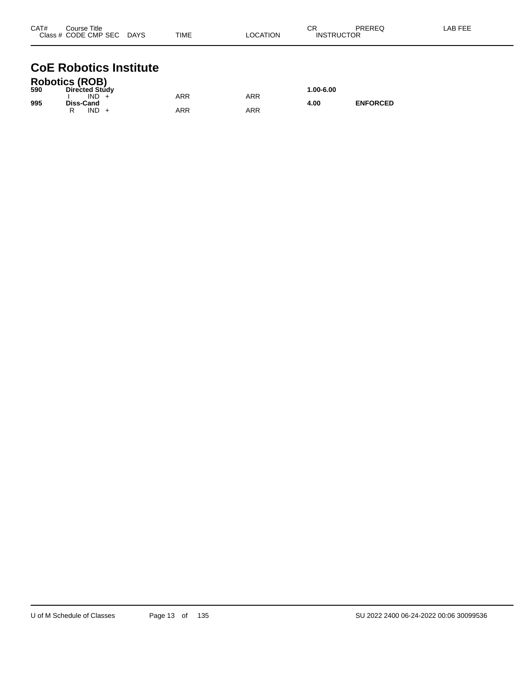| CAT#<br>Course Title |      |             |                 | ⌒冖<br>◡ | PREREQ            | LAB FEE |
|----------------------|------|-------------|-----------------|---------|-------------------|---------|
| Class # CODE CMP SEC | DAYS | <b>TIME</b> | <b>LOCATION</b> |         | <b>INSTRUCTOR</b> |         |

## **CoE Robotics Institute**

|     | <b>Robotics (ROB)</b> |     |     |           |                 |
|-----|-----------------------|-----|-----|-----------|-----------------|
| 590 | <b>Directed Study</b> |     |     | 1.00-6.00 |                 |
|     | IND.                  | ARR | ARR |           |                 |
| 995 | <b>Diss-Cand</b>      |     |     | 4.00      | <b>ENFORCED</b> |
|     | IND                   | ARR | ARR |           |                 |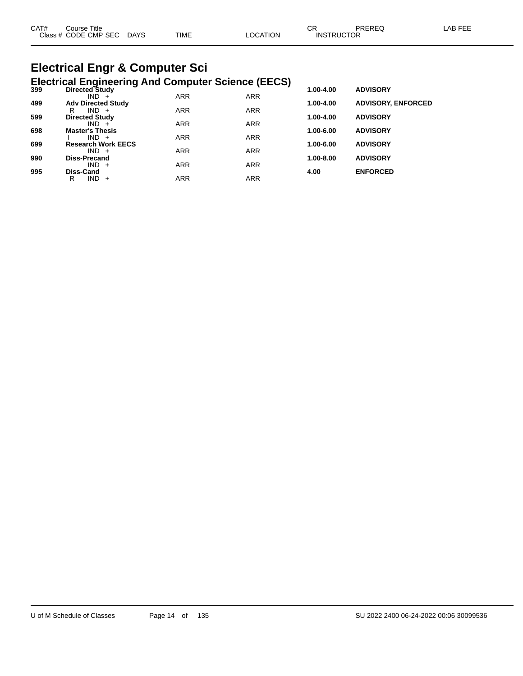| CAT#   | Title<br>אאו וח:<br>ີ່                                      |                |             | ⌒冖<br>◡◠     |     |  |
|--------|-------------------------------------------------------------|----------------|-------------|--------------|-----|--|
| Class. | NDE<br><b>SEC</b><br>$^{\circ}$ MP :<br>$ -$<br>$  -$<br>__ | DAYS<br>$\sim$ | <b>TIME</b> | 'N'<br>$  -$ | TOF |  |
|        |                                                             |                |             |              |     |  |

# **Electrical Engr & Computer Sci**

|     | <b>Electrical Engineering And Computer Science (EECS)</b> |            |            |           |                           |
|-----|-----------------------------------------------------------|------------|------------|-----------|---------------------------|
| 399 | Directed Study                                            |            |            | 1.00-4.00 | <b>ADVISORY</b>           |
|     | $IND +$                                                   | <b>ARR</b> | <b>ARR</b> |           |                           |
| 499 | <b>Adv Directed Study</b>                                 |            |            | 1.00-4.00 | <b>ADVISORY, ENFORCED</b> |
|     | $IND +$<br>R                                              | <b>ARR</b> | <b>ARR</b> |           |                           |
| 599 | <b>Directed Study</b>                                     | <b>ARR</b> | <b>ARR</b> | 1.00-4.00 | <b>ADVISORY</b>           |
| 698 | $IND +$<br><b>Master's Thesis</b>                         |            |            | 1.00-6.00 | <b>ADVISORY</b>           |
|     | $IND +$                                                   | <b>ARR</b> | <b>ARR</b> |           |                           |
| 699 | <b>Research Work EECS</b>                                 |            |            | 1.00-6.00 | <b>ADVISORY</b>           |
|     | $IND +$                                                   | <b>ARR</b> | <b>ARR</b> |           |                           |
| 990 | <b>Diss-Precand</b>                                       |            |            | 1.00-8.00 | <b>ADVISORY</b>           |
|     | $IND +$                                                   | <b>ARR</b> | <b>ARR</b> |           |                           |
| 995 | Diss-Cand                                                 |            |            | 4.00      | <b>ENFORCED</b>           |
|     | IND<br>R<br>$\ddot{}$                                     | <b>ARR</b> | <b>ARR</b> |           |                           |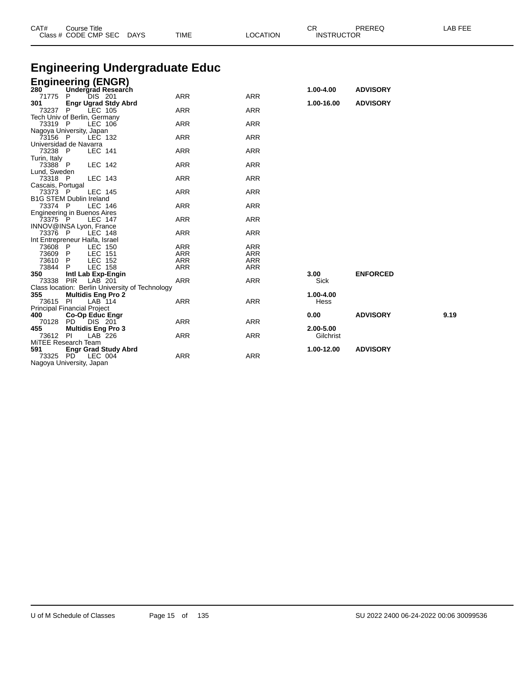| CAT#              | <b>Course Title</b><br>Class # CODE CMP SEC     | TIME<br><b>DAYS</b>                   | <b>LOCATION</b>          | CR<br><b>INSTRUCTOR</b> | PREREQ          | LAB FEE |
|-------------------|-------------------------------------------------|---------------------------------------|--------------------------|-------------------------|-----------------|---------|
|                   |                                                 |                                       |                          |                         |                 |         |
|                   |                                                 | <b>Engineering Undergraduate Educ</b> |                          |                         |                 |         |
|                   | <b>Engineering (ENGR)</b>                       |                                       |                          |                         |                 |         |
| 280               | Undergrad Research                              |                                       |                          | 1.00-4.00               | <b>ADVISORY</b> |         |
| 71775             | P<br><b>DIS 201</b>                             | <b>ARR</b>                            | <b>ARR</b>               |                         |                 |         |
| 301               | <b>Engr Ugrad Stdy Abrd</b>                     |                                       |                          | 1.00-16.00              | <b>ADVISORY</b> |         |
| 73237             | P<br>LEC 105                                    | <b>ARR</b>                            | <b>ARR</b>               |                         |                 |         |
|                   | Tech Univ of Berlin, Germany                    |                                       |                          |                         |                 |         |
| 73319 P           | LEC 106                                         | <b>ARR</b>                            | <b>ARR</b>               |                         |                 |         |
|                   | Nagoya University, Japan                        |                                       |                          |                         |                 |         |
| 73156 P           | LEC 132                                         | <b>ARR</b>                            | <b>ARR</b>               |                         |                 |         |
| 73238 P           | Universidad de Navarra<br><b>LEC 141</b>        | <b>ARR</b>                            | <b>ARR</b>               |                         |                 |         |
| Turin, Italy      |                                                 |                                       |                          |                         |                 |         |
| 73388 P           | <b>LEC 142</b>                                  | <b>ARR</b>                            | <b>ARR</b>               |                         |                 |         |
| Lund, Sweden      |                                                 |                                       |                          |                         |                 |         |
| 73318 P           | LEC 143                                         | <b>ARR</b>                            | <b>ARR</b>               |                         |                 |         |
| Cascais, Portugal |                                                 |                                       |                          |                         |                 |         |
| 73373 P           | <b>LEC 145</b>                                  | <b>ARR</b>                            | <b>ARR</b>               |                         |                 |         |
|                   | <b>B1G STEM Dublin Ireland</b>                  |                                       |                          |                         |                 |         |
| 73374 P           | <b>LEC 146</b>                                  | <b>ARR</b>                            | <b>ARR</b>               |                         |                 |         |
|                   | <b>Engineering in Buenos Aires</b>              |                                       |                          |                         |                 |         |
| 73375 P           | LEC 147                                         | <b>ARR</b>                            | <b>ARR</b>               |                         |                 |         |
|                   | INNOV@INSA Lyon, France                         |                                       |                          |                         |                 |         |
| 73376 P           | LEC 148                                         | <b>ARR</b>                            | <b>ARR</b>               |                         |                 |         |
|                   | Int Entrepreneur Haifa, Israel                  |                                       |                          |                         |                 |         |
| 73608             | - P<br>LEC 150                                  | ARR                                   | <b>ARR</b>               |                         |                 |         |
| 73609<br>73610    | P<br><b>LEC 151</b><br>P.<br>LEC 152            | <b>ARR</b><br><b>ARR</b>              | <b>ARR</b><br><b>ARR</b> |                         |                 |         |
| 73844             | <b>LEC 158</b><br>P                             | <b>ARR</b>                            | <b>ARR</b>               |                         |                 |         |
| 350               | Intl Lab Exp-Engin                              |                                       |                          | 3.00                    | <b>ENFORCED</b> |         |
| 73338             | <b>PIR</b><br>LAB 201                           | <b>ARR</b>                            | <b>ARR</b>               | Sick                    |                 |         |
|                   | Class location: Berlin University of Technology |                                       |                          |                         |                 |         |
| 355               | <b>Multidis Eng Pro 2</b>                       |                                       |                          | 1.00-4.00               |                 |         |
| 73615 PI          | LAB 114                                         | <b>ARR</b>                            | <b>ARR</b>               | Hess                    |                 |         |
|                   | Principal Financial Project                     |                                       |                          |                         |                 |         |
| 400               | Co-Op Educ Engr                                 |                                       |                          | 0.00                    | <b>ADVISORY</b> | 9.19    |
| 70128             | <b>PD</b><br>DIS 201                            | <b>ARR</b>                            | <b>ARR</b>               |                         |                 |         |
| 455               | <b>Multidis Eng Pro 3</b>                       |                                       |                          | 2.00-5.00               |                 |         |
| 73612 PI          | LAB 226                                         | <b>ARR</b>                            | <b>ARR</b>               | Gilchrist               |                 |         |
|                   | MITEE Research Team                             |                                       |                          |                         |                 |         |
| 591               | <b>Engr Grad Study Abrd</b>                     |                                       |                          | 1.00-12.00              | <b>ADVISORY</b> |         |
| 73325 PD          | LEC 004                                         | <b>ARR</b>                            | <b>ARR</b>               |                         |                 |         |

Nagoya University, Japan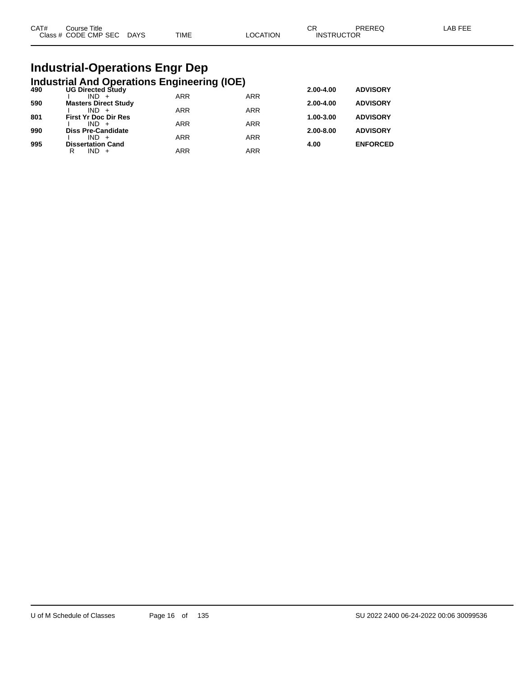| CAT# | Course Title              |      |          | ∩⊓<br>- UN        | PREREQ | _AB FEE |
|------|---------------------------|------|----------|-------------------|--------|---------|
|      | Class # CODE CMP SEC DAYS | TIME | LOCATION | <b>INSTRUCTOR</b> |        |         |

# **Industrial-Operations Engr Dep**

|     | <b>Industrial And Operations Engineering (IOE)</b> |            |                 |           |                 |
|-----|----------------------------------------------------|------------|-----------------|-----------|-----------------|
| 490 | <b>UG Directed Study</b>                           | 2.00-4.00  | <b>ADVISORY</b> |           |                 |
|     | $IND +$                                            | <b>ARR</b> | <b>ARR</b>      |           |                 |
| 590 | <b>Masters Direct Study</b>                        |            |                 | 2.00-4.00 | <b>ADVISORY</b> |
| 801 | $IND +$<br><b>First Yr Doc Dir Res</b>             | <b>ARR</b> | <b>ARR</b>      | 1.00-3.00 | <b>ADVISORY</b> |
|     | $IND +$                                            | <b>ARR</b> | <b>ARR</b>      |           |                 |
| 990 | <b>Diss Pre-Candidate</b>                          |            |                 | 2.00-8.00 | <b>ADVISORY</b> |
|     | $IND +$                                            | <b>ARR</b> | <b>ARR</b>      |           |                 |
| 995 | <b>Dissertation Cand</b>                           |            |                 | 4.00      | <b>ENFORCED</b> |
|     | $IND +$<br>R                                       | <b>ARR</b> | <b>ARR</b>      |           |                 |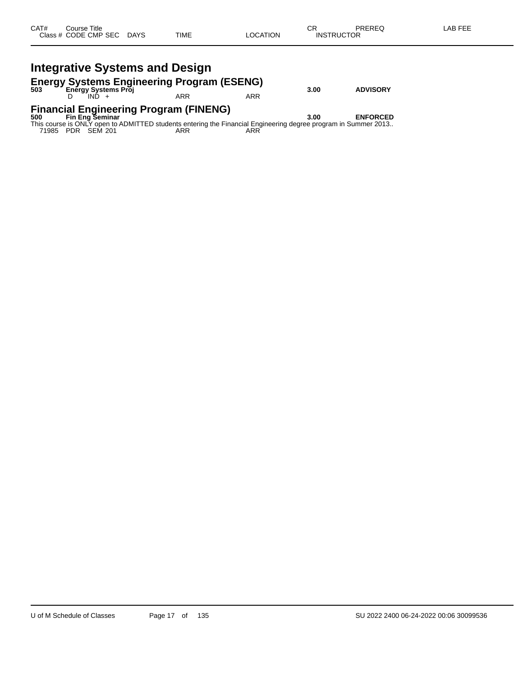# **Energy Systems Engineering Program (ESENG) 503 Energy Systems Proj 3.00 ADVISORY**

D IND + ARR ARR ARR

# **Financial Engineering Program (FINENG) 500 Fin Eng Seminar 3.00 ENFORCED**

This course is ONLY open to ADMITTED students entering the Financial Engineering degree program in Summer 2013.. 71985 PDR SEM 201 ARR ARR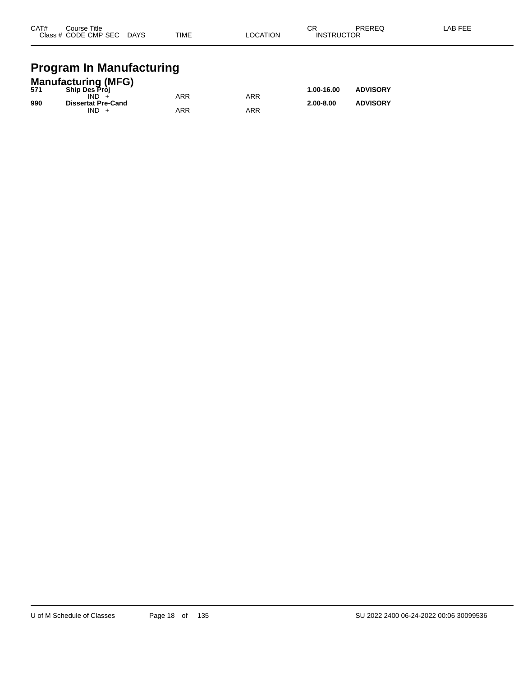| CAT# | Course Title         |             |             |                 | СR                | PREREQ | LAB FEE |
|------|----------------------|-------------|-------------|-----------------|-------------------|--------|---------|
|      | Class # CODE CMP SEC | <b>DAYS</b> | <b>TIME</b> | <b>LOCATION</b> | <b>INSTRUCTOR</b> |        |         |
|      |                      |             |             |                 |                   |        |         |

## **Program In Manufacturing**

|     | <b>Manufacturing (MFG)</b> |     |            |               |                 |
|-----|----------------------------|-----|------------|---------------|-----------------|
| 571 | <b>Ship Des Pròi</b>       |     |            | 1.00-16.00    | <b>ADVISORY</b> |
|     | IND.                       | ARR | <b>ARR</b> |               |                 |
| 990 | <b>Dissertat Pre-Cand</b>  |     |            | $2.00 - 8.00$ | <b>ADVISORY</b> |
|     | $IND +$                    | ARR | ARR        |               |                 |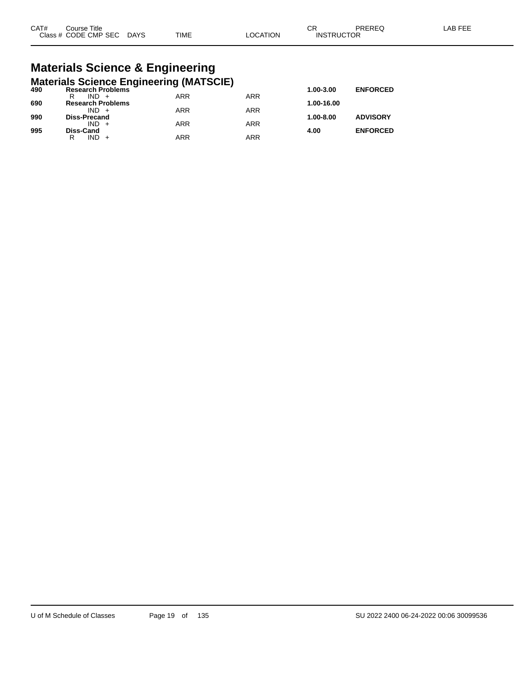| CAT# | ourse Titleٽ              |      |                 | ⌒冖<br>◡◚          | PREREQ | ∟AB FEE |
|------|---------------------------|------|-----------------|-------------------|--------|---------|
|      | Class # CODE CMP SEC DAYS | TIME | <b>LOCATION</b> | <b>INSTRUCTOR</b> |        |         |

# **Materials Science & Engineering**

|     | <b>Materials Science Engineering (MATSCIE)</b> |            |            |            |                 |
|-----|------------------------------------------------|------------|------------|------------|-----------------|
| 490 | <b>Research Problems</b>                       |            |            | 1.00-3.00  | <b>ENFORCED</b> |
|     | $IND +$<br>R                                   | <b>ARR</b> | <b>ARR</b> |            |                 |
| 690 | <b>Research Problems</b>                       |            |            | 1.00-16.00 |                 |
|     | $IND +$                                        | <b>ARR</b> | <b>ARR</b> |            |                 |
| 990 | <b>Diss-Precand</b>                            |            |            | 1.00-8.00  | <b>ADVISORY</b> |
|     | $IND +$                                        | <b>ARR</b> | <b>ARR</b> |            |                 |
| 995 | <b>Diss-Cand</b>                               |            |            | 4.00       | <b>ENFORCED</b> |
|     | $IND +$<br>R                                   | <b>ARR</b> | <b>ARR</b> |            |                 |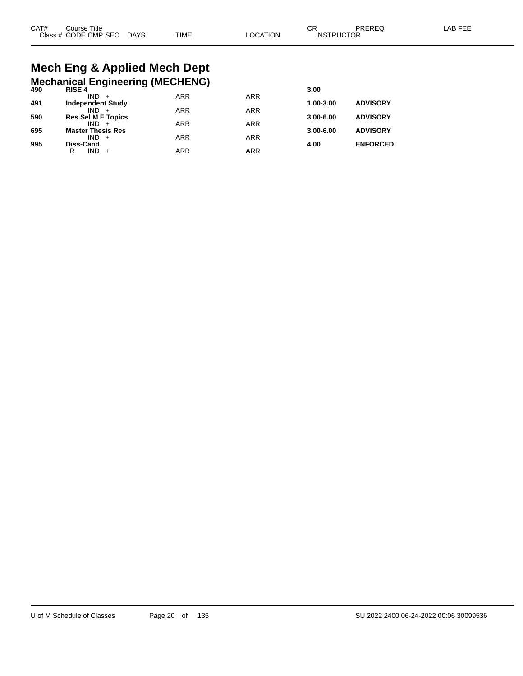# **Mech Eng & Applied Mech Dept**

|     | <b>Mechanical Engineering (MECHENG)</b> |            |            |               |                 |
|-----|-----------------------------------------|------------|------------|---------------|-----------------|
| 490 | <b>RISE 4</b>                           |            |            | 3.00          |                 |
| 491 | $IND +$<br><b>Independent Study</b>     | <b>ARR</b> | <b>ARR</b> | 1.00-3.00     | <b>ADVISORY</b> |
|     | $IND +$                                 | <b>ARR</b> | <b>ARR</b> |               |                 |
| 590 | <b>Res Sel M E Topics</b>               |            |            | $3.00 - 6.00$ | <b>ADVISORY</b> |
|     | $IND +$                                 | <b>ARR</b> | <b>ARR</b> |               |                 |
| 695 | <b>Master Thesis Res</b><br>$IND +$     | <b>ARR</b> | <b>ARR</b> | $3.00 - 6.00$ | <b>ADVISORY</b> |
| 995 | <b>Diss-Cand</b>                        |            |            | 4.00          | <b>ENFORCED</b> |
|     | $IND +$<br>R                            | <b>ARR</b> | <b>ARR</b> |               |                 |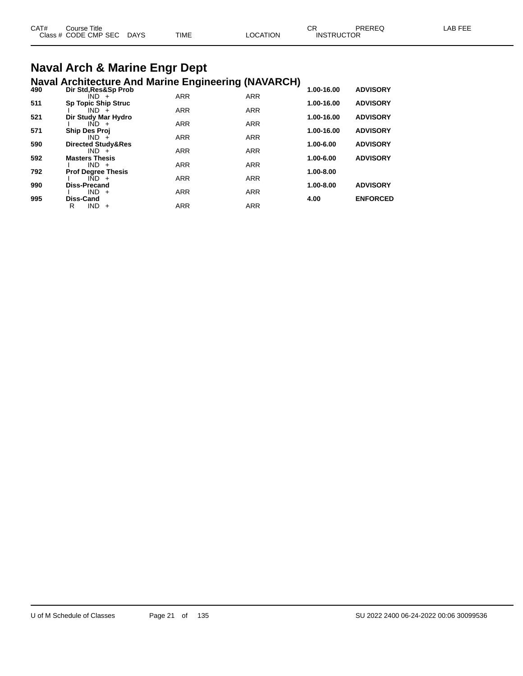| CAT# | Course Title         |             |             |          | СR                | <b>PREREQ</b> | AB FFF |
|------|----------------------|-------------|-------------|----------|-------------------|---------------|--------|
|      | Class # CODE CMP SEC | <b>DAYS</b> | <b>TIME</b> | LOCATION | <b>INSTRUCTOR</b> |               |        |
|      |                      |             |             |          |                   |               |        |

# **Naval Arch & Marine Engr Dept**

|     | <b>Naval Architecture And Marine Engineering (NAVARCH)</b> |            |            |            |                 |
|-----|------------------------------------------------------------|------------|------------|------------|-----------------|
| 490 | Dir Std, Res&Sp Prob                                       |            |            | 1.00-16.00 | <b>ADVISORY</b> |
|     | $IND +$                                                    | <b>ARR</b> | <b>ARR</b> |            |                 |
| 511 | <b>Sp Topic Ship Struc</b><br>$IND +$                      | <b>ARR</b> | <b>ARR</b> | 1.00-16.00 | <b>ADVISORY</b> |
| 521 | Dir Study Mar Hydro                                        |            |            | 1.00-16.00 | <b>ADVISORY</b> |
|     | $IND +$                                                    | <b>ARR</b> | <b>ARR</b> |            |                 |
| 571 | <b>Ship Des Proj</b>                                       |            |            | 1.00-16.00 | <b>ADVISORY</b> |
|     | $IND +$                                                    | <b>ARR</b> | <b>ARR</b> |            |                 |
| 590 | <b>Directed Study&amp;Res</b>                              |            |            | 1.00-6.00  | <b>ADVISORY</b> |
| 592 | $IND +$<br><b>Masters Thesis</b>                           | <b>ARR</b> | <b>ARR</b> | 1.00-6.00  | <b>ADVISORY</b> |
|     | $IND +$                                                    | <b>ARR</b> | <b>ARR</b> |            |                 |
| 792 | <b>Prof Degree Thesis</b>                                  |            |            | 1.00-8.00  |                 |
|     | $IND +$                                                    | <b>ARR</b> | <b>ARR</b> |            |                 |
| 990 | <b>Diss-Precand</b>                                        |            |            | 1.00-8.00  | <b>ADVISORY</b> |
|     | $IND +$                                                    | <b>ARR</b> | <b>ARR</b> |            |                 |
| 995 | <b>Diss-Cand</b>                                           |            |            | 4.00       | <b>ENFORCED</b> |
|     | R<br><b>IND</b><br>$+$                                     | ARR        | <b>ARR</b> |            |                 |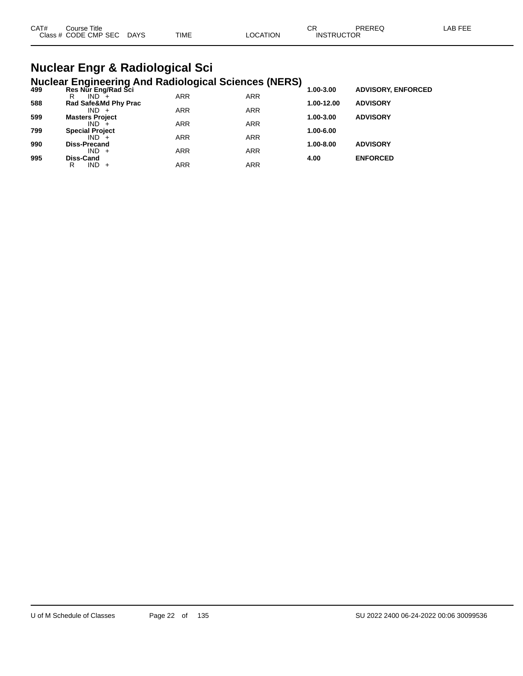| CAT#<br>Course Title |      |             |                | ⌒冖 | PREREC            | LAB FEF |
|----------------------|------|-------------|----------------|----|-------------------|---------|
| Class # CODE CMP SEC | DAYS | <b>TIME</b> | <b>OCATION</b> |    | <b>INSTRUCTOR</b> |         |

### **Nuclear Engr & Radiological Sci Nuclear Engineering And Radiological Sciences (NERS)**

| 499 | Res Nur Eng/Rad Sci    |            |            | - 1<br>1.00-3.00 | <b>ADVISORY, ENFORCED</b> |  |
|-----|------------------------|------------|------------|------------------|---------------------------|--|
|     | $IND +$<br>R           | <b>ARR</b> | <b>ARR</b> |                  |                           |  |
| 588 | Rad Safe&Md Phy Prac   |            |            | 1.00-12.00       | <b>ADVISORY</b>           |  |
|     | $IND +$                | <b>ARR</b> | <b>ARR</b> |                  |                           |  |
| 599 | <b>Masters Project</b> |            |            | 1.00-3.00        | <b>ADVISORY</b>           |  |
|     | $IND +$                | <b>ARR</b> | <b>ARR</b> |                  |                           |  |
| 799 | <b>Special Project</b> |            |            | 1.00-6.00        |                           |  |
|     | $IND +$                | <b>ARR</b> | <b>ARR</b> |                  |                           |  |
| 990 | <b>Diss-Precand</b>    |            |            | 1.00-8.00        | <b>ADVISORY</b>           |  |
|     | $IND +$                | <b>ARR</b> | <b>ARR</b> |                  |                           |  |
| 995 | Diss-Cand              |            |            | 4.00             | <b>ENFORCED</b>           |  |
|     | $IND +$<br>R           | ARR        | ARR        |                  |                           |  |
|     |                        |            |            |                  |                           |  |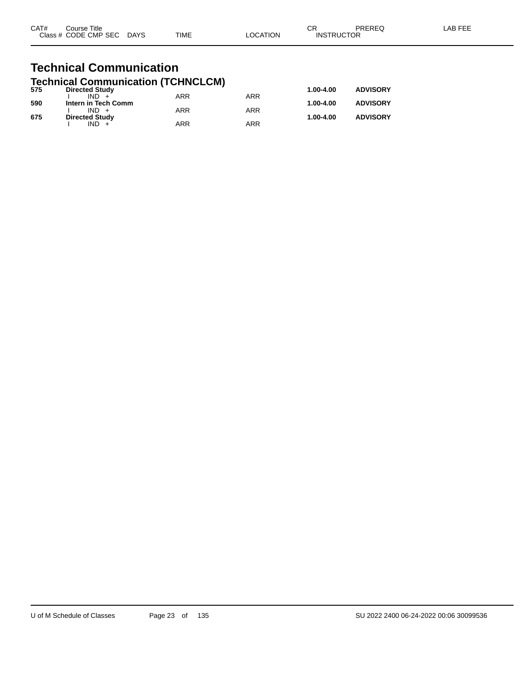| CAT# | Course Title              |             |          | ΩD                | PREREQ | LAB FEE |
|------|---------------------------|-------------|----------|-------------------|--------|---------|
|      | Class # CODE CMP SEC DAYS | <b>TIME</b> | _OCATION | <b>INSTRUCTOR</b> |        |         |
|      |                           |             |          |                   |        |         |

### **Technical Communication Technical Communication (TCHNCLCM)**

| 575 | <b>Directed Study</b> |            |     | 1.00-4.00 | <b>ADVISORY</b> |
|-----|-----------------------|------------|-----|-----------|-----------------|
|     | $IND +$               | <b>ARR</b> | ARR |           |                 |
| 590 | Intern in Tech Comm   |            |     | 1.00-4.00 | <b>ADVISORY</b> |
|     | $IND +$               | ARR        | ARR |           |                 |
| 675 | <b>Directed Study</b> |            |     | 1.00-4.00 | <b>ADVISORY</b> |
|     | $IND +$               | ARR        | ARR |           |                 |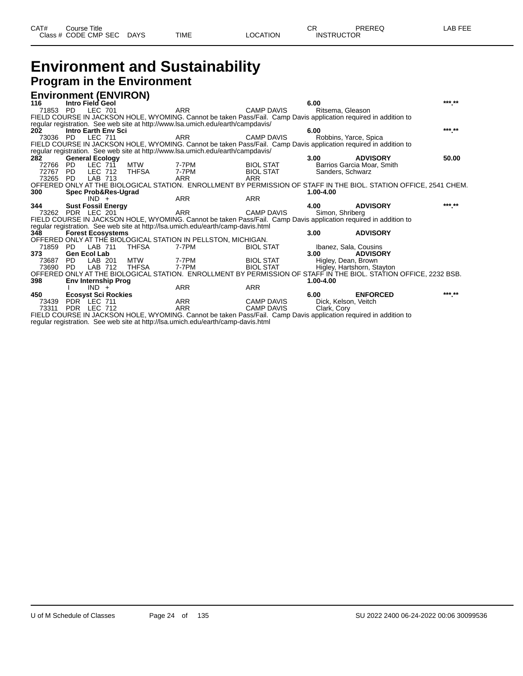## **Environment and Sustainability Program in the Environment**

|          |                     | <b>Environment (ENVIRON)</b>   |       |                                                                                                                  |                   |                      |                                                                                                                   |        |
|----------|---------------------|--------------------------------|-------|------------------------------------------------------------------------------------------------------------------|-------------------|----------------------|-------------------------------------------------------------------------------------------------------------------|--------|
| 116      |                     | Intro Field Geol               |       |                                                                                                                  |                   | 6.00                 |                                                                                                                   | *** ** |
| 71853    | PD.                 | LEC 701                        |       | <b>ARR</b>                                                                                                       | <b>CAMP DAVIS</b> | Ritsema, Gleason     |                                                                                                                   |        |
|          |                     |                                |       | FIELD COURSE IN JACKSON HOLE, WYOMING. Cannot be taken Pass/Fail. Camp Davis application required in addition to |                   |                      |                                                                                                                   |        |
|          |                     |                                |       | regular registration. See web site at http://www.lsa.umich.edu/earth/campdavis/                                  |                   |                      |                                                                                                                   |        |
| 202      |                     | <b>Intro Earth Env Sci</b>     |       |                                                                                                                  |                   | 6.00                 |                                                                                                                   | *** ** |
|          |                     | 73036 PD LEC 711               |       | <b>ARR</b>                                                                                                       | <b>CAMP DAVIS</b> |                      | Robbins, Yarce, Spica                                                                                             |        |
|          |                     |                                |       | FIELD COURSE IN JACKSON HOLE, WYOMING. Cannot be taken Pass/Fail. Camp Davis application required in addition to |                   |                      |                                                                                                                   |        |
|          |                     |                                |       | regular registration. See web site at http://www.lsa.umich.edu/earth/campdavis/                                  |                   |                      |                                                                                                                   |        |
| 282      |                     | <b>General Ecology</b>         |       |                                                                                                                  |                   | 3.00                 | <b>ADVISORY</b>                                                                                                   | 50.00  |
| 72766    | PD.                 | LEC 711                        | MTW   | 7-7PM                                                                                                            | <b>BIOL STAT</b>  |                      | Barrios Garcia Moar, Smith                                                                                        |        |
| 72767    | <b>PD</b>           | LEC 712                        | THFSA | 7-7PM                                                                                                            | <b>BIOL STAT</b>  | Sanders, Schwarz     |                                                                                                                   |        |
| 73265 PD |                     | LAB 713                        |       | ARR                                                                                                              | <b>ARR</b>        |                      |                                                                                                                   |        |
| 300      |                     |                                |       |                                                                                                                  |                   | 1.00-4.00            | OFFERED ONLY AT THE BIOLOGICAL STATION. ENROLLMENT BY PERMISSION OF STAFF IN THE BIOL. STATION OFFICE, 2541 CHEM. |        |
|          |                     | Spec Prob&Res-Ugrad<br>$IND +$ |       | <b>ARR</b>                                                                                                       | <b>ARR</b>        |                      |                                                                                                                   |        |
| 344      |                     | <b>Sust Fossil Energy</b>      |       |                                                                                                                  |                   | 4.00                 | <b>ADVISORY</b>                                                                                                   | *** ** |
|          |                     | 73262 PDR LEC 201              |       | <b>ARR</b>                                                                                                       | <b>CAMP DAVIS</b> | Simon, Shriberg      |                                                                                                                   |        |
|          |                     |                                |       | FIELD COURSE IN JACKSON HOLE, WYOMING. Cannot be taken Pass/Fail. Camp Davis application required in addition to |                   |                      |                                                                                                                   |        |
|          |                     |                                |       | regular registration. See web site at http://lsa.umich.edu/earth/camp-davis.html                                 |                   |                      |                                                                                                                   |        |
| 348      |                     | <b>Forest Ecosystems</b>       |       |                                                                                                                  |                   | 3.00                 | <b>ADVISORY</b>                                                                                                   |        |
|          |                     |                                |       | OFFERED ONLY AT THE BIOLOGICAL STATION IN PELLSTON, MICHIGAN.                                                    |                   |                      |                                                                                                                   |        |
| 71859 PD |                     | LAB 711                        | THFSA | 7-7PM                                                                                                            | <b>BIOL STAT</b>  |                      | Ibanez, Sala, Cousins                                                                                             |        |
| 373      | <b>Gen Ecol Lab</b> |                                |       |                                                                                                                  |                   | 3.00                 | <b>ADVISORY</b>                                                                                                   |        |
| 73687    | PD                  | LAB 201                        | MTW   | 7-7PM                                                                                                            | <b>BIOL STAT</b>  |                      | Higley, Dean, Brown                                                                                               |        |
| 73690    | PD.                 | LAB 712                        | THFSA | 7-7PM                                                                                                            | <b>BIOL STAT</b>  |                      | Higley, Hartshorn, Stayton                                                                                        |        |
|          |                     |                                |       |                                                                                                                  |                   |                      | OFFERED ONLY AT THE BIOLOGICAL STATION. ENROLLMENT BY PERMISSION OF STAFF IN THE BIOL. STATION OFFICE, 2232 BSB.  |        |
| 398      |                     | <b>Env Internship Prog</b>     |       |                                                                                                                  |                   | 1.00-4.00            |                                                                                                                   |        |
|          |                     | $IND +$                        |       | <b>ARR</b>                                                                                                       | <b>ARR</b>        |                      |                                                                                                                   | *** ** |
| 450      |                     | <b>Ecosyst Sci Rockies</b>     |       |                                                                                                                  |                   | 6.00                 | <b>ENFORCED</b>                                                                                                   |        |
| 73439    |                     | PDR LEC 711                    |       | <b>ARR</b>                                                                                                       | <b>CAMP DAVIS</b> | Dick, Kelson, Veitch |                                                                                                                   |        |
| 73311    |                     | PDR LEC 712                    |       | <b>ARR</b>                                                                                                       | CAMP DAVIS        | Clark, Cory          |                                                                                                                   |        |
|          |                     |                                |       | FIELD COURSE IN JACKSON HOLE, WYOMING. Cannot be taken Pass/Fail. Camp Davis application required in addition to |                   |                      |                                                                                                                   |        |
|          |                     |                                |       | regular registration. See web site at http://lsa.umich.edu/earth/camp-davis.html                                 |                   |                      |                                                                                                                   |        |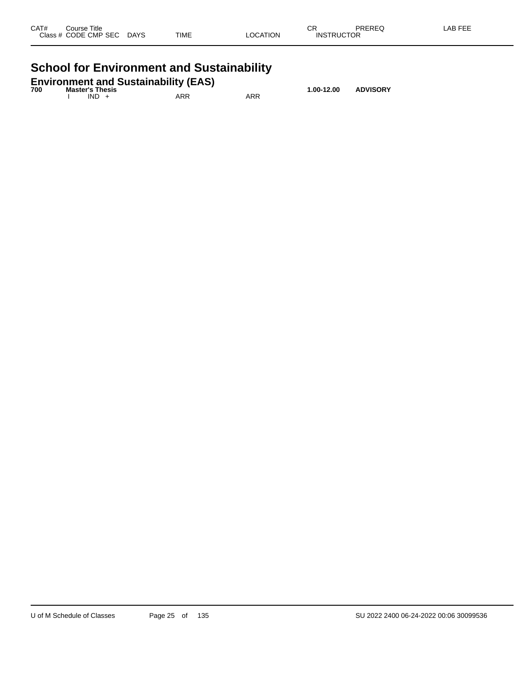| CAT# | Course Title<br>Class # CODE CMP SEC | <b>DAYS</b> | <b>TIME</b> | LOCATION | ^-<br>UM<br><b>INSTRUCTOR</b> | PREREQ | LAB FEE |
|------|--------------------------------------|-------------|-------------|----------|-------------------------------|--------|---------|
|      |                                      |             |             |          |                               |        |         |

# **School for Environment and Sustainability**

|     | <b>Environment and Sustainability (EAS)</b> |     |     |            |                 |
|-----|---------------------------------------------|-----|-----|------------|-----------------|
| 700 | <b>Master's Thesis</b><br>$IND +$           | ARR | ARR | 1.00-12.00 | <b>ADVISORY</b> |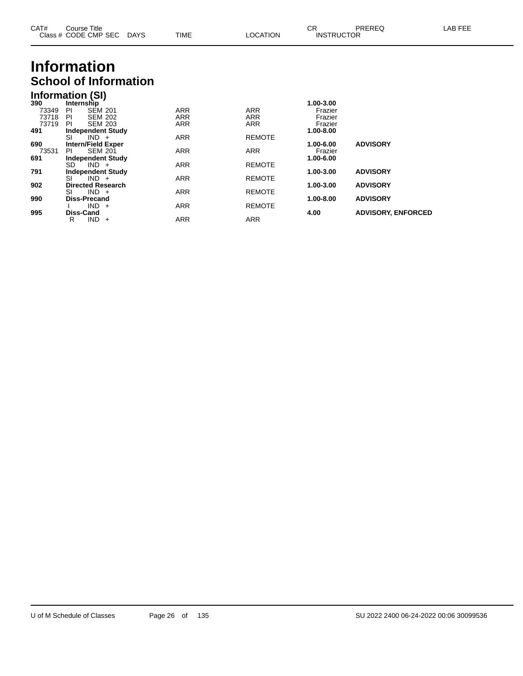| CAT# | Course Title         |             |             |                 | ⌒冖<br>U۲          | <b>PREREQ</b> | _AB FEE |
|------|----------------------|-------------|-------------|-----------------|-------------------|---------------|---------|
|      | Class # CODE CMP SEC | <b>DAYS</b> | <b>TIME</b> | <b>LOCATION</b> | <b>INSTRUCTOR</b> |               |         |
|      |                      |             |             |                 |                   |               |         |

# **Information School of Information**

## **Information (SI)**

| 390   | Internship                |                |            |               | 1.00-3.00 |                           |
|-------|---------------------------|----------------|------------|---------------|-----------|---------------------------|
| 73349 | PI                        | <b>SEM 201</b> | <b>ARR</b> | <b>ARR</b>    | Frazier   |                           |
| 73718 | PI                        | <b>SEM 202</b> | <b>ARR</b> | <b>ARR</b>    | Frazier   |                           |
| 73719 | PI                        | <b>SEM 203</b> | <b>ARR</b> | <b>ARR</b>    | Frazier   |                           |
| 491   | <b>Independent Study</b>  |                |            |               | 1.00-8.00 |                           |
|       | SI                        | $IND +$        | <b>ARR</b> | <b>REMOTE</b> |           |                           |
| 690   | <b>Intern/Field Exper</b> |                |            |               | 1.00-6.00 | <b>ADVISORY</b>           |
| 73531 | ΡI                        | <b>SEM 201</b> | <b>ARR</b> | <b>ARR</b>    | Frazier   |                           |
| 691   | <b>Independent Study</b>  |                |            |               | 1.00-6.00 |                           |
|       | SD.                       | $IND +$        | <b>ARR</b> | <b>REMOTE</b> |           |                           |
| 791   | <b>Independent Study</b>  |                |            |               | 1.00-3.00 | <b>ADVISORY</b>           |
|       | SI                        | $IND +$        | <b>ARR</b> | <b>REMOTE</b> |           |                           |
| 902   | <b>Directed Research</b>  |                |            |               | 1.00-3.00 | <b>ADVISORY</b>           |
|       | SI                        | $IND +$        | <b>ARR</b> | <b>REMOTE</b> |           |                           |
| 990   | <b>Diss-Precand</b>       |                |            |               | 1.00-8.00 | <b>ADVISORY</b>           |
|       |                           | $IND +$        | <b>ARR</b> | <b>REMOTE</b> |           |                           |
| 995   | <b>Diss-Cand</b>          |                |            |               | 4.00      | <b>ADVISORY, ENFORCED</b> |
|       | IND.<br>R                 | $+$            | <b>ARR</b> | <b>ARR</b>    |           |                           |
|       |                           |                |            |               |           |                           |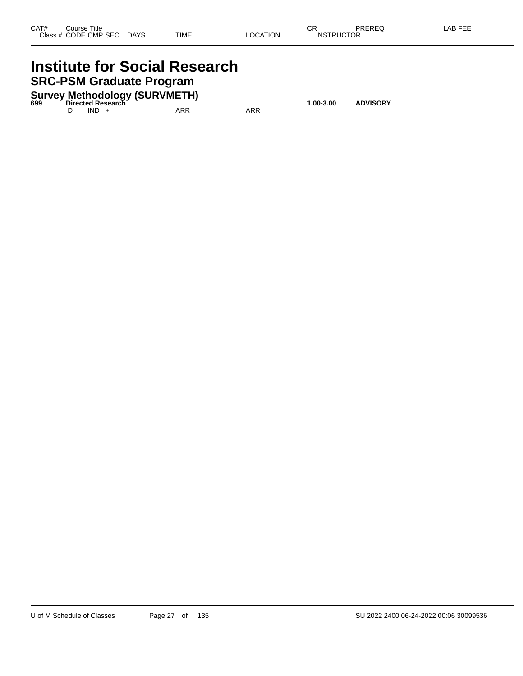## **Institute for Social Research SRC-PSM Graduate Program**

**Survey Methodology (SURVMETH) 699 Directed Research 1.00-3.00 ADVISORY**

D IND + ARR ARR ARR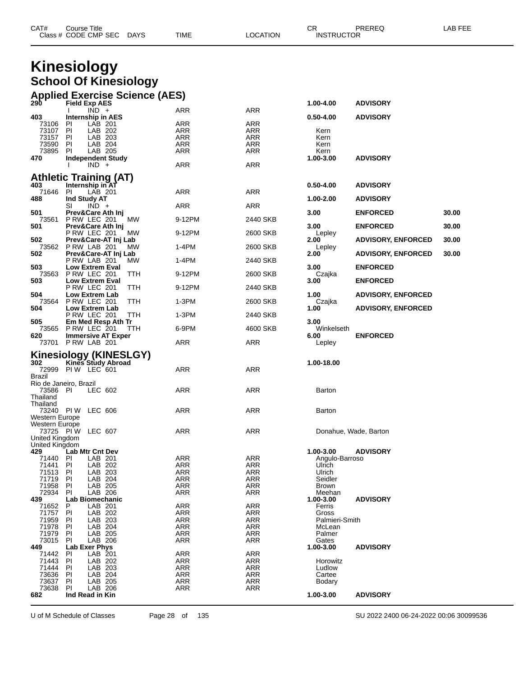| CAT# | Title<br>Course⊺     |             |      |          | ◠г<br>- UN        | PREREQ | _AB FEF |
|------|----------------------|-------------|------|----------|-------------------|--------|---------|
|      | Class # CODE CMP SEC | <b>DAYS</b> | TIME | LOCATION | <b>INSTRUCTOR</b> |        |         |

## **Kinesiology School Of Kinesiology**

| <b>Applied Exercise Science (AES)</b><br>290 Field Exp AES |     |     |           |                 |
|------------------------------------------------------------|-----|-----|-----------|-----------------|
|                                                            |     |     | 1.00-4.00 | <b>ADVISORY</b> |
| רחוו                                                       | ΔRR | ARR |           |                 |

| 403<br>$0.50 - 4.00$<br>Internship in AES<br><b>ARR</b><br><b>ARR</b><br>73106<br>PI.<br>LAB 201<br>73107<br>PI<br>LAB 202<br>ARR<br>ARR<br>Kern<br>LAB 203<br><b>ARR</b><br>73157<br>PI<br>ARR<br>Kern<br>73590<br>PI<br>LAB 204<br>ARR<br>ARR<br>Kern<br>LAB 205<br>73895<br>PI.<br>ARR<br>ARR<br>Kern<br><b>Independent Study</b><br>1.00-3.00<br>470<br><b>ARR</b><br><b>ARR</b><br>$IND +$<br><b>Athletic Training (AT)</b><br>403<br>Internship in AT<br>$0.50 - 4.00$<br>ARR<br>71646<br>-PI<br>LAB 201<br>ARR<br>Ind Study AT<br>1.00-2.00<br>488 | <b>ADVISORY</b><br><b>ADVISORY</b><br><b>ADVISORY</b> |
|-----------------------------------------------------------------------------------------------------------------------------------------------------------------------------------------------------------------------------------------------------------------------------------------------------------------------------------------------------------------------------------------------------------------------------------------------------------------------------------------------------------------------------------------------------------|-------------------------------------------------------|
|                                                                                                                                                                                                                                                                                                                                                                                                                                                                                                                                                           |                                                       |
|                                                                                                                                                                                                                                                                                                                                                                                                                                                                                                                                                           |                                                       |
|                                                                                                                                                                                                                                                                                                                                                                                                                                                                                                                                                           |                                                       |
|                                                                                                                                                                                                                                                                                                                                                                                                                                                                                                                                                           |                                                       |
|                                                                                                                                                                                                                                                                                                                                                                                                                                                                                                                                                           |                                                       |
|                                                                                                                                                                                                                                                                                                                                                                                                                                                                                                                                                           |                                                       |
|                                                                                                                                                                                                                                                                                                                                                                                                                                                                                                                                                           |                                                       |
|                                                                                                                                                                                                                                                                                                                                                                                                                                                                                                                                                           |                                                       |
|                                                                                                                                                                                                                                                                                                                                                                                                                                                                                                                                                           |                                                       |
|                                                                                                                                                                                                                                                                                                                                                                                                                                                                                                                                                           |                                                       |
|                                                                                                                                                                                                                                                                                                                                                                                                                                                                                                                                                           |                                                       |
|                                                                                                                                                                                                                                                                                                                                                                                                                                                                                                                                                           | <b>ADVISORY</b>                                       |
| $IND +$<br><b>ARR</b><br>SI<br>ARR                                                                                                                                                                                                                                                                                                                                                                                                                                                                                                                        |                                                       |
| 501<br>Prev&Care Ath Inj<br>3.00                                                                                                                                                                                                                                                                                                                                                                                                                                                                                                                          | <b>ENFORCED</b><br>30.00                              |
| 73561<br>PRW LEC 201<br>MW<br>9-12PM<br>2440 SKB                                                                                                                                                                                                                                                                                                                                                                                                                                                                                                          |                                                       |
| 501<br>3.00<br>Prev&Care Ath Inj<br><b>P RW LEC 201</b>                                                                                                                                                                                                                                                                                                                                                                                                                                                                                                   | <b>ENFORCED</b><br>30.00                              |
| 9-12PM<br>2600 SKB<br>МW<br>Lepley<br>502.<br>Prev&Care-AT Inj Lab<br>2.00                                                                                                                                                                                                                                                                                                                                                                                                                                                                                | <b>ADVISORY, ENFORCED</b><br>30.00                    |
| 73562<br>PRW LAB 201<br>1-4PM<br>МW<br>2600 SKB<br>Lepley                                                                                                                                                                                                                                                                                                                                                                                                                                                                                                 |                                                       |
| Prev&Care-AT Inj Lab<br>2.00<br>502                                                                                                                                                                                                                                                                                                                                                                                                                                                                                                                       | <b>ADVISORY, ENFORCED</b><br>30.00                    |
| PRW LAB 201<br>1-4PM<br>2440 SKB<br>МW                                                                                                                                                                                                                                                                                                                                                                                                                                                                                                                    |                                                       |
| 503<br><b>Low Extrem Eval</b><br>3.00                                                                                                                                                                                                                                                                                                                                                                                                                                                                                                                     | <b>ENFORCED</b>                                       |
| 73563 P RW LEC 201<br>TTH<br>9-12PM<br>2600 SKB<br>Czajka                                                                                                                                                                                                                                                                                                                                                                                                                                                                                                 |                                                       |
| 503<br><b>Low Extrem Eval</b><br>3.00                                                                                                                                                                                                                                                                                                                                                                                                                                                                                                                     | <b>ENFORCED</b>                                       |
| PRW LEC 201<br>TTH<br>9-12PM<br>2440 SKB                                                                                                                                                                                                                                                                                                                                                                                                                                                                                                                  |                                                       |
| 504<br><b>Low Extrem Lab</b><br>1.00                                                                                                                                                                                                                                                                                                                                                                                                                                                                                                                      | <b>ADVISORY, ENFORCED</b>                             |
| 73564 P RW LEC 201<br>TTH<br>$1-3PM$<br>2600 SKB<br>Czajka                                                                                                                                                                                                                                                                                                                                                                                                                                                                                                |                                                       |
| 504<br><b>Low Extrem Lab</b><br>1.00                                                                                                                                                                                                                                                                                                                                                                                                                                                                                                                      | <b>ADVISORY, ENFORCED</b>                             |
| PRW LEC 201<br>TTH<br>$1-3PM$<br>2440 SKB<br>505<br>3.00                                                                                                                                                                                                                                                                                                                                                                                                                                                                                                  |                                                       |
| Em Med Resp Ath Tr<br>73565<br>PRW LEC 201<br>6-9PM<br>4600 SKB<br>Winkelseth<br>TTH                                                                                                                                                                                                                                                                                                                                                                                                                                                                      |                                                       |
| 6.00<br>620<br><b>Immersive AT Exper</b>                                                                                                                                                                                                                                                                                                                                                                                                                                                                                                                  | <b>ENFORCED</b>                                       |
| ARR<br>73701 P RW LAB 201<br>ARR<br>Lepley                                                                                                                                                                                                                                                                                                                                                                                                                                                                                                                |                                                       |
|                                                                                                                                                                                                                                                                                                                                                                                                                                                                                                                                                           |                                                       |
| <b>Kinesiology (KINESLGY)</b>                                                                                                                                                                                                                                                                                                                                                                                                                                                                                                                             |                                                       |
| Kines Study Abroad<br>302<br>1.00-18.00                                                                                                                                                                                                                                                                                                                                                                                                                                                                                                                   |                                                       |
| 72999 PIW LEC 601<br><b>ARR</b><br>ARR                                                                                                                                                                                                                                                                                                                                                                                                                                                                                                                    |                                                       |
| Brazil                                                                                                                                                                                                                                                                                                                                                                                                                                                                                                                                                    |                                                       |
|                                                                                                                                                                                                                                                                                                                                                                                                                                                                                                                                                           |                                                       |
| Rio de Janeiro, Brazil                                                                                                                                                                                                                                                                                                                                                                                                                                                                                                                                    |                                                       |
| LEC 602<br>ARR<br>ARR<br>73586 PI<br>Barton                                                                                                                                                                                                                                                                                                                                                                                                                                                                                                               |                                                       |
| Thailand                                                                                                                                                                                                                                                                                                                                                                                                                                                                                                                                                  |                                                       |
| Thailand                                                                                                                                                                                                                                                                                                                                                                                                                                                                                                                                                  |                                                       |
| 73240 PIW<br>ARR<br>ARR<br>LEC 606<br>Barton                                                                                                                                                                                                                                                                                                                                                                                                                                                                                                              |                                                       |
| Western Europe                                                                                                                                                                                                                                                                                                                                                                                                                                                                                                                                            |                                                       |
| Western Europe                                                                                                                                                                                                                                                                                                                                                                                                                                                                                                                                            |                                                       |
| 73725 PIW<br>LEC 607<br>ARR<br>ARR<br>United Kingdom                                                                                                                                                                                                                                                                                                                                                                                                                                                                                                      | Donahue, Wade, Barton                                 |
| United Kingdom                                                                                                                                                                                                                                                                                                                                                                                                                                                                                                                                            |                                                       |
| 1.00-3.00<br>429<br>Lab Mtr Cnt Dev                                                                                                                                                                                                                                                                                                                                                                                                                                                                                                                       | <b>ADVISORY</b>                                       |
| 71440 PI<br>LAB 201<br>ARR<br>ARR                                                                                                                                                                                                                                                                                                                                                                                                                                                                                                                         | Angulo-Barroso                                        |
| 71441 PI<br>LAB 202<br>ARR<br>ARR<br>Ulrich                                                                                                                                                                                                                                                                                                                                                                                                                                                                                                               |                                                       |
| PI<br>ARR<br>ARR<br>Ulrich<br>71513<br>LAB 203                                                                                                                                                                                                                                                                                                                                                                                                                                                                                                            |                                                       |
| 71719<br>-PI<br>LAB 204<br>ARR<br>Seidler<br>ARR                                                                                                                                                                                                                                                                                                                                                                                                                                                                                                          |                                                       |
| ARR<br>71958<br>PI<br>LAB 205<br>ARR<br>Brown                                                                                                                                                                                                                                                                                                                                                                                                                                                                                                             |                                                       |
| 72934<br>-PI<br>LAB 206<br>ARR<br>ARR<br>Meehan                                                                                                                                                                                                                                                                                                                                                                                                                                                                                                           |                                                       |
| 439<br>Lab Biomechanic<br>1.00-3.00<br>LAB 201<br><b>ARR</b><br>ARR<br>71652<br>P<br>Ferris                                                                                                                                                                                                                                                                                                                                                                                                                                                               | <b>ADVISORY</b>                                       |
| PI<br><b>ARR</b><br><b>ARR</b><br>71757<br>LAB 202<br>Gross                                                                                                                                                                                                                                                                                                                                                                                                                                                                                               |                                                       |
| 71959<br>LAB 203<br>PI<br>ARR<br>ARR                                                                                                                                                                                                                                                                                                                                                                                                                                                                                                                      | Palmieri-Smith                                        |
| 71978<br>LAB 204<br><b>ARR</b><br>PI<br>ARR<br>McLean                                                                                                                                                                                                                                                                                                                                                                                                                                                                                                     |                                                       |
| <b>ARR</b><br><b>ARR</b><br>71979<br>PI<br>LAB 205<br>Palmer                                                                                                                                                                                                                                                                                                                                                                                                                                                                                              |                                                       |
| LAB 206<br>73015<br>PI<br>ARR<br>ARR<br>Gates                                                                                                                                                                                                                                                                                                                                                                                                                                                                                                             |                                                       |
| Lab Exer Phys<br>449<br>1.00-3.00                                                                                                                                                                                                                                                                                                                                                                                                                                                                                                                         | <b>ADVISORY</b>                                       |
| <b>ARR</b><br><b>ARR</b><br>71442<br>LAB 201<br><b>PI</b>                                                                                                                                                                                                                                                                                                                                                                                                                                                                                                 |                                                       |
| 71443<br>LAB 202<br>PI<br>ARR<br>ARR<br>Horowitz                                                                                                                                                                                                                                                                                                                                                                                                                                                                                                          |                                                       |
| 71444<br>ARR<br>PI<br>LAB 203<br>ARR<br>Ludlow<br>LAB 204<br>Cartee<br><b>PI</b>                                                                                                                                                                                                                                                                                                                                                                                                                                                                          |                                                       |
| <b>ARR</b><br><b>ARR</b><br>73636<br>LAB 205<br>73637<br>ΡI<br>ARR<br><b>ARR</b><br>Bodary                                                                                                                                                                                                                                                                                                                                                                                                                                                                |                                                       |
| 73638<br>LAB 206<br><b>ARR</b><br><b>ARR</b><br>PI<br>Ind Read in Kin<br>1.00-3.00<br>682                                                                                                                                                                                                                                                                                                                                                                                                                                                                 | <b>ADVISORY</b>                                       |

U of M Schedule of Classes Page 28 of 135 SU 2022 2400 06-24-2022 00:06 30099536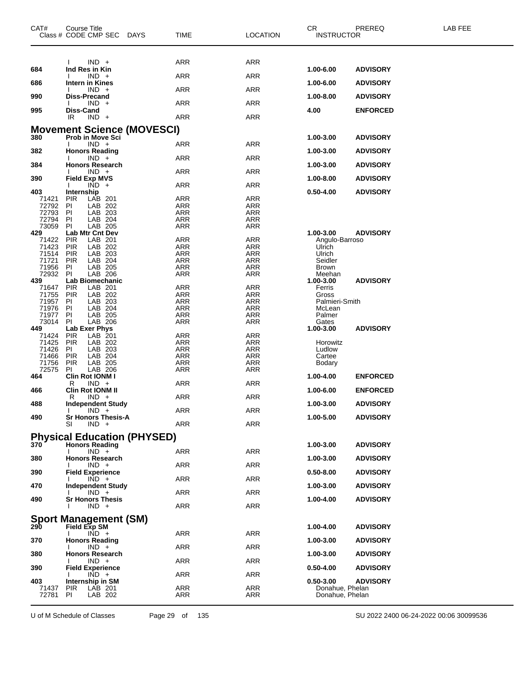| CAT#           | Course Title<br>Class # CODE CMP SEC<br>DAYS   | <b>TIME</b>              | <b>LOCATION</b>          | CR.<br><b>INSTRUCTOR</b>     | PREREQ          | LAB FEE |
|----------------|------------------------------------------------|--------------------------|--------------------------|------------------------------|-----------------|---------|
|                | $IND +$                                        | <b>ARR</b>               | <b>ARR</b>               |                              |                 |         |
| 684            | Ind Res in Kin                                 |                          |                          | 1.00-6.00                    | <b>ADVISORY</b> |         |
| 686            | $IND +$<br>Intern in Kines                     | <b>ARR</b>               | <b>ARR</b>               | 1.00-6.00                    | <b>ADVISORY</b> |         |
| 990            | $IND +$<br>Diss-Precand                        | ARR                      | <b>ARR</b>               | 1.00-8.00                    |                 |         |
|                | $IND +$                                        | <b>ARR</b>               | <b>ARR</b>               |                              | <b>ADVISORY</b> |         |
| 995            | Diss-Cand<br>IR<br>$IND +$                     | <b>ARR</b>               | <b>ARR</b>               | 4.00                         | <b>ENFORCED</b> |         |
|                | <b>Movement Science (MOVESCI)</b>              |                          |                          |                              |                 |         |
| 380            | <b>Prob in Move Sci</b>                        |                          |                          | 1.00-3.00                    | <b>ADVISORY</b> |         |
| 382            | $IND +$<br><b>Honors Reading</b>               | ARR                      | <b>ARR</b>               | 1.00-3.00                    | <b>ADVISORY</b> |         |
| 384            | $IND +$<br><b>Honors Research</b>              | <b>ARR</b>               | <b>ARR</b>               | 1.00-3.00                    | <b>ADVISORY</b> |         |
| 390            | $IND +$                                        | <b>ARR</b>               | <b>ARR</b>               |                              |                 |         |
|                | <b>Field Exp MVS</b><br>$IND +$                | <b>ARR</b>               | <b>ARR</b>               | 1.00-8.00                    | <b>ADVISORY</b> |         |
| 403<br>71421   | Internship<br>LAB 201<br><b>PIR</b>            | <b>ARR</b>               | <b>ARR</b>               | 0.50-4.00                    | <b>ADVISORY</b> |         |
| 72792          | ΡI<br>LAB 202                                  | ARR                      | ARR                      |                              |                 |         |
| 72793          | LAB 203<br>ΡI                                  | <b>ARR</b>               | ARR                      |                              |                 |         |
| 72794<br>73059 | LAB 204<br>ΡI<br>ΡI<br>LAB 205                 | <b>ARR</b><br>ARR        | <b>ARR</b><br>ARR        |                              |                 |         |
| 429            | <b>Lab Mtr Cnt Dev</b>                         |                          |                          | 1.00-3.00                    | <b>ADVISORY</b> |         |
| 71422          | LAB 201<br><b>PIR</b>                          | <b>ARR</b>               | <b>ARR</b>               | Angulo-Barroso               |                 |         |
| 71423<br>71514 | <b>PIR</b><br>LAB 202<br>LAB 203<br><b>PIR</b> | <b>ARR</b><br>ARR        | <b>ARR</b><br><b>ARR</b> | Ulrich<br>Ulrich             |                 |         |
| 71721          | LAB 204<br>PIR                                 | <b>ARR</b>               | ARR                      | Seidler                      |                 |         |
| 71956          | ΡI<br>LAB 205                                  | ARR                      | ARR                      | <b>Brown</b>                 |                 |         |
| 72932<br>439   | LAB 206<br>ΡI<br>Lab Biomechanic               | ARR                      | <b>ARR</b>               | Meehan<br>1.00-3.00          | <b>ADVISORY</b> |         |
| 71647          | <b>PIR</b><br>LAB 201                          | <b>ARR</b>               | <b>ARR</b>               | Ferris                       |                 |         |
| 71755          | LAB 202<br>PIR                                 | ARR                      | ARR                      | Gross                        |                 |         |
| 71957          | ΡI<br>LAB 203                                  | <b>ARR</b>               | ARR                      | Palmieri-Smith               |                 |         |
| 71976<br>71977 | ΡI<br>LAB 204<br>ΡI<br>LAB 205                 | <b>ARR</b><br><b>ARR</b> | <b>ARR</b><br>ARR        | McLean<br>Palmer             |                 |         |
| 73014          | LAB 206<br>ΡI                                  | <b>ARR</b>               | <b>ARR</b>               | Gates                        |                 |         |
| 449            | Lab Exer Phys                                  |                          |                          | 1.00-3.00                    | <b>ADVISORY</b> |         |
| 71424<br>71425 | <b>PIR</b><br>LAB 201<br><b>PIR</b><br>LAB 202 | <b>ARR</b><br><b>ARR</b> | <b>ARR</b><br><b>ARR</b> | Horowitz                     |                 |         |
| 71426          | PI<br>LAB 203                                  | ARR                      | ARR                      | Ludlow                       |                 |         |
| 71466          | LAB 204<br>PIR                                 | ARR                      | <b>ARR</b>               | Cartee                       |                 |         |
| 71756<br>72575 | <b>PIR</b><br>LAB 205<br>ΡI<br>LAB 206         | <b>ARR</b><br>ARR        | <b>ARR</b><br>ARR        | Bodary                       |                 |         |
| 464            | Clin Rot IONM I                                |                          |                          | 1.00-4.00                    | <b>ENFORCED</b> |         |
| 466            | $IND +$<br>R<br><b>Clin Rot IONM II</b>        | ARR                      | <b>ARR</b>               |                              |                 |         |
|                | $IND +$<br>R                                   | ARR                      | <b>ARR</b>               | 1.00-6.00                    | <b>ENFORCED</b> |         |
| 488            | <b>Independent Study</b><br>$IND +$            | <b>ARR</b>               | ARR                      | 1.00-3.00                    | <b>ADVISORY</b> |         |
| 490            | <b>Sr Honors Thesis-A</b><br>SI<br>$IND +$     | <b>ARR</b>               | <b>ARR</b>               | 1.00-5.00                    | <b>ADVISORY</b> |         |
|                | <b>Physical Education (PHYSED)</b>             |                          |                          |                              |                 |         |
| 370            | <b>Honors Reading</b>                          |                          |                          | 1.00-3.00                    | <b>ADVISORY</b> |         |
| 380            | $IND +$<br><b>Honors Research</b>              | ARR                      | <b>ARR</b>               | 1.00-3.00                    | <b>ADVISORY</b> |         |
| 390            | $IND +$<br><b>Field Experience</b>             | <b>ARR</b>               | <b>ARR</b>               | $0.50 - 8.00$                | <b>ADVISORY</b> |         |
| 470            | $IND +$<br><b>Independent Study</b>            | ARR                      | <b>ARR</b>               | 1.00-3.00                    | <b>ADVISORY</b> |         |
| 490            | $IND +$<br><b>Sr Honors Thesis</b>             | ARR                      | <b>ARR</b>               | 1.00-4.00                    | <b>ADVISORY</b> |         |
|                | $IND +$                                        | ARR                      | <b>ARR</b>               |                              |                 |         |
| 290            | <b>Sport Management (SM)</b>                   |                          |                          | 1.00-4.00                    | <b>ADVISORY</b> |         |
|                | <b>Field Exp SM</b><br>$IND +$                 | ARR                      | <b>ARR</b>               |                              |                 |         |
| 370            | <b>Honors Reading</b><br>$IND +$               | ARR                      | <b>ARR</b>               | 1.00-3.00                    | <b>ADVISORY</b> |         |
| 380            | <b>Honors Research</b>                         |                          |                          | 1.00-3.00                    | <b>ADVISORY</b> |         |
| 390            | $IND +$<br><b>Field Experience</b>             | ARR                      | <b>ARR</b>               | 0.50-4.00                    | <b>ADVISORY</b> |         |
|                | $IND +$                                        | ARR                      | <b>ARR</b>               |                              |                 |         |
| 403<br>71437   | Internship in SM<br><b>PIR</b><br>LAB 201      | ARR                      | ARR                      | 0.50-3.00<br>Donahue, Phelan | <b>ADVISORY</b> |         |
| 72781          | PI.<br>LAB 202                                 | ARR                      | ARR                      | Donahue, Phelan              |                 |         |

U of M Schedule of Classes Page 29 of 135 SU 2022 2400 06-24-2022 00:06 30099536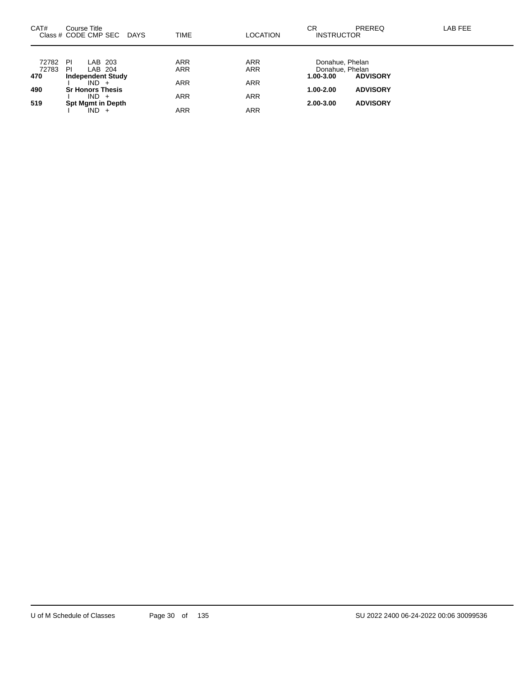| CAT#         | Course Title<br>Class # CODE CMP SEC<br>DAYS | TIME       | LOCATION   | CR<br><b>INSTRUCTOR</b>      | <b>PREREQ</b>   | LAB FEE |
|--------------|----------------------------------------------|------------|------------|------------------------------|-----------------|---------|
| 72782        | PI<br>LAB 203                                | ARR        | <b>ARR</b> | Donahue, Phelan              |                 |         |
| 72783<br>470 | PI<br>LAB 204<br><b>Independent Study</b>    | ARR        | <b>ARR</b> | Donahue, Phelan<br>1.00-3.00 | <b>ADVISORY</b> |         |
| 490          | $IND +$<br><b>Sr Honors Thesis</b>           | <b>ARR</b> | <b>ARR</b> | 1.00-2.00                    | <b>ADVISORY</b> |         |
| 519          | $IND +$<br><b>Spt Mgmt in Depth</b>          | ARR        | <b>ARR</b> | 2.00-3.00                    | <b>ADVISORY</b> |         |
|              | $IND +$                                      | ARR        | ARR        |                              |                 |         |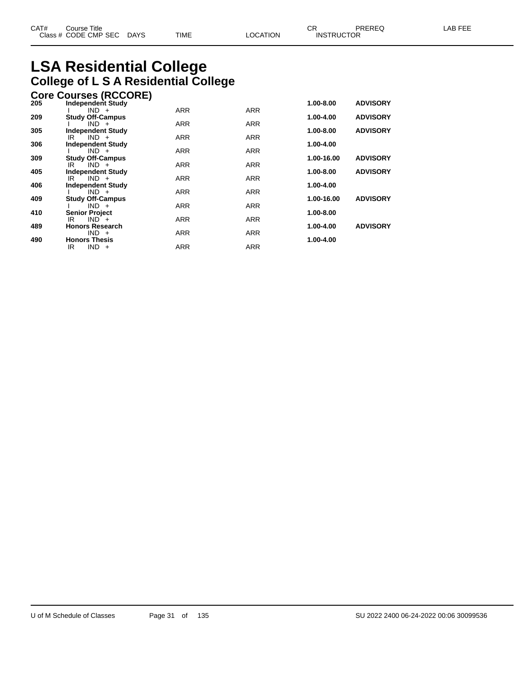# **LSA Residential College College of L S A Residential College**

|     | <b>Core Courses (RCCORE)</b>              |            |            |               |                 |
|-----|-------------------------------------------|------------|------------|---------------|-----------------|
| 205 | <b>Independent Study</b>                  |            |            | $1.00 - 8.00$ | <b>ADVISORY</b> |
|     | $IND +$                                   | <b>ARR</b> | <b>ARR</b> |               |                 |
| 209 | <b>Study Off-Campus</b>                   |            |            | 1.00-4.00     | <b>ADVISORY</b> |
|     | $IND +$                                   | <b>ARR</b> | <b>ARR</b> |               |                 |
| 305 | <b>Independent Study</b><br>$IND +$<br>IR | <b>ARR</b> | <b>ARR</b> | 1.00-8.00     | <b>ADVISORY</b> |
| 306 | <b>Independent Study</b>                  |            |            | 1.00-4.00     |                 |
|     | $IND +$                                   | <b>ARR</b> | <b>ARR</b> |               |                 |
| 309 | <b>Study Off-Campus</b>                   |            |            | 1.00-16.00    | <b>ADVISORY</b> |
|     | $IND +$<br>IR                             | <b>ARR</b> | <b>ARR</b> |               |                 |
| 405 | <b>Independent Study</b>                  |            |            | 1.00-8.00     | <b>ADVISORY</b> |
|     | $IND +$<br>IR                             | <b>ARR</b> | <b>ARR</b> |               |                 |
| 406 | <b>Independent Study</b>                  |            |            | 1.00-4.00     |                 |
|     | $IND +$                                   | <b>ARR</b> | <b>ARR</b> |               |                 |
| 409 | <b>Study Off-Campus</b>                   |            |            | 1.00-16.00    | <b>ADVISORY</b> |
| 410 | $IND +$<br><b>Senior Project</b>          | <b>ARR</b> | <b>ARR</b> | 1.00-8.00     |                 |
|     | $IND^+$<br>IR                             | <b>ARR</b> | <b>ARR</b> |               |                 |
| 489 | <b>Honors Research</b>                    |            |            | 1.00-4.00     | <b>ADVISORY</b> |
|     | $IND +$                                   | <b>ARR</b> | <b>ARR</b> |               |                 |
| 490 | <b>Honors Thesis</b>                      |            |            | 1.00-4.00     |                 |
|     | $IND +$<br>IR                             | <b>ARR</b> | <b>ARR</b> |               |                 |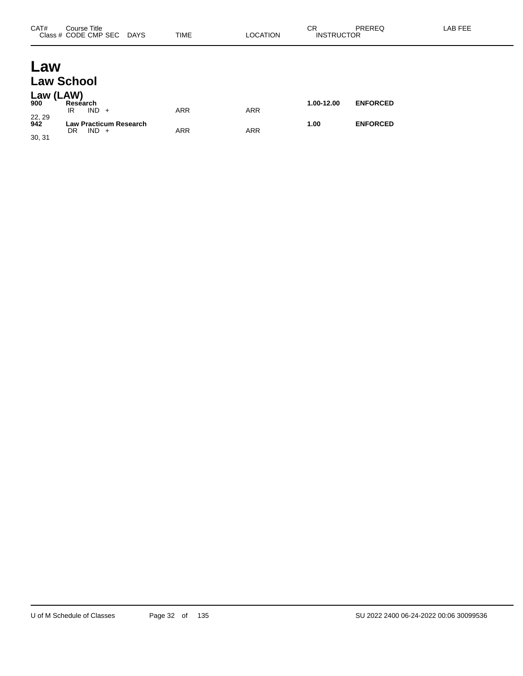# **Law Law School**

| Law (LAW)<br>900        | Research<br>$IND +$<br>IR                      | ARR        | ARR | 1.00-12.00 | <b>ENFORCED</b> |
|-------------------------|------------------------------------------------|------------|-----|------------|-----------------|
| 22, 29<br>942<br>30, 31 | <b>Law Practicum Research</b><br>DR<br>$IND +$ | <b>ARR</b> | ARR | 1.00       | <b>ENFORCED</b> |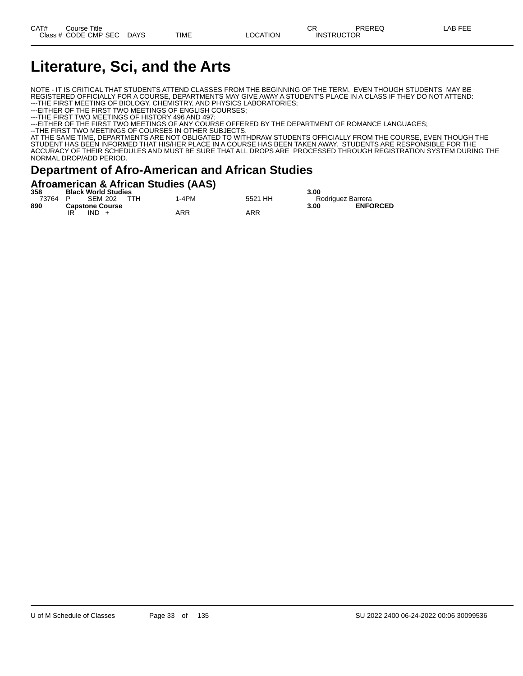# **Literature, Sci, and the Arts**

NOTE - IT IS CRITICAL THAT STUDENTS ATTEND CLASSES FROM THE BEGINNING OF THE TERM. EVEN THOUGH STUDENTS MAY BE REGISTERED OFFICIALLY FOR A COURSE, DEPARTMENTS MAY GIVE AWAY A STUDENT'S PLACE IN A CLASS IF THEY DO NOT ATTEND: ---THE FIRST MEETING OF BIOLOGY, CHEMISTRY, AND PHYSICS LABORATORIES;

---EITHER OF THE FIRST TWO MEETINGS OF ENGLISH COURSES;

---THE FIRST TWO MEETINGS OF HISTORY 496 AND 497;

---EITHER OF THE FIRST TWO MEETINGS OF ANY COURSE OFFERED BY THE DEPARTMENT OF ROMANCE LANGUAGES;

--THE FIRST TWO MEETINGS OF COURSES IN OTHER SUBJECTS.

AT THE SAME TIME, DEPARTMENTS ARE NOT OBLIGATED TO WITHDRAW STUDENTS OFFICIALLY FROM THE COURSE, EVEN THOUGH THE STUDENT HAS BEEN INFORMED THAT HIS/HER PLACE IN A COURSE HAS BEEN TAKEN AWAY. STUDENTS ARE RESPONSIBLE FOR THE ACCURACY OF THEIR SCHEDULES AND MUST BE SURE THAT ALL DROPS ARE PROCESSED THROUGH REGISTRATION SYSTEM DURING THE NORMAL DROP/ADD PERIOD.

#### **Department of Afro-American and African Studies**

#### **Afroamerican & African Studies (AAS)**

| 358     | <b>Black World Studies</b> |     | .     |         | 3.00              |                 |
|---------|----------------------------|-----|-------|---------|-------------------|-----------------|
| 73764 P | SEM 202                    | TTH | 1-4PM | 5521 HH | Rodriguez Barrera |                 |
| 890     | <b>Capstone Course</b>     |     |       |         | 3.00              | <b>ENFORCED</b> |
|         | IR<br>$IND +$              |     | ARR   | ARR     |                   |                 |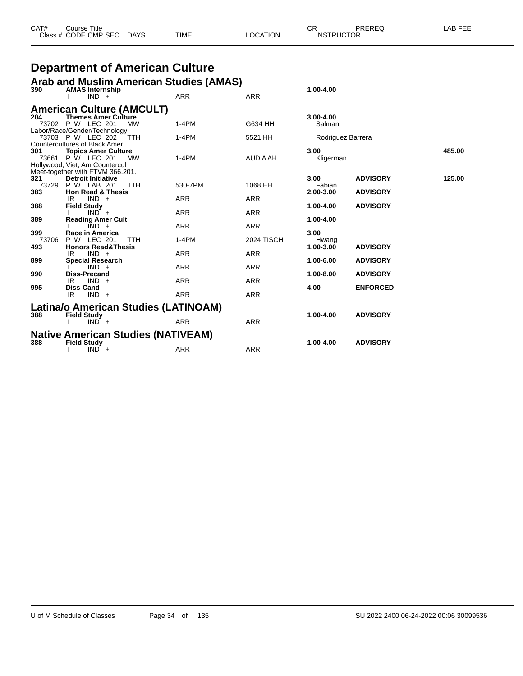| CAT# | Course Title         |             |             |          | <b>^^</b><br>U۲   | PREREQ | _AB FEF |
|------|----------------------|-------------|-------------|----------|-------------------|--------|---------|
|      | Class # CODE CMP SEC | <b>DAYS</b> | <b>TIME</b> | LOCATION | <b>INSTRUCTOR</b> |        |         |

# **Department of American Culture**

|     |                  | Arab and Muslim American Studies (AMAS) |  |
|-----|------------------|-----------------------------------------|--|
| 200 | AMAC Internation |                                         |  |

| 390   | <b>AMAS Internship</b>                                    |            |                   | 1.00-4.00           |                 |        |
|-------|-----------------------------------------------------------|------------|-------------------|---------------------|-----------------|--------|
|       | $IND +$                                                   | <b>ARR</b> | <b>ARR</b>        |                     |                 |        |
|       | <b>American Culture (AMCULT)</b>                          |            |                   |                     |                 |        |
| 204   | <b>Themes Amer Culture</b>                                |            |                   | $3.00 - 4.00$       |                 |        |
|       | 73702 P W LEC 201<br><b>MW</b>                            | $1-4PM$    | G634 HH           | Salman              |                 |        |
|       | Labor/Race/Gender/Technology<br>73703 P W LEC 202<br>TTH  | $1-4PM$    | 5521 HH           | Rodriguez Barrera   |                 |        |
|       | <b>Countercultures of Black Amer</b>                      |            |                   |                     |                 |        |
| 301   | <b>Topics Amer Culture</b>                                |            |                   | 3.00                |                 | 485.00 |
| 73661 | P W LEC 201<br><b>MW</b>                                  | $1-4PM$    | AUD A AH          | Kligerman           |                 |        |
|       | Hollywood, Viet, Am Countercul                            |            |                   |                     |                 |        |
| 321   | Meet-together with FTVM 366.201.                          |            |                   | 3.00                | <b>ADVISORY</b> | 125.00 |
|       | <b>Detroit Initiative</b>                                 |            |                   |                     |                 |        |
| 73729 | P W LAB 201<br><b>TTH</b><br><b>Hon Read &amp; Thesis</b> | 530-7PM    | 1068 EH           | Fabian<br>2.00-3.00 | <b>ADVISORY</b> |        |
| 383   | $IND +$<br>IR                                             | <b>ARR</b> | <b>ARR</b>        |                     |                 |        |
| 388   |                                                           |            |                   | 1.00-4.00           | <b>ADVISORY</b> |        |
|       | <b>Field Study</b><br>$IND +$                             | ARR        | <b>ARR</b>        |                     |                 |        |
| 389   | <b>Reading Amer Cult</b>                                  |            |                   | 1.00-4.00           |                 |        |
|       | $IND +$                                                   | <b>ARR</b> | <b>ARR</b>        |                     |                 |        |
| 399   | Race in America                                           |            |                   | 3.00                |                 |        |
| 73706 | P W LEC 201<br><b>TTH</b>                                 | $1-4PM$    | <b>2024 TISCH</b> | Hwang               |                 |        |
| 493   | <b>Honors Read&amp;Thesis</b>                             |            |                   | 1.00-3.00           | <b>ADVISORY</b> |        |
|       | $IND +$<br>IR                                             | <b>ARR</b> | <b>ARR</b>        |                     |                 |        |
| 899   | <b>Special Research</b>                                   |            |                   | 1.00-6.00           | <b>ADVISORY</b> |        |
|       | $IND +$                                                   | <b>ARR</b> | <b>ARR</b>        |                     |                 |        |
| 990   | <b>Diss-Precand</b>                                       |            |                   | 1.00-8.00           | <b>ADVISORY</b> |        |
|       | $IND +$<br>IR                                             | <b>ARR</b> | <b>ARR</b>        |                     |                 |        |
| 995   | Diss-Cand                                                 |            |                   | 4.00                | <b>ENFORCED</b> |        |
|       | IR.<br>$IND +$                                            | <b>ARR</b> | <b>ARR</b>        |                     |                 |        |
|       | Latina/o American Studies (LATINOAM)                      |            |                   |                     |                 |        |
| 388   | <b>Field Study</b>                                        |            |                   | 1.00-4.00           | <b>ADVISORY</b> |        |
|       | $IND +$                                                   | <b>ARR</b> | <b>ARR</b>        |                     |                 |        |
|       | <b>Native American Studies (NATIVEAM)</b>                 |            |                   |                     |                 |        |
|       |                                                           |            |                   | 1.00-4.00           |                 |        |
| 388   | <b>Field Study</b>                                        |            |                   |                     | <b>ADVISORY</b> |        |
|       | $IND +$                                                   | <b>ARR</b> | <b>ARR</b>        |                     |                 |        |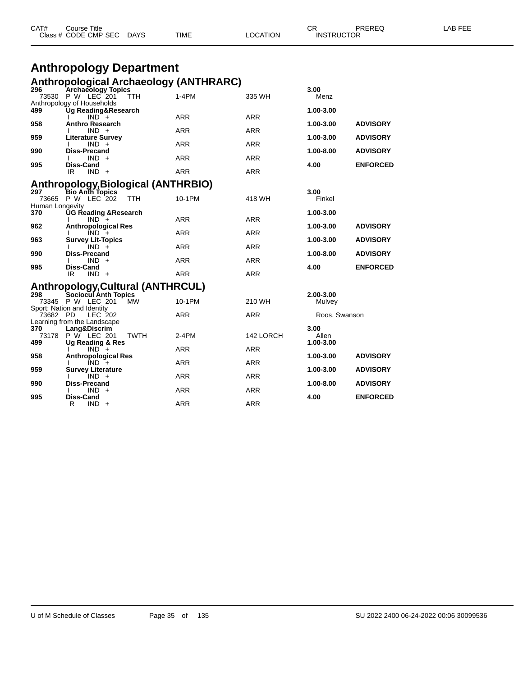|                        | <b>Anthropology Department</b>                                       |            |            |                            |                 |
|------------------------|----------------------------------------------------------------------|------------|------------|----------------------------|-----------------|
|                        |                                                                      |            |            |                            |                 |
| 296                    | <b>Anthropological Archaeology (ANTHRARC)</b><br>Archaeology Topics  |            |            | 3.00                       |                 |
|                        | 73530 P W LEC 201<br><b>TTH</b><br>Anthropology of Households        | $1-4PM$    | 335 WH     | Menz                       |                 |
| 499                    | <b>Ug Reading&amp;Research</b><br>$IND +$                            | <b>ARR</b> | <b>ARR</b> | 1.00-3.00                  |                 |
| 958                    | <b>Anthro Research</b><br>$IND +$                                    | <b>ARR</b> | <b>ARR</b> | 1.00-3.00                  | <b>ADVISORY</b> |
| 959                    | <b>Literature Survey</b>                                             |            |            | 1.00-3.00                  | <b>ADVISORY</b> |
| 990                    | $IND +$<br>Diss-Precand                                              | <b>ARR</b> | <b>ARR</b> | 1.00-8.00                  | <b>ADVISORY</b> |
|                        | $IND +$                                                              | <b>ARR</b> | <b>ARR</b> |                            |                 |
| 995                    | Diss-Cand<br>$IND +$<br>IR                                           | <b>ARR</b> | <b>ARR</b> | 4.00                       | <b>ENFORCED</b> |
|                        | <b>Anthropology, Biological (ANTHRBIO)</b>                           |            |            |                            |                 |
| 297<br>73665           | Bio Anth Topics<br>P W LEC 202<br><b>TTH</b>                         | 10-1PM     | 418 WH     | 3.00<br>Finkel             |                 |
| Human Longevity<br>370 | UG Reading &Research                                                 |            |            | 1.00-3.00                  |                 |
| 962                    | $IND +$<br><b>Anthropological Res</b>                                | <b>ARR</b> | <b>ARR</b> | 1.00-3.00                  | <b>ADVISORY</b> |
|                        | $IND +$                                                              | <b>ARR</b> | <b>ARR</b> |                            |                 |
| 963                    | <b>Survey Lit-Topics</b><br>$IND +$                                  | <b>ARR</b> | <b>ARR</b> | 1.00-3.00                  | <b>ADVISORY</b> |
| 990                    | Diss-Precand                                                         |            |            | 1.00-8.00                  | <b>ADVISORY</b> |
| 995                    | $IND +$<br>Diss-Cand                                                 | <b>ARR</b> | <b>ARR</b> | 4.00                       | <b>ENFORCED</b> |
|                        | $IND +$<br>IR                                                        | <b>ARR</b> | <b>ARR</b> |                            |                 |
|                        | <b>Anthropology, Cultural (ANTHRCUL)</b>                             |            |            |                            |                 |
| 298                    | Sociocul Anth Topics<br>73345 P W LEC 201<br><b>MW</b>               | 10-1PM     | 210 WH     | 2.00-3.00<br>Mulvey        |                 |
| 73682 PD               | Sport: Nation and Identity<br>LEC 202<br>Learning from the Landscape | <b>ARR</b> | <b>ARR</b> | Roos, Swanson              |                 |
| 370<br>73178<br>499    | Lang&Discrim<br>P W LEC 201<br><b>TWTH</b><br>Ug Reading & Res       | 2-4PM      | 142 LORCH  | 3.00<br>Allen<br>1.00-3.00 |                 |
|                        | $IND +$                                                              | <b>ARR</b> | <b>ARR</b> |                            |                 |
| 958                    | <b>Anthropological Res</b><br>$IND +$                                | <b>ARR</b> | <b>ARR</b> | 1.00-3.00                  | <b>ADVISORY</b> |
| 959                    | <b>Survey Literature</b><br>$IND +$                                  | <b>ARR</b> | <b>ARR</b> | 1.00-3.00                  | <b>ADVISORY</b> |
| 990                    | <b>Diss-Precand</b><br>$IND +$                                       | <b>ARR</b> | <b>ARR</b> | 1.00-8.00                  | <b>ADVISORY</b> |

CAT# Course Title Case CR PREREQ LAB FEE

Class # CODE CMP SEC DAYS TIME LOCATION INSTRUCTOR

**995 Diss-Cand 4.00 ENFORCED**

R IND + ARR ARR ARR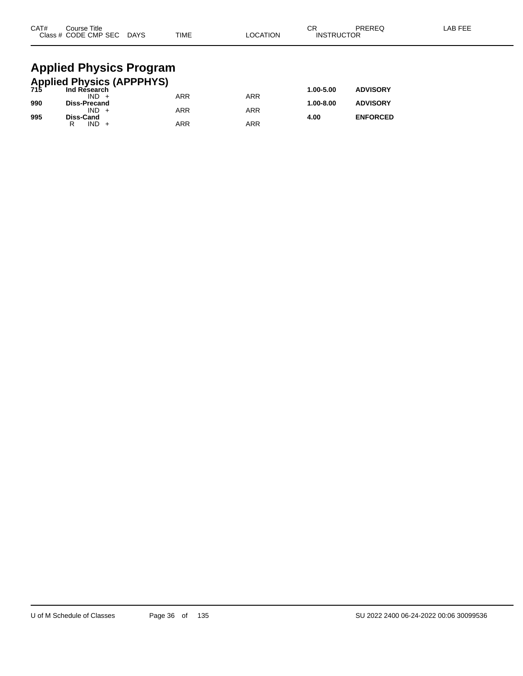| CAT#                                                 | Course Title<br>Class # CODE CMP SEC DAYS |  | TIME       | <b>LOCATION</b> | СR<br><b>INSTRUCTOR</b> | PREREQ          | LAB FEE |  |  |
|------------------------------------------------------|-------------------------------------------|--|------------|-----------------|-------------------------|-----------------|---------|--|--|
|                                                      | <b>Applied Physics Program</b>            |  |            |                 |                         |                 |         |  |  |
| <b>Applied Physics (APPPHYS)</b><br>715 Ind Research |                                           |  |            |                 |                         |                 |         |  |  |
|                                                      |                                           |  |            |                 | 1.00-5.00               | <b>ADVISORY</b> |         |  |  |
| 990                                                  | $IND +$<br><b>Diss-Precand</b>            |  | <b>ARR</b> | <b>ARR</b>      | 1.00-8.00               | <b>ADVISORY</b> |         |  |  |
|                                                      | $IND +$                                   |  | ARR        | <b>ARR</b>      |                         |                 |         |  |  |

**995 Diss-Cand 4.00 ENFORCED**

R IND + ARR ARR ARR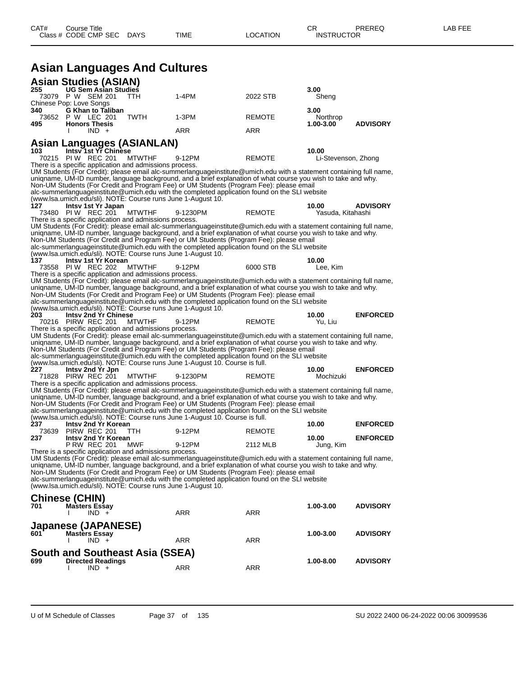**Asian Languages And Cultures**

|     | <b>Asian Studies (ASIAN)</b>                     |                                                              |                                                                                                                                                                                                                                      |               |                     |                 |
|-----|--------------------------------------------------|--------------------------------------------------------------|--------------------------------------------------------------------------------------------------------------------------------------------------------------------------------------------------------------------------------------|---------------|---------------------|-----------------|
| 255 | <b>UG Sem Asian Studies</b><br>73079 P W SEM 201 | TTH                                                          | $1-4PM$                                                                                                                                                                                                                              | 2022 STB      | 3.00                |                 |
|     | Chinese Pop: Love Songs                          |                                                              |                                                                                                                                                                                                                                      |               | Sheng               |                 |
| 340 | <b>G Khan to Taliban</b>                         |                                                              |                                                                                                                                                                                                                                      |               | 3.00                |                 |
|     | 73652 P W LEC 201                                | <b>TWTH</b>                                                  | $1-3PM$                                                                                                                                                                                                                              | <b>REMOTE</b> | Northrop            |                 |
| 495 | <b>Honors Thesis</b><br>$IND +$<br>$\mathbf{I}$  |                                                              | ARR                                                                                                                                                                                                                                  | ARR           | 1.00-3.00           | <b>ADVISORY</b> |
|     |                                                  |                                                              |                                                                                                                                                                                                                                      |               |                     |                 |
|     |                                                  | Asian Languages (ASIANLAN)                                   |                                                                                                                                                                                                                                      |               |                     |                 |
| 103 | Intsv 1st Yr Chinese                             |                                                              |                                                                                                                                                                                                                                      |               | 10.00               |                 |
|     | 70215 PIW REC 201                                | <b>MTWTHF</b>                                                | 9-12PM                                                                                                                                                                                                                               | <b>REMOTE</b> | Li-Stevenson, Zhong |                 |
|     |                                                  | There is a specific application and admissions process.      | UM Students (For Credit): please email alc-summerlanguageinstitute@umich.edu with a statement containing full name,                                                                                                                  |               |                     |                 |
|     |                                                  |                                                              | uniqname, UM-ID number, language background, and a brief explanation of what course you wish to take and why.                                                                                                                        |               |                     |                 |
|     |                                                  |                                                              | Non-UM Students (For Credit and Program Fee) or UM Students (Program Fee): please email                                                                                                                                              |               |                     |                 |
|     |                                                  |                                                              | alc-summerlanguageinstitute@umich.edu with the completed application found on the SLI website                                                                                                                                        |               |                     |                 |
| 127 | Intsy 1st Yr Japan                               | (www.lsa.umich.edu/sli). NOTE: Course runs June 1-August 10. |                                                                                                                                                                                                                                      |               | 10.00               | <b>ADVISORY</b> |
|     | 73480 PIW REC 201                                | <b>MTWTHF</b>                                                | 9-1230PM                                                                                                                                                                                                                             | <b>REMOTE</b> | Yasuda, Kitahashi   |                 |
|     |                                                  | There is a specific application and admissions process.      |                                                                                                                                                                                                                                      |               |                     |                 |
|     |                                                  |                                                              | UM Students (For Credit): please email alc-summerlanguageinstitute@umich.edu with a statement containing full name,                                                                                                                  |               |                     |                 |
|     |                                                  |                                                              | uniqname, UM-ID number, language background, and a brief explanation of what course you wish to take and why.<br>Non-UM Students (For Credit and Program Fee) or UM Students (Program Fee): please email                             |               |                     |                 |
|     |                                                  |                                                              | alc-summerlanguageinstitute@umich.edu with the completed application found on the SLI website                                                                                                                                        |               |                     |                 |
|     |                                                  | (www.lsa.umich.edu/sli). NOTE: Course runs June 1-August 10. |                                                                                                                                                                                                                                      |               |                     |                 |
| 137 | Intsy 1st Yr Korean                              |                                                              |                                                                                                                                                                                                                                      |               | 10.00               |                 |
|     | 73558 PIW REC 202                                | <b>MTWTHF</b>                                                | 9-12PM                                                                                                                                                                                                                               | 6000 STB      | Lee, Kim            |                 |
|     |                                                  | There is a specific application and admissions process.      | UM Students (For Credit): please email alc-summerlanguageinstitute@umich.edu with a statement containing full name,                                                                                                                  |               |                     |                 |
|     |                                                  |                                                              | uniqname, UM-ID number, language background, and a brief explanation of what course you wish to take and why.                                                                                                                        |               |                     |                 |
|     |                                                  |                                                              | Non-UM Students (For Credit and Program Fee) or UM Students (Program Fee): please email                                                                                                                                              |               |                     |                 |
|     |                                                  |                                                              | alc-summerlanguageinstitute@umich.edu with the completed application found on the SLI website                                                                                                                                        |               |                     |                 |
| 203 | <b>Intsy 2nd Yr Chinese</b>                      | (www.lsa.umich.edu/sli). NOTE: Course runs June 1-August 10. |                                                                                                                                                                                                                                      |               | 10.00               | <b>ENFORCED</b> |
|     | 70216 PIRW REC 201                               | <b>MTWTHF</b>                                                | 9-12PM                                                                                                                                                                                                                               | <b>REMOTE</b> | Yu, Liu             |                 |
|     |                                                  | There is a specific application and admissions process.      |                                                                                                                                                                                                                                      |               |                     |                 |
|     |                                                  |                                                              |                                                                                                                                                                                                                                      |               |                     |                 |
|     |                                                  |                                                              | UM Students (For Credit): please email alc-summerlanguageinstitute@umich.edu with a statement containing full name,                                                                                                                  |               |                     |                 |
|     |                                                  |                                                              | uniqname, UM-ID number, language background, and a brief explanation of what course you wish to take and why.                                                                                                                        |               |                     |                 |
|     |                                                  |                                                              | Non-UM Students (For Credit and Program Fee) or UM Students (Program Fee): please email                                                                                                                                              |               |                     |                 |
|     |                                                  |                                                              | alc-summerlanguageinstitute@umich.edu with the completed application found on the SLI website<br>(www.lsa.umich.edu/sli). NOTE: Course runs June 1-August 10. Course is full.                                                        |               |                     |                 |
| 227 | Intsy 2nd Yr Jpn                                 |                                                              |                                                                                                                                                                                                                                      |               | 10.00               | <b>ENFORCED</b> |
|     | 71828 PIRW REC 201                               | <b>MTWTHF</b>                                                | 9-1230PM                                                                                                                                                                                                                             | <b>REMOTE</b> | Mochizuki           |                 |
|     |                                                  | There is a specific application and admissions process.      |                                                                                                                                                                                                                                      |               |                     |                 |
|     |                                                  |                                                              | UM Students (For Credit): please email alc-summerlanguageinstitute@umich.edu with a statement containing full name,<br>uniqname, UM-ID number, language background, and a brief explanation of what course you wish to take and why. |               |                     |                 |
|     |                                                  |                                                              | Non-UM Students (For Credit and Program Fee) or UM Students (Program Fee): please email                                                                                                                                              |               |                     |                 |
|     |                                                  |                                                              | alc-summerlanguageinstitute@umich.edu with the completed application found on the SLI website                                                                                                                                        |               |                     |                 |
| 237 | Intsy 2nd Yr Korean                              |                                                              | (www.lsa.umich.edu/sli). NOTE: Course runs June 1-August 10. Course is full.                                                                                                                                                         |               | 10.00               | <b>ENFORCED</b> |
|     | 73639 PIRW REC 201                               | ттн                                                          | 9-12PM                                                                                                                                                                                                                               | REMOTE        |                     |                 |
| 237 | Intsy 2nd Yr Korean                              |                                                              |                                                                                                                                                                                                                                      |               | 10.00               | <b>ENFORCED</b> |
|     | <b>P RW REC 201</b>                              | MWF                                                          | 9-12PM                                                                                                                                                                                                                               | 2112 MLB      | Jung, Kim           |                 |
|     |                                                  | There is a specific application and admissions process.      |                                                                                                                                                                                                                                      |               |                     |                 |
|     |                                                  |                                                              | UM Students (For Credit): please email alc-summerlanguageinstitute@umich.edu with a statement containing full name,<br>uniqname, UM-ID number, language background, and a brief explanation of what course you wish to take and why. |               |                     |                 |
|     |                                                  |                                                              | Non-UM Students (For Credit and Program Fee) or UM Students (Program Fee): please email                                                                                                                                              |               |                     |                 |
|     |                                                  |                                                              | alc-summerlanguageinstitute@umich.edu with the completed application found on the SLI website                                                                                                                                        |               |                     |                 |
|     |                                                  | (www.lsa.umich.edu/sli). NOTE: Course runs June 1-August 10. |                                                                                                                                                                                                                                      |               |                     |                 |
|     | <b>Chinese (CHIN)</b>                            |                                                              |                                                                                                                                                                                                                                      |               |                     |                 |
| 701 | <b>Masters Essay</b>                             |                                                              |                                                                                                                                                                                                                                      |               | 1.00-3.00           | <b>ADVISORY</b> |
|     | $IND +$<br>I.                                    |                                                              | ARR                                                                                                                                                                                                                                  | ARR           |                     |                 |
|     |                                                  |                                                              |                                                                                                                                                                                                                                      |               |                     |                 |
| 601 | Japanese (JAPANESE)<br><b>Masters Essay</b>      |                                                              |                                                                                                                                                                                                                                      |               | 1.00-3.00           | <b>ADVISORY</b> |
|     | $IND +$                                          |                                                              | ARR                                                                                                                                                                                                                                  | ARR           |                     |                 |
|     |                                                  |                                                              |                                                                                                                                                                                                                                      |               |                     |                 |
| 699 |                                                  | South and Southeast Asia (SSEA)                              |                                                                                                                                                                                                                                      |               |                     | <b>ADVISORY</b> |
|     | <b>Directed Readings</b><br>$IND +$<br>I.        |                                                              | ARR                                                                                                                                                                                                                                  | <b>ARR</b>    | 1.00-8.00           |                 |
|     |                                                  |                                                              |                                                                                                                                                                                                                                      |               |                     |                 |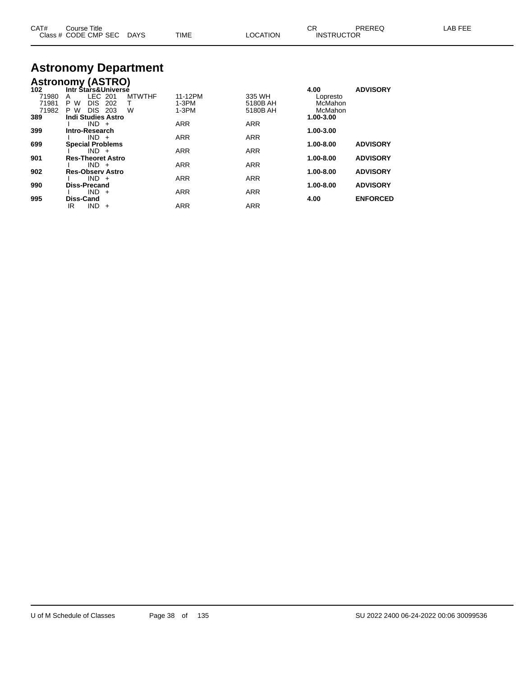| CAT# | Course Title<br>Class # CODE CMP SEC | <b>DAYS</b> | <b>TIME</b> | LOCATION | Ωn<br><b>INSTRUCTOR</b> | PREREQ | _AB FEF |
|------|--------------------------------------|-------------|-------------|----------|-------------------------|--------|---------|
|------|--------------------------------------|-------------|-------------|----------|-------------------------|--------|---------|

#### **Astronomy Department**

|                         | <b>Astronomy (ASTRO)</b>                                       |                    |                               |                                |                                |                 |
|-------------------------|----------------------------------------------------------------|--------------------|-------------------------------|--------------------------------|--------------------------------|-----------------|
| 102                     | Intr Stars&Universé                                            |                    |                               |                                | 4.00                           | <b>ADVISORY</b> |
| 71980<br>71981<br>71982 | LEC 201<br>A<br>DIS.<br>202<br>P W<br><b>DIS</b><br>203<br>P W | <b>MTWTHF</b><br>W | 11-12PM<br>$1-3PM$<br>$1-3PM$ | 335 WH<br>5180B AH<br>5180B AH | Lopresto<br>McMahon<br>McMahon |                 |
| 389                     | <b>Indi Studies Astro</b>                                      |                    |                               |                                | 1.00-3.00                      |                 |
|                         | $IND +$                                                        |                    | <b>ARR</b>                    | <b>ARR</b>                     |                                |                 |
| 399                     | Intro-Research<br>$IND +$                                      |                    | <b>ARR</b>                    | <b>ARR</b>                     | 1.00-3.00                      |                 |
| 699                     | <b>Special Problems</b>                                        |                    |                               |                                | 1.00-8.00                      | <b>ADVISORY</b> |
| 901                     | $IND +$<br><b>Res-Theoret Astro</b>                            |                    | <b>ARR</b>                    | <b>ARR</b>                     | 1.00-8.00                      | <b>ADVISORY</b> |
|                         | $IND +$                                                        |                    | <b>ARR</b>                    | <b>ARR</b>                     |                                |                 |
| 902                     | <b>Res-Observ Astro</b>                                        |                    |                               |                                | 1.00-8.00                      | <b>ADVISORY</b> |
|                         | IND.<br>$+$                                                    |                    | <b>ARR</b>                    | <b>ARR</b>                     |                                |                 |
| 990                     | <b>Diss-Precand</b>                                            |                    |                               |                                | 1.00-8.00                      | <b>ADVISORY</b> |
|                         | IND.<br>$+$                                                    |                    | <b>ARR</b>                    | <b>ARR</b>                     |                                |                 |
| 995                     | Diss-Cand<br>IR<br>IND.<br>$+$                                 |                    | <b>ARR</b>                    | <b>ARR</b>                     | 4.00                           | <b>ENFORCED</b> |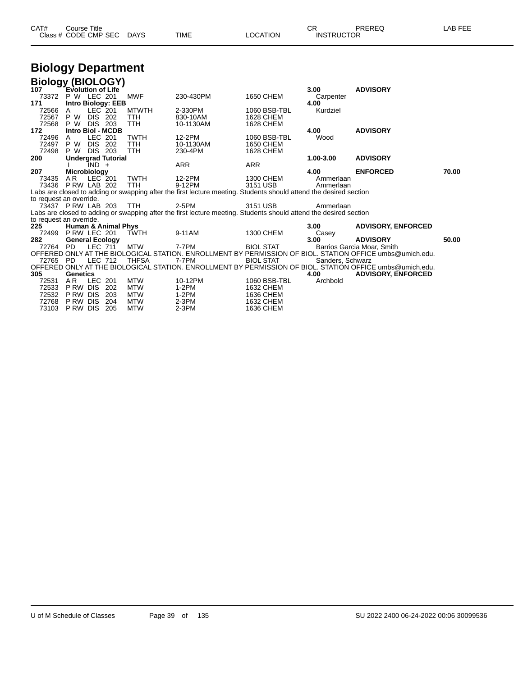| CAT# | Course Title              |      |          | ∼י<br>◡ጙ          | PREREQ | LAB FEE |
|------|---------------------------|------|----------|-------------------|--------|---------|
|      | Class # CODE CMP SEC DAYS | TIME | LOCATION | <b>INSTRUCTOR</b> |        |         |

## **Biology Department**

| <b>Biology (BIOLOGY)</b> |                          |                |                                |              |                                                                                                                   |                  |                  |                                                                                                          |       |
|--------------------------|--------------------------|----------------|--------------------------------|--------------|-------------------------------------------------------------------------------------------------------------------|------------------|------------------|----------------------------------------------------------------------------------------------------------|-------|
| 107                      | <b>Evolution of Life</b> |                |                                |              |                                                                                                                   |                  | 3.00             | <b>ADVISORY</b>                                                                                          |       |
| 73372                    | P W LEC 201              |                |                                | <b>MWF</b>   | 230-430PM                                                                                                         | 1650 CHEM        | Carpenter        |                                                                                                          |       |
| 171                      |                          |                | <b>Intro Biology: EEB</b>      |              |                                                                                                                   |                  | 4.00             |                                                                                                          |       |
| 72566                    | A                        | LEC 201        |                                | <b>MTWTH</b> | 2-330PM                                                                                                           | 1060 BSB-TBL     | Kurdziel         |                                                                                                          |       |
| 72567                    | P W                      | DIS.           | 202                            | TTH          | 830-10AM                                                                                                          | 1628 CHEM        |                  |                                                                                                          |       |
| 72568                    | P W                      | <b>DIS 203</b> |                                | TTH          | 10-1130AM                                                                                                         | 1628 CHEM        |                  |                                                                                                          |       |
| 172                      | <b>Intro Biol - MCDB</b> |                |                                |              |                                                                                                                   |                  | 4.00             | <b>ADVISORY</b>                                                                                          |       |
| 72496                    | A                        | LEC 201        |                                | <b>TWTH</b>  | 12-2PM                                                                                                            | 1060 BSB-TBL     | Wood             |                                                                                                          |       |
| 72497                    | P W                      | <b>DIS</b>     | 202                            | TTH          | 10-1130AM                                                                                                         | 1650 CHEM        |                  |                                                                                                          |       |
| 72498                    | P W                      | <b>DIS 203</b> |                                | <b>TTH</b>   | 230-4PM                                                                                                           | <b>1628 CHEM</b> |                  |                                                                                                          |       |
| 200                      |                          |                | <b>Undergrad Tutorial</b>      |              |                                                                                                                   |                  | 1.00-3.00        | <b>ADVISORY</b>                                                                                          |       |
|                          |                          | $IND +$        |                                |              | <b>ARR</b>                                                                                                        | <b>ARR</b>       |                  |                                                                                                          |       |
| 207                      | Microbiology             |                |                                |              |                                                                                                                   |                  | 4.00             | <b>ENFORCED</b>                                                                                          | 70.00 |
| 73435                    | AR.                      | $LEC$ 201      |                                | <b>TWTH</b>  | 12-2PM                                                                                                            | 1300 CHEM        | Ammerlaan        |                                                                                                          |       |
| 73436                    | PRW LAB 202              |                |                                | <b>TTH</b>   | 9-12PM                                                                                                            | 3151 USB         | Ammerlaan        |                                                                                                          |       |
|                          |                          |                |                                |              | Labs are closed to adding or swapping after the first lecture meeting. Students should attend the desired section |                  |                  |                                                                                                          |       |
| to request an override.  |                          |                |                                |              |                                                                                                                   |                  |                  |                                                                                                          |       |
| 73437 P RW LAB 203       |                          |                |                                | <b>TTH</b>   | 2-5PM                                                                                                             | 3151 USB         | Ammerlaan        |                                                                                                          |       |
|                          |                          |                |                                |              | Labs are closed to adding or swapping after the first lecture meeting. Students should attend the desired section |                  |                  |                                                                                                          |       |
| to request an override.  |                          |                |                                |              |                                                                                                                   |                  |                  |                                                                                                          |       |
| 225                      |                          |                | <b>Human &amp; Animal Phys</b> |              |                                                                                                                   |                  | 3.00             | <b>ADVISORY, ENFORCED</b>                                                                                |       |
| 72499                    | PRW LEC 201              |                |                                | <b>TWTH</b>  | 9-11AM                                                                                                            | <b>1300 CHEM</b> | Casey            |                                                                                                          |       |
| 282                      | <b>General Ecology</b>   |                |                                |              |                                                                                                                   |                  | 3.00             | <b>ADVISORY</b>                                                                                          | 50.00 |
| 72764                    | <b>PD</b>                | <b>LEC 711</b> |                                | <b>MTW</b>   | 7-7PM                                                                                                             | <b>BIOL STAT</b> |                  | Barrios Garcia Moar, Smith                                                                               |       |
|                          |                          |                |                                |              |                                                                                                                   |                  |                  | OFFERED ONLY AT THE BIOLOGICAL STATION. ENROLLMENT BY PERMISSION OF BIOL. STATION OFFICE umbs@umich.edu. |       |
| 72765 PD                 |                          | LEC 712        |                                | <b>THFSA</b> | 7-7PM                                                                                                             | <b>BIOL STAT</b> | Sanders, Schwarz |                                                                                                          |       |
|                          |                          |                |                                |              |                                                                                                                   |                  |                  | OFFERED ONLY AT THE BIOLOGICAL STATION. ENROLLMENT BY PERMISSION OF BIOL. STATION OFFICE umbs@umich.edu. |       |
| 305                      | Genetics                 |                |                                |              |                                                                                                                   |                  | 4.00             | <b>ADVISORY, ENFORCED</b>                                                                                |       |
| 72531                    | AR.                      | LEC 201        |                                | <b>MTW</b>   | 10-12PM                                                                                                           | 1060 BSB-TBL     | Archbold         |                                                                                                          |       |
| 72533                    | P RW                     | <b>DIS</b>     | 202                            | <b>MTW</b>   | $1-2PM$                                                                                                           | 1632 CHEM        |                  |                                                                                                          |       |
| 72532                    | P RW                     | DIS            | 203                            | <b>MTW</b>   | $1-2PM$                                                                                                           | 1636 CHEM        |                  |                                                                                                          |       |
| 72768                    | P RW                     | <b>DIS</b>     | 204                            | <b>MTW</b>   | $2-3PM$                                                                                                           | 1632 CHEM        |                  |                                                                                                          |       |
| 73103                    | <b>PRW DIS</b>           |                | 205                            | <b>MTW</b>   | $2-3PM$                                                                                                           | 1636 CHEM        |                  |                                                                                                          |       |
|                          |                          |                |                                |              |                                                                                                                   |                  |                  |                                                                                                          |       |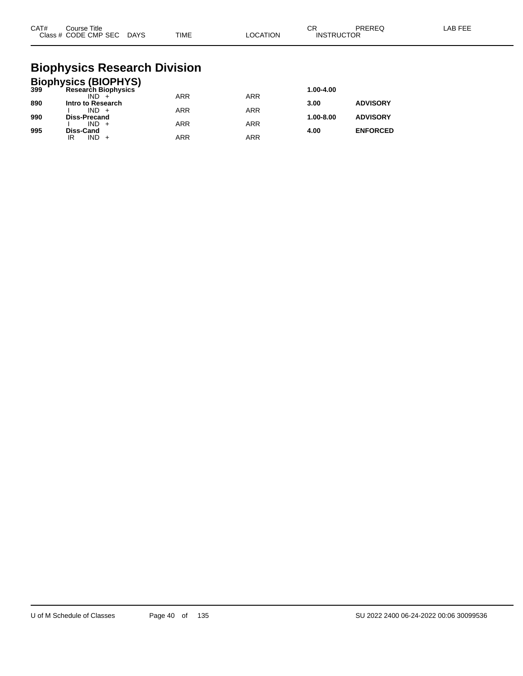| CAT# | Course Title<br>Class # CODE CMP SEC DAYS | <b>TIME</b> | LOCATION | СR<br><b>INSTRUCTOR</b> | PREREQ | LAB FEE |
|------|-------------------------------------------|-------------|----------|-------------------------|--------|---------|
|      |                                           |             |          |                         |        |         |

#### **Biophysics Research Division**

|     | <b>Biophysics (BIOPHYS)</b><br>399 Research Biophysics |            |            |           |                 |
|-----|--------------------------------------------------------|------------|------------|-----------|-----------------|
|     |                                                        |            |            | 1.00-4.00 |                 |
|     | $IND +$                                                | <b>ARR</b> | <b>ARR</b> |           |                 |
| 890 | Intro to Research                                      |            |            | 3.00      | <b>ADVISORY</b> |
|     | $IND +$                                                | <b>ARR</b> | <b>ARR</b> |           |                 |
| 990 | <b>Diss-Precand</b>                                    |            |            | 1.00-8.00 | <b>ADVISORY</b> |
|     | $IND +$                                                | <b>ARR</b> | <b>ARR</b> |           |                 |
| 995 | <b>Diss-Cand</b>                                       |            |            | 4.00      | <b>ENFORCED</b> |
|     | IND.<br>IR                                             | ARR        | <b>ARR</b> |           |                 |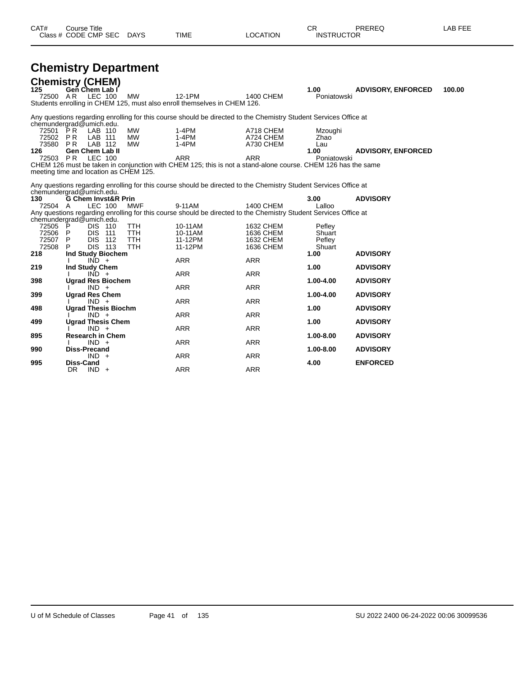| CAT# | ourse Titleٽ         |             |      |          | n.<br>◡⊓          | PREREQ | _AB FEE |
|------|----------------------|-------------|------|----------|-------------------|--------|---------|
|      | Class # CODE CMP SEC | <b>DAYS</b> | TIME | LOCATION | <b>INSTRUCTOR</b> |        |         |

## **Chemistry Department**

| 125                                  | <b>Chemistry (CHEM)</b><br>Gen Chem Lab I                            |                                 |                                                                                                                  |                                     | 1.00                           | <b>ADVISORY, ENFORCED</b> | 100.00 |
|--------------------------------------|----------------------------------------------------------------------|---------------------------------|------------------------------------------------------------------------------------------------------------------|-------------------------------------|--------------------------------|---------------------------|--------|
| 72500 AR                             | LEC 100                                                              | <b>MW</b>                       | 12-1PM<br>Students enrolling in CHEM 125, must also enroll themselves in CHEM 126.                               | <b>1400 CHEM</b>                    | Poniatowski                    |                           |        |
|                                      | chemundergrad@umich.edu.                                             |                                 | Any questions regarding enrolling for this course should be directed to the Chemistry Student Services Office at |                                     |                                |                           |        |
| 72501 PR<br>72502 PR<br>73580<br>126 | LAB 110<br>LAB 111<br><b>PR</b><br>LAB 112<br><b>Gen Chem Lab II</b> | MW<br><b>MW</b><br>MW           | $1-4PM$<br>$1-4PM$<br>$1-4PM$                                                                                    | A718 CHEM<br>A724 CHEM<br>A730 CHEM | Mzoughi<br>Zhao<br>Lau<br>1.00 | <b>ADVISORY, ENFORCED</b> |        |
| 72503 PR                             | LEC 100                                                              |                                 | <b>ARR</b>                                                                                                       | <b>ARR</b>                          | Poniatowski                    |                           |        |
|                                      | meeting time and location as CHEM 125.                               |                                 | CHEM 126 must be taken in conjunction with CHEM 125; this is not a stand-alone course. CHEM 126 has the same     |                                     |                                |                           |        |
|                                      | chemundergrad@umich.edu.                                             |                                 | Any questions regarding enrolling for this course should be directed to the Chemistry Student Services Office at |                                     |                                |                           |        |
| 130<br>72504 A                       | <b>G Chem Invst&amp;R Prin</b><br>LEC 100                            | <b>MWF</b>                      | 9-11AM                                                                                                           | <b>1400 CHEM</b>                    | 3.00<br>Lalloo                 | <b>ADVISORY</b>           |        |
|                                      | chemundergrad@umich.edu.                                             |                                 | Any questions regarding enrolling for this course should be directed to the Chemistry Student Services Office at |                                     |                                |                           |        |
| 72505 P<br>72506 P<br>72507 P        | <b>DIS 110</b><br><b>DIS</b><br>111<br><b>DIS 112</b>                | TTH<br><b>TTH</b><br><b>TTH</b> | 10-11AM<br>10-11AM<br>11-12PM                                                                                    | 1632 CHEM<br>1636 CHEM<br>1632 CHEM | Pefley<br>Shuart               |                           |        |
| 72508                                | <b>DIS 113</b><br>P                                                  | <b>TTH</b>                      | 11-12PM                                                                                                          | 1636 CHEM                           | Pefley<br>Shuart               |                           |        |
| 218                                  | <b>Ind Study Biochem</b><br>$IND +$                                  |                                 | <b>ARR</b>                                                                                                       | <b>ARR</b>                          | 1.00                           | <b>ADVISORY</b>           |        |
| 219                                  | Ind Study Chem<br>$IND +$                                            |                                 | <b>ARR</b>                                                                                                       | <b>ARR</b>                          | 1.00                           | <b>ADVISORY</b>           |        |
| 398                                  | <b>Ugrad Res Biochem</b><br>$IND +$                                  |                                 | <b>ARR</b>                                                                                                       | <b>ARR</b>                          | $1.00 - 4.00$                  | <b>ADVISORY</b>           |        |
| 399                                  | <b>Ugrad Res Chem</b>                                                |                                 |                                                                                                                  |                                     | 1.00-4.00                      | <b>ADVISORY</b>           |        |
| 498                                  | $IND +$<br><b>Ugrad Thesis Biochm</b>                                |                                 | ARR                                                                                                              | <b>ARR</b>                          | 1.00                           | <b>ADVISORY</b>           |        |
| 499                                  | $IND +$<br><b>Ugrad Thesis Chem</b>                                  |                                 | <b>ARR</b>                                                                                                       | <b>ARR</b>                          | 1.00                           | <b>ADVISORY</b>           |        |
| 895                                  | $IND +$<br><b>Research in Chem</b>                                   |                                 | <b>ARR</b>                                                                                                       | <b>ARR</b>                          | 1.00-8.00                      | <b>ADVISORY</b>           |        |
|                                      | $IND +$                                                              |                                 | ARR                                                                                                              | <b>ARR</b>                          |                                |                           |        |
| 990                                  | <b>Diss-Precand</b><br>$IND +$                                       |                                 | <b>ARR</b>                                                                                                       | <b>ARR</b>                          | 1.00-8.00                      | <b>ADVISORY</b>           |        |
| 995                                  | <b>Diss-Cand</b><br><b>DR</b><br>$IND +$                             |                                 | <b>ARR</b>                                                                                                       | <b>ARR</b>                          | 4.00                           | <b>ENFORCED</b>           |        |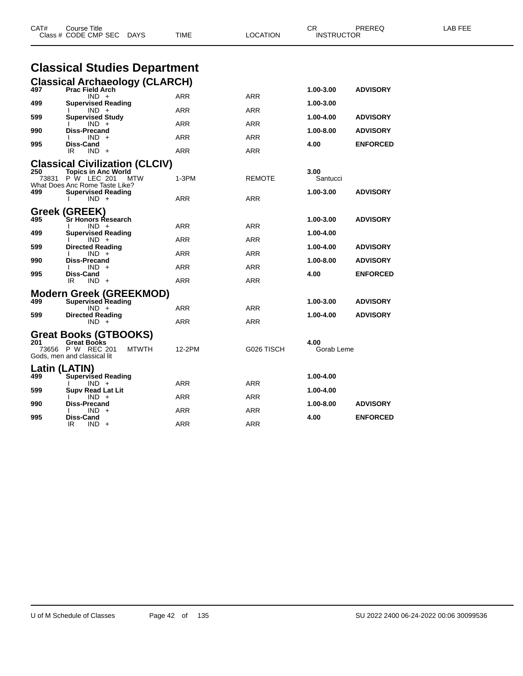| CAT#                                   | Course Title<br>Class # CODE CMP SEC<br>DAYS                                                                                                                                                                                                                                                    | <b>TIME</b>                          | LOCATION                        | CR.<br><b>INSTRUCTOR</b>                                         | PREREQ                                                                   | LAB FEE |
|----------------------------------------|-------------------------------------------------------------------------------------------------------------------------------------------------------------------------------------------------------------------------------------------------------------------------------------------------|--------------------------------------|---------------------------------|------------------------------------------------------------------|--------------------------------------------------------------------------|---------|
|                                        | <b>Classical Studies Department</b>                                                                                                                                                                                                                                                             |                                      |                                 |                                                                  |                                                                          |         |
| 497<br>499<br>599<br>990<br>995<br>250 | <b>Classical Archaeology (CLARCH)</b><br><b>Prac Field Arch</b><br>$IND +$<br><b>Supervised Reading</b><br>$IND +$<br><b>Supervised Study</b><br>$IND +$<br><b>Diss-Precand</b><br>$IND +$<br>Diss-Cand<br>IR<br>$IND +$<br><b>Classical Civilization (CLCIV)</b><br><b>Topics in Anc World</b> | ARR<br>ARR<br>ARR<br>ARR<br>ARR      | ARR<br>ARR<br>ARR<br>ARR<br>ARR | 1.00-3.00<br>1.00-3.00<br>1.00-4.00<br>1.00-8.00<br>4.00<br>3.00 | <b>ADVISORY</b><br><b>ADVISORY</b><br><b>ADVISORY</b><br><b>ENFORCED</b> |         |
| 499                                    | 73831 P W LEC 201<br><b>MTW</b><br>What Does Anc Rome Taste Like?<br><b>Supervised Reading</b><br>$IND +$                                                                                                                                                                                       | $1-3PM$<br>ARR                       | <b>REMOTE</b><br>ARR            | Santucci<br>1.00-3.00                                            | <b>ADVISORY</b>                                                          |         |
| 495<br>499<br>599<br>990<br>995        | Greek (GREEK)<br>Sr Honors Research<br>$IND +$<br><b>Supervised Reading</b><br>$IND +$<br><b>Directed Reading</b><br>$IND +$<br><b>Diss-Precand</b><br>$IND +$<br>Diss-Cand<br>$IND +$<br>IR.                                                                                                   | ARR<br>ARR<br>ARR<br>ARR<br>ARR      | ARR<br>ARR<br>ARR<br>ARR<br>ARR | 1.00-3.00<br>1.00-4.00<br>1.00-4.00<br>1.00-8.00<br>4.00         | <b>ADVISORY</b><br><b>ADVISORY</b><br><b>ADVISORY</b><br><b>ENFORCED</b> |         |
| 499<br>599<br>201                      | <b>Modern Greek (GREEKMOD)</b><br><b>Supervised Reading</b><br>$IND +$<br><b>Directed Reading</b><br>$IND +$<br>Great Books (GTBOOKS)<br><b>Great Books</b><br>73656 P W REC 201                                                                                                                | ARR<br>ARR<br><b>MTWTH</b><br>12-2PM | <b>ARR</b><br>ARR<br>G026 TISCH | 1.00-3.00<br>1.00-4.00<br>4.00<br>Gorab Leme                     | <b>ADVISORY</b><br><b>ADVISORY</b>                                       |         |
| 499<br>599<br>990                      | Gods, men and classical lit<br>Latin (LATIN)<br><b>Supervised Reading</b><br>$IND +$<br>Supy Read Lat Lit<br>$IND +$<br><b>Diss-Precand</b><br>IND.                                                                                                                                             | ARR<br>ARR<br>ARR                    | ARR<br>ARR<br>ARR               | 1.00-4.00<br>1.00-4.00<br>1.00-8.00                              | <b>ADVISORY</b>                                                          |         |
| 995                                    | Diss-Cand<br>IR.<br>$IND +$                                                                                                                                                                                                                                                                     | <b>ARR</b>                           | <b>ARR</b>                      | 4.00                                                             | <b>ENFORCED</b>                                                          |         |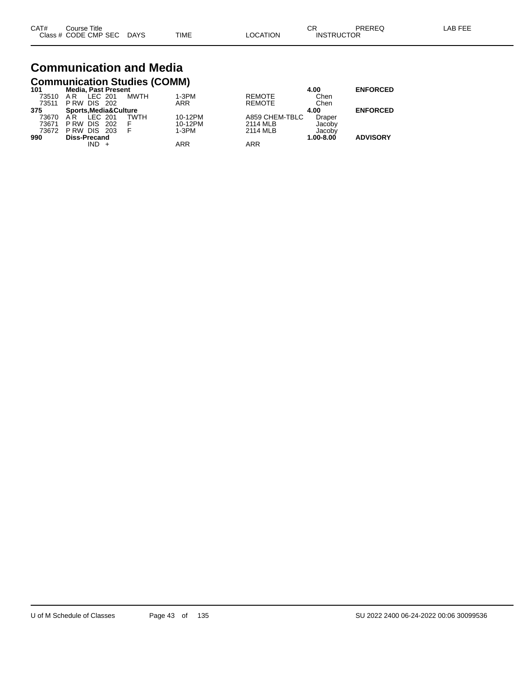# **Communication and Media**

|       | <b>Communication Studies (COMM)</b> |             |            |                |           |                 |  |  |  |  |  |  |
|-------|-------------------------------------|-------------|------------|----------------|-----------|-----------------|--|--|--|--|--|--|
| 101   | <b>Media, Past Present</b>          |             |            |                | 4.00      | <b>ENFORCED</b> |  |  |  |  |  |  |
| 73510 | LEC 201<br>A R                      | MWTH        | $1-3PM$    | <b>REMOTE</b>  | Chen      |                 |  |  |  |  |  |  |
| 73511 | <b>PRW DIS 202</b>                  |             | <b>ARR</b> | <b>REMOTE</b>  | Chen      |                 |  |  |  |  |  |  |
| 375   | Sports, Media& Culture              |             |            |                | 4.00      | <b>ENFORCED</b> |  |  |  |  |  |  |
| 73670 | LEC 201<br>AR.                      | <b>TWTH</b> | 10-12PM    | A859 CHEM-TBLC | Draper    |                 |  |  |  |  |  |  |
| 73671 | P RW<br>DIS 202                     | F           | 10-12PM    | 2114 MLB       | Jacoby    |                 |  |  |  |  |  |  |
| 73672 | <b>PRW DIS 203</b>                  | F           | $1-3PM$    | 2114 MLB       | Jacoby    |                 |  |  |  |  |  |  |
| 990   | <b>Diss-Precand</b>                 |             |            |                | 1.00-8.00 | <b>ADVISORY</b> |  |  |  |  |  |  |
|       | $IND +$                             |             | ARR        | ARR            |           |                 |  |  |  |  |  |  |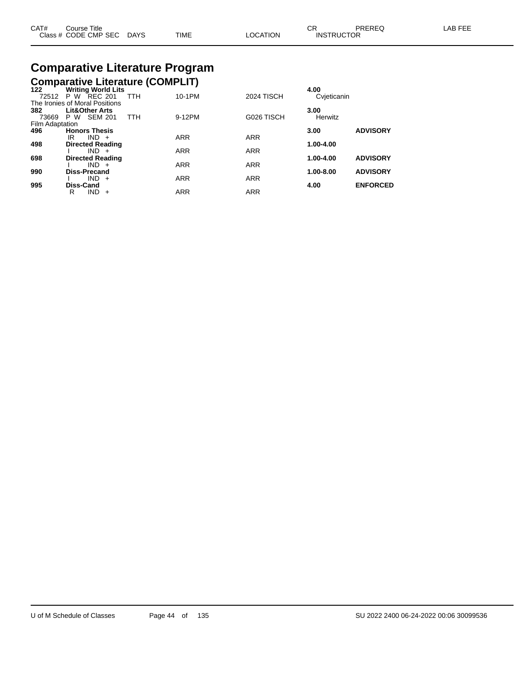| CAT# | Course Title              |      |          | СR                | PREREQ | LAB FEE |
|------|---------------------------|------|----------|-------------------|--------|---------|
|      | Class # CODE CMP SEC DAYS | TIME | LOCATION | <b>INSTRUCTOR</b> |        |         |

#### **Comparative Literature Program Comparative Literature (COMPLIT)**

| $122$           | <b>Writing World Lits</b>      |     |            |            |                   | 4.00          |                 |
|-----------------|--------------------------------|-----|------------|------------|-------------------|---------------|-----------------|
|                 | 72512 P W REC 201              |     | <b>TTH</b> | 10-1PM     | <b>2024 TISCH</b> | Cvieticanin   |                 |
|                 | The Ironies of Moral Positions |     |            |            |                   |               |                 |
| 382             | <b>Lit&amp;Other Arts</b>      |     |            |            |                   | 3.00          |                 |
| 73669           | SEM 201<br>P W                 |     | <b>TTH</b> | 9-12PM     | G026 TISCH        | Herwitz       |                 |
| Film Adaptation |                                |     |            |            |                   |               |                 |
| 496             | <b>Honors Thesis</b>           |     |            |            |                   | 3.00          | <b>ADVISORY</b> |
|                 | $IND +$<br>IR                  |     |            | <b>ARR</b> | <b>ARR</b>        |               |                 |
| 498             | <b>Directed Reading</b>        |     |            |            |                   | 1.00-4.00     |                 |
|                 | $IND +$                        |     |            | <b>ARR</b> | <b>ARR</b>        |               |                 |
| 698             | <b>Directed Reading</b>        |     |            |            |                   | $1.00 - 4.00$ | <b>ADVISORY</b> |
|                 | $IND +$                        |     |            | <b>ARR</b> | <b>ARR</b>        |               |                 |
| 990             | <b>Diss-Precand</b>            |     |            |            |                   | 1.00-8.00     | <b>ADVISORY</b> |
|                 | $IND +$                        |     |            | <b>ARR</b> | <b>ARR</b>        |               |                 |
| 995             | Diss-Cand                      |     |            |            |                   | 4.00          | <b>ENFORCED</b> |
|                 | <b>IND</b><br>R                | $+$ |            | <b>ARR</b> | <b>ARR</b>        |               |                 |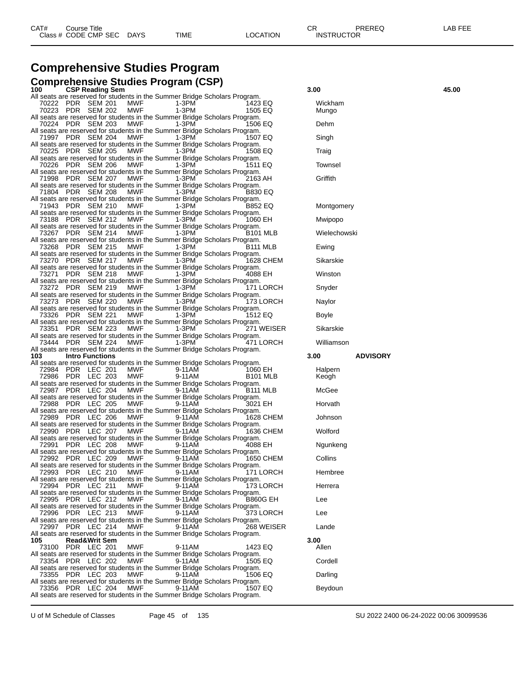## **Comprehensive Studies Program**

|     | <b>Comprehensive Studies Program (CSP)</b>                                                      |                          |            |        |                      |            |               |                 |       |
|-----|-------------------------------------------------------------------------------------------------|--------------------------|------------|--------|----------------------|------------|---------------|-----------------|-------|
| 100 |                                                                                                 | <b>CSP Reading Sem</b>   |            |        |                      |            | 3.00          |                 | 45.00 |
|     | All seats are reserved for students in the Summer Bridge Scholars Program.                      |                          |            |        |                      |            |               |                 |       |
|     | 70222 PDR SEM 201                                                                               |                          | MWF        | 1-3PM  | 1423 EQ              |            | Wickham       |                 |       |
|     | 70223 PDR SEM 202<br>All seats are reserved for students in the Summer Bridge Scholars Program. |                          | MWF        | 1-3PM  | 1505 EQ              |            | Mungo         |                 |       |
|     | 70224 PDR SEM 203                                                                               |                          | MWF        | 1-3PM  | 1506 EQ              |            | Dehm          |                 |       |
|     | All seats are reserved for students in the Summer Bridge Scholars Program.                      |                          |            |        |                      |            |               |                 |       |
|     | 71997 PDR SEM 204                                                                               |                          | MWF        | 1-3PM  | 1507 EQ              |            | Singh         |                 |       |
|     | All seats are reserved for students in the Summer Bridge Scholars Program.<br>70225 PDR SEM 205 |                          | MWF        | 1-3PM  | 1508 EQ              |            | Traig         |                 |       |
|     | All seats are reserved for students in the Summer Bridge Scholars Program.                      |                          |            |        |                      |            |               |                 |       |
|     | 70226 PDR SEM 206                                                                               |                          | MWF        | 1-3PM  | 1511 EQ              |            | Townsel       |                 |       |
|     | All seats are reserved for students in the Summer Bridge Scholars Program.                      |                          |            |        |                      |            |               |                 |       |
|     | 71998 PDR SEM 207<br>All seats are reserved for students in the Summer Bridge Scholars Program. |                          | MWF        | 1-3PM  | 2163 AH              |            | Griffith      |                 |       |
|     | 71804 PDR SEM 208                                                                               |                          | MWF        | 1-3PM  | <b>B830 EQ</b>       |            |               |                 |       |
|     | All seats are reserved for students in the Summer Bridge Scholars Program.                      |                          |            |        |                      |            |               |                 |       |
|     | 71943 PDR SEM 210                                                                               |                          | MWF        | 1-3PM  | B852 EQ              |            | Montgomery    |                 |       |
|     | All seats are reserved for students in the Summer Bridge Scholars Program.<br>73188 PDR SEM 212 |                          | MWF        | 1-3PM  | 1060 EH              |            | Mwipopo       |                 |       |
|     | All seats are reserved for students in the Summer Bridge Scholars Program.                      |                          |            |        |                      |            |               |                 |       |
|     | 73267 PDR SEM 214                                                                               |                          | MWF        | 1-3PM  | B <sub>101</sub> MLB |            | Wielechowski  |                 |       |
|     | All seats are reserved for students in the Summer Bridge Scholars Program.                      |                          |            |        |                      |            |               |                 |       |
|     | 73268 PDR SEM 215<br>All seats are reserved for students in the Summer Bridge Scholars Program. |                          | MWF        | 1-3PM  | B <sub>111</sub> MLB |            | Ewing         |                 |       |
|     | 73270 PDR SEM 217                                                                               |                          | MWF        | 1-3PM  |                      | 1628 CHEM  | Sikarskie     |                 |       |
|     | All seats are reserved for students in the Summer Bridge Scholars Program.                      |                          |            |        |                      |            |               |                 |       |
|     | 73271 PDR SEM 218                                                                               |                          | MWF        | 1-3PM  | 4088 EH              |            | Winston       |                 |       |
|     | All seats are reserved for students in the Summer Bridge Scholars Program.<br>73272 PDR SEM 219 |                          | MWF        | 1-3PM  |                      | 171 LORCH  | Snyder        |                 |       |
|     | All seats are reserved for students in the Summer Bridge Scholars Program.                      |                          |            |        |                      |            |               |                 |       |
|     | 73273 PDR SEM 220                                                                               |                          | MWF        | 1-3PM  |                      | 173 LORCH  | Naylor        |                 |       |
|     | All seats are reserved for students in the Summer Bridge Scholars Program.                      |                          |            |        |                      |            |               |                 |       |
|     | 73326 PDR SEM 221<br>All seats are reserved for students in the Summer Bridge Scholars Program. |                          | MWF        | 1-3PM  | 1512 EQ              |            | Boyle         |                 |       |
|     | 73351 PDR SEM 223                                                                               |                          | MWF        | 1-3PM  |                      | 271 WEISER | Sikarskie     |                 |       |
|     | All seats are reserved for students in the Summer Bridge Scholars Program.                      |                          |            |        |                      |            |               |                 |       |
|     | 73444 PDR SEM 224                                                                               |                          | MWF        | 1-3PM  |                      | 471 LORCH  | Williamson    |                 |       |
| 103 | All seats are reserved for students in the Summer Bridge Scholars Program.                      | <b>Intro Functions</b>   |            |        |                      |            | 3.00          | <b>ADVISORY</b> |       |
|     | All seats are reserved for students in the Summer Bridge Scholars Program.                      |                          |            |        |                      |            |               |                 |       |
|     | 72984 PDR LEC 201                                                                               |                          | MWF        | 9-11AM | 1060 EH              |            | Halpern       |                 |       |
|     | 72986 PDR LEC 203                                                                               |                          | <b>MWF</b> | 9-11AM | B <sub>101</sub> MLB |            | Keogh         |                 |       |
|     | All seats are reserved for students in the Summer Bridge Scholars Program.<br>72987 PDR LEC 204 |                          | MWF        | 9-11AM | B <sub>111</sub> MLB |            | McGee         |                 |       |
|     | All seats are reserved for students in the Summer Bridge Scholars Program.                      |                          |            |        |                      |            |               |                 |       |
|     | 72988 PDR LEC 205                                                                               |                          | MWF        | 9-11AM | 3021 EH              |            | Horvath       |                 |       |
|     | All seats are reserved for students in the Summer Bridge Scholars Program.                      |                          |            |        |                      |            |               |                 |       |
|     | 72989 PDR LEC 206<br>All seats are reserved for students in the Summer Bridge Scholars Program. |                          | MWF        | 9-11AM |                      | 1628 CHEM  | Johnson       |                 |       |
|     | 72990 PDR LEC 207                                                                               |                          | MWF        | 9-11AM |                      | 1636 CHEM  | Wolford       |                 |       |
|     | All seats are reserved for students in the Summer Bridge Scholars Program.                      |                          |            |        |                      |            |               |                 |       |
|     | 72991 PDR LEC 208<br>All seats are reserved for students in the Summer Bridge Scholars Program. |                          | MWF        | 9-11AM | 4088 EH              |            | Ngunkeng      |                 |       |
|     | 72992 PDR LEC 209                                                                               |                          | MWF        | 9-11AM |                      | 1650 CHEM  | Collins       |                 |       |
|     | All seats are reserved for students in the Summer Bridge Scholars Program.                      |                          |            |        |                      |            |               |                 |       |
|     | 72993 PDR LEC 210                                                                               |                          | MWF        | 9-11AM |                      | 171 LORCH  | Hembree       |                 |       |
|     | All seats are reserved for students in the Summer Bridge Scholars Program.<br>72994 PDR LEC 211 |                          | MWF        | 9-11AM |                      | 173 LORCH  | Herrera       |                 |       |
|     | All seats are reserved for students in the Summer Bridge Scholars Program.                      |                          |            |        |                      |            |               |                 |       |
|     | 72995 PDR LEC 212                                                                               |                          | MWF        | 9-11AM |                      | B860G EH   | Lee           |                 |       |
|     | All seats are reserved for students in the Summer Bridge Scholars Program.                      |                          |            |        |                      |            |               |                 |       |
|     | 72996 PDR LEC 213<br>All seats are reserved for students in the Summer Bridge Scholars Program. |                          | MWF        | 9-11AM |                      | 373 LORCH  | Lee           |                 |       |
|     | 72997 PDR LEC 214                                                                               |                          | MWF        | 9-11AM |                      | 268 WEISER | Lande         |                 |       |
|     | All seats are reserved for students in the Summer Bridge Scholars Program.                      |                          |            |        |                      |            |               |                 |       |
| 105 | 73100 PDR LEC 201                                                                               | <b>Read&amp;Writ Sem</b> | MWF        | 9-11AM | 1423 EQ              |            | 3.00<br>Allen |                 |       |
|     | All seats are reserved for students in the Summer Bridge Scholars Program.                      |                          |            |        |                      |            |               |                 |       |
|     | 73354 PDR LEC 202                                                                               |                          | MWF        | 9-11AM | 1505 EQ              |            | Cordell       |                 |       |
|     | All seats are reserved for students in the Summer Bridge Scholars Program.<br>73355 PDR LEC 203 |                          |            |        |                      |            |               |                 |       |
|     |                                                                                                 |                          |            |        |                      |            |               |                 |       |
|     |                                                                                                 |                          | MWF        | 9-11AM | 1506 EQ              |            | Darling       |                 |       |
|     | All seats are reserved for students in the Summer Bridge Scholars Program.<br>73356 PDR LEC 204 |                          | MWF        | 9-11AM | 1507 EQ              |            | Beydoun       |                 |       |

| 3.00                    | 45.00 |
|-------------------------|-------|
| Wickham<br>Mungo        |       |
| Dehm                    |       |
| Singh                   |       |
| Traig                   |       |
| <b>Townsel</b>          |       |
| Griffith                |       |
| Montgomery              |       |
| Mwipopo                 |       |
| Wielechowski            |       |
| Ewing                   |       |
| Sikarskie               |       |
| Winston                 |       |
| Snyder                  |       |
| Naylor                  |       |
| Boyle                   |       |
| Sikarskie               |       |
| Williamson              |       |
| 3.00<br><b>ADVISORY</b> |       |
| Halpern<br>Keogh        |       |
| McGee                   |       |
| Horvath                 |       |
| Johnson                 |       |
| Wolford                 |       |
| Ngunkeng                |       |
| Collins                 |       |
| Hembree                 |       |
| Herrera                 |       |
| Lee                     |       |
| Lee                     |       |
| Lande                   |       |
| 3.00<br>Allen           |       |
| Cordell                 |       |
| Darling                 |       |
| Beydoun                 |       |
|                         |       |

U of M Schedule of Classes Page 45 of 135 SU 2022 2400 06-24-2022 00:06 30099536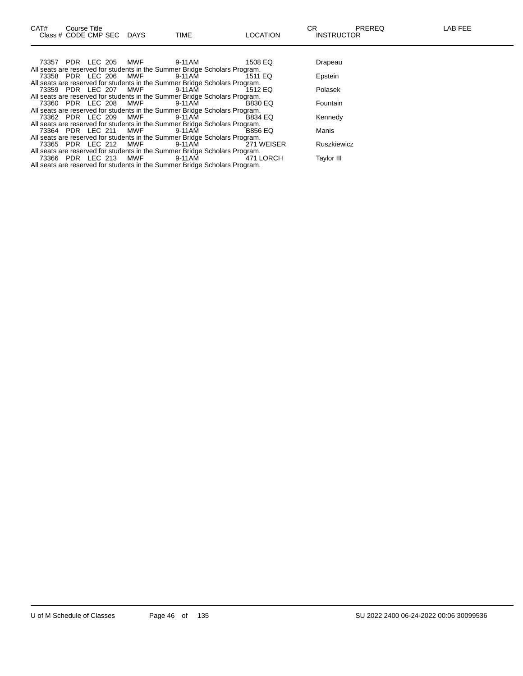All seats are reserved for students in the Summer Bridge Scholars Program.

| 73357 PDR LEC 205 MWF |            | 9-11 AM                                                                    | 1508 EQ        | Drapeau            |
|-----------------------|------------|----------------------------------------------------------------------------|----------------|--------------------|
|                       |            | All seats are reserved for students in the Summer Bridge Scholars Program. |                |                    |
| 73358 PDR LEC 206 MWF |            | 9-11AM                                                                     | 1511 EQ        | Epstein            |
|                       |            | All seats are reserved for students in the Summer Bridge Scholars Program. |                |                    |
|                       |            | 73359 PDR LEC 207 MWF 9-11AM                                               | 1512 EQ        | Polasek            |
|                       |            | All seats are reserved for students in the Summer Bridge Scholars Program. |                |                    |
|                       |            | 73360 PDR LEC 208 MWF 9-11AM                                               | <b>B830 EQ</b> | Fountain           |
|                       |            | All seats are reserved for students in the Summer Bridge Scholars Program. |                |                    |
| 73362 PDR LEC 209 MWF |            | 9-11 AM                                                                    | <b>B834 EQ</b> | Kennedy            |
|                       |            | All seats are reserved for students in the Summer Bridge Scholars Program. |                |                    |
|                       |            | 73364 PDR LEC 211 MWF 9-11AM                                               | <b>B856 EQ</b> | Manis              |
|                       |            | All seats are reserved for students in the Summer Bridge Scholars Program. |                |                    |
| 73365 PDR LEC 212 MWF |            | 9-11AM                                                                     | 271 WEISER     | <b>Ruszkiewicz</b> |
|                       |            | All seats are reserved for students in the Summer Bridge Scholars Program. |                |                    |
| 73366 PDR LEC 213     | <b>MWF</b> | 9-11AM                                                                     | 471 LORCH      | Taylor III         |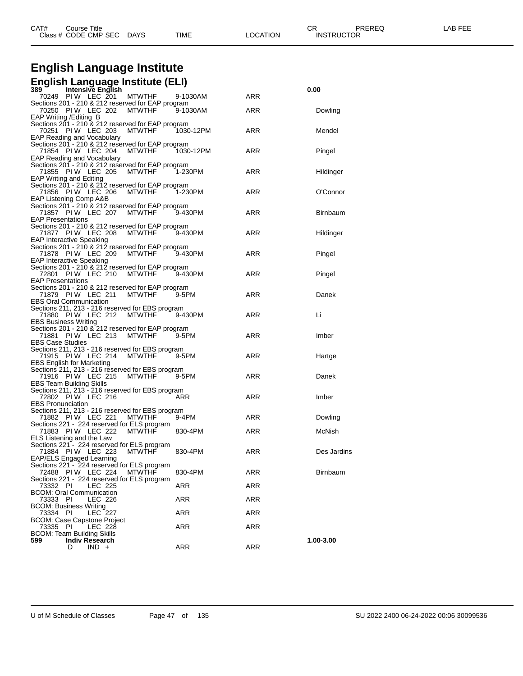| CAT# | Course Title         |             |      |                 | ⌒冖                | PREREQ | _AB<br>. |
|------|----------------------|-------------|------|-----------------|-------------------|--------|----------|
|      | Class # CODE CMP SEC | <b>DAYS</b> | TIME | <b>LOCATION</b> | <b>INSTRUCTOR</b> |        |          |

## **English Language Institute**

## **English Language Institute (ELI) 389 Intensive English 0.00**

| ື<br>menarve Lugnan<br>70249 PIW LEC 201<br><b>MTWTHF</b>                              | 9-1030AM   | ARR | v.vv            |
|----------------------------------------------------------------------------------------|------------|-----|-----------------|
| Sections 201 - 210 & 212 reserved for EAP program                                      |            |     |                 |
| 70250 PIW LEC 202<br><b>MTWTHF</b>                                                     | 9-1030AM   | ARR | Dowling         |
| EAP Writing / Editing B<br>Sections 201 - 210 & 212 reserved for EAP program           |            |     |                 |
| 70251 PIW LEC 203<br><b>MTWTHF</b>                                                     | 1030-12PM  | ARR | Mendel          |
| EAP Reading and Vocabulary                                                             |            |     |                 |
| Sections 201 - 210 & 212 reserved for EAP program                                      |            |     |                 |
| 71854 PIW LEC 204<br><b>MTWTHF</b>                                                     | 1030-12PM  | ARR | Pingel          |
| EAP Reading and Vocabulary<br>Sections 201 - 210 & 212 reserved for EAP program        |            |     |                 |
| 71855 PIW LEC 205<br>MTWTHF                                                            | 1-230PM    | ARR | Hildinger       |
| <b>EAP Writing and Editing</b>                                                         |            |     |                 |
| Sections 201 - 210 & 212 reserved for EAP program                                      |            |     |                 |
| 71856 PIW LEC 206<br>MTWTHF                                                            | 1-230PM    | ARR | O'Connor        |
| EAP Listening Comp A&B<br>Sections 201 - 210 & 212 reserved for EAP program            |            |     |                 |
| 71857 PIW LEC 207 MTWTHF                                                               | $9-430$ PM | ARR | <b>Birnbaum</b> |
| <b>EAP Presentations</b>                                                               |            |     |                 |
| Sections 201 - 210 & 212 reserved for EAP program                                      |            |     |                 |
| 71877 PIW LEC 208<br>MTWTHF                                                            | 9-430PM    | ARR | Hildinger       |
| <b>EAP Interactive Speaking</b>                                                        |            |     |                 |
| Sections 201 - 210 & 212 reserved for EAP program<br>71878 PIW LEC 209<br>MTWTHF       | 9-430PM    | ARR | Pingel          |
| <b>EAP Interactive Speaking</b>                                                        |            |     |                 |
| Sections 201 - 210 & 212 reserved for EAP program                                      |            |     |                 |
| 72801 PIW LEC 210 MTWTHF                                                               | 9-430PM    | ARR | Pingel          |
| <b>EAP Presentations</b>                                                               |            |     |                 |
| Sections 201 - 210 & 212 reserved for EAP program<br>71879 PIW LEC 211 MTWTHF          | 9-5PM      | ARR | Danek           |
| <b>EBS Oral Communication</b>                                                          |            |     |                 |
| Sections 211, 213 - 216 reserved for EBS program                                       |            |     |                 |
| 71880 PIW LEC 212 MTWTHF                                                               | 9-430PM    | ARR | Li              |
| <b>EBS Business Writing</b>                                                            |            |     |                 |
| Sections 201 - 210 & 212 reserved for EAP program<br>71881 PIW LEC 213 MTWTHF          | 9-5PM      | ARR | Imber           |
| <b>EBS Case Studies</b>                                                                |            |     |                 |
| Sections 211, 213 - 216 reserved for EBS program                                       |            |     |                 |
| 71915 PIW LEC 214<br>MTWTHF                                                            | 9-5PM      | ARR | Hartge          |
| <b>EBS English for Marketing</b>                                                       |            |     |                 |
| Sections 211, 213 - 216 reserved for EBS program<br>71916 PIW LEC 215<br>MTWTHF        | 9-5PM      | ARR | Danek           |
| <b>EBS Team Building Skills</b>                                                        |            |     |                 |
| Sections 211, 213 - 216 reserved for EBS program                                       |            |     |                 |
| 72802 PIW LEC 216                                                                      | ARR        | ARR | Imber           |
| <b>EBS Pronunciation</b>                                                               |            |     |                 |
| Sections 211, 213 - 216 reserved for EBS program<br>71882 PIW LEC 221<br><b>MTWTHF</b> | 9-4PM      | ARR | Dowling         |
| Sections 221 - 224 reserved for ELS program                                            |            |     |                 |
| 71883 PIW LEC 222<br><b>MTWTHF</b>                                                     | 830-4PM    | ARR | McNish          |
| ELS Listening and the Law                                                              |            |     |                 |
| Sections 221 - 224 reserved for ELS program                                            |            |     |                 |
| 71884 PIW LEC 223<br><b>MTWTHF</b><br>EAP/ELS Engaged Learning                         | 830-4PM    | ARR | Des Jardins     |
| Sections 221 - 224 reserved for ELS program                                            |            |     |                 |
| 72488 PIW LEC 224 MTWTHF                                                               | 830-4PM    | ARR | Birnbaum        |
| Sections 221 - 224 reserved for ELS program                                            |            |     |                 |
| 73332 PI<br>LEC 225                                                                    | ARR        | ARR |                 |
| <b>BCOM: Oral Communication</b>                                                        |            |     |                 |
| 73333 PI<br>LEC 226<br><b>BCOM: Business Writing</b>                                   | ARR        | ARR |                 |
| <b>LEC 227</b><br>73334<br>PI                                                          | <b>ARR</b> | ARR |                 |
| <b>BCOM: Case Capstone Project</b>                                                     |            |     |                 |
| LEC 228<br>73335<br>-PI                                                                | ARR        | ARR |                 |
| <b>BCOM: Team Building Skills</b>                                                      |            |     |                 |
| <b>Indiv Research</b><br>599<br>$IND +$<br>D                                           | ARR        | ARR | 1.00-3.00       |
|                                                                                        |            |     |                 |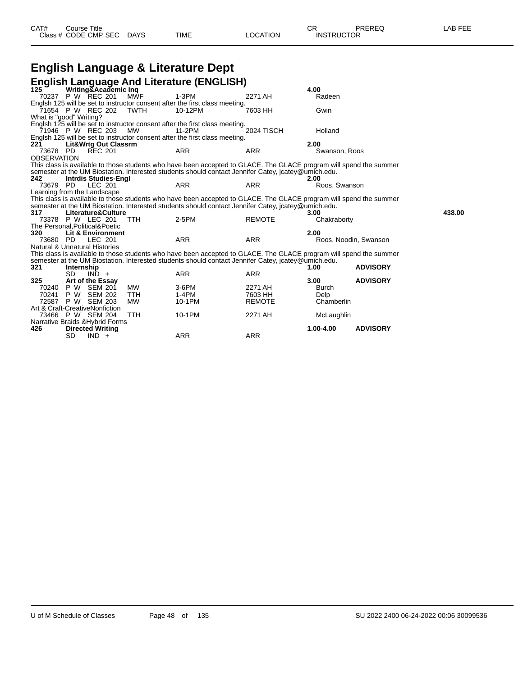| CAT# | Course Title<br>Class # CODE CMP SEC DAYS | TIME | LOCATION | СR<br><b>INSTRUCTOR</b> | PREREQ | LAB FEE |
|------|-------------------------------------------|------|----------|-------------------------|--------|---------|
|      |                                           |      |          |                         |        |         |

|                         |            |                                         |            | English Language & Literature Dept                                                                                 |               |               |                       |        |
|-------------------------|------------|-----------------------------------------|------------|--------------------------------------------------------------------------------------------------------------------|---------------|---------------|-----------------------|--------|
|                         |            |                                         |            | <b>English Language And Literature (ENGLISH)</b>                                                                   |               |               |                       |        |
| 125                     |            | Writing&Academic Inq                    |            |                                                                                                                    |               | 4.00          |                       |        |
|                         |            | 70237 P W REC 201                       | <b>MWF</b> | 1-3PM                                                                                                              | 2271 AH       | Radeen        |                       |        |
|                         |            |                                         |            | Englsh 125 will be set to instructor consent after the first class meeting.                                        |               |               |                       |        |
|                         |            | 71654 P W REC 202                       | TWTH       | 10-12PM                                                                                                            | 7603 HH       | Gwin          |                       |        |
| What is "good" Writing? |            |                                         |            |                                                                                                                    |               |               |                       |        |
|                         |            |                                         |            | Englsh 125 will be set to instructor consent after the first class meeting.                                        |               |               |                       |        |
|                         |            | 71946 P W REC 203                       | MW         | 11-2PM                                                                                                             | 2024 TISCH    | Holland       |                       |        |
|                         |            |                                         |            | Englsh 125 will be set to instructor consent after the first class meeting.                                        |               |               |                       |        |
| 221                     |            | <b>Lit&amp;Wrtg Out Classrm</b>         |            |                                                                                                                    |               | 2.00          |                       |        |
| 73678 PD                |            | <b>REC 201</b>                          |            | <b>ARR</b>                                                                                                         | <b>ARR</b>    | Swanson, Roos |                       |        |
| <b>OBSERVATION</b>      |            |                                         |            |                                                                                                                    |               |               |                       |        |
|                         |            |                                         |            | This class is available to those students who have been accepted to GLACE. The GLACE program will spend the summer |               |               |                       |        |
|                         |            |                                         |            | semester at the UM Biostation. Interested students should contact Jennifer Catey, jcatey@umich.edu.                |               |               |                       |        |
| 242                     |            | <b>Intrdis Studies-Engl</b>             |            |                                                                                                                    |               | 2.00          |                       |        |
| 73679                   | PD.        | LEC 201                                 |            | <b>ARR</b>                                                                                                         | <b>ARR</b>    | Roos, Swanson |                       |        |
|                         |            | Learning from the Landscape             |            |                                                                                                                    |               |               |                       |        |
|                         |            |                                         |            | This class is available to those students who have been accepted to GLACE. The GLACE program will spend the summer |               |               |                       |        |
|                         |            |                                         |            | semester at the UM Biostation. Interested students should contact Jennifer Catey, jcatey@umich.edu.                |               |               |                       |        |
| 317                     |            | Literature&Culture                      |            |                                                                                                                    |               | 3.00          |                       | 438.00 |
|                         |            | 73378 P W LEC 201                       | <b>TTH</b> | 2-5PM                                                                                                              | <b>REMOTE</b> | Chakraborty   |                       |        |
| 320                     |            | The Personal, Political& Poetic         |            |                                                                                                                    |               | 2.00          |                       |        |
| 73680 PD                |            | <b>Lit &amp; Environment</b><br>LEC 201 |            | <b>ARR</b>                                                                                                         | <b>ARR</b>    |               | Roos, Noodin, Swanson |        |
|                         |            | Natural & Unnatural Histories           |            |                                                                                                                    |               |               |                       |        |
|                         |            |                                         |            | This class is available to those students who have been accepted to GLACE. The GLACE program will spend the summer |               |               |                       |        |
|                         |            |                                         |            | semester at the UM Biostation. Interested students should contact Jennifer Catey, jcatey@umich.edu.                |               |               |                       |        |
| 321                     | Internship |                                         |            |                                                                                                                    |               | 1.00          | <b>ADVISORY</b>       |        |
|                         | <b>SD</b>  | $IND +$                                 |            | <b>ARR</b>                                                                                                         | <b>ARR</b>    |               |                       |        |
| 325                     |            | Art of the Essay                        |            |                                                                                                                    |               | 3.00          | <b>ADVISORY</b>       |        |
| 70240                   | P W        | <b>SEM 201</b>                          | <b>MW</b>  | $3-6$ PM                                                                                                           | 2271 AH       | <b>Burch</b>  |                       |        |
| 70241                   | P W        | <b>SEM 202</b>                          | <b>TTH</b> | 1-4PM                                                                                                              | 7603 HH       | Delp          |                       |        |
| 72587                   | P W        | <b>SEM 203</b>                          | <b>MW</b>  | 10-1PM                                                                                                             | <b>REMOTE</b> | Chamberlin    |                       |        |
|                         |            | Art & Craft-CreativeNonfiction          |            |                                                                                                                    |               |               |                       |        |
|                         |            | 73466 P W SEM 204                       | <b>TTH</b> | 10-1PM                                                                                                             | 2271 AH       | McLaughlin    |                       |        |
|                         |            | Narrative Braids & Hybrid Forms         |            |                                                                                                                    |               |               |                       |        |
| 426                     |            | <b>Directed Writing</b>                 |            |                                                                                                                    |               | $1.00 - 4.00$ | <b>ADVISORY</b>       |        |
|                         | SD         | $IND +$                                 |            | <b>ARR</b>                                                                                                         | <b>ARR</b>    |               |                       |        |
|                         |            |                                         |            |                                                                                                                    |               |               |                       |        |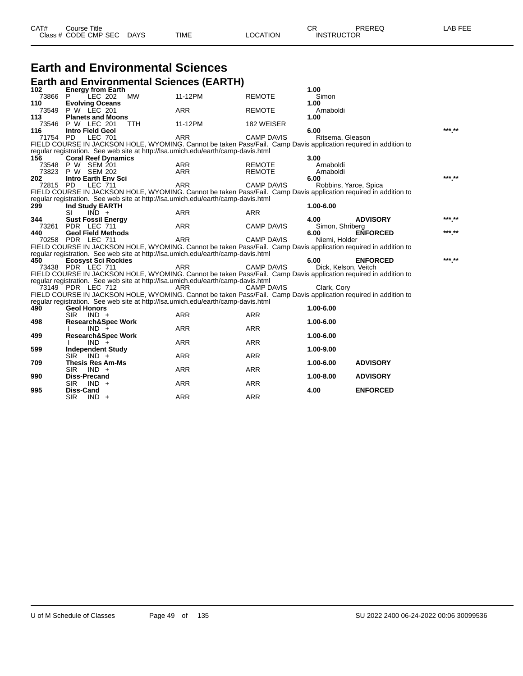| CAT# | Title<br>∴ourse      |             |             |          | ◠г<br>◡⊓          | PREREQ | AR FFF |
|------|----------------------|-------------|-------------|----------|-------------------|--------|--------|
|      | Class # CODE CMP SEC | <b>DAYS</b> | <b>TIME</b> | _OCATION | <b>INSTRUCTOR</b> |        |        |

## **Earth and Environmental Sciences**

|              | <b>Earth and Environmental Sciences (EARTH)</b>                                                                                                                                                      |            |                   |                       |                 |        |
|--------------|------------------------------------------------------------------------------------------------------------------------------------------------------------------------------------------------------|------------|-------------------|-----------------------|-----------------|--------|
| 102          | <b>Energy from Earth</b>                                                                                                                                                                             |            |                   | 1.00                  |                 |        |
| 73866        | LEC 202<br><b>MW</b><br>P.                                                                                                                                                                           | 11-12PM    | <b>REMOTE</b>     | Simon                 |                 |        |
| 110          | <b>Evolving Oceans</b>                                                                                                                                                                               |            |                   | 1.00                  |                 |        |
| 73549        | P W LEC 201                                                                                                                                                                                          | <b>ARR</b> | <b>REMOTE</b>     | Arnaboldi             |                 |        |
| 113<br>73546 | <b>Planets and Moons</b><br><b>P W LEC 201</b><br><b>TTH</b>                                                                                                                                         | 11-12PM    | 182 WEISER        | 1.00                  |                 |        |
| 116          | <b>Intro Field Geol</b>                                                                                                                                                                              |            |                   | 6.00                  |                 |        |
| 71754 PD     | <b>LEC 701</b>                                                                                                                                                                                       | <b>ARR</b> | <b>CAMP DAVIS</b> | Ritsema, Gleason      |                 |        |
|              | FIELD COURSE IN JACKSON HOLE, WYOMING. Cannot be taken Pass/Fail. Camp Davis application required in addition to                                                                                     |            |                   |                       |                 |        |
|              | reqular registration. See web site at http://lsa.umich.edu/earth/camp-davis.html                                                                                                                     |            |                   |                       |                 |        |
| 156          | <b>Coral Reef Dynamics</b>                                                                                                                                                                           |            |                   | 3.00                  |                 |        |
|              | 73548 P W SEM 201                                                                                                                                                                                    | ARR        | <b>REMOTE</b>     | Arnaboldi             |                 |        |
| 73823        | P W SEM 202                                                                                                                                                                                          | <b>ARR</b> | <b>REMOTE</b>     | Arnaboldi             |                 |        |
| 202          | <b>Intro Earth Env Sci</b>                                                                                                                                                                           |            |                   | 6.00                  |                 |        |
| 72815 PD     | <b>LEC 711</b>                                                                                                                                                                                       | <b>ARR</b> | <b>CAMP DAVIS</b> | Robbins, Yarce, Spica |                 |        |
|              | FIELD COURSE IN JACKSON HOLE, WYOMING. Cannot be taken Pass/Fail. Camp Davis application required in addition to<br>regular registration. See web site at http://lsa.umich.edu/earth/camp-davis.html |            |                   |                       |                 |        |
| 299          | Ind Study EARTH                                                                                                                                                                                      |            |                   | 1.00-6.00             |                 |        |
|              | <b>SI</b><br>$IND +$                                                                                                                                                                                 | <b>ARR</b> | <b>ARR</b>        |                       |                 |        |
| 344          | <b>Sust Fossil Energy</b>                                                                                                                                                                            |            |                   | 4.00                  | <b>ADVISORY</b> |        |
|              | 73261 PDR LEC 711                                                                                                                                                                                    | <b>ARR</b> | <b>CAMP DAVIS</b> | Simon, Shriberg       |                 |        |
| 440          | <b>Geol Field Methods</b>                                                                                                                                                                            |            |                   | 6.00                  | <b>ENFORCED</b> |        |
|              | 70258 PDR LEC 711                                                                                                                                                                                    | <b>ARR</b> | <b>CAMP DAVIS</b> | Niemi, Holder         |                 |        |
|              | FIELD COURSE IN JACKSON HOLE, WYOMING. Cannot be taken Pass/Fail. Camp Davis application required in addition to                                                                                     |            |                   |                       |                 |        |
|              | regular registration. See web site at http://lsa.umich.edu/earth/camp-davis.html                                                                                                                     |            |                   |                       |                 |        |
| 450          | <b>Ecosyst Sci Rockies</b>                                                                                                                                                                           |            |                   | 6.00                  | <b>ENFORCED</b> | *** ** |
|              | 73438 PDR LEC 711                                                                                                                                                                                    | <b>ARR</b> | <b>CAMP DAVIS</b> | Dick, Kelson, Veitch  |                 |        |
|              | FIELD COURSE IN JACKSON HOLE, WYOMING. Cannot be taken Pass/Fail. Camp Davis application required in addition to<br>regular registration. See web site at http://lsa.umich.edu/earth/camp-davis.html |            |                   |                       |                 |        |
|              | 73149 PDR LEC 712                                                                                                                                                                                    | ARR        | <b>CAMP DAVIS</b> | Clark, Cory           |                 |        |
|              | FIELD COURSE IN JACKSON HOLE, WYOMING. Cannot be taken Pass/Fail. Camp Davis application required in addition to                                                                                     |            |                   |                       |                 |        |
|              | regular registration. See web site at http://lsa.umich.edu/earth/camp-davis.html                                                                                                                     |            |                   |                       |                 |        |
| 490          | <b>Geol Honors</b>                                                                                                                                                                                   |            |                   | 1.00-6.00             |                 |        |
|              | <b>SIR</b><br>$IND +$                                                                                                                                                                                | <b>ARR</b> | <b>ARR</b>        |                       |                 |        |
| 498          | <b>Research&amp;Spec Work</b>                                                                                                                                                                        |            |                   | 1.00-6.00             |                 |        |
|              | $IND +$                                                                                                                                                                                              | <b>ARR</b> | <b>ARR</b>        |                       |                 |        |
| 499          | <b>Research&amp;Spec Work</b>                                                                                                                                                                        |            |                   | 1.00-6.00             |                 |        |
|              | $IND +$                                                                                                                                                                                              | <b>ARR</b> | <b>ARR</b>        |                       |                 |        |
| 599          | <b>Independent Study</b><br>SIR <sup>1</sup><br>$IND +$                                                                                                                                              | <b>ARR</b> | <b>ARR</b>        | 1.00-9.00             |                 |        |
| 709          | <b>Thesis Res Am-Ms</b>                                                                                                                                                                              |            |                   | 1.00-6.00             | <b>ADVISORY</b> |        |
|              | $IND +$<br><b>SIR</b>                                                                                                                                                                                | <b>ARR</b> | <b>ARR</b>        |                       |                 |        |
| 990          | <b>Diss-Precand</b>                                                                                                                                                                                  |            |                   | 1.00-8.00             | <b>ADVISORY</b> |        |
|              | <b>SIR</b><br>$IND +$                                                                                                                                                                                | <b>ARR</b> | <b>ARR</b>        |                       |                 |        |
| 995          | <b>Diss-Cand</b>                                                                                                                                                                                     |            |                   | 4.00                  | <b>ENFORCED</b> |        |
|              | <b>SIR</b><br>$IND +$                                                                                                                                                                                | <b>ARR</b> | <b>ARR</b>        |                       |                 |        |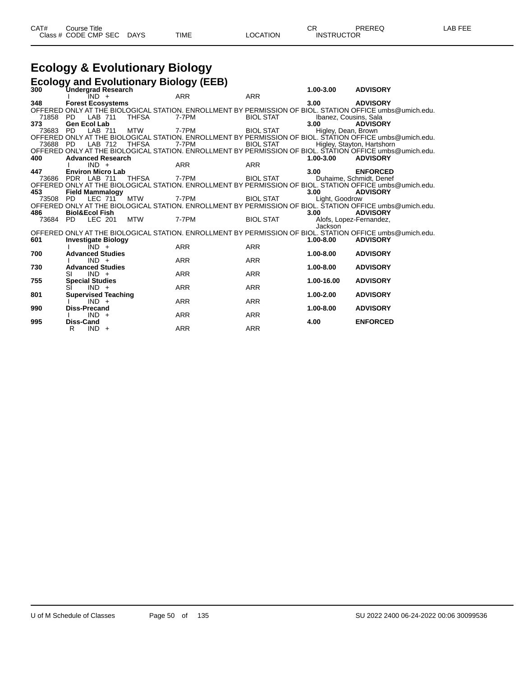## **Ecology & Evolutionary Biology**

|              | <b>Ecology and Evolutionary Biology (EEB)</b>    |              |            |                  |                               |                                                                                                                             |  |  |  |  |  |
|--------------|--------------------------------------------------|--------------|------------|------------------|-------------------------------|-----------------------------------------------------------------------------------------------------------------------------|--|--|--|--|--|
| 300          | <b>Undergrad Research</b>                        |              |            |                  | $1.00 - 3.00$                 | <b>ADVISORY</b>                                                                                                             |  |  |  |  |  |
|              | IND +                                            |              | <b>ARR</b> | <b>ARR</b>       |                               |                                                                                                                             |  |  |  |  |  |
| 348          | <b>Forest Ecosystems</b>                         |              |            |                  | 3.00                          | <b>ADVISORY</b>                                                                                                             |  |  |  |  |  |
|              |                                                  |              | 7-7PM      |                  |                               | OFFERED ONLY AT THÉ BIOLOGICAL STATION. ENROLLMENT BY PERMISSION OF BIOL. STATION OFFICE umbs@umich.edu.                    |  |  |  |  |  |
| 71858<br>373 | LAB 711<br>PD.<br><b>Gen Ecol Lab</b>            | <b>THFSA</b> |            | <b>BIOL STAT</b> | Ibanez, Cousins, Sala<br>3.00 |                                                                                                                             |  |  |  |  |  |
| 73683        | <b>PD</b><br>LAB 711                             | <b>MTW</b>   | 7-7PM      | <b>BIOL STAT</b> | Higley, Dean, Brown           | <b>ADVISORY</b>                                                                                                             |  |  |  |  |  |
|              |                                                  |              |            |                  |                               | OFFERED ONLY AT THE BIOLOGICAL STATION. ENROLLMENT BY PERMISSION OF BIOL. STATION OFFICE umbs@umich.edu.                    |  |  |  |  |  |
| 73688 PD     | LAB 712                                          | <b>THFSA</b> | 7-7PM      | <b>BIOL STAT</b> |                               | Higley, Stayton, Hartshorn                                                                                                  |  |  |  |  |  |
|              |                                                  |              |            |                  |                               | OFFERED ONLY AT THE BIOLOGICAL STATION. ENROLLMENT BY PERMISSION OF BIOL. STATION OFFICE umbs@umich.edu.                    |  |  |  |  |  |
| 400          | <b>Advanced Research</b>                         |              |            |                  | $1.00 - 3.00$                 | <b>ADVISORY</b>                                                                                                             |  |  |  |  |  |
|              | $IND +$                                          |              | <b>ARR</b> | <b>ARR</b>       |                               |                                                                                                                             |  |  |  |  |  |
| 447          | <b>Environ Micro Lab</b>                         |              |            |                  | 3.00                          | <b>ENFORCED</b>                                                                                                             |  |  |  |  |  |
| 73686        | PDR LAB 711                                      | <b>THFSA</b> | 7-7PM      | <b>BIOL STAT</b> |                               | Duhaime, Schmidt, Denef                                                                                                     |  |  |  |  |  |
|              |                                                  |              |            |                  |                               | OFFERED ONLY AT THE BIOLOGICAL STATION. ENROLLMENT BY PERMISSION OF BIOL. STATION OFFICE umbs@umich.edu.                    |  |  |  |  |  |
| 453          | <b>Field Mammalogy</b>                           |              |            |                  | 3.00                          | <b>ADVISORY</b>                                                                                                             |  |  |  |  |  |
| 73508        | LEC 711<br>PD.                                   | <b>MTW</b>   | 7-7PM      | <b>BIOL STAT</b> | Light, Goodrow                |                                                                                                                             |  |  |  |  |  |
|              |                                                  |              |            |                  |                               | OFFERED ONLY AT THE BIOLOGICAL STATION. ENROLLMENT BY PERMISSION OF BIOL. ŠTATION OFFICE umbs@umich.edu.                    |  |  |  |  |  |
| 486          | <b>Biol&amp;Ecol Fish</b>                        |              |            |                  | 3.00                          | <b>ADVISORY</b>                                                                                                             |  |  |  |  |  |
| 73684        | LEC 201<br>PD.                                   | <b>MTW</b>   | 7-7PM      | <b>BIOL STAT</b> |                               | Alofs, Lopez-Fernandez,                                                                                                     |  |  |  |  |  |
|              |                                                  |              |            |                  | Jackson                       |                                                                                                                             |  |  |  |  |  |
| 601          |                                                  |              |            |                  | $1.00 - 8.00$                 | OFFERED ONLY AT THE BIOLOGICAL STATION. ENROLLMENT BY PERMISSION OF BIOL. STATION OFFICE umbs@umich.edu.<br><b>ADVISORY</b> |  |  |  |  |  |
|              | <b>Investigate Biology</b><br>$\overline{IND}$ + |              | <b>ARR</b> | <b>ARR</b>       |                               |                                                                                                                             |  |  |  |  |  |
| 700          | <b>Advanced Studies</b>                          |              |            |                  | $1.00 - 8.00$                 | <b>ADVISORY</b>                                                                                                             |  |  |  |  |  |
|              | $IND +$                                          |              | <b>ARR</b> | <b>ARR</b>       |                               |                                                                                                                             |  |  |  |  |  |
| 730          | <b>Advanced Studies</b>                          |              |            |                  | 1.00-8.00                     | <b>ADVISORY</b>                                                                                                             |  |  |  |  |  |
|              | $IND +$<br>SI                                    |              | <b>ARR</b> | <b>ARR</b>       |                               |                                                                                                                             |  |  |  |  |  |
| 755          | <b>Special Studies</b>                           |              |            |                  | 1.00-16.00                    | <b>ADVISORY</b>                                                                                                             |  |  |  |  |  |
|              | $IND +$<br>SI                                    |              | <b>ARR</b> | <b>ARR</b>       |                               |                                                                                                                             |  |  |  |  |  |
| 801          | <b>Supervised Teaching</b>                       |              |            |                  | $1.00 - 2.00$                 | <b>ADVISORY</b>                                                                                                             |  |  |  |  |  |
|              | $IND +$                                          |              | <b>ARR</b> | <b>ARR</b>       |                               |                                                                                                                             |  |  |  |  |  |
| 990          | <b>Diss-Precand</b>                              |              |            |                  | 1.00-8.00                     | <b>ADVISORY</b>                                                                                                             |  |  |  |  |  |
|              | $IND +$                                          |              | <b>ARR</b> | <b>ARR</b>       |                               |                                                                                                                             |  |  |  |  |  |
| 995          | <b>Diss-Cand</b>                                 |              |            |                  | 4.00                          | <b>ENFORCED</b>                                                                                                             |  |  |  |  |  |
|              | $IND +$<br>R                                     |              | <b>ARR</b> | <b>ARR</b>       |                               |                                                                                                                             |  |  |  |  |  |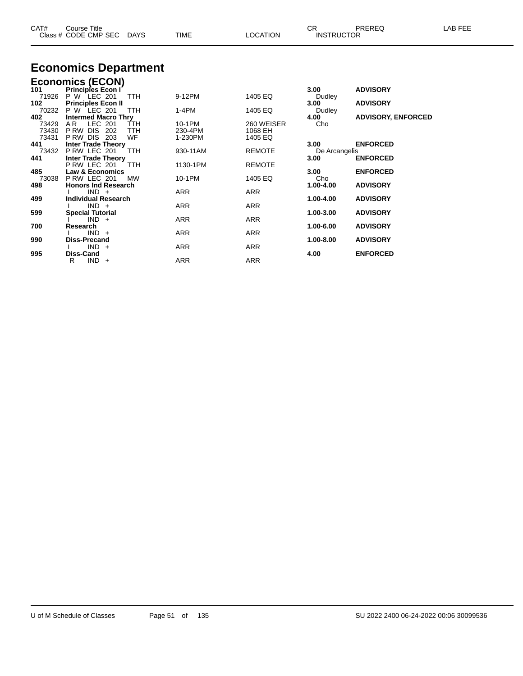| CAT#  | Course Title<br>Class # CODE CMP SEC      | DAYS       | <b>TIME</b> | <b>LOCATION</b> | CR.<br><b>INSTRUCTOR</b> | PREREQ                    | LAB FEE |
|-------|-------------------------------------------|------------|-------------|-----------------|--------------------------|---------------------------|---------|
|       | <b>Economics Department</b>               |            |             |                 |                          |                           |         |
|       | <b>Economics (ECON)</b>                   |            |             |                 |                          |                           |         |
| 101   | <b>Principles Econ I</b>                  |            |             |                 | 3.00                     | <b>ADVISORY</b>           |         |
| 71926 | P W LEC 201                               | <b>TTH</b> | 9-12PM      | 1405 EQ         | Dudley                   |                           |         |
| 102   | <b>Principles Econ II</b>                 |            |             |                 | 3.00                     | <b>ADVISORY</b>           |         |
| 70232 | P W LEC 201                               | <b>TTH</b> | $1-4PM$     | 1405 EQ         | Dudley                   |                           |         |
| 402   | <b>Intermed Macro Thry</b>                |            |             |                 | 4.00                     | <b>ADVISORY, ENFORCED</b> |         |
| 73429 | LEC 201<br>AR.                            | TTH        | 10-1PM      | 260 WEISER      | Cho                      |                           |         |
| 73430 | PRW DIS<br>202                            | <b>TTH</b> | 230-4PM     | 1068 EH         |                          |                           |         |
| 73431 | P RW DIS<br>203                           | WF         | 1-230PM     | 1405 EQ         |                          |                           |         |
| 441   | <b>Inter Trade Theory</b>                 |            |             |                 | 3.00                     | <b>ENFORCED</b>           |         |
| 73432 | P RW LEC 201                              | <b>TTH</b> | 930-11AM    | <b>REMOTE</b>   | De Arcangelis            |                           |         |
| 441   | <b>Inter Trade Theory</b>                 |            |             |                 | 3.00                     | <b>ENFORCED</b>           |         |
|       | PRW LEC 201                               | TTH        | 1130-1PM    | <b>REMOTE</b>   |                          |                           |         |
| 485   | <b>Law &amp; Economics</b><br>PRW LEC 201 |            |             |                 | 3.00                     | <b>ENFORCED</b>           |         |
| 73038 |                                           | МW         | 10-1PM      | 1405 EQ         | Cho                      |                           |         |
| 498   | <b>Honors Ind Research</b><br>$IND +$     |            | <b>ARR</b>  | ARR             | 1.00-4.00                | <b>ADVISORY</b>           |         |
| 499   | <b>Individual Research</b>                |            |             |                 | 1.00-4.00                | <b>ADVISORY</b>           |         |
|       | $IND +$                                   |            | ARR         | ARR             |                          |                           |         |
| 599   | <b>Special Tutorial</b>                   |            |             |                 | 1.00-3.00                | <b>ADVISORY</b>           |         |
|       | $IND +$                                   |            | ARR         | ARR             |                          |                           |         |
| 700   | Research                                  |            |             |                 | 1.00-6.00                | <b>ADVISORY</b>           |         |
|       | $IND +$                                   |            | ARR         | ARR             |                          |                           |         |
| 990   | <b>Diss-Precand</b>                       |            |             |                 | 1.00-8.00                | <b>ADVISORY</b>           |         |
|       | $IND +$                                   |            | <b>ARR</b>  | <b>ARR</b>      |                          |                           |         |

**Diss-Cand 4.00 ENFORCED**

R IND + ARR ARR ARR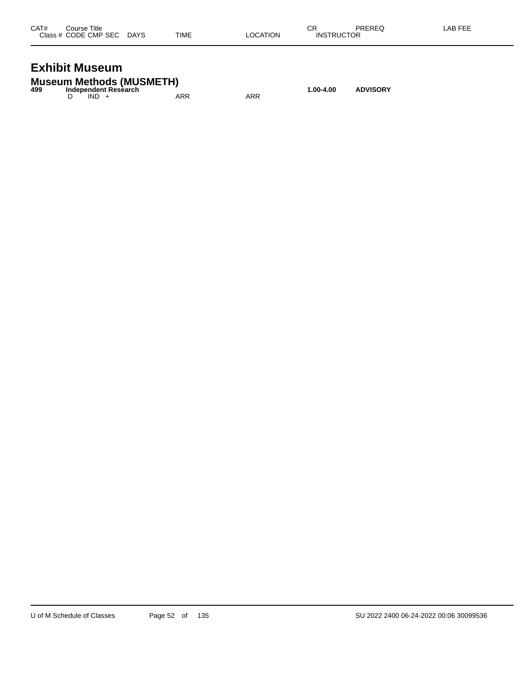| CAT# | Course Title              |      |          | СR                | PREREQ | LAB FEE |
|------|---------------------------|------|----------|-------------------|--------|---------|
|      | Class # CODE CMP SEC DAYS | TIME | LOCATION | <b>INSTRUCTOR</b> |        |         |
|      |                           |      |          |                   |        |         |

#### **Exhibit Museum**

|     | <b>Museum Methods (MUSMETH)</b> |     |     |           |                 |
|-----|---------------------------------|-----|-----|-----------|-----------------|
| 499 | Independent Research            |     |     | 1.00-4.00 | <b>ADVISORY</b> |
|     | $IND +$                         | ARR | ARR |           |                 |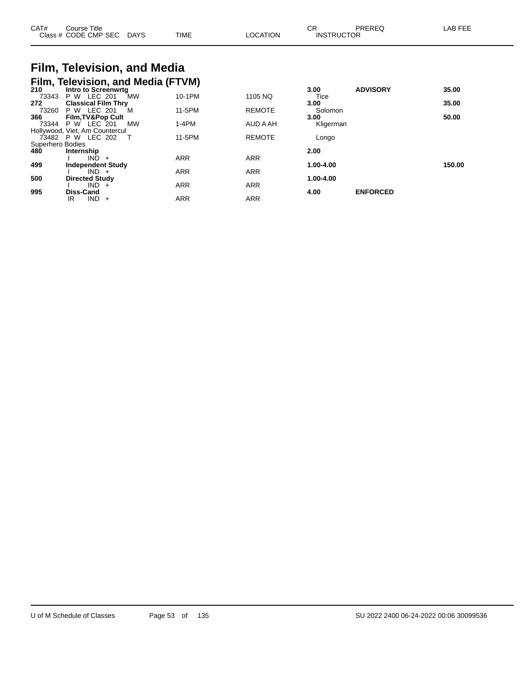| CAT#             | Course Title<br>Class # CODE CMP SEC DAYS |           | <b>TIME</b> | <b>LOCATION</b> | СR<br><b>PREREQ</b><br><b>INSTRUCTOR</b> | LAB FEE |
|------------------|-------------------------------------------|-----------|-------------|-----------------|------------------------------------------|---------|
|                  | Film, Television, and Media               |           |             |                 |                                          |         |
|                  | Film, Television, and Media (FTVM)        |           |             |                 |                                          |         |
| 210              | Intro to Screenwrta                       |           |             |                 | <b>ADVISORY</b><br>3.00                  | 35.00   |
| 73343            | P W LEC 201                               | <b>MW</b> | 10-1PM      | 1105 NQ         | Tice                                     |         |
| 272              | <b>Classical Film Thry</b>                |           |             |                 | 3.00                                     | 35.00   |
| 73260            | P W LEC 201                               | M         | 11-5PM      | <b>REMOTE</b>   | Solomon                                  |         |
| 366              | <b>Film, TV&amp;Pop Cult</b>              |           |             |                 | 3.00                                     | 50.00   |
| 73344            | P W LEC 201                               | МW        | $1-4PM$     | AUD A AH        | Kligerman                                |         |
|                  | Hollywood, Viet, Am Countercul            |           |             |                 |                                          |         |
|                  | 73482 P W LEC 202                         |           | 11-5PM      | <b>REMOTE</b>   | Longo                                    |         |
| Superhero Bodies |                                           |           |             |                 |                                          |         |
| 480              | Internship                                |           |             |                 | 2.00                                     |         |
|                  | IND.<br>$+$                               |           | <b>ARR</b>  | <b>ARR</b>      |                                          |         |
| 499              | <b>Independent Study</b>                  |           |             |                 | 1.00-4.00                                | 150.00  |

I IND + ARR ARR ARR

I IND + ARR ARR ARR

IR IND + ARR ARR ARR

**500 Directed Study 1.00-4.00**

**995 Diss-Cand 4.00 ENFORCED**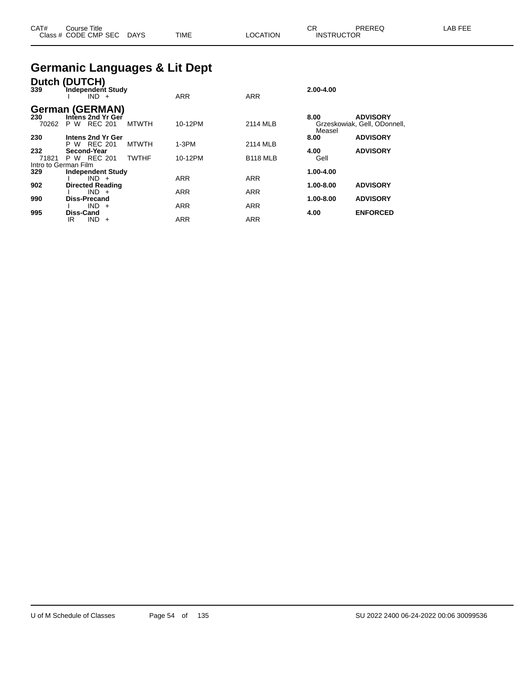| CAT# | ourse Titleٽ              |      |                 | ⌒冖<br>◡⊓          | PREREQ | ∟AB FEE |
|------|---------------------------|------|-----------------|-------------------|--------|---------|
|      | Class # CODE CMP SEC DAYS | TIME | <b>LOCATION</b> | <b>INSTRUCTOR</b> |        |         |

#### **Germanic Languages & Lit Dept**

| Dutch<br>339         | <b>(DUTCH)</b><br>Independent Study<br>$IND +$ |              | <b>ARR</b> | <b>ARR</b>      | 2.00-4.00      |                                                 |
|----------------------|------------------------------------------------|--------------|------------|-----------------|----------------|-------------------------------------------------|
|                      | <b>German (GERMAN)</b>                         |              |            |                 |                |                                                 |
| 230<br>70262         | Intens 2nd Yr Ger<br><b>REC 201</b><br>P W     | <b>MTWTH</b> | 10-12PM    | 2114 MLB        | 8.00<br>Measel | <b>ADVISORY</b><br>Grzeskowiak, Gell, ODonnell, |
| 230                  | Intens 2nd Yr Ger                              |              |            |                 | 8.00           | <b>ADVISORY</b>                                 |
|                      | REC 201<br>P W                                 | <b>MTWTH</b> | $1-3PM$    | 2114 MLB        |                |                                                 |
| 232                  | Second-Year                                    |              |            |                 | 4.00           | <b>ADVISORY</b>                                 |
| 71821                | P W REC 201                                    | <b>TWTHF</b> | 10-12PM    | <b>B118 MLB</b> | Gell           |                                                 |
| Intro to German Film |                                                |              |            |                 |                |                                                 |
| 329                  | <b>Independent Study</b>                       |              |            |                 | 1.00-4.00      |                                                 |
|                      | $IND +$                                        |              | <b>ARR</b> | <b>ARR</b>      |                |                                                 |
| 902                  | <b>Directed Reading</b>                        |              |            |                 | 1.00-8.00      | <b>ADVISORY</b>                                 |
|                      | $IND +$                                        |              | <b>ARR</b> | <b>ARR</b>      |                |                                                 |
| 990                  | Diss-Precand                                   |              |            |                 | 1.00-8.00      | <b>ADVISORY</b>                                 |
|                      | <b>IND</b><br>$+$                              |              | <b>ARR</b> | <b>ARR</b>      |                |                                                 |
| 995                  | <b>Diss-Cand</b>                               |              |            |                 | 4.00           | <b>ENFORCED</b>                                 |
|                      | <b>IND</b><br>IR<br>$\div$                     |              | <b>ARR</b> | <b>ARR</b>      |                |                                                 |
|                      |                                                |              |            |                 |                |                                                 |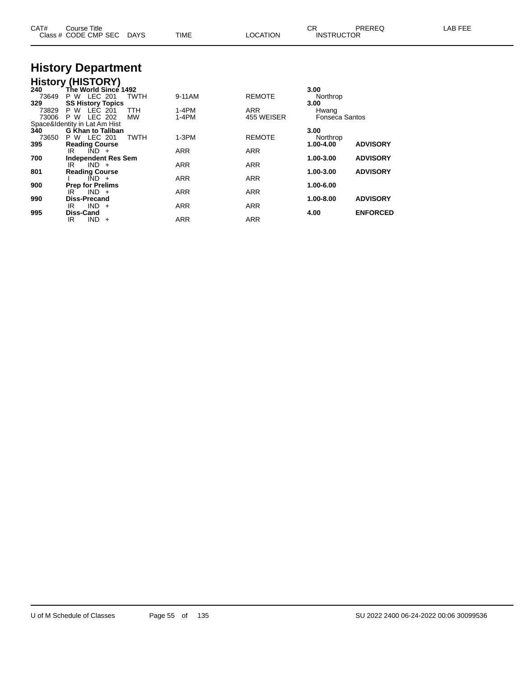| CAT#                | Course Title<br>Class # CODE CMP SEC                            | DAYS             | <b>TIME</b>        | <b>LOCATION</b>          | CR.<br><b>INSTRUCTOR</b>       | PREREQ          | LAB FEE |
|---------------------|-----------------------------------------------------------------|------------------|--------------------|--------------------------|--------------------------------|-----------------|---------|
|                     | <b>History Department</b>                                       |                  |                    |                          |                                |                 |         |
|                     | <b>History (HISTORY)</b>                                        |                  |                    |                          |                                |                 |         |
| 240<br>73649<br>329 | The World Since 1492<br>P W LEC 201<br><b>SS History Topics</b> | <b>TWTH</b>      | 9-11AM             | <b>REMOTE</b>            | 3.00<br>Northrop<br>3.00       |                 |         |
| 73829<br>73006      | P W LEC<br>201<br>P W LEC 202                                   | TTH<br><b>MW</b> | $1-4PM$<br>$1-4PM$ | <b>ARR</b><br>455 WEISER | Hwang<br><b>Fonseca Santos</b> |                 |         |
|                     | Space&Identity in Lat Am Hist                                   |                  |                    |                          |                                |                 |         |
| 340<br>73650        | <b>G Khan to Taliban</b><br>P W LEC 201                         | <b>TWTH</b>      | $1-3PM$            | <b>REMOTE</b>            | 3.00<br>Northrop               | <b>ADVISORY</b> |         |
| 395                 | <b>Reading Course</b><br>$\overline{IND}$ +<br>IR               |                  | ARR                | ARR                      | 1.00-4.00                      |                 |         |
| 700                 | <b>Independent Res Sem</b>                                      |                  |                    |                          | 1.00-3.00                      | <b>ADVISORY</b> |         |
|                     | $IND +$<br>IR                                                   |                  | ARR                | ARR                      |                                |                 |         |
| 801                 | <b>Reading Course</b>                                           |                  |                    |                          | 1.00-3.00                      | <b>ADVISORY</b> |         |
|                     | $\overline{IND}$ +                                              |                  | ARR                | ARR                      |                                |                 |         |
| 900                 | <b>Prep for Prelims</b><br>$IND +$<br>IR                        |                  | <b>ARR</b>         | <b>ARR</b>               | 1.00-6.00                      |                 |         |
| 990                 | <b>Diss-Precand</b>                                             |                  |                    |                          | 1.00-8.00                      | <b>ADVISORY</b> |         |
|                     | $IND +$<br>IR                                                   |                  | ARR                | ARR                      |                                |                 |         |
| 995                 | Diss-Cand                                                       |                  |                    |                          | 4.00                           | <b>ENFORCED</b> |         |
|                     | $IND +$<br>IR                                                   |                  | ARR                | <b>ARR</b>               |                                |                 |         |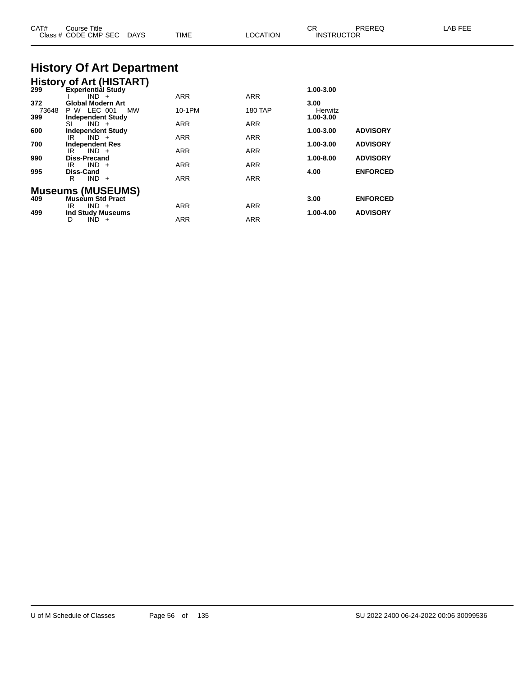| CAT#                | Course Title<br>Class # CODE CMP SEC<br>DAYS                                                      | <b>TIME</b>              | <b>LOCATION</b>          | СR<br><b>INSTRUCTOR</b>      | PREREQ                             | LAB FEE |
|---------------------|---------------------------------------------------------------------------------------------------|--------------------------|--------------------------|------------------------------|------------------------------------|---------|
|                     | <b>History Of Art Department</b>                                                                  |                          |                          |                              |                                    |         |
|                     | <b>History of Art (HISTART)</b><br>299 Experiential Study<br><b>Experiential Study</b><br>$IND +$ | <b>ARR</b>               | <b>ARR</b>               | 1.00-3.00                    |                                    |         |
| 372<br>73648<br>399 | <b>Global Modern Art</b><br>P W LEC 001<br>МW<br><b>Independent Study</b>                         | 10-1PM                   | <b>180 TAP</b>           | 3.00<br>Herwitz<br>1.00-3.00 |                                    |         |
| 600                 | $IND +$<br>SI<br><b>Independent Study</b><br>IR<br>$IND +$                                        | ARR<br>ARR               | ARR<br>ARR               | 1.00-3.00                    | <b>ADVISORY</b>                    |         |
| 700<br>990          | <b>Independent Res</b><br>$IND +$<br>IR.<br><b>Diss-Precand</b>                                   | ARR                      | ARR                      | 1.00-3.00<br>1.00-8.00       | <b>ADVISORY</b><br><b>ADVISORY</b> |         |
| 995                 | $IND +$<br>IR<br>Diss-Cand<br>$IND +$<br>R.                                                       | ARR<br><b>ARR</b>        | ARR<br><b>ARR</b>        | 4.00                         | <b>ENFORCED</b>                    |         |
| 409                 | <b>Museums (MUSEUMS)</b><br><b>Museum Std Pract</b>                                               |                          |                          | 3.00                         | <b>ENFORCED</b>                    |         |
| 499                 | $IND +$<br>IR.<br><b>Ind Study Museums</b><br>$IND +$<br>D                                        | <b>ARR</b><br><b>ARR</b> | <b>ARR</b><br><b>ARR</b> | 1.00-4.00                    | <b>ADVISORY</b>                    |         |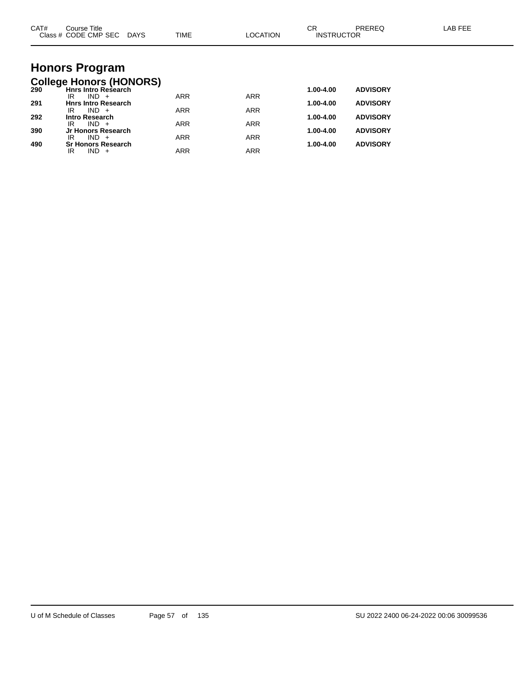| CAT# | Course Title<br>Class # CODE CMP SEC DAYS                    | TIME       | <b>LOCATION</b> | <b>CR</b><br><b>INSTRUCTOR</b> | PREREQ          | <b>LAB FEE</b> |
|------|--------------------------------------------------------------|------------|-----------------|--------------------------------|-----------------|----------------|
|      |                                                              |            |                 |                                |                 |                |
|      | <b>Honors Program</b>                                        |            |                 |                                |                 |                |
| 290  | <b>College Honors (HONORS)</b><br><b>Hnrs Intro Research</b> |            |                 | 1.00-4.00                      | <b>ADVISORY</b> |                |
| 291  | $IND +$<br>IR<br><b>Hnrs Intro Research</b>                  | <b>ARR</b> | <b>ARR</b>      | 1.00-4.00                      | <b>ADVISORY</b> |                |
| 292  | $IND +$<br>IR<br><b>Intro Research</b>                       | <b>ARR</b> | <b>ARR</b>      | 1.00-4.00                      | <b>ADVISORY</b> |                |
|      | $IND +$<br>IR                                                | <b>ARR</b> | <b>ARR</b>      |                                |                 |                |
| 390  | Jr Honors Research<br>$IND +$<br>IR                          | <b>ARR</b> | <b>ARR</b>      | 1.00-4.00                      | <b>ADVISORY</b> |                |
| 490  | <b>Sr Honors Research</b><br>$IND +$<br>IR                   | <b>ARR</b> | <b>ARR</b>      | 1.00-4.00                      | <b>ADVISORY</b> |                |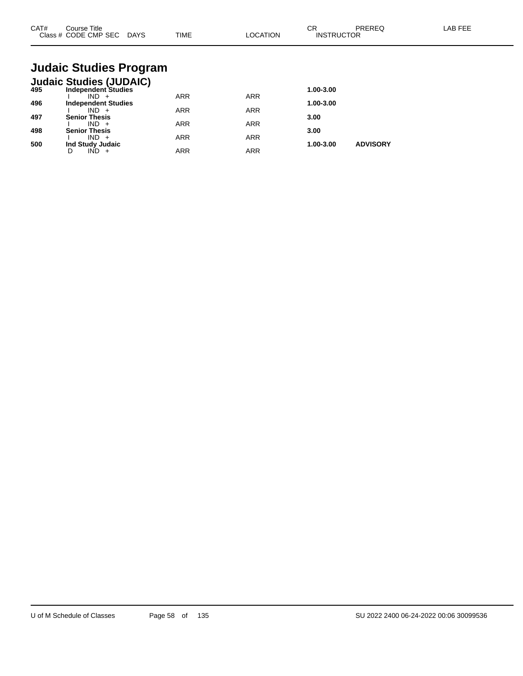| CAT#<br>Class $#$ | Course Title<br>CODE CMP SEC | <b>DAYS</b> | <b>TIME</b> | <b>NOIT'</b><br>ററ | ◠⊏<br>◡<br><b>INSTRUCTOR</b> | <b>DDEDEC</b><br>'NL.<br>⊾∟ו | <b>AB FEF</b> |
|-------------------|------------------------------|-------------|-------------|--------------------|------------------------------|------------------------------|---------------|
|                   |                              |             |             |                    |                              |                              |               |

## **Judaic Studies Program**

|     | <b>Judaic Studies (JUDAIC)</b> |            |            |           |                 |
|-----|--------------------------------|------------|------------|-----------|-----------------|
| 495 | <b>Independent Studies</b>     |            |            | 1.00-3.00 |                 |
|     | IND.                           | ARR        | <b>ARR</b> |           |                 |
| 496 | <b>Independent Studies</b>     |            |            | 1.00-3.00 |                 |
|     | $IND +$                        | <b>ARR</b> | <b>ARR</b> |           |                 |
| 497 | <b>Senior Thesis</b>           |            |            | 3.00      |                 |
|     | $IND +$                        | ARR        | <b>ARR</b> |           |                 |
| 498 | <b>Senior Thesis</b>           |            |            | 3.00      |                 |
|     | $IND +$                        | <b>ARR</b> | <b>ARR</b> |           |                 |
| 500 | Ind Study Judaic               |            |            | 1.00-3.00 | <b>ADVISORY</b> |
|     |                                | ARR        | ARR        |           |                 |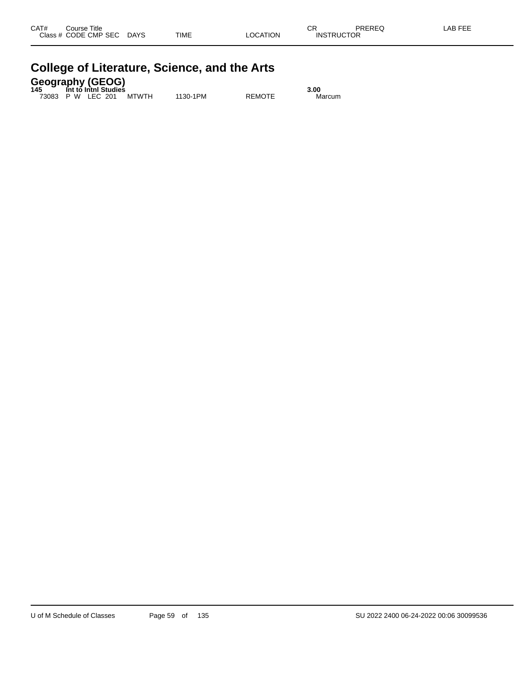| CAT#<br><b>Class</b> | Title<br>Course<br>CODE CMP SEC | <b>DAYS</b> | <b>TIME</b> | <b>LOCATION</b> | СR<br><b>INSTRUCTOR</b> | <b>DDEDEC</b><br>TREREG. | . FFF<br>_AB |
|----------------------|---------------------------------|-------------|-------------|-----------------|-------------------------|--------------------------|--------------|
|                      |                                 |             |             |                 |                         |                          |              |

| College of Literature, Science, and the Arts                                   |  |          |               |                |  |  |  |  |
|--------------------------------------------------------------------------------|--|----------|---------------|----------------|--|--|--|--|
| <b>Geography (GEOG)</b><br>145 Int to Inthi Studies<br>73083 P W IFC 201 MTWTH |  | 1130-1PM | <b>REMOTE</b> | 3.00<br>Marcum |  |  |  |  |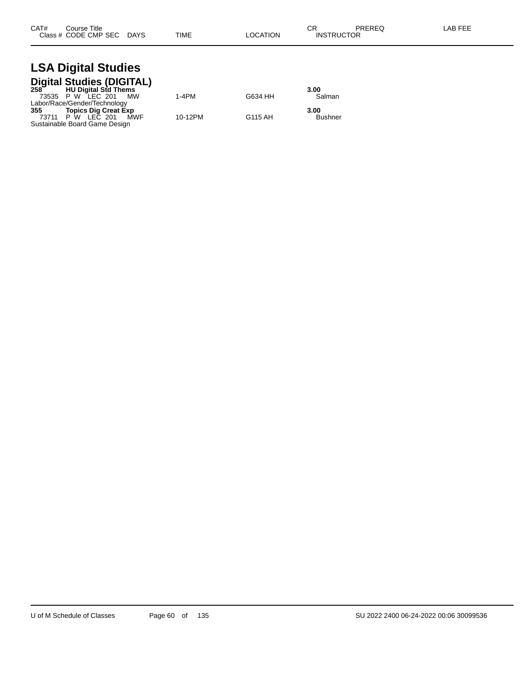#### **LSA Digital Studies Digital Studies (DIGITAL)**

|     | 258 HU Digital Std Thems      |         |         | 3.00    |
|-----|-------------------------------|---------|---------|---------|
|     | 73535 P W LEC 201<br>MW       | $1-4PM$ | G634 HH | Salman  |
|     | Labor/Race/Gender/Technology  |         |         |         |
| 355 | Topics Dig Creat Exp          |         |         | 3.00    |
|     | 73711 P W LEC 201<br>MWF      | 10-12PM | G115 AH | Bushner |
|     | Sustainable Board Game Design |         |         |         |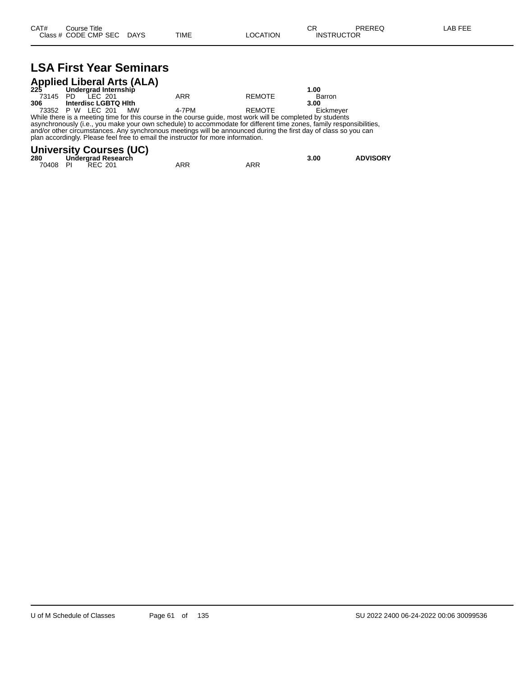## **LSA First Year Seminars**

| <b>Applied Liberal Arts (ALA)</b><br>225 Undergrad Internship |  |                      |    |                                                                                                            |        |           |  |
|---------------------------------------------------------------|--|----------------------|----|------------------------------------------------------------------------------------------------------------|--------|-----------|--|
|                                                               |  |                      |    |                                                                                                            |        | 1.00      |  |
| 73145 PD                                                      |  | IFC 201              |    | ARR                                                                                                        | REMOTE | Barron    |  |
| 306                                                           |  | Interdisc LGBTQ Hith |    |                                                                                                            |        | 3.00      |  |
|                                                               |  | 73352 P W LEC 201    | MW | 4-7PM                                                                                                      | REMOTE | Eickmever |  |
|                                                               |  |                      |    | While there is a meeting time for this course in the course quide, meet werk will be completed by students |        |           |  |

While there is a meeting time for this course in the course guide, most work will be completed by students asynchronously (i.e., you make your own schedule) to accommodate for different time zones, family responsibilities, and/or other circumstances. Any synchronous meetings will be announced during the first day of class so you can plan accordingly. Please feel free to email the instructor for more information.

#### **University Courses (UC)**

| 280      | Undergrad Research |     |     | 3.00 | <b>ADVISORY</b> |
|----------|--------------------|-----|-----|------|-----------------|
| 70408 PI | <b>REC 201</b>     | ARR | ARR |      |                 |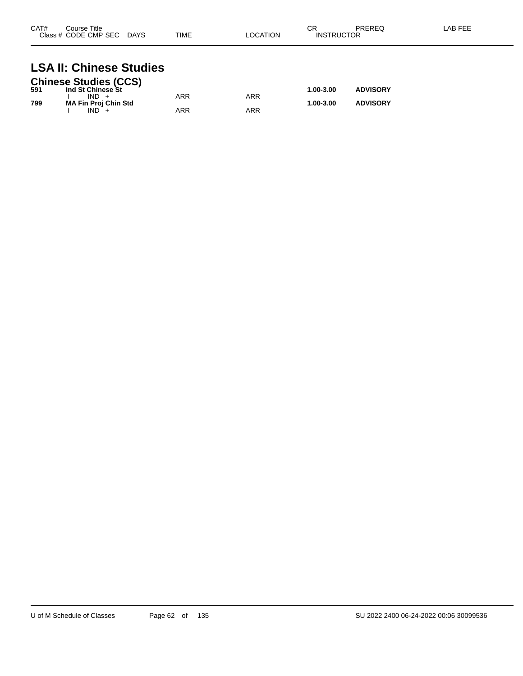| CAT# | Course Title<br>Class # CODE CMP SEC | <b>DAYS</b> | <b>TIME</b> | LOCATION | СR<br><b>INSTRUCTOR</b> | PREREQ | LAB FEE |
|------|--------------------------------------|-------------|-------------|----------|-------------------------|--------|---------|
|      |                                      |             |             |          |                         |        |         |

## **LSA II: Chinese Studies**

|     | <b>Chinese Studies (CCS)</b> |     |     |               |                 |
|-----|------------------------------|-----|-----|---------------|-----------------|
| 591 | Ind St Chinese St            |     |     | 1.00-3.00     | <b>ADVISORY</b> |
|     | $IND +$                      | ARR | ARR |               |                 |
| 799 | <b>MA Fin Proj Chin Std</b>  |     |     | $1.00 - 3.00$ | <b>ADVISORY</b> |
|     | $IND +$                      | ARR | ARR |               |                 |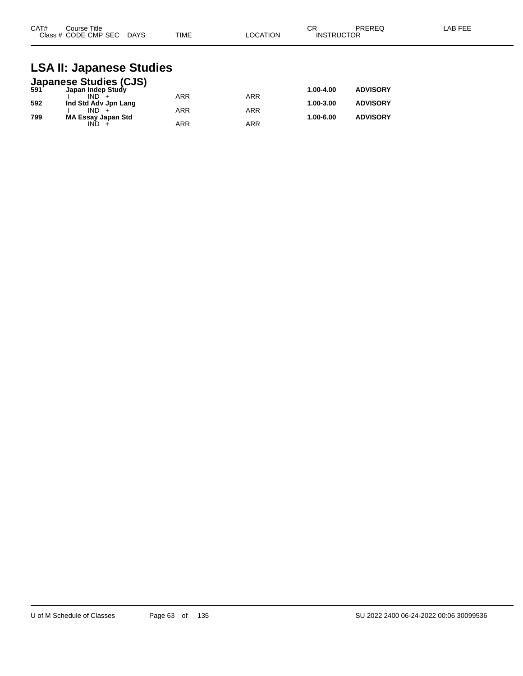| CAT#<br>Course Title      |             | ⌒冖<br>◡г |                   | PREREQ | LAB FEE |
|---------------------------|-------------|----------|-------------------|--------|---------|
| Class # CODE CMP SEC DAYS | <b>TIME</b> | LOCATION | <b>INSTRUCTOR</b> |        |         |

#### **LSA II: Japanese Studies**

|     | <b>Japanese Studies (CJS)</b><br>591 Japan Indep Study |            |            |           |                 |
|-----|--------------------------------------------------------|------------|------------|-----------|-----------------|
|     |                                                        |            |            | 1.00-4.00 | <b>ADVISORY</b> |
|     | $IND +$                                                | <b>ARR</b> | ARR        |           |                 |
| 592 | Ind Std Adv Jpn Lang                                   |            |            | 1.00-3.00 | <b>ADVISORY</b> |
|     | $IND +$                                                | <b>ARR</b> | <b>ARR</b> |           |                 |
| 799 | <b>MA Essay Japan Std</b>                              |            |            | 1.00-6.00 | <b>ADVISORY</b> |
|     | IND.                                                   | <b>ARR</b> | ARR        |           |                 |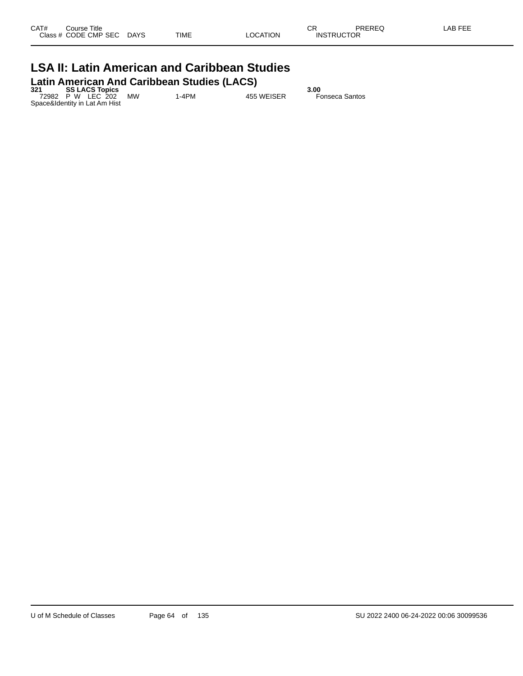#### **LSA II: Latin American and Caribbean Studies Latin American And Caribbean Studies (LACS)**

**321 SS LACS Topics 3.00** 72982 P W LEC 202 MW 1-4PM 455 WEISER Fonseca Santos Space&Identity in Lat Am Hist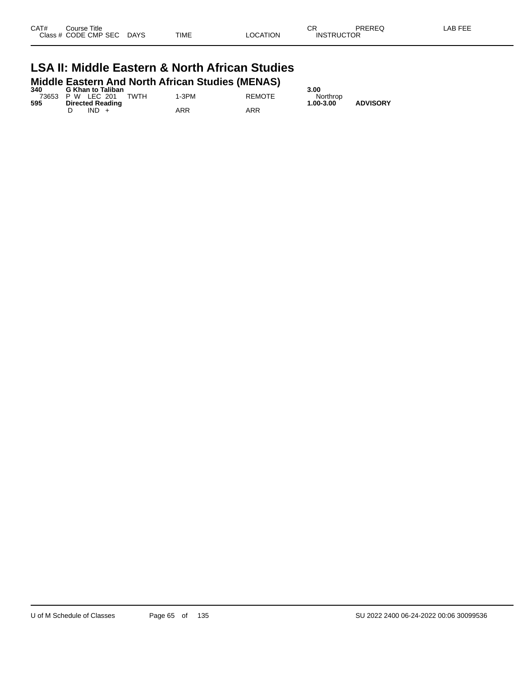| CAT# | Course Title<br>Class # CODE CMP SEC | <b>DAYS</b> | TIME | LOCATION | <b>INSTRUCTOR</b> | PREREQ | _AB FEF |
|------|--------------------------------------|-------------|------|----------|-------------------|--------|---------|
|      |                                      |             |      |          |                   |        |         |

#### **LSA II: Middle Eastern & North African Studies Middle Eastern And North African Studies (MENAS)**

| 340 | <b>G Khan to Taliban</b>  |       |               | 3.00      |                 |
|-----|---------------------------|-------|---------------|-----------|-----------------|
|     | 73653 P W LEC 201<br>TWTH | 1-3PM | <b>REMOTE</b> | Northrop  |                 |
| 595 | <b>Directed Reading</b>   |       |               | 1.00-3.00 | <b>ADVISORY</b> |
|     | $IND +$                   | ARR   | ARR           |           |                 |
|     |                           |       |               |           |                 |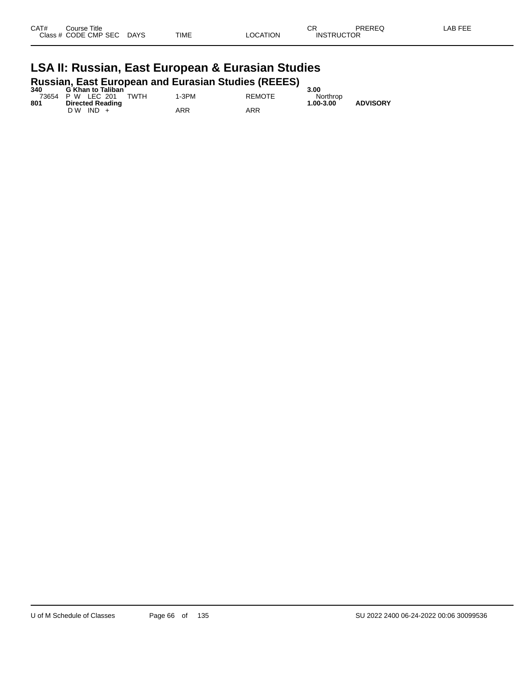| _AB FEF |
|---------|
|         |
|         |
|         |

## **LSA II: Russian, East European & Eurasian Studies Russian, East European and Eurasian Studies (REEES) 340 G Khan to Taliban 3.00**

| 340 | <b>G Khan to Taliban</b>  |       |               | -3.00     |                 |
|-----|---------------------------|-------|---------------|-----------|-----------------|
|     | TWTH<br>73654 P W LEC 201 | 1-3PM | <b>REMOTE</b> | Northrop  |                 |
| 801 | <b>Directed Reading</b>   |       |               | 1.00-3.00 | <b>ADVISORY</b> |
|     | $IND +$<br>D W            | ARR   | ARR           |           |                 |
|     |                           |       |               |           |                 |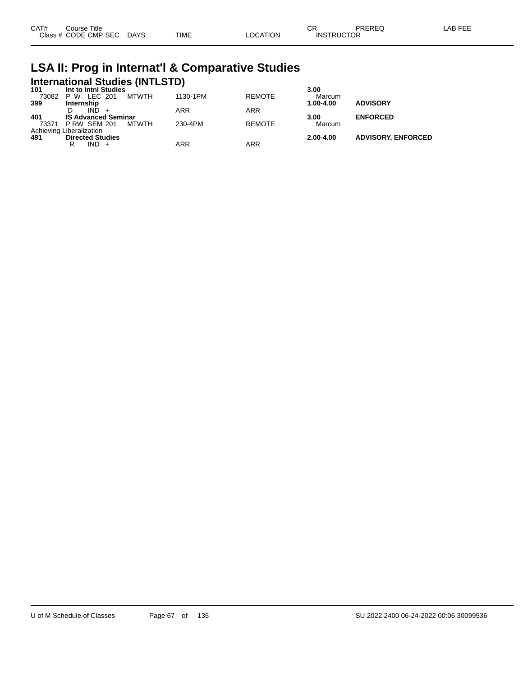| CAT# | ourse Titleٽ              |      |          | חה<br>◡⊓          | <b>PREREQ</b> | LAB FEE |
|------|---------------------------|------|----------|-------------------|---------------|---------|
|      | Class # CODE CMP SEC DAYS | TIME | ∟OCATION | <b>INSTRUCTOR</b> |               |         |

## **LSA II: Prog in Internat'l & Comparative Studies International Studies (INTLSTD) 101 Int to Intnl Studies 3.00**

| 1 U L | <b>IIIU IV IIIUII SUUUIES</b> |       |          |               | ง.บบ      |                           |
|-------|-------------------------------|-------|----------|---------------|-----------|---------------------------|
| 73082 | P W LEC 201                   | MTWTH | 1130-1PM | <b>REMOTE</b> | Marcum    |                           |
| 399   | Internship                    |       |          |               | 1.00-4.00 | <b>ADVISORY</b>           |
|       | IND.                          |       | ARR      | <b>ARR</b>    |           |                           |
| 401   | <b>IS Advanced Seminar</b>    |       |          |               | 3.00      | <b>ENFORCED</b>           |
|       | 73371 P RW SEM 201            | MTWTH | 230-4PM  | <b>REMOTE</b> | Marcum    |                           |
|       | Achieving Liberalization      |       |          |               |           |                           |
| 491   | <b>Directed Studies</b>       |       |          |               | 2.00-4.00 | <b>ADVISORY, ENFORCED</b> |
|       | IND +                         |       | ARR      | ARR           |           |                           |
|       |                               |       |          |               |           |                           |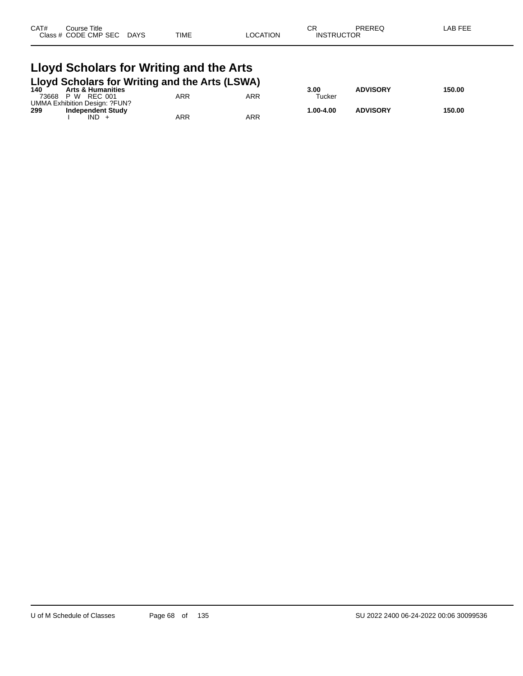| CAT#<br>Title<br>Course      |             |             |                | $\sim$ r<br>◡ጙ | PREREQ | $\mathsf{LAB}\mathsf{F}\mathsf{F}$<br>-- |
|------------------------------|-------------|-------------|----------------|----------------|--------|------------------------------------------|
| <b>Class</b><br>CODE CMP SEC | <b>DAYS</b> | <b>TIME</b> | <b>OCATION</b> | <b>INSTRUC</b> | UCTOR  |                                          |
|                              |             |             |                |                |        |                                          |

#### **Lloyd Scholars for Writing and the Arts Lloyd Scholars for Writing and the Arts (LSWA)**

|       | 140 Arts & Humanities         |     |     | 3.00       | <b>ADVISORY</b> | 150.00 |
|-------|-------------------------------|-----|-----|------------|-----------------|--------|
| 73668 | P W<br>REC 001                | ARR | ARR | Tucker     |                 |        |
|       | UMMA Exhibition Design: ?FUN? |     |     |            |                 |        |
| 299   | <b>Independent Study</b>      |     |     | 00-4.00. ا | <b>ADVISORY</b> | 150.00 |
|       | IND                           | ARR | ARR |            |                 |        |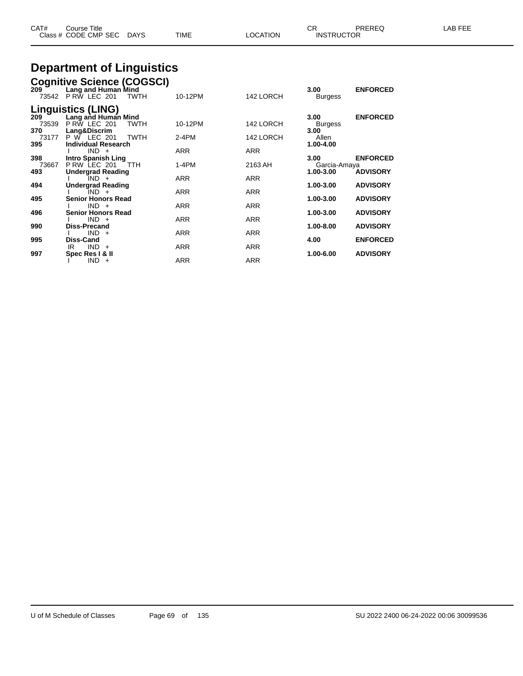| CAT#<br>Course Title<br>Class # CODE CMP SEC DAYS                                                          | TIME    | LOCATION  | CR<br><b>INSTRUCTOR</b> | <b>PREREQ</b>   | LAB FEE |
|------------------------------------------------------------------------------------------------------------|---------|-----------|-------------------------|-----------------|---------|
| <b>Department of Linguistics</b>                                                                           |         |           |                         |                 |         |
| Cognitive Science (COGSCI)<br>209 Lang and Human Mind<br>Lang and Human Mind<br>73542 P RW LEC 201<br>TWTH | 10-12PM | 142 LORCH | 3.00<br><b>Burgess</b>  | <b>ENFORCED</b> |         |
| <b>Linguistics (LING)</b><br>209 Lang and Human<br>Lang and Human Mind                                     |         |           | 3.00                    | <b>ENFORCED</b> |         |

| Lang and Human Mind        |                                          |                          | 3.00                                   | <b>ENFORCED</b> |
|----------------------------|------------------------------------------|--------------------------|----------------------------------------|-----------------|
| PRW LEC 201<br><b>TWTH</b> | 10-12PM                                  | 142 LORCH                | <b>Burgess</b>                         |                 |
| Lang&Discrim               |                                          |                          | 3.00                                   |                 |
| P W LEC 201                | $2-4PM$                                  | 142 LORCH                | Allen                                  |                 |
| <b>Individual Research</b> |                                          |                          | 1.00-4.00                              |                 |
| $IND +$                    | <b>ARR</b>                               | <b>ARR</b>               |                                        |                 |
| <b>Intro Spanish Ling</b>  |                                          |                          | 3.00                                   | <b>ENFORCED</b> |
| P RW LEC 201<br>- TTH      | $1-4PM$                                  | 2163 AH                  |                                        |                 |
| <b>Undergrad Reading</b>   |                                          |                          | 1.00-3.00                              | <b>ADVISORY</b> |
| $IND +$                    |                                          |                          |                                        |                 |
| <b>Undergrad Reading</b>   |                                          |                          | 1.00-3.00                              | <b>ADVISORY</b> |
| $IND +$                    |                                          |                          |                                        |                 |
|                            |                                          |                          | 1.00-3.00                              | <b>ADVISORY</b> |
| $IND +$                    | <b>ARR</b>                               |                          |                                        |                 |
| <b>Senior Honors Read</b>  |                                          |                          | 1.00-3.00                              | <b>ADVISORY</b> |
| $IND +$                    | <b>ARR</b>                               | <b>ARR</b>               |                                        |                 |
| <b>Diss-Precand</b>        |                                          |                          | 1.00-8.00                              | <b>ADVISORY</b> |
| $IND +$                    | <b>ARR</b>                               | <b>ARR</b>               |                                        |                 |
| Diss-Cand                  |                                          |                          | 4.00                                   | <b>ENFORCED</b> |
| $IND +$<br>IR.             | <b>ARR</b>                               | <b>ARR</b>               |                                        |                 |
| Spec Res   & II            |                                          |                          | 1.00-6.00                              | <b>ADVISORY</b> |
| <b>IND</b><br>$+$          | <b>ARR</b>                               | <b>ARR</b>               |                                        |                 |
|                            | <b>TWTH</b><br><b>Senior Honors Read</b> | <b>ARR</b><br><b>ARR</b> | <b>ARR</b><br><b>ARR</b><br><b>ARR</b> | Garcia-Amaya    |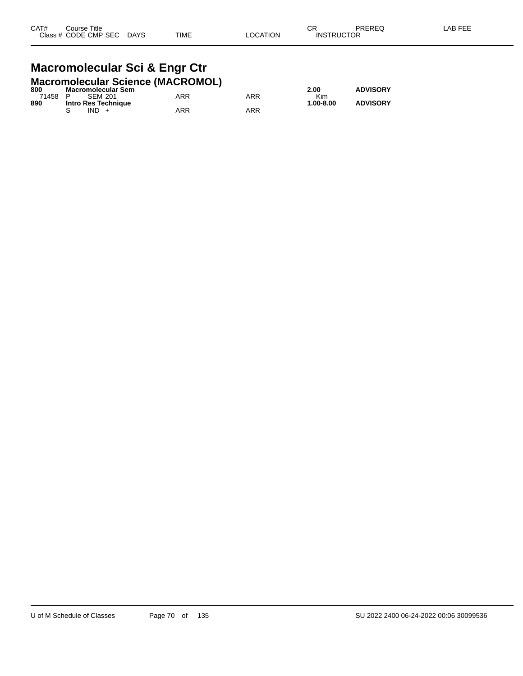#### **Macromolecular Sci & Engr Ctr Macromolecular Science (MACROMOL)**

| 800     | $\frac{1}{2}$<br><b>Macromolecular Sem</b> |     |            | 2.00      | <b>ADVISORY</b> |
|---------|--------------------------------------------|-----|------------|-----------|-----------------|
| 71458 P | SEM 201                                    | ARR | <b>ARR</b> | Kim       |                 |
| 890     | Intro Res Technique                        |     |            | 1.00-8.00 | <b>ADVISORY</b> |
|         | $IND +$                                    | ARR | <b>ARR</b> |           |                 |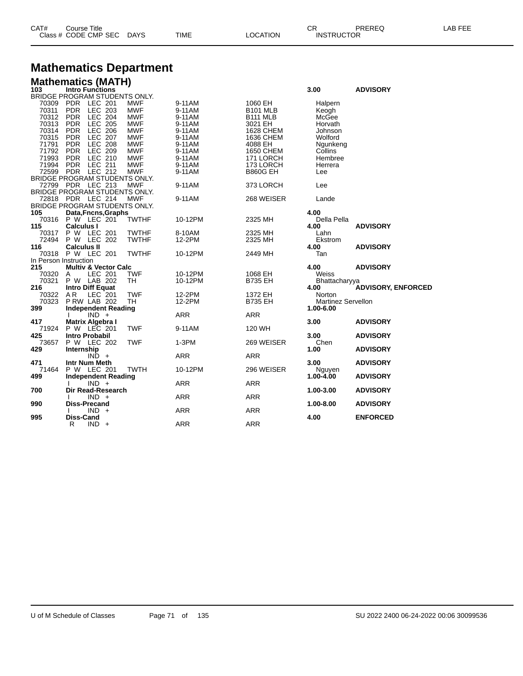| CAT# | ourse Titleٽ         |             |      |          | ⌒冖<br>◡⊓          | PREREQ | , EEF<br>AR. |
|------|----------------------|-------------|------|----------|-------------------|--------|--------------|
|      | Class # CODE CMP SEC | <b>DAYS</b> | TIME | LOCATION | <b>INSTRUCTOR</b> |        |              |

## **Mathematics Department**

|  | <b>Mathematics (MATH</b> |  |
|--|--------------------------|--|
|  |                          |  |

|                       | <b>Mathematics (MATH)</b>       |              |            |                  |                           |                           |
|-----------------------|---------------------------------|--------------|------------|------------------|---------------------------|---------------------------|
| 103                   | Intro Functions                 |              |            |                  | 3.00                      | <b>ADVISORY</b>           |
|                       | BRIDGE PROGRAM STUDENTS ONLY.   |              |            |                  |                           |                           |
| 70309                 | PDR LEC 201                     | <b>MWF</b>   | 9-11AM     | 1060 EH          | Halpern                   |                           |
| 70311                 | <b>PDR</b><br>LEC 203           | <b>MWF</b>   | 9-11AM     | <b>B101 MLB</b>  | Keogh                     |                           |
| 70312                 | <b>PDR</b><br>LEC 204           | <b>MWF</b>   | 9-11AM     | B111 MLB         | McGee                     |                           |
| 70313                 | <b>PDR</b><br><b>LEC 205</b>    | <b>MWF</b>   | 9-11AM     | 3021 EH          | Horvath                   |                           |
| 70314                 | <b>LEC 206</b><br><b>PDR</b>    | <b>MWF</b>   | 9-11AM     | <b>1628 CHEM</b> | Johnson                   |                           |
| 70315                 | <b>LEC 207</b><br><b>PDR</b>    | <b>MWF</b>   | 9-11AM     | 1636 CHEM        | Wolford                   |                           |
| 71791                 | <b>LEC 208</b><br><b>PDR</b>    | <b>MWF</b>   | 9-11AM     | 4088 EH          | Ngunkeng                  |                           |
| 71792                 | LEC 209<br><b>PDR</b>           | <b>MWF</b>   | 9-11AM     | <b>1650 CHEM</b> | Collins                   |                           |
| 71993                 | LEC 210<br><b>PDR</b>           | <b>MWF</b>   | 9-11AM     | 171 LORCH        | Hembree                   |                           |
| 71994                 | <b>PDR</b><br><b>LEC 211</b>    | <b>MWF</b>   | 9-11AM     | 173 LORCH        | Herrera                   |                           |
| 72599                 | <b>PDR</b><br>LEC 212           | <b>MWF</b>   | 9-11AM     | <b>B860G EH</b>  | Lee                       |                           |
|                       | BRIDGE PROGRAM STUDENTS ONLY.   |              |            |                  |                           |                           |
| 72799                 | PDR LEC 213                     | <b>MWF</b>   | 9-11AM     | 373 LORCH        | Lee                       |                           |
|                       | BRIDGE PROGRAM STUDENTS ONLY.   |              |            |                  |                           |                           |
|                       | 72818 PDR LEC 214               | MWF          | 9-11AM     | 268 WEISER       | Lande                     |                           |
|                       | BRIDGE PROGRAM STUDENTS ONLY.   |              |            |                  |                           |                           |
| 105                   | Data, Fncns, Graphs             |              |            |                  | 4.00                      |                           |
|                       | 70316 P W LEC 201               | <b>TWTHF</b> | 10-12PM    | 2325 MH          | Della Pella               |                           |
| 115                   | <b>Calculus I</b>               |              |            |                  | 4.00                      | <b>ADVISORY</b>           |
| 70317                 | P W LEC 201                     | <b>TWTHF</b> | 8-10AM     | 2325 MH          | Lahn                      |                           |
| 72494                 | P W LEC 202                     | <b>TWTHF</b> | 12-2PM     | 2325 MH          | Ekstrom                   |                           |
| 116                   | <b>Calculus II</b>              |              |            |                  | 4.00                      | <b>ADVISORY</b>           |
|                       | 70318 P W LEC 201               | <b>TWTHF</b> | 10-12PM    | 2449 MH          | Tan                       |                           |
| In Person Instruction |                                 |              |            |                  |                           |                           |
| 215                   | <b>Multiv &amp; Vector Calc</b> |              |            |                  | 4.00                      | <b>ADVISORY</b>           |
| 70320                 | LEC 201<br>A                    | <b>TWF</b>   | 10-12PM    | 1068 EH          | Weiss                     |                           |
| 70321                 | P W LAB 202                     | TН           | 10-12PM    | <b>B735 EH</b>   | Bhattacharyya             |                           |
| 216                   | <b>Intro Diff Equat</b>         |              |            |                  | 4.00                      | <b>ADVISORY, ENFORCED</b> |
| 70322                 | AR<br>LEC 201                   | TWF          | 12-2PM     | 1372 EH          | Norton                    |                           |
| 70323                 | <b>P RW LAB 202</b>             | TH           | 12-2PM     | B735 EH          | <b>Martinez Servellon</b> |                           |
| 399                   | <b>Independent Reading</b>      |              |            |                  | 1.00-6.00                 |                           |
|                       | $IND +$                         |              | <b>ARR</b> | <b>ARR</b>       |                           |                           |
| 417                   | Matrix Algebra I                |              |            |                  | 3.00                      | <b>ADVISORY</b>           |
| 71924                 | P W LEC 201                     | <b>TWF</b>   | 9-11AM     | 120 WH           |                           |                           |
| 425                   | <b>Intro Probabil</b>           |              |            |                  | 3.00                      | <b>ADVISORY</b>           |
| 73657                 | P W LEC 202                     | <b>TWF</b>   | 1-3PM      | 269 WEISER       | Chen                      |                           |
| 429                   | Internship                      |              |            |                  | 1.00                      | <b>ADVISORY</b>           |
|                       | $IND +$                         |              | <b>ARR</b> | <b>ARR</b>       |                           |                           |
| 471                   | Intr Num Meth                   |              |            |                  | 3.00                      | <b>ADVISORY</b>           |
| 71464                 | P W LEC 201                     | <b>TWTH</b>  | 10-12PM    | 296 WEISER       | Nguyen                    |                           |
| 499                   | <b>Independent Reading</b>      |              |            |                  | $1.00 - 4.00$             | <b>ADVISORY</b>           |
|                       | $IND +$                         |              | <b>ARR</b> | <b>ARR</b>       |                           |                           |
| 700                   | Dir Read-Research               |              |            |                  | 1.00-3.00                 | <b>ADVISORY</b>           |
|                       | $IND +$                         |              | <b>ARR</b> | <b>ARR</b>       |                           |                           |
| 990                   | <b>Diss-Precand</b>             |              |            |                  | 1.00-8.00                 | <b>ADVISORY</b>           |
|                       | $IND +$                         |              | <b>ARR</b> | ARR              |                           |                           |
| 995                   | <b>Diss-Cand</b>                |              |            |                  | 4.00                      | <b>ENFORCED</b>           |
|                       | R<br>$IND +$                    |              | <b>ARR</b> | <b>ARR</b>       |                           |                           |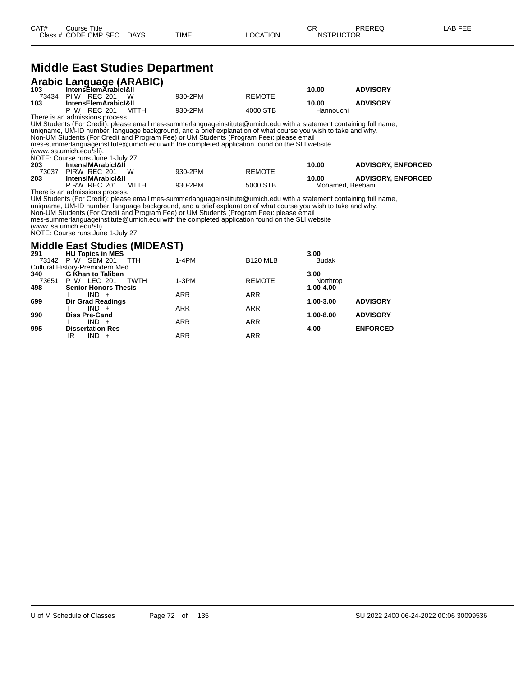#### **Middle East Studies Department**

|       | <b>Arabic Language (ARABIC)</b><br>103 IntensElemArabicI&II |         |               |           |                 |
|-------|-------------------------------------------------------------|---------|---------------|-----------|-----------------|
|       |                                                             |         |               | 10.00     | <b>ADVISORY</b> |
| 73434 | PIW REC 201<br>W.                                           | 930-2PM | <b>REMOTE</b> |           |                 |
| 103   | <b>IntensElemArabicI&amp;II</b>                             |         |               | 10.00     | <b>ADVISORY</b> |
|       | P W REC 201<br>мттн                                         | 930-2PM | 4000 STB      | Hannouchi |                 |

There is an admissions process. UM Students (For Credit): please email mes-summerlanguageinstitute@umich.edu with a statement containing full name, uniqname, UM-ID number, language background, and a brief explanation of what course you wish to take and why. Non-UM Students (For Credit and Program Fee) or UM Students (Program Fee): please email mes-summerlanguageinstitute@umich.edu with the completed application found on the SLI website (www.lsa.umich.edu/sli). NOTE: Course runs June 1-July 27.

| 203   | <b>IntensIMArabicI&amp;II</b> |      |         |               | 10.00 | <b>ADVISORY, ENFORCED</b> |
|-------|-------------------------------|------|---------|---------------|-------|---------------------------|
| 73037 | PIRW REC 201                  | W    | 930-2PM | <b>REMOTE</b> |       |                           |
| 203   | <b>IntensIMArabicI&amp;II</b> |      |         |               | 10.00 | <b>ADVISORY, ENFORCED</b> |
|       | <b>P RW REC 201</b>           | MTTH | 930-2PM | 5000 STB      |       | Mohamed. Beebani          |

There is an admissions process.

UM Students (For Credit): please email mes-summerlanguageinstitute@umich.edu with a statement containing full name, uniqname, UM-ID number, language background, and a brief explanation of what course you wish to take and why.

Non-UM Students (For Credit and Program Fee) or UM Students (Program Fee): please email

mes-summerlanguageinstitute@umich.edu with the completed application found on the SLI website

(www.lsa.umich.edu/sli). NOTE: Course runs June 1-July 27.

#### **Middle East Studies (MIDEAST)**

| 291   | <b>HU Topics in MES</b>        |            |                 | 3.00          |                 |
|-------|--------------------------------|------------|-----------------|---------------|-----------------|
|       | 73142 P W SEM 201<br>TTH       | $1-4PM$    | <b>B120 MLB</b> | <b>Budak</b>  |                 |
|       | Cultural History-Premodern Med |            |                 |               |                 |
| 340   | <b>G Khan to Taliban</b>       |            |                 | 3.00          |                 |
| 73651 | P W LEC 201<br>TWTH            | $1-3PM$    | <b>REMOTE</b>   | Northrop      |                 |
| 498   | <b>Senior Honors Thesis</b>    |            |                 | 1.00-4.00     |                 |
|       | $IND +$                        | <b>ARR</b> | <b>ARR</b>      |               |                 |
| 699   | <b>Dir Grad Readings</b>       |            |                 | $1.00 - 3.00$ | <b>ADVISORY</b> |
|       | $IND +$                        | <b>ARR</b> | <b>ARR</b>      |               |                 |
| 990   | <b>Diss Pre-Cand</b>           |            |                 | 1.00-8.00     | <b>ADVISORY</b> |
|       | $IND +$                        | <b>ARR</b> | <b>ARR</b>      |               |                 |
| 995   | <b>Dissertation Res</b>        |            |                 | 4.00          | <b>ENFORCED</b> |
|       | $IND +$<br>IR                  | <b>ARR</b> | <b>ARR</b>      |               |                 |
|       |                                |            |                 |               |                 |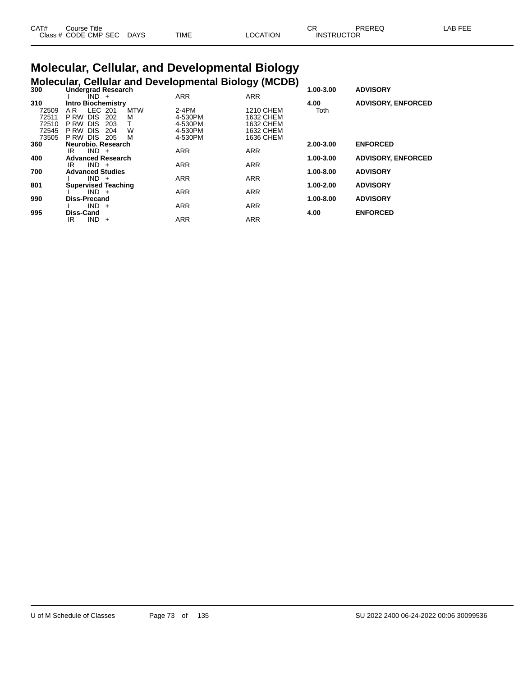| CAT# | Course Title               |      |      | OD.<br>◡       |                   | PREREC | _AB FEF |
|------|----------------------------|------|------|----------------|-------------------|--------|---------|
|      | Class # CODE CMP SEC<br>__ | DAYS | TIME | <b>OCATION</b> | <b>INSTRUCTOR</b> |        |         |

# **Molecular, Cellular, and Developmental Biology**

|     | moloogian, ochalal aha    |  |
|-----|---------------------------|--|
| 300 | <b>Undergrad Research</b> |  |

|       | <b>Molecular, Cellular and Developmental Biology (MCDB)</b> |            |            |               |                           |
|-------|-------------------------------------------------------------|------------|------------|---------------|---------------------------|
| 300   | <b>Undergrad Research</b>                                   |            |            | 1.00-3.00     | <b>ADVISORY</b>           |
|       | $IND +$                                                     | <b>ARR</b> | <b>ARR</b> |               |                           |
| 310   | <b>Intro Biochemistry</b>                                   |            |            | 4.00          | <b>ADVISORY, ENFORCED</b> |
| 72509 | LEC 201<br><b>MTW</b><br>A R                                | $2-4PM$    | 1210 CHEM  | Toth          |                           |
| 72511 | <b>DIS</b><br>202<br>м<br>P RW                              | 4-530PM    | 1632 CHEM  |               |                           |
| 72510 | <b>DIS</b><br>P RW<br>203                                   | 4-530PM    | 1632 CHEM  |               |                           |
| 72545 | <b>DIS</b><br>W<br>P RW<br>204                              | 4-530PM    | 1632 CHEM  |               |                           |
| 73505 | <b>DIS</b><br>P RW<br>M<br>205                              | 4-530PM    | 1636 CHEM  |               |                           |
| 360   | Neurobio, Research                                          |            |            | 2.00-3.00     | <b>ENFORCED</b>           |
|       | $IND +$<br>IR                                               | <b>ARR</b> | <b>ARR</b> |               |                           |
| 400   | <b>Advanced Research</b>                                    |            |            | 1.00-3.00     | <b>ADVISORY, ENFORCED</b> |
|       | $IND +$<br>IR                                               | <b>ARR</b> | <b>ARR</b> |               |                           |
| 700   | <b>Advanced Studies</b>                                     |            |            | 1.00-8.00     | <b>ADVISORY</b>           |
|       | $IND +$                                                     | <b>ARR</b> | <b>ARR</b> |               |                           |
| 801   | <b>Supervised Teaching</b>                                  |            |            | 1.00-2.00     | <b>ADVISORY</b>           |
|       | $IND +$                                                     | <b>ARR</b> | <b>ARR</b> |               |                           |
| 990   | <b>Diss-Precand</b>                                         |            |            | $1.00 - 8.00$ | <b>ADVISORY</b>           |
|       | IND.<br>$+$                                                 | <b>ARR</b> | <b>ARR</b> |               |                           |
| 995   | <b>Diss-Cand</b>                                            |            |            | 4.00          | <b>ENFORCED</b>           |
|       | IND.<br>IR<br>$\ddot{}$                                     | <b>ARR</b> | <b>ARR</b> |               |                           |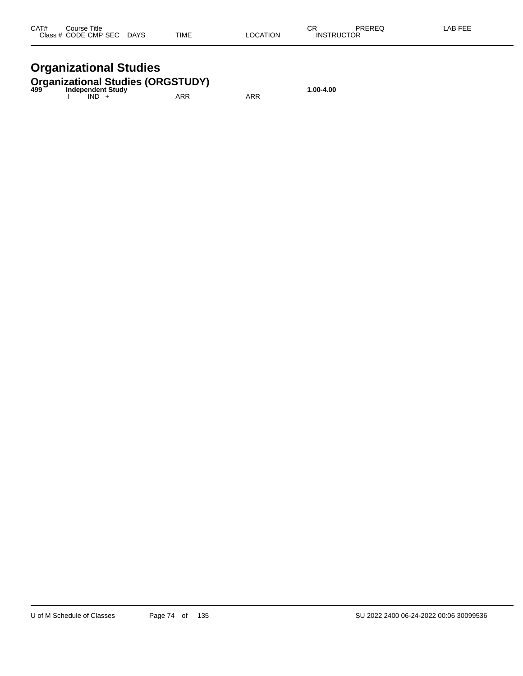| CAT# | Course Title              |      |          | ΩD                | PREREQ | -AB FEE |
|------|---------------------------|------|----------|-------------------|--------|---------|
|      | Class # CODE CMP SEC DAYS | TIME | LOCATION | <b>INSTRUCTOR</b> |        |         |

# **Organizational Studies**

# **Organizational Studies (ORGSTUDY) 499 Independent Study 1.00-4.00**

| 499 | <b>INVERSIBLE STRAP</b><br>IND. | ARR | ARR |  |
|-----|---------------------------------|-----|-----|--|
|     |                                 |     |     |  |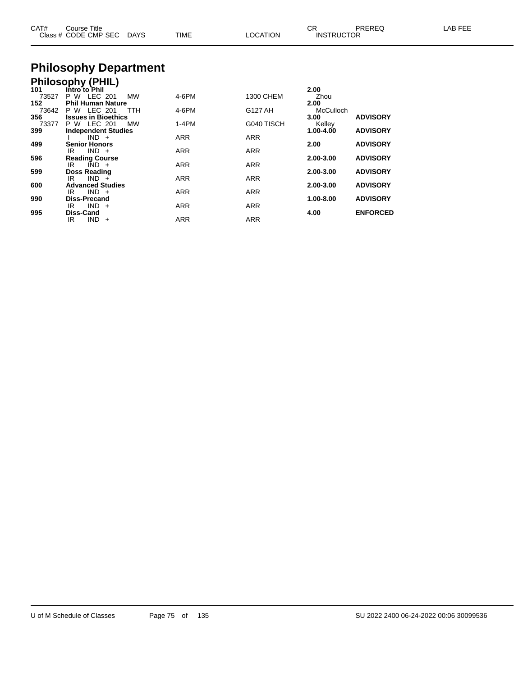| CAT#<br>Course Title<br>Class # CODE CMP SEC DAYS | TIME | <b>LOCATION</b> | СR<br>PREREQ<br><b>INSTRUCTOR</b> | LAB FEE |
|---------------------------------------------------|------|-----------------|-----------------------------------|---------|
| <b>Philosophy Department</b>                      |      |                 |                                   |         |
| <b>Dhiloconhy (DUII)</b>                          |      |                 |                                   |         |

|       | <b>FIIIIUSUPIIY (FFIIL)</b> |            |                  |               |                 |
|-------|-----------------------------|------------|------------------|---------------|-----------------|
| 101   | Intro to Phil               |            |                  | 2.00          |                 |
| 73527 | P W LEC 201<br>MW           | 4-6PM      | <b>1300 CHEM</b> | Zhou          |                 |
| 152   | <b>Phil Human Nature</b>    |            |                  | 2.00          |                 |
| 73642 | P W LEC 201<br><b>TTH</b>   | 4-6PM      | G127 AH          | McCulloch     |                 |
| 356   | <b>Issues in Bioethics</b>  |            |                  | 3.00          | <b>ADVISORY</b> |
| 73377 | P W LEC 201<br>MW           | $1-4PM$    | G040 TISCH       | Kelley        |                 |
| 399   | <b>Independent Studies</b>  |            |                  | $1.00 - 4.00$ | <b>ADVISORY</b> |
|       | $IND +$                     | <b>ARR</b> | <b>ARR</b>       |               |                 |
| 499   | <b>Senior Honors</b>        |            |                  | 2.00          | <b>ADVISORY</b> |
|       | $IND +$<br>IR.              | <b>ARR</b> | <b>ARR</b>       |               |                 |
| 596   | <b>Reading Course</b>       |            |                  | 2.00-3.00     | <b>ADVISORY</b> |
|       | $IND +$<br>IR.              | <b>ARR</b> | <b>ARR</b>       |               |                 |
| 599   | <b>Doss Reading</b>         |            |                  | 2.00-3.00     | <b>ADVISORY</b> |
|       | $IND +$<br>IR               | <b>ARR</b> | <b>ARR</b>       |               |                 |
| 600   | <b>Advanced Studies</b>     |            |                  | 2.00-3.00     | <b>ADVISORY</b> |
|       | $IND +$<br>IR.              | <b>ARR</b> | <b>ARR</b>       |               |                 |
| 990   | <b>Diss-Precand</b>         |            |                  | $1.00 - 8.00$ | <b>ADVISORY</b> |
|       | $IND +$<br>IR.              | <b>ARR</b> | <b>ARR</b>       |               |                 |
| 995   | <b>Diss-Cand</b>            |            |                  | 4.00          | <b>ENFORCED</b> |
|       | <b>IND</b><br>IR<br>$+$     | <b>ARR</b> | <b>ARR</b>       |               |                 |
|       |                             |            |                  |               |                 |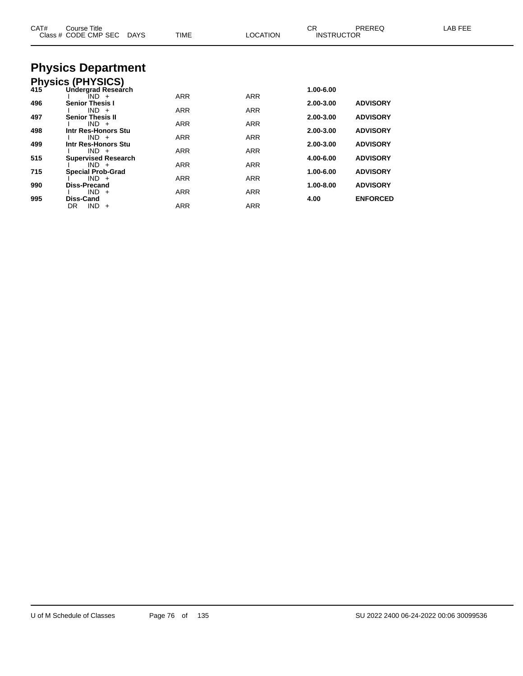| CAT# | Course Title<br>Class # CODE CMP SEC<br>DAYS | <b>TIME</b> | <b>LOCATION</b> | CR<br><b>INSTRUCTOR</b> | <b>PREREQ</b>   | LAB FEE |
|------|----------------------------------------------|-------------|-----------------|-------------------------|-----------------|---------|
|      | <b>Physics Department</b>                    |             |                 |                         |                 |         |
|      | Physics (PHYSICS)<br>415 Undergrad Researd   |             |                 |                         |                 |         |
|      | Undergrad Research                           |             |                 | 1.00-6.00               |                 |         |
| 496  | IND +<br><b>Senior Thesis I</b>              | <b>ARR</b>  | <b>ARR</b>      | 2.00-3.00               | <b>ADVISORY</b> |         |
|      | $IND +$                                      | ARR         | ARR             |                         |                 |         |
| 497  | <b>Senior Thesis II</b><br>$IND +$           | ARR         | ARR             | 2.00-3.00               | <b>ADVISORY</b> |         |
| 498  | Intr Res-Honors Stu                          |             |                 | 2.00-3.00               | <b>ADVISORY</b> |         |
| 499  | $IND +$<br>Intr Res-Honors Stu               | <b>ARR</b>  | <b>ARR</b>      | 2.00-3.00               | <b>ADVISORY</b> |         |
|      | $IND +$                                      | <b>ARR</b>  | <b>ARR</b>      |                         |                 |         |
| 515  | <b>Supervised Research</b><br>$IND +$        | ARR         | ARR             | 4.00-6.00               | <b>ADVISORY</b> |         |
| 715  | <b>Special Prob-Grad</b>                     |             |                 | 1.00-6.00               | <b>ADVISORY</b> |         |
| 990  | $IND +$<br><b>Diss-Precand</b>               | ARR         | ARR             | 1.00-8.00               | <b>ADVISORY</b> |         |
|      | $IND +$                                      | ARR         | ARR             |                         |                 |         |
| 995  | <b>Diss-Cand</b>                             |             |                 | 4.00                    | <b>ENFORCED</b> |         |
|      | $IND +$<br>DR                                | ARR         | <b>ARR</b>      |                         |                 |         |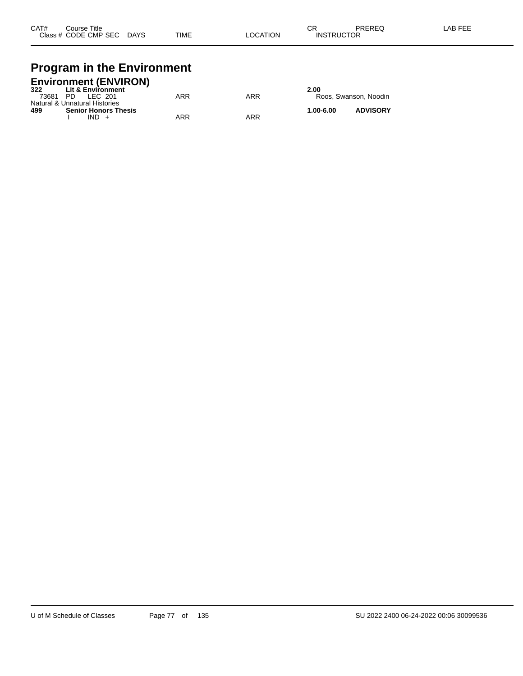## **Program in the Environment**

| <b>Environment (ENVIRON)</b>        |     |     |           |                       |
|-------------------------------------|-----|-----|-----------|-----------------------|
| <b>Lit &amp; Environment</b><br>322 |     |     | 2.00      |                       |
| 73681<br>PD<br>IFC 201              | ARR | ARR |           | Roos, Swanson, Noodin |
| Natural & Unnatural Histories       |     |     |           |                       |
| <b>Senior Honors Thesis</b><br>499  |     |     | 1.00-6.00 | <b>ADVISORY</b>       |

I IND + ARR ARR ARR

| 2.00 | Roos. Swanson. Noodin |
|------|-----------------------|
| ,    | 1.5110005             |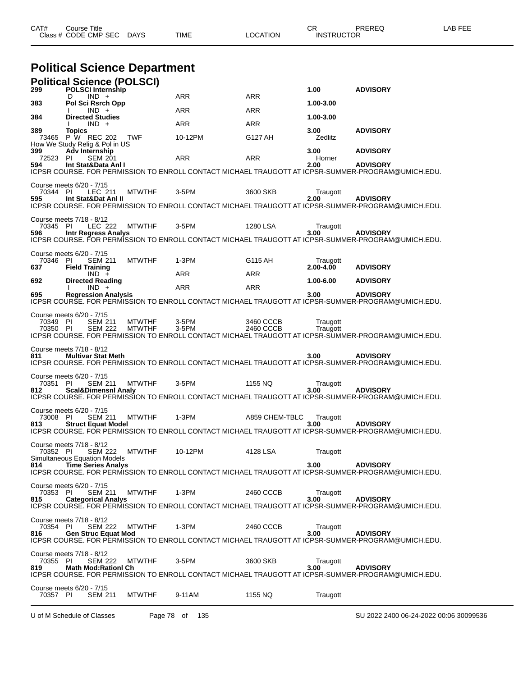| CAT# | ourse Titleٽ           |             |      |          | חה<br>◡ጙ          | PREREQ | LAB FEE |
|------|------------------------|-------------|------|----------|-------------------|--------|---------|
|      | Class # CODE CMP SEC L | <b>DAYS</b> | TIME | LOCATION | <b>INSTRUCTOR</b> |        |         |

# **Political Science Department**

| 299                                         |                              | <b>Political Science (POLSCI)</b><br><b>POLSCI Internship</b> |                                |                |                        | 1.00                   | <b>ADVISORY</b>                                                                                                       |
|---------------------------------------------|------------------------------|---------------------------------------------------------------|--------------------------------|----------------|------------------------|------------------------|-----------------------------------------------------------------------------------------------------------------------|
|                                             | D                            | $IND +$                                                       |                                | ARR            | ARR                    |                        |                                                                                                                       |
| 383                                         |                              | Pol Sci Rsrch Opp<br>$IND +$                                  |                                | ARR            | ARR                    | 1.00-3.00              |                                                                                                                       |
| 384                                         |                              | <b>Directed Studies</b><br>$IND +$                            |                                | ARR            | <b>ARR</b>             | 1.00-3.00              |                                                                                                                       |
| 389                                         | <b>Topics</b>                | 73465 P W REC 202<br>How We Study Relig & Pol in US           | <b>TWF</b>                     | 10-12PM        | G127 AH                | 3.00<br>Zedlitz        | <b>ADVISORY</b>                                                                                                       |
| 399<br>72523<br>594                         | <b>Adv Internship</b><br>-PI | <b>SEM 201</b><br>Int Stat&Data Anl I                         |                                | ARR            | <b>ARR</b>             | 3.00<br>Horner<br>2.00 | <b>ADVISORY</b><br><b>ADVISORY</b>                                                                                    |
|                                             |                              |                                                               |                                |                |                        |                        | ICPSR COURSE. FOR PERMISSION TO ENROLL CONTACT MICHAEL TRAUGOTT AT ICPSR-SUMMER-PROGRAM@UMICH.EDU.                    |
| Course meets 6/20 - 7/15<br>70344 PI<br>595 |                              | LEC 211<br>Int Stat&Dat Anl II                                | <b>MTWTHF</b>                  | 3-5PM          | 3600 SKB               | Traugott<br>2.00       | <b>ADVISORY</b>                                                                                                       |
|                                             |                              |                                                               |                                |                |                        |                        | ICPSR COURSE. FOR PERMISSION TO ENROLL CONTACT MICHAEL TRAUGOTT AT ICPSR-SUMMER-PROGRAM@UMICH.EDU.                    |
| Course meets 7/18 - 8/12<br>70345 PI<br>596 |                              | LEC 222                                                       | <b>MTWTHF</b>                  | 3-5PM          | 1280 LSA               | Traugott<br>3.00       | <b>ADVISORY</b>                                                                                                       |
|                                             |                              | <b>Intr Regress Analys</b>                                    |                                |                |                        |                        | ICPSR COURSE. FOR PERMISSION TO ENROLL CONTACT MICHAEL TRAUGOTT AT ICPSR-SUMMER-PROGRAM@UMICH.EDU.                    |
| Course meets 6/20 - 7/15<br>70346           | -PI                          | <b>SEM 211</b>                                                | <b>MTWTHF</b>                  | $1-3PM$        | G115 AH                | Traugott<br>2.00-4.00  | <b>ADVISORY</b>                                                                                                       |
| 637                                         | <b>Field Training</b>        | $IND +$                                                       |                                | ARR            | ARR                    |                        |                                                                                                                       |
| 692                                         |                              | <b>Directed Reading</b><br>$IND +$                            |                                | ARR            | <b>ARR</b>             | 1.00-6.00              | <b>ADVISORY</b>                                                                                                       |
| 695                                         |                              | <b>Regression Analysis</b>                                    |                                |                |                        | 3.00                   | <b>ADVISORY</b><br>ICPSR COURSE. FOR PERMISSION TO ENROLL CONTACT MICHAEL TRAUGOTT AT ICPSR-SUMMER-PROGRAM@UMICH.EDU. |
| Course meets 6/20 - 7/15                    |                              |                                                               |                                |                |                        |                        |                                                                                                                       |
| 70349 PI<br>70350 PI                        |                              | <b>SEM 211</b><br><b>SEM 222</b>                              | <b>MTWTHF</b><br><b>MTWTHF</b> | 3-5PM<br>3-5PM | 3460 CCCB<br>2460 CCCB | Traugott<br>Traugott   | ICPSR COURSE. FOR PERMISSION TO ENROLL CONTACT MICHAEL TRAUGOTT AT ICPSR-SŬMMER-PROGRAM@UMICH.EDU.                    |
| Course meets 7/18 - 8/12<br>811             |                              | <b>Multivar Stat Meth</b>                                     |                                |                |                        | 3.00                   | <b>ADVISORY</b><br>ICPSR COURSE. FOR PERMISSION TO ENROLL CONTACT MICHAEL TRAUGOTT AT ICPSR-SUMMER-PROGRAM@UMICH.EDU. |
| Course meets 6/20 - 7/15<br>70351 PI<br>812 |                              | <b>SEM 211</b><br><b>Scal&amp;Dimensnl Analy</b>              | <b>MTWTHF</b>                  | 3-5PM          | 1155 NQ                | Traugott<br>3.00       | <b>ADVISORY</b>                                                                                                       |
|                                             |                              |                                                               |                                |                |                        |                        | ICPSR COURSE. FOR PERMISSION TO ENROLL CONTACT MICHAEL TRAUGOTT AT ICPSR-SUMMER-PROGRAM@UMICH.EDU.                    |
| Course meets 6/20 - 7/15<br>73008<br>813    | - PI                         | <b>SEM 211</b><br><b>Struct Equat Model</b>                   | <b>MTWTHF</b>                  | $1-3PM$        | A859 CHEM-TBLC         | Traugott<br>3.00       | <b>ADVISORY</b><br>ICPSR COURSE. FOR PERMISSION TO ENROLL CONTACT MICHAEL TRAUGOTT AT ICPSR-SUMMER-PROGRAM@UMICH.EDU. |
| Course meets 7/18 - 8/12                    |                              |                                                               |                                |                |                        |                        |                                                                                                                       |
| 70352 PI                                    |                              | <b>SEM 222</b><br>Simultaneous Equation Models                | <b>MTWTHF</b>                  | 10-12PM        | 4128 LSA               | Traugott               |                                                                                                                       |
| 814 —                                       |                              | <b>Time Series Analys</b>                                     |                                |                |                        | 3.00                   | <b>ADVISORY</b><br>ICPSR COURSE. FOR PERMISSION TO ENROLL CONTACT MICHAEL TRAUGOTT AT ICPSR-SUMMER-PROGRAM@UMICH.EDU. |
| Course meets 6/20 - 7/15<br>70353 PI        |                              | <b>SEM 211</b>                                                | <b>MTWTHF</b>                  | 1-3PM          | 2460 CCCB              | Traugott               |                                                                                                                       |
| 815                                         |                              | <b>Categorical Analys</b>                                     |                                |                |                        | 3.00                   | <b>ADVISORY</b><br>ICPSR COURSE. FOR PERMISSION TO ENROLL CONTACT MICHAEL TRAUGOTT AT ICPSR-SUMMER-PROGRAM@UMICH.EDU. |
| Course meets 7/18 - 8/12<br>70354 PI<br>816 |                              | <b>SEM 222</b><br><b>Gen Struc Equat Mod</b>                  | <b>MTWTHF</b>                  | 1-3PM          | 2460 CCCB              | Traugott<br>3.00       | <b>ADVISORY</b><br>ICPSR COURSE. FOR PERMISSION TO ENROLL CONTACT MICHAEL TRAUGOTT AT ICPSR-SUMMER-PROGRAM@UMICH.EDU. |
| Course meets 7/18 - 8/12<br>70355 PI<br>819 |                              | <b>SEM 222</b><br><b>Math Mod:Rationl Ch</b>                  | <b>MTWTHF</b>                  | 3-5PM          | 3600 SKB               | Traugott<br>3.00       | <b>ADVISORY</b><br>ICPSR COURSE. FOR PERMISSION TO ENROLL CONTACT MICHAEL TRAUGOTT AT ICPSR-SUMMER-PROGRAM@UMICH.EDU. |
| Course meets 6/20 - 7/15<br>70357 PI        |                              | <b>SEM 211</b>                                                | <b>MTWTHF</b>                  | 9-11AM         | 1155 NQ                | Traugott               |                                                                                                                       |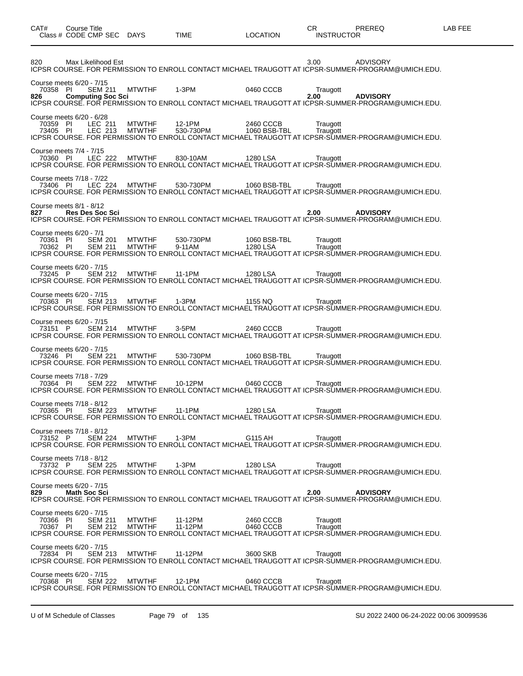| Class # CODE CMP SEC                                                                      | <b>DAYS</b>                    | TIME                | LOCATION                  | <b>INSTRUCTOR</b>                                                                                                                         |
|-------------------------------------------------------------------------------------------|--------------------------------|---------------------|---------------------------|-------------------------------------------------------------------------------------------------------------------------------------------|
| 820<br>Max Likelihood Est                                                                 |                                |                     |                           | 3.00<br><b>ADVISORY</b><br>ICPSR COURSE. FOR PERMISSION TO ENROLL CONTACT MICHAEL TRAUGOTT AT ICPSR-SUMMER-PROGRAM@UMICH.EDU.             |
| Course meets 6/20 - 7/15<br>70358 PI<br><b>SEM 211</b><br>826<br><b>Computing Soc Sci</b> | <b>MTWTHF</b>                  | 1-3PM               | 0460 CCCB                 | Traugott<br>2.00<br><b>ADVISORY</b><br>ICPSR COURSE. FOR PERMISSION TO ENROLL CONTACT MICHAEL TRAUGOTT AT ICPSR-SUMMER-PROGRAM@UMICH.EDU. |
| Course meets 6/20 - 6/28<br>70359 PI<br>LEC 211<br>73405 PI<br>LEC 213                    | <b>MTWTHF</b><br><b>MTWTHF</b> | 12-1PM<br>530-730PM | 2460 CCCB<br>1060 BSB-TBL | Traugott<br>Traugott<br>ICPSR COURSE. FOR PERMISSION TO ENROLL CONTACT MICHAEL TRAUGOTT AT ICPSR-SUMMER-PROGRAM@UMICH.EDU.                |
| Course meets 7/4 - 7/15<br>70360 PI<br>LEC 222                                            | <b>MTWTHF</b>                  | 830-10AM            | 1280 LSA                  | Traugott<br>ICPSR COURSE. FOR PERMISSION TO ENROLL CONTACT MICHAEL TRAUGOTT AT ICPSR-SUMMER-PROGRAM@UMICH.EDU.                            |
| Course meets 7/18 - 7/22<br>LEC 224<br>73406 PI                                           | MTWTHF                         | 530-730PM           | 1060 BSB-TBL              | Traugott<br>ICPSR COURSE. FOR PERMISSION TO ENROLL CONTACT MICHAEL TRAUGOTT AT ICPSR-SUMMER-PROGRAM@UMICH.EDU.                            |
| Course meets 8/1 - 8/12<br>827<br><b>Res Des Soc Sci</b>                                  |                                |                     |                           | 2.00<br><b>ADVISORY</b><br>ICPSR COURSE. FOR PERMISSION TO ENROLL CONTACT MICHAEL TRAUGOTT AT ICPSR-SUMMER-PROGRAM@UMICH.EDU.             |
| Course meets 6/20 - 7/1<br>70361 PI<br><b>SEM 201</b><br>70362 PI<br><b>SEM 211</b>       | <b>MTWTHF</b><br><b>MTWTHF</b> | 530-730PM<br>9-11AM | 1060 BSB-TBL<br>1280 LSA  | Traugott<br>Traugott<br>ICPSR COURSE. FOR PERMISSION TO ENROLL CONTACT MICHAEL TRAUGOTT AT ICPSR-SUMMER-PROGRAM@UMICH.EDU.                |
| Course meets 6/20 - 7/15<br>73245 P<br><b>SEM 212</b>                                     | <b>MTWTHF</b>                  | 11-1PM              | 1280 LSA                  | Traugott<br>ICPSR COURSE. FOR PERMISSION TO ENROLL CONTACT MICHAEL TRAUGOTT AT ICPSR-SUMMER-PROGRAM@UMICH.EDU.                            |
| Course meets 6/20 - 7/15<br>70363 PI<br><b>SEM 213</b>                                    | <b>MTWTHF</b>                  | 1-3PM               | 1155 NQ                   | Traugott<br>ICPSR COURSE. FOR PERMISSION TO ENROLL CONTACT MICHAEL TRAUGOTT AT ICPSR-SUMMER-PROGRAM@UMICH.EDU.                            |
| Course meets 6/20 - 7/15<br>73151 P<br><b>SEM 214</b>                                     | MTWTHF                         | 3-5PM               | 2460 CCCB                 | Traugott<br>ICPSR COURSE. FOR PERMISSION TO ENROLL CONTACT MICHAEL TRAUGOTT AT ICPSR-SUMMER-PROGRAM@UMICH.EDU.                            |
| Course meets 6/20 - 7/15<br>73246 PI<br><b>SEM 221</b>                                    | <b>MTWTHF</b>                  | 530-730PM           | 1060 BSB-TBL              | Traugott<br>ICPSR COURSE. FOR PERMISSION TO ENROLL CONTACT MICHAEL TRAUGOTT AT ICPSR-SUMMER-PROGRAM@UMICH.EDU.                            |
| Course meets 7/18 - 7/29<br>70364 PI<br><b>SEM 222</b>                                    | MTWTHF                         | 10-12PM             | 0460 CCCB                 | Traugott<br>ICPSR COURSE. FOR PERMISSION TO ENROLL CONTACT MICHAEL TRAUGOTT AT ICPSR-SUMMER-PROGRAM@UMICH.EDU.                            |
| Course meets 7/18 - 8/12<br>70365 PI<br><b>SEM 223</b>                                    | <b>MTWTHF</b>                  | 11-1PM              | 1280 LSA                  | Traugott<br>ICPSR COURSE. FOR PERMISSION TO ENROLL CONTACT MICHAEL TRAUGOTT AT ICPSR-SUMMER-PROGRAM@UMICH.EDU.                            |
| Course meets 7/18 - 8/12<br><b>SEM 224</b><br>73152 P                                     | <b>MTWTHF</b>                  | $1-3PM$             | G115 AH                   | Traugott<br>ICPSR COURSE. FOR PERMISSION TO ENROLL CONTACT MICHAEL TRAUGOTT AT ICPSR-SUMMER-PROGRAM@UMICH.EDU.                            |
| Course meets 7/18 - 8/12<br>73732 P<br><b>SEM 225</b>                                     | <b>MTWTHF</b>                  | 1-3PM               | 1280 LSA                  | Traugott<br>ICPSR COURSE. FOR PERMISSION TO ENROLL CONTACT MICHAEL TRAUGOTT AT ICPSR-SUMMER-PROGRAM@UMICH.EDU.                            |
| Course meets 6/20 - 7/15<br>829<br><b>Math Soc Sci</b>                                    |                                |                     |                           | 2.00<br><b>ADVISORY</b><br>ICPSR COURSE. FOR PERMISSION TO ENROLL CONTACT MICHAEL TRAUGOTT AT ICPSR-SUMMER-PROGRAM@UMICH.EDU.             |
| Course meets 6/20 - 7/15<br>70366 PI<br><b>SEM 211</b><br>70367 PI<br><b>SEM 212</b>      | <b>MTWTHF</b><br><b>MTWTHF</b> | 11-12PM<br>11-12PM  | 2460 CCCB<br>0460 CCCB    | Traugott<br>Traugott<br>ICPSR COURSE. FOR PERMISSION TO ENROLL CONTACT MICHAEL TRAUGOTT AT ICPSR-SUMMER-PROGRAM@UMICH.EDU.                |
| Course meets 6/20 - 7/15<br>72834 PI<br><b>SEM 213</b>                                    | <b>MTWTHF</b>                  | 11-12PM             | 3600 SKB                  | Traugott<br>ICPSR COURSE. FOR PERMISSION TO ENROLL CONTACT MICHAEL TRAUGOTT AT ICPSR-SUMMER-PROGRAM@UMICH.EDU.                            |
| Course meets 6/20 - 7/15<br>70368 PI<br><b>SEM 222</b>                                    | <b>MTWTHF</b>                  | 12-1PM              | 0460 CCCB                 | Traugott<br>ICPSR COURSE. FOR PERMISSION TO ENROLL CONTACT MICHAEL TRAUGOTT AT ICPSR-SUMMER-PROGRAM@UMICH.EDU.                            |

CAT# Course Title Case CR PREREQ LAB FEE

U of M Schedule of Classes Page 79 of 135 SU 2022 2400 06-24-2022 00:06 30099536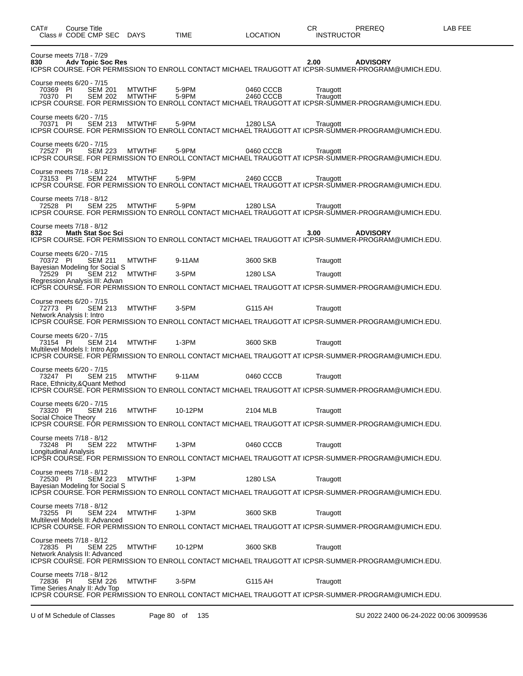| CAT#                                                                         | Course Title<br>Class # CODE CMP SEC                 |                                  | DAYS                           | <b>TIME</b>    | <b>LOCATION</b>        | PREREQ<br>CR<br><b>INSTRUCTOR</b>                                                                                             | LAB FEE |
|------------------------------------------------------------------------------|------------------------------------------------------|----------------------------------|--------------------------------|----------------|------------------------|-------------------------------------------------------------------------------------------------------------------------------|---------|
| 830                                                                          | Course meets 7/18 - 7/29<br><b>Adv Topic Soc Res</b> |                                  |                                |                |                        | <b>ADVISORY</b><br>2.00<br>ICPSR COURSE. FOR PERMISSION TO ENROLL CONTACT MICHAEL TRAUGOTT AT ICPSR-SUMMER-PROGRAM@UMICH.EDU. |         |
| Course meets 6/20 - 7/15<br>70369 PI<br>70370 PI                             |                                                      | <b>SEM 201</b><br><b>SEM 202</b> | <b>MTWTHF</b><br><b>MTWTHF</b> | 5-9PM<br>5-9PM | 0460 CCCB<br>2460 CCCB | Traugott<br>Traugott<br>ICPSR COURSE. FOR PERMISSION TO ENROLL CONTACT MICHAEL TRAUGOTT AT ICPSR-SUMMER-PROGRAM@UMICH.EDU.    |         |
| Course meets 6/20 - 7/15<br>70371 PI                                         |                                                      | <b>SEM 213</b>                   | <b>MTWTHF</b>                  | 5-9PM          | 1280 LSA               | Traugott<br>ICPSR COURSE. FOR PERMISSION TO ENROLL CONTACT MICHAEL TRAUGOTT AT ICPSR-SUMMER-PROGRAM@UMICH.EDU.                |         |
| Course meets 6/20 - 7/15<br>72527 PI                                         |                                                      | <b>SEM 223</b>                   | <b>MTWTHF</b>                  | 5-9PM          | 0460 CCCB              | Traugott<br>ICPSR COURSE. FOR PERMISSION TO ENROLL CONTACT MICHAEL TRAUGOTT AT ICPSR-SUMMER-PROGRAM@UMICH.EDU.                |         |
| Course meets 7/18 - 8/12<br>73153 PI                                         |                                                      | <b>SEM 224</b>                   | <b>MTWTHF</b>                  | 5-9PM          | 2460 CCCB              | Traugott<br>ICPSR COURSE. FOR PERMISSION TO ENROLL CONTACT MICHAEL TRAUGOTT AT ICPSR-SUMMER-PROGRAM@UMICH.EDU.                |         |
| Course meets 7/18 - 8/12<br>72528 PI                                         |                                                      | <b>SEM 225</b>                   | <b>MTWTHF</b>                  | 5-9PM          | 1280 LSA               | Traugott<br>ICPSR COURSE. FOR PERMISSION TO ENROLL CONTACT MICHAEL TRAUGOTT AT ICPSR-SUMMER-PROGRAM@UMICH.EDU.                |         |
| Course meets 7/18 - 8/12<br>832                                              | <b>Math Stat Soc Sci</b>                             |                                  |                                |                |                        | <b>ADVISORY</b><br>3.00<br>ICPSR COURSE. FOR PERMISSION TO ENROLL CONTACT MICHAEL TRAUGOTT AT ICPSR-SUMMER-PROGRAM@UMICH.EDU. |         |
| Course meets 6/20 - 7/15<br>70372 PI                                         |                                                      | <b>SEM 211</b>                   | <b>MTWTHF</b>                  | 9-11AM         | 3600 SKB               | Traugott                                                                                                                      |         |
| Bayesian Modeling for Social S<br>72529 PI<br>Regression Analysis III: Advan |                                                      | <b>SEM 212</b>                   | <b>MTWTHF</b>                  | $3-5$ PM       | 1280 LSA               | Traugott                                                                                                                      |         |
|                                                                              |                                                      |                                  |                                |                |                        | ICPSR COURSE. FOR PERMISSION TO ENROLL CONTACT MICHAEL TRAUGOTT AT ICPSR-SUMMER-PROGRAM@UMICH.EDU.                            |         |
| Course meets 6/20 - 7/15<br>72773 PI<br>Network Analysis I: Intro            |                                                      | <b>SEM 213</b>                   | <b>MTWTHF</b>                  | 3-5PM          | G115 AH                | Traugott<br>ICPSR COURSE. FOR PERMISSION TO ENROLL CONTACT MICHAEL TRAUGOTT AT ICPSR-SUMMER-PROGRAM@UMICH.EDU.                |         |
| Course meets 6/20 - 7/15                                                     |                                                      |                                  |                                |                |                        |                                                                                                                               |         |
| 73154 PI<br>Multilevel Models I: Intro App                                   |                                                      | <b>SEM 214</b>                   | <b>MTWTHF</b>                  | 1-3PM          | 3600 SKB               | Traugott                                                                                                                      |         |
|                                                                              |                                                      |                                  |                                |                |                        | ICPSR COURSE. FOR PERMISSION TO ENROLL CONTACT MICHAEL TRAUGOTT AT ICPSR-SUMMER-PROGRAM@UMICH.EDU.                            |         |
| Course meets 6/20 - 7/15<br>73247 PI<br>Race, Ethnicity,&Quant Method        |                                                      | <b>SEM 215</b>                   | <b>MTWTHF</b>                  | 9-11AM         | 0460 CCCB              | Traugott<br>ICPSR COURSE. FOR PERMISSION TO ENROLL CONTACT MICHAEL TRAUGOTT AT ICPSR-SUMMER-PROGRAM@UMICH.EDU.                |         |
| Course meets 6/20 - 7/15                                                     |                                                      |                                  |                                |                |                        |                                                                                                                               |         |
| 73320 PI                                                                     | Social Choice Theory                                 | <b>SEM 216</b>                   | MTWTHF                         | 10-12PM        | 2104 MLB               | Traugott                                                                                                                      |         |
|                                                                              |                                                      |                                  |                                |                |                        | ICPSR COURSE. FOR PERMISSION TO ENROLL CONTACT MICHAEL TRAUGOTT AT ICPSR-SUMMER-PROGRAM@UMICH.EDU.                            |         |
| Course meets 7/18 - 8/12<br>73248 PI<br>Longitudinal Analysis                |                                                      | <b>SEM 222</b>                   | <b>MTWTHF</b>                  | 1-3PM          | 0460 CCCB              | Traugott                                                                                                                      |         |
|                                                                              |                                                      |                                  |                                |                |                        | ICPSR COURSE. FOR PERMISSION TO ENROLL CONTACT MICHAEL TRAUGOTT AT ICPSR-SUMMER-PROGRAM@UMICH.EDU.                            |         |
| Course meets 7/18 - 8/12<br>72530 PI                                         |                                                      | SEM 223                          | <b>MTWTHF</b>                  | 1-3PM          | 1280 LSA               | Traugott                                                                                                                      |         |
| Bayesian Modeling for Social S                                               |                                                      |                                  |                                |                |                        | ICPSR COURSE. FOR PERMISSION TO ENROLL CONTACT MICHAEL TRAUGOTT AT ICPSR-SUMMER-PROGRAM@UMICH.EDU.                            |         |
| Course meets 7/18 - 8/12<br>73255 PI<br>Multilevel Models II: Advanced       |                                                      | <b>SEM 224</b>                   | <b>MTWTHF</b>                  | $1-3PM$        | 3600 SKB               | Traugott                                                                                                                      |         |
|                                                                              |                                                      |                                  |                                |                |                        | ICPSR COURSE. FOR PERMISSION TO ENROLL CONTACT MICHAEL TRAUGOTT AT ICPSR-SUMMER-PROGRAM@UMICH.EDU.                            |         |
| Course meets 7/18 - 8/12<br>72835 PI<br>Network Analysis II: Advanced        |                                                      | <b>SEM 225</b>                   | <b>MTWTHF</b>                  | 10-12PM        | 3600 SKB               | Traugott<br>ICPSR COURSE. FOR PERMISSION TO ENROLL CONTACT MICHAEL TRAUGOTT AT ICPSR-SUMMER-PROGRAM@UMICH.EDU.                |         |
| Course meets 7/18 - 8/12                                                     |                                                      |                                  |                                |                |                        |                                                                                                                               |         |
| 72836 PI                                                                     | Time Series Analy II: Adv Top                        | <b>SEM 226</b>                   | <b>MTWTHF</b>                  | 3-5PM          | G115 AH                | Traugott<br>ICPSR COURSE. FOR PERMISSION TO ENROLL CONTACT MICHAEL TRAUGOTT AT ICPSR-SUMMER-PROGRAM@UMICH.EDU.                |         |
|                                                                              |                                                      |                                  |                                |                |                        |                                                                                                                               |         |

U of M Schedule of Classes Page 80 of 135 SU 2022 2400 06-24-2022 00:06 30099536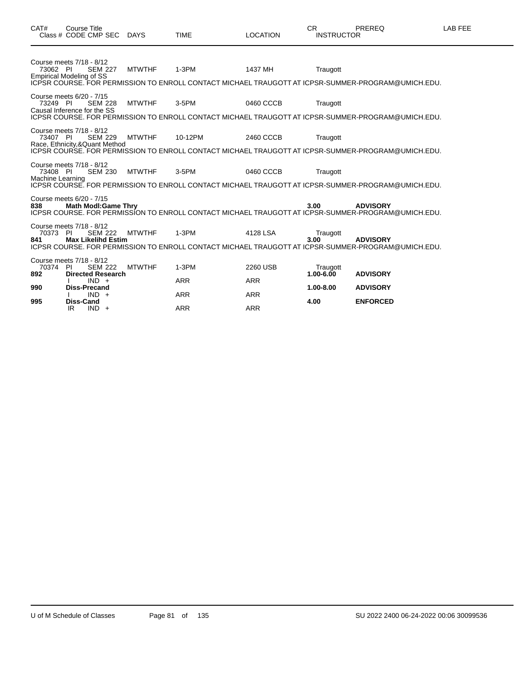| CAT#                         | <b>Course Title</b><br>Class # CODE CMP SEC DAYS                                         |               | <b>TIME</b>           | <b>LOCATION</b>        | <b>CR</b><br><b>INSTRUCTOR</b> | <b>PREREQ</b>                                                                                                         | LAB FEE |
|------------------------------|------------------------------------------------------------------------------------------|---------------|-----------------------|------------------------|--------------------------------|-----------------------------------------------------------------------------------------------------------------------|---------|
| 73062 PI                     | Course meets 7/18 - 8/12<br><b>SEM 227</b><br><b>Empirical Modeling of SS</b>            | <b>MTWTHF</b> | $1-3PM$               | 1437 MH                | Traugott                       | ICPSR COURSE. FOR PERMISSION TO ENROLL CONTACT MICHAEL TRAUGOTT AT ICPSR-SUMMER-PROGRAM@UMICH.EDU.                    |         |
| 73249 PI                     | Course meets 6/20 - 7/15<br><b>SEM 228</b><br>Causal Inference for the SS                | <b>MTWTHF</b> | 3-5PM                 | 0460 CCCB              | Traugott                       | ICPSR COURSE. FOR PERMISSION TO ENROLL CONTACT MICHAEL TRAUGOTT AT ICPSR-SUMMER-PROGRAM@UMICH.EDU.                    |         |
| 73407 PI                     | Course meets 7/18 - 8/12<br><b>SEM 229</b><br>Race, Ethnicity, & Quant Method            | <b>MTWTHF</b> | 10-12PM               | 2460 CCCB              | Traugott                       | ICPSR COURSE. FOR PERMISSION TO ENROLL CONTACT MICHAEL TRAUGOTT AT ICPSR-SUMMER-PROGRAM@UMICH.EDU.                    |         |
| 73408 PI<br>Machine Learning | Course meets 7/18 - 8/12<br><b>SEM 230</b>                                               | <b>MTWTHF</b> | 3-5PM                 | 0460 CCCB              | Traugott                       | ICPSR COURSE. FOR PERMISSION TO ENROLL CONTACT MICHAEL TRAUGOTT AT ICPSR-SUMMER-PROGRAM@UMICH.EDU.                    |         |
| 838                          | Course meets 6/20 - 7/15<br><b>Math Modl:Game Thry</b>                                   |               |                       |                        | 3.00                           | <b>ADVISORY</b><br>ICPSR COURSE. FOR PERMISSION TO ENROLL CONTACT MICHAEL TRAUGOTT AT ICPSR-SUMMER-PROGRAM@UMICH.EDU. |         |
| 70373 PI<br>841              | Course meets 7/18 - 8/12<br><b>SEM 222</b><br><b>Max Likelihd Estim</b>                  | <b>MTWTHF</b> | $1-3PM$               | 4128 LSA               | Traugott<br>3.00               | <b>ADVISORY</b><br>ICPSR COURSE. FOR PERMISSION TO ENROLL CONTACT MICHAEL TRAUGOTT AT ICPSR-SUMMER-PROGRAM@UMICH.EDU. |         |
| 70374<br>892                 | Course meets 7/18 - 8/12<br><b>SEM 222</b><br>-PI<br><b>Directed Research</b><br>$IND +$ | <b>MTWTHF</b> | $1-3PM$<br><b>ARR</b> | 2260 USB<br><b>ARR</b> | Traugott<br>$1.00 - 6.00$      | <b>ADVISORY</b>                                                                                                       |         |
| 990<br>995                   | <b>Diss-Precand</b><br>$IND +$<br>Diss-Cand                                              |               | <b>ARR</b>            | <b>ARR</b>             | 1.00-8.00<br>4.00              | <b>ADVISORY</b><br><b>ENFORCED</b>                                                                                    |         |
|                              | $IND +$<br>IR                                                                            |               | <b>ARR</b>            | <b>ARR</b>             |                                |                                                                                                                       |         |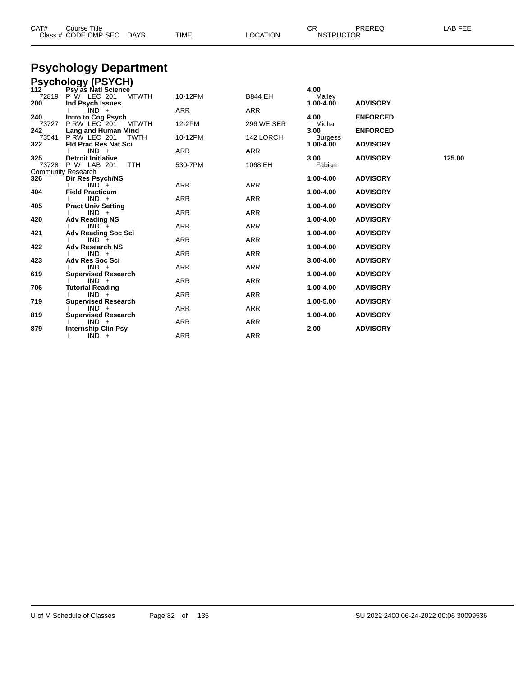| CAT#                | <b>Course Title</b><br>Class # CODE CMP SEC<br>DAYS               | <b>TIME</b> | <b>LOCATION</b> | CR.<br><b>INSTRUCTOR</b>    | PREREQ          | LAB FEE |
|---------------------|-------------------------------------------------------------------|-------------|-----------------|-----------------------------|-----------------|---------|
|                     | <b>Psychology Department</b>                                      |             |                 |                             |                 |         |
|                     | <b>Psychology (PSYCH)</b>                                         |             |                 |                             |                 |         |
| 112<br>72819<br>200 | Psy as Natl Science<br>P W LEC 201<br>MTWTH<br>Ind Psych Issues   | 10-12PM     | <b>B844 EH</b>  | 4.00<br>Malley<br>1.00-4.00 | <b>ADVISORY</b> |         |
|                     | $IND +$                                                           | <b>ARR</b>  | <b>ARR</b>      |                             |                 |         |
| 240<br>73727        | Intro to Cog Psych<br><b>P RW LEC 201</b><br>MTWTH                | 12-2PM      | 296 WEISER      | 4.00<br>Michal              | <b>ENFORCED</b> |         |
| 242                 | <b>Lang and Human Mind</b>                                        |             |                 | 3.00                        | <b>ENFORCED</b> |         |
| 73541<br>322        | <b>P RW LEC 201</b><br><b>TWTH</b><br><b>Fld Prac Res Nat Sci</b> | 10-12PM     | 142 LORCH       | <b>Burgess</b><br>1.00-4.00 | <b>ADVISORY</b> |         |
|                     | $IND +$                                                           | ARR         | <b>ARR</b>      |                             |                 |         |
| 325<br>73728        | <b>Detroit Initiative</b><br>P W LAB 201<br><b>TTH</b>            | 530-7PM     | 1068 EH         | 3.00<br>Fabian              | <b>ADVISORY</b> | 125.00  |
|                     | <b>Community Research</b>                                         |             |                 |                             |                 |         |
| 326                 | Dir Res Psych/NS                                                  |             |                 | 1.00-4.00                   | <b>ADVISORY</b> |         |
| 404                 | $IND +$<br><b>Field Practicum</b>                                 | <b>ARR</b>  | <b>ARR</b>      | 1.00-4.00                   | <b>ADVISORY</b> |         |
|                     | $IND +$                                                           | <b>ARR</b>  | <b>ARR</b>      |                             |                 |         |
| 405                 | <b>Pract Univ Setting</b><br>$IND +$                              | <b>ARR</b>  | <b>ARR</b>      | 1.00-4.00                   | <b>ADVISORY</b> |         |
| 420                 | <b>Adv Reading NS</b>                                             |             |                 | 1.00-4.00                   | <b>ADVISORY</b> |         |
|                     | $IND +$                                                           | <b>ARR</b>  | <b>ARR</b>      |                             |                 |         |
| 421                 | <b>Adv Reading Soc Sci</b><br>$IND +$                             | <b>ARR</b>  | <b>ARR</b>      | 1.00-4.00                   | <b>ADVISORY</b> |         |
| 422                 | <b>Adv Research NS</b>                                            |             |                 | 1.00-4.00                   | <b>ADVISORY</b> |         |
|                     | $IND +$                                                           | <b>ARR</b>  | <b>ARR</b>      |                             |                 |         |
| 423                 | Adv Res Soc Sci<br>$IND +$                                        | <b>ARR</b>  | <b>ARR</b>      | 3.00-4.00                   | <b>ADVISORY</b> |         |
| 619                 | <b>Supervised Research</b>                                        |             |                 | 1.00-4.00                   | <b>ADVISORY</b> |         |
| 706                 | $IND +$<br><b>Tutorial Reading</b>                                | <b>ARR</b>  | <b>ARR</b>      | 1.00-4.00                   | <b>ADVISORY</b> |         |
|                     | $IND +$                                                           | <b>ARR</b>  | <b>ARR</b>      |                             |                 |         |
| 719                 | <b>Supervised Research</b>                                        |             |                 | 1.00-5.00                   | <b>ADVISORY</b> |         |
| 819                 | $IND +$<br><b>Supervised Research</b>                             | <b>ARR</b>  | <b>ARR</b>      | 1.00-4.00                   | <b>ADVISORY</b> |         |
|                     | $IND +$                                                           | <b>ARR</b>  | <b>ARR</b>      |                             |                 |         |
| 879                 | <b>Internship Clin Psy</b><br>$IND +$                             | <b>ARR</b>  | <b>ARR</b>      | 2.00                        | <b>ADVISORY</b> |         |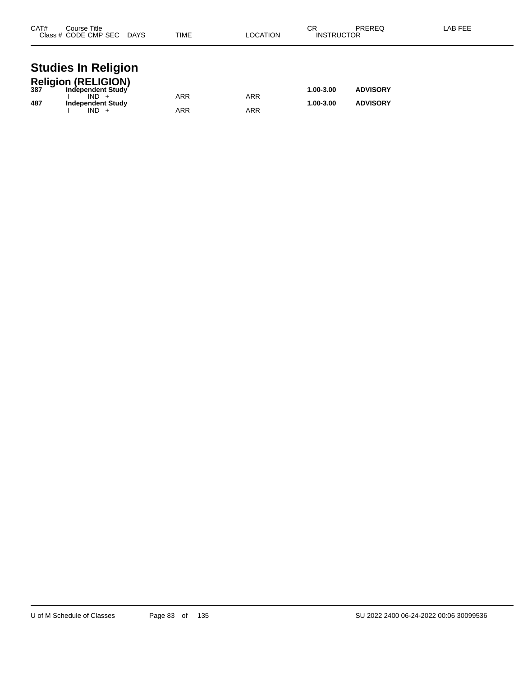| CAT# | Course Title<br>Class # CODE CMP SEC DAYS    | TIME       | LOCATION   | СR<br><b>INSTRUCTOR</b> | PREREQ          | LAB FEE |
|------|----------------------------------------------|------------|------------|-------------------------|-----------------|---------|
|      | <b>Studies In Religion</b>                   |            |            |                         |                 |         |
|      | Religion (RELIGION)<br>387 Independent Study |            |            |                         |                 |         |
|      | $IND +$                                      | <b>ARR</b> | <b>ARR</b> | 1.00-3.00               | <b>ADVISORY</b> |         |
| 487  | <b>Independent Study</b>                     |            |            | 1.00-3.00               | <b>ADVISORY</b> |         |
|      | $IND +$                                      | ARR        | ARR        |                         |                 |         |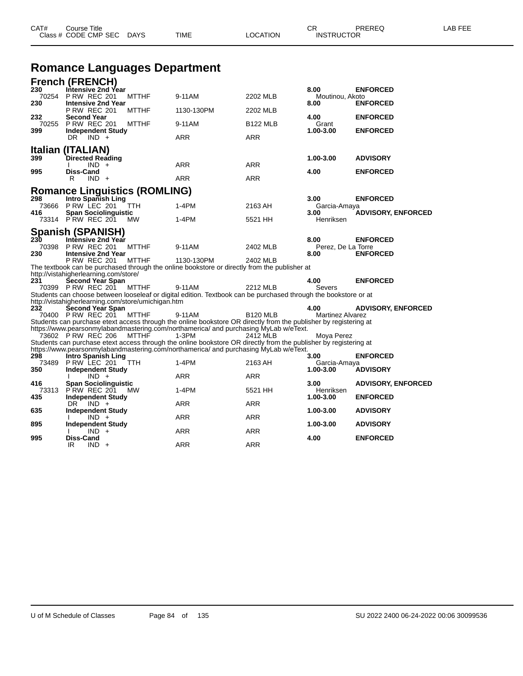| CAT#         | Course Title<br>Class # CODE CMP SEC DAYS        |              | <b>TIME</b> | LOCATION        | CR<br><b>INSTRUCTOR</b> | <b>PREREQ</b>   | LAB FEE |
|--------------|--------------------------------------------------|--------------|-------------|-----------------|-------------------------|-----------------|---------|
|              | <b>Romance Languages Department</b>              |              |             |                 |                         |                 |         |
|              | <b>French (FRENCH)</b>                           |              |             |                 |                         |                 |         |
| 230<br>70254 | Intensive 2nd Year<br><b>P RW REC 201</b>        | <b>MTTHF</b> | 9-11AM      | 2202 MLB        | 8.00<br>Moutinou, Akoto | <b>ENFORCED</b> |         |
| 230          | <b>Intensive 2nd Year</b><br><b>P RW REC 201</b> | <b>MTTHF</b> | 1130-130PM  | 2202 MLB        | 8.00                    | <b>ENFORCED</b> |         |
| 232<br>70255 | <b>Second Year</b><br><b>P RW REC 201</b>        | <b>MTTHF</b> | 9-11AM      | <b>B122 MLB</b> | 4.00<br>Grant           | <b>ENFORCED</b> |         |
| 399          | <b>Independent Study</b>                         |              |             |                 | 1.00-3.00               | <b>ENFORCED</b> |         |
|              | $IND +$<br>DR.                                   |              | <b>ARR</b>  | <b>ARR</b>      |                         |                 |         |

|                                              | R.                                              | $IND +$ |                                                    | ARR                                                                                                              | ARR             |                            |                           |
|----------------------------------------------|-------------------------------------------------|---------|----------------------------------------------------|------------------------------------------------------------------------------------------------------------------|-----------------|----------------------------|---------------------------|
|                                              |                                                 |         | <b>Romance Linguistics (ROMLING)</b>               |                                                                                                                  |                 |                            |                           |
| 298<br>73666                                 | Intro Spanish Ling<br>PRW LEC 201               |         | <b>TTH</b>                                         | $1-4PM$                                                                                                          | 2163 AH         | 3.00<br>Garcia-Amaya       | <b>ENFORCED</b>           |
| 416<br>73314 PRW REC 201                     | <b>Span Sociolinguistic</b>                     |         | <b>MW</b>                                          | 1-4PM                                                                                                            | 5521 HH         | 3.00<br>Henriksen          | <b>ADVISORY, ENFORCED</b> |
| <b>Spanish (SPANISH)</b>                     |                                                 |         |                                                    |                                                                                                                  |                 |                            |                           |
| 230                                          | Intènsive 2nd Year<br><b>P RW REC 201</b>       |         |                                                    |                                                                                                                  |                 | 8.00                       | <b>ENFORCED</b>           |
| 70398<br>230                                 | <b>Intensive 2nd Year</b>                       |         | <b>MTTHF</b>                                       | 9-11AM                                                                                                           | 2402 MLB        | Perez, De La Torre<br>8.00 | <b>ENFORCED</b>           |
|                                              | <b>P RW REC 201</b>                             |         | <b>MTTHF</b>                                       | 1130-130PM                                                                                                       | 2402 MLB        |                            |                           |
|                                              |                                                 |         |                                                    | The textbook can be purchased through the online bookstore or directly from the publisher at                     |                 |                            |                           |
| http://vistahigherlearning.com/store/<br>231 | Second Year Span                                |         |                                                    |                                                                                                                  |                 | 4.00                       | <b>ENFORCED</b>           |
| 70399 P RW REC 201                           |                                                 |         | <b>MTTHF</b>                                       | 9-11AM                                                                                                           | 2212 MLB        | Severs                     |                           |
|                                              |                                                 |         |                                                    | Students can choose between looseleaf or digital edition. Textbook can be purchased through the bookstore or at  |                 |                            |                           |
| 232                                          | <b>Second Year Span</b>                         |         | http://vistahigherlearning.com/store/umichigan.htm |                                                                                                                  |                 | 4.00                       | <b>ADVISORY, ENFORCED</b> |
|                                              |                                                 |         | 70400 PRW REC 201 MTTHF                            | 9-11AM                                                                                                           | <b>B120 MLB</b> | <b>Martinez Alvarez</b>    |                           |
|                                              |                                                 |         |                                                    | Students can purchase etext access through the online bookstore OR directly from the publisher by registering at |                 |                            |                           |
| 73602 PRW REC 206                            |                                                 |         | MTTHF                                              | https://www.pearsonmylabandmastering.com/northamerica/ and purchasing MyLab w/eText.<br>$1-3PM$                  | 2412 MLB        | Moya Perez                 |                           |
|                                              |                                                 |         |                                                    | Students can purchase etext access through the online bookstore OR directly from the publisher by registering at |                 |                            |                           |
|                                              |                                                 |         |                                                    | https://www.pearsonmylabandmastering.com/northamerica/ and purchasing MyLab w/eText.                             |                 |                            |                           |
| 298                                          | Intro Spanish Ling                              |         |                                                    | $1-4PM$                                                                                                          |                 | 3.00                       | <b>ENFORCED</b>           |
| 73489<br>350                                 | PRW LEC 201 TTH<br><b>Independent Study</b>     |         |                                                    |                                                                                                                  | 2163 AH         | Garcia-Amaya<br>1.00-3.00  | <b>ADVISORY</b>           |
|                                              |                                                 | $IND +$ |                                                    | <b>ARR</b>                                                                                                       | <b>ARR</b>      |                            |                           |
| 416                                          | <b>Span Sociolinguistic</b>                     |         |                                                    |                                                                                                                  |                 | 3.00                       | <b>ADVISORY, ENFORCED</b> |
| 73313<br>435                                 | <b>P RW REC 201</b><br><b>Independent Study</b> |         | MW                                                 | 1-4PM                                                                                                            | 5521 HH         | Henriksen<br>1.00-3.00     | <b>ENFORCED</b>           |
|                                              | DR.                                             | $IND +$ |                                                    | <b>ARR</b>                                                                                                       | <b>ARR</b>      |                            |                           |
| 635                                          | <b>Independent Study</b>                        |         |                                                    |                                                                                                                  |                 | 1.00-3.00                  | <b>ADVISORY</b>           |
| 895                                          | <b>Independent Study</b>                        | $IND +$ |                                                    | <b>ARR</b>                                                                                                       | <b>ARR</b>      | 1.00-3.00                  | <b>ADVISORY</b>           |
|                                              |                                                 | $IND +$ |                                                    | <b>ARR</b>                                                                                                       | <b>ARR</b>      |                            |                           |
| 995                                          | <b>Diss-Cand</b>                                |         |                                                    |                                                                                                                  |                 | 4.00                       | <b>ENFORCED</b>           |
|                                              | IR                                              | $IND +$ |                                                    | <b>ARR</b>                                                                                                       | <b>ARR</b>      |                            |                           |

**Italian (ITALIAN) 399 Directed Reading 1.00-3.00 ADVISORY**

**995 Diss-Cand 4.00 ENFORCED**

I IND + ARR ARR ARR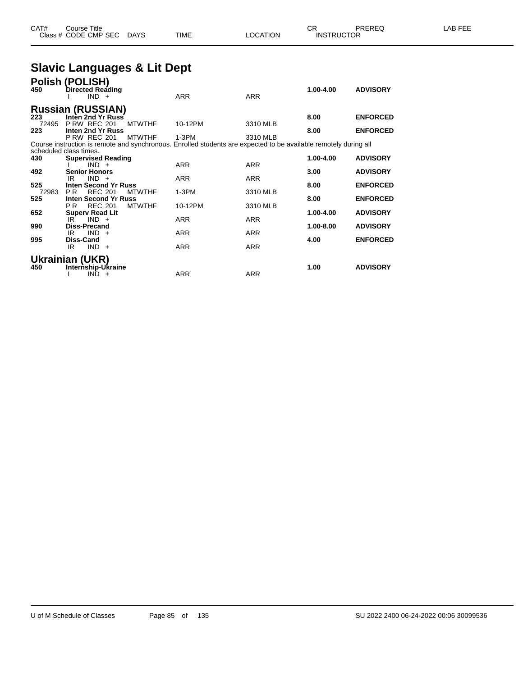### **Slavic Languages & Lit Dept**

| Polish (POLISH)<br>Directed Reading<br>$IND +$ |                                                                                                                                                                                                                                                                    | <b>ARR</b>                                                                                                                                                                                                                                              | <b>ARR</b>                                                                         | 1.00-4.00                                                                              | <b>ADVISORY</b>                                                                                                                                          |
|------------------------------------------------|--------------------------------------------------------------------------------------------------------------------------------------------------------------------------------------------------------------------------------------------------------------------|---------------------------------------------------------------------------------------------------------------------------------------------------------------------------------------------------------------------------------------------------------|------------------------------------------------------------------------------------|----------------------------------------------------------------------------------------|----------------------------------------------------------------------------------------------------------------------------------------------------------|
|                                                |                                                                                                                                                                                                                                                                    |                                                                                                                                                                                                                                                         |                                                                                    |                                                                                        |                                                                                                                                                          |
|                                                |                                                                                                                                                                                                                                                                    |                                                                                                                                                                                                                                                         |                                                                                    | 8.00                                                                                   | <b>ENFORCED</b>                                                                                                                                          |
|                                                |                                                                                                                                                                                                                                                                    |                                                                                                                                                                                                                                                         |                                                                                    |                                                                                        |                                                                                                                                                          |
|                                                |                                                                                                                                                                                                                                                                    |                                                                                                                                                                                                                                                         |                                                                                    |                                                                                        | <b>ENFORCED</b>                                                                                                                                          |
|                                                |                                                                                                                                                                                                                                                                    |                                                                                                                                                                                                                                                         |                                                                                    |                                                                                        |                                                                                                                                                          |
|                                                |                                                                                                                                                                                                                                                                    |                                                                                                                                                                                                                                                         |                                                                                    |                                                                                        |                                                                                                                                                          |
|                                                |                                                                                                                                                                                                                                                                    |                                                                                                                                                                                                                                                         |                                                                                    | 1.00-4.00                                                                              | <b>ADVISORY</b>                                                                                                                                          |
| $IND +$                                        |                                                                                                                                                                                                                                                                    | <b>ARR</b>                                                                                                                                                                                                                                              | <b>ARR</b>                                                                         |                                                                                        |                                                                                                                                                          |
|                                                |                                                                                                                                                                                                                                                                    |                                                                                                                                                                                                                                                         |                                                                                    |                                                                                        | <b>ADVISORY</b>                                                                                                                                          |
|                                                |                                                                                                                                                                                                                                                                    |                                                                                                                                                                                                                                                         |                                                                                    |                                                                                        |                                                                                                                                                          |
|                                                |                                                                                                                                                                                                                                                                    |                                                                                                                                                                                                                                                         |                                                                                    |                                                                                        | <b>ENFORCED</b>                                                                                                                                          |
|                                                |                                                                                                                                                                                                                                                                    |                                                                                                                                                                                                                                                         |                                                                                    |                                                                                        | <b>ENFORCED</b>                                                                                                                                          |
|                                                |                                                                                                                                                                                                                                                                    |                                                                                                                                                                                                                                                         |                                                                                    |                                                                                        |                                                                                                                                                          |
|                                                |                                                                                                                                                                                                                                                                    |                                                                                                                                                                                                                                                         |                                                                                    | 1.00-4.00                                                                              | <b>ADVISORY</b>                                                                                                                                          |
| $IND +$<br>IR                                  |                                                                                                                                                                                                                                                                    | <b>ARR</b>                                                                                                                                                                                                                                              | <b>ARR</b>                                                                         |                                                                                        |                                                                                                                                                          |
| <b>Diss-Precand</b>                            |                                                                                                                                                                                                                                                                    |                                                                                                                                                                                                                                                         |                                                                                    | 1.00-8.00                                                                              | <b>ADVISORY</b>                                                                                                                                          |
|                                                |                                                                                                                                                                                                                                                                    |                                                                                                                                                                                                                                                         |                                                                                    |                                                                                        |                                                                                                                                                          |
|                                                |                                                                                                                                                                                                                                                                    |                                                                                                                                                                                                                                                         |                                                                                    |                                                                                        | <b>ENFORCED</b>                                                                                                                                          |
|                                                |                                                                                                                                                                                                                                                                    |                                                                                                                                                                                                                                                         |                                                                                    |                                                                                        |                                                                                                                                                          |
|                                                |                                                                                                                                                                                                                                                                    |                                                                                                                                                                                                                                                         |                                                                                    |                                                                                        |                                                                                                                                                          |
|                                                |                                                                                                                                                                                                                                                                    |                                                                                                                                                                                                                                                         |                                                                                    | 1.00                                                                                   | <b>ADVISORY</b>                                                                                                                                          |
| IND.<br>$+$                                    |                                                                                                                                                                                                                                                                    | <b>ARR</b>                                                                                                                                                                                                                                              | <b>ARR</b>                                                                         |                                                                                        |                                                                                                                                                          |
|                                                | <b>P RW REC 201</b><br><b>P RW REC 201</b><br>scheduled class times.<br><b>Senior Honors</b><br>IR<br>$IND +$<br><b>REC 201</b><br>P R<br><b>REC 201</b><br>PR.<br><b>Superv Read Lit</b><br>$IND +$<br>IR<br>Diss-Cand<br>IR<br>$IND +$<br><b>Ukrainian (UKR)</b> | <b>Russian (RUSSIAN)</b><br>Inten 2nd Yr Russ<br><b>MTWTHF</b><br>Inten 2nd Yr Russ<br><b>MTWTHF</b><br><b>Supervised Reading</b><br><b>Inten Second Yr Russ</b><br><b>MTWTHF</b><br><b>Inten Second Yr Russ</b><br><b>MTWTHF</b><br>Internship-Ukraine | 10-12PM<br>$1-3PM$<br><b>ARR</b><br>$1-3PM$<br>10-12PM<br><b>ARR</b><br><b>ARR</b> | 3310 MLB<br>3310 MLB<br><b>ARR</b><br>3310 MLB<br>3310 MLB<br><b>ARR</b><br><b>ARR</b> | 8.00<br>Course instruction is remote and synchronous. Enrolled students are expected to be available remotely during all<br>3.00<br>8.00<br>8.00<br>4.00 |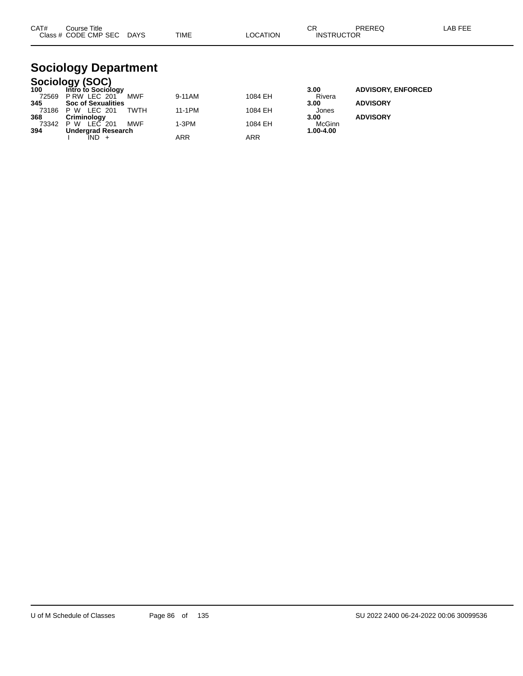| CAT#<br><b>Class</b> | Title<br>Course<br>CODE<br><b>CMP SEC</b> | DAYS<br>_____ | TIME | <b>TION</b><br>∩∩ | ^-<br>◡┍<br><b>CTOF</b><br><b>INS</b><br>1 I C<br>____ | <b>DDEDEC</b> | ---<br>_AP |
|----------------------|-------------------------------------------|---------------|------|-------------------|--------------------------------------------------------|---------------|------------|
|                      |                                           |               |      |                   |                                                        |               |            |

# **Sociology Department**

|       | Sociology (SOC)           |             |         |         |           |                           |
|-------|---------------------------|-------------|---------|---------|-----------|---------------------------|
| 100   | Intro to Sociology        |             |         |         | 3.00      | <b>ADVISORY, ENFORCED</b> |
| 72569 | PRW LEC 201               | MWF         | 9-11AM  | 1084 EH | Rivera    |                           |
| 345   | <b>Soc of Sexualities</b> |             |         |         | 3.00      | <b>ADVISORY</b>           |
| 73186 | LEC 201<br>P W            | <b>TWTH</b> | 11-1PM  | 1084 EH | Jones     |                           |
| 368   | Criminology               |             |         |         | 3.00      | <b>ADVISORY</b>           |
| 73342 | LEC 201<br>P W            | <b>MWF</b>  | $1-3PM$ | 1084 EH | McGinn    |                           |
| 394   | Undergrad Research        |             |         |         | 1.00-4.00 |                           |
|       | IND +                     |             | ARR     | ARR     |           |                           |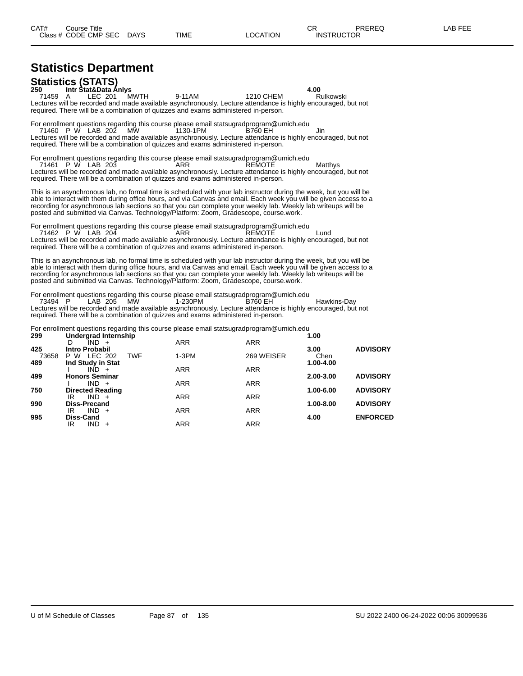# **Statistics Department**

**Statistics (STATS) 250 Intr Stat&Data Anlys 4.00** 71459 A LEC 201 MWTH 9-11AM 1210 CHEM Rulkowski Lectures will be recorded and made available asynchronously. Lecture attendance is highly encouraged, but not required. There will be a combination of quizzes and exams administered in-person.

For enrollment questions regarding this course please email statsugradprogram@umich.edu<br>71460 P W LAB 202 MW 1130-1PM B760 EH 71460 P W LAB 202 MW 1130-1PM B760 EH Jin Lectures will be recorded and made available asynchronously. Lecture attendance is highly encouraged, but not required. There will be a combination of quizzes and exams administered in-person.

For enrollment questions regarding this course please email statsugradprogram@umich.edu 71461 P W LAB 203 ARR REMOTE Matthys Lectures will be recorded and made available asynchronously. Lecture attendance is highly encouraged, but not required. There will be a combination of quizzes and exams administered in-person.

This is an asynchronous lab, no formal time is scheduled with your lab instructor during the week, but you will be able to interact with them during office hours, and via Canvas and email. Each week you will be given access to a recording for asynchronous lab sections so that you can complete your weekly lab. Weekly lab writeups will be posted and submitted via Canvas. Technology/Platform: Zoom, Gradescope, course.work.

For enrollment questions regarding this course please email statsugradprogram@umich.edu

71462 P W LAB 204 ARR REMOTE Lund Lectures will be recorded and made available asynchronously. Lecture attendance is highly encouraged, but not required. There will be a combination of quizzes and exams administered in-person.

This is an asynchronous lab, no formal time is scheduled with your lab instructor during the week, but you will be able to interact with them during office hours, and via Canvas and email. Each week you will be given access to a recording for asynchronous lab sections so that you can complete your weekly lab. Weekly lab writeups will be posted and submitted via Canvas. Technology/Platform: Zoom, Gradescope, course.work.

For enrollment questions regarding this course please email statsugradprogram@umich.edu<br>73494 P LAB 205 MW 1-230PM B760 EH 73494 P LAB 205 MW 1-230PM B760 EH Hawkins-Day Lectures will be recorded and made available asynchronously. Lecture attendance is highly encouraged, but not required. There will be a combination of quizzes and exams administered in-person.

For enrollment questions regarding this course please email statsugradprogram@umich.edu

| 299   | Undergrad Internship                 |            |            | 1.00      |                 |
|-------|--------------------------------------|------------|------------|-----------|-----------------|
|       | $IND +$<br>D                         | <b>ARR</b> | <b>ARR</b> |           |                 |
| 425   | Intro Probabil                       |            |            | 3.00      | <b>ADVISORY</b> |
| 73658 | <b>TWF</b><br>LEC 202<br>P W         | $1-3PM$    | 269 WEISER | Chen      |                 |
| 489   | Ind Study in Stat                    |            |            | 1.00-4.00 |                 |
|       | $IND +$                              | <b>ARR</b> | <b>ARR</b> |           |                 |
| 499   | <b>Honors Seminar</b>                |            |            | 2.00-3.00 | <b>ADVISORY</b> |
|       | $IND +$                              | <b>ARR</b> | <b>ARR</b> |           |                 |
| 750   | <b>Directed Reading</b>              |            |            | 1.00-6.00 | <b>ADVISORY</b> |
|       | IR<br>$IND +$                        | <b>ARR</b> | <b>ARR</b> |           |                 |
| 990   | <b>Diss-Precand</b><br>$IND +$<br>IR | <b>ARR</b> | <b>ARR</b> | 1.00-8.00 | <b>ADVISORY</b> |
| 995   | Diss-Cand                            |            |            | 4.00      | <b>ENFORCED</b> |
|       | $IND +$<br>IR                        | <b>ARR</b> | <b>ARR</b> |           |                 |
|       |                                      |            |            |           |                 |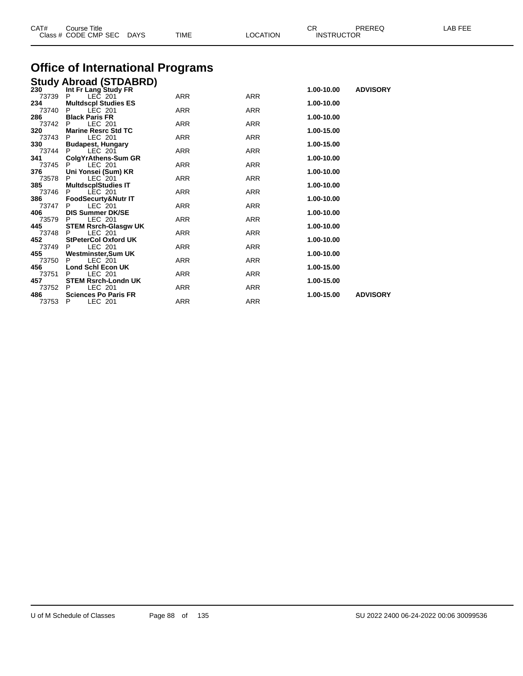| Class # CODE CMP SEC DAYS |                                                   | TIME       | LOCATION   | <b>INSTRUCTOR</b> |                 |  |
|---------------------------|---------------------------------------------------|------------|------------|-------------------|-----------------|--|
|                           | <b>Office of International Programs</b>           |            |            |                   |                 |  |
|                           | <b>Study Abroad (STDABRD)</b>                     |            |            |                   |                 |  |
| 230                       | Int Fr Lang Study FR                              |            |            | 1.00-10.00        | <b>ADVISORY</b> |  |
| 73739                     | LEC 201<br>P                                      | <b>ARR</b> | <b>ARR</b> |                   |                 |  |
| 234                       | <b>Multdscpl Studies ES</b>                       |            |            | 1.00-10.00        |                 |  |
| 73740<br>286              | <b>LEC 201</b><br>P<br><b>Black Paris FR</b>      | <b>ARR</b> | <b>ARR</b> | 1.00-10.00        |                 |  |
| 73742                     | <b>LEC 201</b><br>P                               | ARR        | <b>ARR</b> |                   |                 |  |
| 320                       | <b>Marine Resrc Std TC</b>                        |            |            | 1.00-15.00        |                 |  |
| 73743                     | LEC 201<br>P                                      | <b>ARR</b> | <b>ARR</b> |                   |                 |  |
| 330                       | <b>Budapest, Hungary</b>                          |            |            | 1.00-15.00        |                 |  |
| 73744                     | LEC 201                                           | <b>ARR</b> | <b>ARR</b> |                   |                 |  |
| 341                       | ColgYrAthens-Sum GR                               |            |            | 1.00-10.00        |                 |  |
| 73745                     | LEC 201                                           | <b>ARR</b> | <b>ARR</b> |                   |                 |  |
| 376                       | Uni Yonsei (Sum) KR                               |            |            | 1.00-10.00        |                 |  |
| 73578                     | LEC 201<br>P                                      | <b>ARR</b> | <b>ARR</b> |                   |                 |  |
| 385                       | <b>MultdscplStudies IT</b>                        |            |            | 1.00-10.00        |                 |  |
| 73746<br>386              | LEC 201<br>FoodSecurty&Nutr IT                    | ARR        | <b>ARR</b> | 1.00-10.00        |                 |  |
| 73747                     | LEC 201<br>P                                      | <b>ARR</b> | <b>ARR</b> |                   |                 |  |
| 406                       | <b>DIS Summer DK/SE</b>                           |            |            | 1.00-10.00        |                 |  |
| 73579                     | LEC 201<br>P                                      | <b>ARR</b> | <b>ARR</b> |                   |                 |  |
| 445                       | <b>STEM Rsrch-Glasgw UK</b>                       |            |            | 1.00-10.00        |                 |  |
| 73748                     | LEC 201<br>P                                      | <b>ARR</b> | <b>ARR</b> |                   |                 |  |
| 452                       | <b>StPeterCol Oxford UK</b>                       |            |            | 1.00-10.00        |                 |  |
| 73749                     | LEC 201<br>P                                      | ARR        | ARR        |                   |                 |  |
| 455                       | Westminster,Sum UK                                |            |            | 1.00-10.00        |                 |  |
| 73750                     | LEC 201<br>P                                      | ARR        | ARR        |                   |                 |  |
| 456                       | <b>Lond Schl Econ UK</b>                          |            |            | 1.00-15.00        |                 |  |
| 73751                     | LEC 201<br>P                                      | ARR        | ARR        |                   |                 |  |
| 457<br>73752              | <b>STEM Rsrch-Londn UK</b><br><b>LEC 201</b><br>P | ARR        | <b>ARR</b> | 1.00-15.00        |                 |  |
| 486                       | <b>Sciences Po Paris FR</b>                       |            |            | 1.00-15.00        | <b>ADVISORY</b> |  |
|                           |                                                   |            |            |                   |                 |  |

CAT# Course Title Case CR PREREQ LAB FEE

P LEC 201 ARR ARR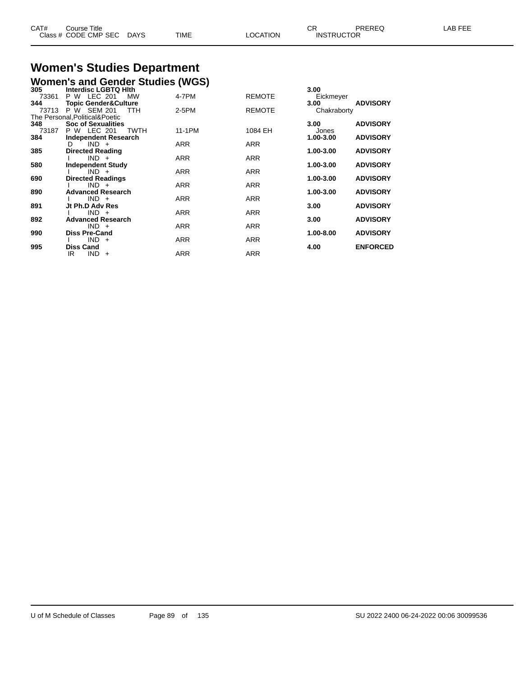| CAT# | Course Title              |             |          | ∩⊓                | PREREQ | LAB FEE |
|------|---------------------------|-------------|----------|-------------------|--------|---------|
|      | Class # CODE CMP SEC DAYS | <b>TIME</b> | LOCATION | <b>INSTRUCTOR</b> |        |         |

#### **Women's Studies Department Women's and Gender Studies (WGS)**

| 305   | Interdisc LGBTQ Hith            | ,          |               | 3.00        |                 |
|-------|---------------------------------|------------|---------------|-------------|-----------------|
| 73361 | P W LEC 201<br><b>MW</b>        | 4-7PM      | <b>REMOTE</b> | Eickmeyer   |                 |
| 344   | <b>Topic Gender&amp;Culture</b> |            |               | 3.00        | <b>ADVISORY</b> |
| 73713 | P W SEM 201<br>TTH              | 2-5PM      | <b>REMOTE</b> | Chakraborty |                 |
|       | The Personal, Political& Poetic |            |               |             |                 |
| 348   | <b>Soc of Sexualities</b>       |            |               | 3.00        | <b>ADVISORY</b> |
| 73187 | P W LEC 201<br>TWTH             | 11-1PM     | 1084 EH       | Jones       |                 |
| 384   | Independent Research            |            |               | 1.00-3.00   | <b>ADVISORY</b> |
|       | $IND +$<br>D.                   | <b>ARR</b> | <b>ARR</b>    |             |                 |
| 385   | <b>Directed Reading</b>         |            |               | 1.00-3.00   | <b>ADVISORY</b> |
|       | $IND +$                         | <b>ARR</b> | <b>ARR</b>    |             |                 |
| 580   | <b>Independent Study</b>        |            |               | 1.00-3.00   | <b>ADVISORY</b> |
|       | $IND +$                         | <b>ARR</b> | <b>ARR</b>    |             |                 |
| 690   | <b>Directed Readings</b>        |            |               | 1.00-3.00   | <b>ADVISORY</b> |
|       | $IND +$                         | <b>ARR</b> | <b>ARR</b>    |             |                 |
| 890   | <b>Advanced Research</b>        |            |               | 1.00-3.00   | <b>ADVISORY</b> |
|       | $IND +$                         | <b>ARR</b> | <b>ARR</b>    |             |                 |
| 891   | Jt Ph.D Adv Res                 |            |               | 3.00        | <b>ADVISORY</b> |
|       | $IND +$                         | <b>ARR</b> | <b>ARR</b>    |             |                 |
| 892   | <b>Advanced Research</b>        |            |               | 3.00        | <b>ADVISORY</b> |
|       | $IND +$                         | <b>ARR</b> | <b>ARR</b>    |             |                 |
| 990   | <b>Diss Pre-Cand</b>            |            |               | 1.00-8.00   | <b>ADVISORY</b> |
|       | $IND +$                         | <b>ARR</b> | <b>ARR</b>    |             |                 |
| 995   | <b>Diss Cand</b>                |            |               | 4.00        | <b>ENFORCED</b> |
|       | $IND +$<br>IR.                  | <b>ARR</b> | <b>ARR</b>    |             |                 |
|       |                                 |            |               |             |                 |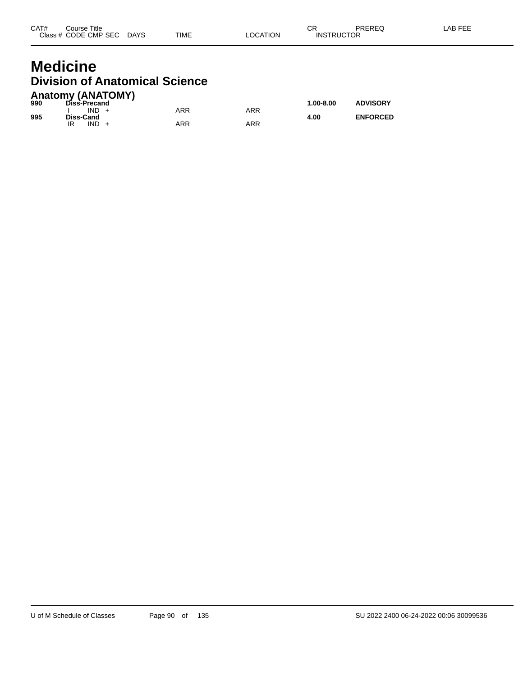#### **Medicine Division of Anatomical Science Anatomy (ANATOMY)**

| 990 | AIRWIII) (ANAIVIII)<br>Diss-Precand |            |     | $1.00 - 8.00$ | <b>ADVISORY</b> |
|-----|-------------------------------------|------------|-----|---------------|-----------------|
| 995 | $IND +$<br>Diss-Cand                | ARR        | ARR | 4.00          | <b>ENFORCED</b> |
|     | $IND +$<br>IR                       | <b>ARR</b> | ARR |               |                 |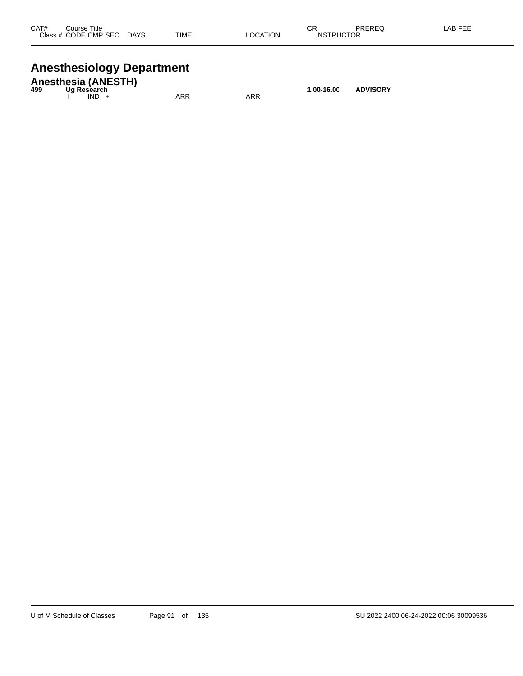| CAT# | Course Title<br>Class # CODE CMP SEC | <b>DAYS</b> | <b>TIME</b> | <b>LOCATION</b> | СR<br><b>INSTRUCTOR</b> | PREREQ | <b>LAB FEE</b> |
|------|--------------------------------------|-------------|-------------|-----------------|-------------------------|--------|----------------|
|      |                                      |             |             |                 |                         |        |                |

# **Anesthesiology Department**

| 499 | <b>Anesthesia (ANESTH)</b><br>Ua Resèarch |     |     | 1.00-16.00 | <b>ADVISORY</b> |
|-----|-------------------------------------------|-----|-----|------------|-----------------|
|     | $IND +$                                   | ARR | ARR |            |                 |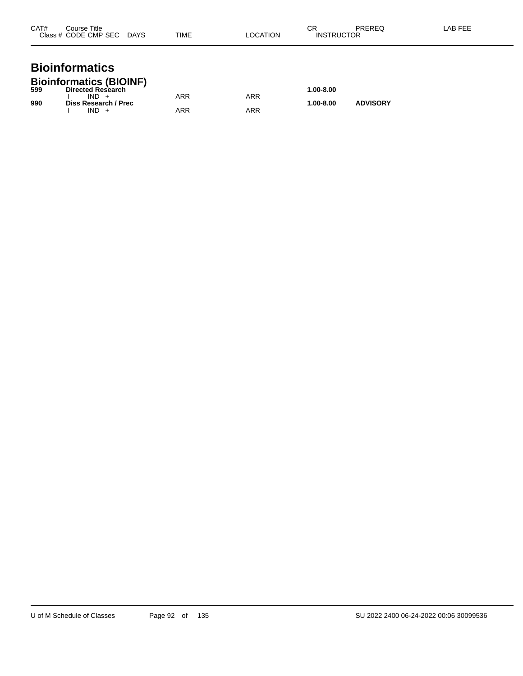| CAT# | Course Title<br>Class # CODE CMP SEC | <b>DAYS</b> | <b>TIME</b> | LOCATION | СR<br><b>INSTRUCTOR</b> | PREREQ | LAB FEE |
|------|--------------------------------------|-------------|-------------|----------|-------------------------|--------|---------|
|      |                                      |             |             |          |                         |        |         |

#### **Bioinformatics Bioinformatics (BIOINF)**

| 599 | P <sub>1</sub><br><b>Directed Research</b> |     |     | $1.00 - 8.00$ |                 |
|-----|--------------------------------------------|-----|-----|---------------|-----------------|
|     | $IND +$                                    | ARR | ARR |               |                 |
| 990 | Diss Research / Prec<br>IND.               | ARR | ARR | $1.00 - 8.00$ | <b>ADVISORY</b> |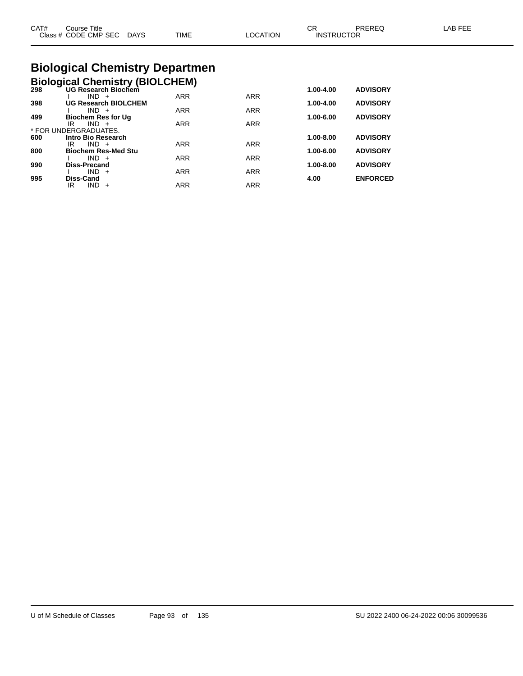| CAT#<br>Course Title<br>Class # CODE CMP SEC DAYS | TIME | LOCATION | СR<br>PRERFO<br><b>INSTRUCTOR</b> | LAB FEE |
|---------------------------------------------------|------|----------|-----------------------------------|---------|
| <b>Biological Chemistry Departmen</b>             |      |          |                                   |         |

#### **Biological Chemistry Departmen Biological Chemistry (BIOLCHEM)**

|     | <b>DIOIOGICAL CHEMISTLY (DIOLCTIENT)</b><br>298 UG Research Biochem | 1.00-4.00 | <b>ADVISORY</b> |           |                 |
|-----|---------------------------------------------------------------------|-----------|-----------------|-----------|-----------------|
|     | $IND +$                                                             | ARR       | ARR             |           |                 |
| 200 | <b>HO Decession DIOI OUEM</b>                                       |           |                 | 4.00.4.00 | <b>ADVICODY</b> |

| 398 | <b>UG Research BIOLCHEM</b> |            |            | 1.00-4.00     | <b>ADVISORY</b> |
|-----|-----------------------------|------------|------------|---------------|-----------------|
|     | $IND +$                     | <b>ARR</b> | <b>ARR</b> |               |                 |
| 499 | <b>Biochem Res for Ug</b>   |            |            | 1.00-6.00     | <b>ADVISORY</b> |
|     | IR<br>$IND +$               | <b>ARR</b> | <b>ARR</b> |               |                 |
|     | * FOR UNDERGRADUATES.       |            |            |               |                 |
| 600 | Intro Bio Research          |            |            | $1.00 - 8.00$ | <b>ADVISORY</b> |
|     | IR<br>$IND +$               | <b>ARR</b> | <b>ARR</b> |               |                 |
| 800 | <b>Biochem Res-Med Stu</b>  |            |            | 1.00-6.00     | <b>ADVISORY</b> |
|     | $IND +$                     | ARR        | <b>ARR</b> |               |                 |
| 990 | <b>Diss-Precand</b>         |            |            | $1.00 - 8.00$ | <b>ADVISORY</b> |
|     | $IND +$                     | <b>ARR</b> | <b>ARR</b> |               |                 |
| 995 | Diss-Cand                   |            |            | 4.00          | <b>ENFORCED</b> |
|     | $IND +$<br>IR               | ARR        | <b>ARR</b> |               |                 |
|     |                             |            |            |               |                 |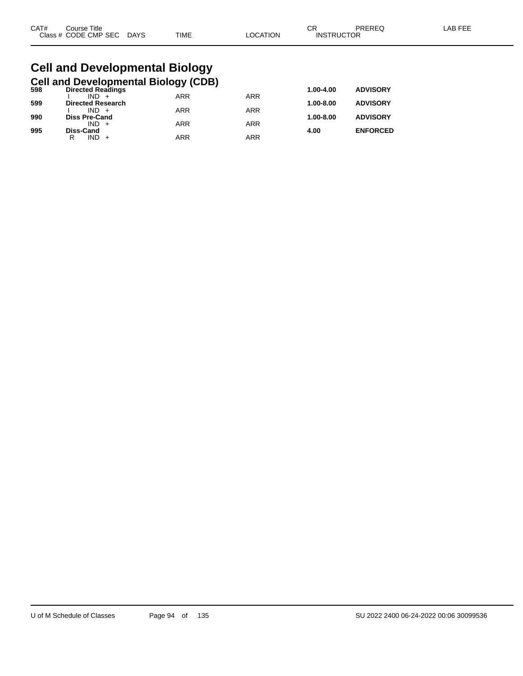| CAT# | Title<br>Course      |             |      |         | ~~<br>◡⊓          | PREREQ | AR FF'<br><b>AL</b> |
|------|----------------------|-------------|------|---------|-------------------|--------|---------------------|
|      | Class # CODE CMP SEC | <b>DAYS</b> | TIME | OCATION | <b>INSTRUCTOR</b> |        |                     |

#### **Cell and Developmental Biology Cell and Developmental Biology (CDB)**

| 598 | <b>Directed Readings</b> |            |            | 1.00-4.00     | <b>ADVISORY</b> |
|-----|--------------------------|------------|------------|---------------|-----------------|
|     | $IND +$                  | <b>ARR</b> | <b>ARR</b> |               |                 |
| 599 | <b>Directed Research</b> |            |            | $1.00 - 8.00$ | <b>ADVISORY</b> |
|     | $IND +$                  | <b>ARR</b> | <b>ARR</b> |               |                 |
| 990 | <b>Diss Pre-Cand</b>     |            |            | $1.00 - 8.00$ | <b>ADVISORY</b> |
|     | $IND +$                  | <b>ARR</b> | ARR        |               |                 |
| 995 | Diss-Cand                |            |            | 4.00          | <b>ENFORCED</b> |
|     | $IND +$<br>R             | <b>ARR</b> | ARR        |               |                 |
|     |                          |            |            |               |                 |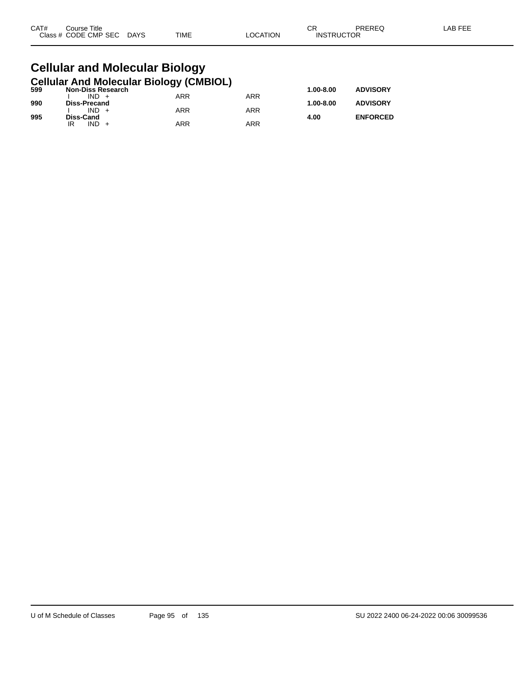| CAT# | Title<br>Course      |                       |             |          | СR                | PREREQ | -AB FEF |
|------|----------------------|-----------------------|-------------|----------|-------------------|--------|---------|
|      | Class # CODE CMP SEC | <b>DAYS</b><br>$\sim$ | <b>TIME</b> | _OCATION | <b>INSTRUCTOR</b> |        |         |

#### **Cellular and Molecular Biology Cellular And Molecular Biology (CMBIOL)**

| 599 | <b>Non-Diss Research</b> | . .        |     | 1.00-8.00 | <b>ADVISORY</b> |
|-----|--------------------------|------------|-----|-----------|-----------------|
|     | $IND +$                  | ARR        | ARR |           |                 |
| 990 | Diss-Precand             |            |     | 1.00-8.00 | <b>ADVISORY</b> |
|     | $IND +$                  | ARR        | ARR |           |                 |
| 995 | Diss-Cand                |            |     | 4.00      | <b>ENFORCED</b> |
|     | IND                      | <b>ARR</b> | ARR |           |                 |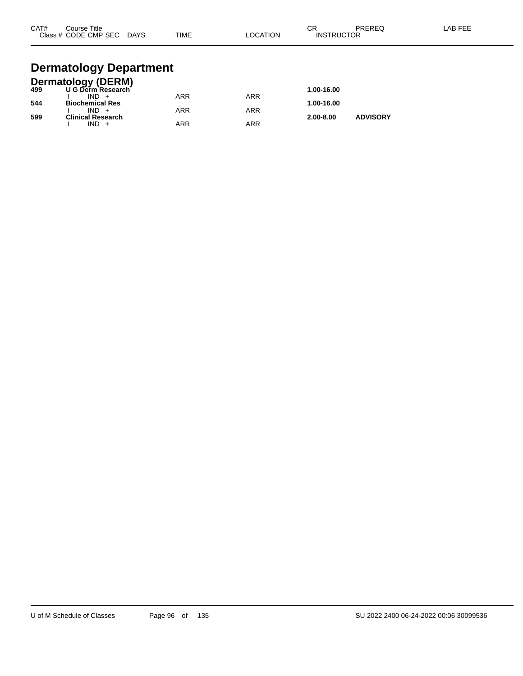| CAT# | Course Title<br>Class # CODE CMP SEC | <b>DAYS</b> | <b>TIME</b> | LOCATION | СR<br><b>INSTRUCTOR</b> | PREREQ | LAB FEE |
|------|--------------------------------------|-------------|-------------|----------|-------------------------|--------|---------|
|      |                                      |             |             |          |                         |        |         |

#### **Dermatology Department**

|     | <b>Dermatology (DERM)</b> |            |     |               |                 |
|-----|---------------------------|------------|-----|---------------|-----------------|
| 499 | U G Derm Research         |            |     | 1.00-16.00    |                 |
|     | $IND +$                   | ARR        | ARR |               |                 |
| 544 | <b>Biochemical Res</b>    |            |     | 1.00-16.00    |                 |
|     | $IND +$                   | ARR        | ARR |               |                 |
| 599 | <b>Clinical Research</b>  |            |     | $2.00 - 8.00$ | <b>ADVISORY</b> |
|     | $IND +$                   | <b>ARR</b> | ARR |               |                 |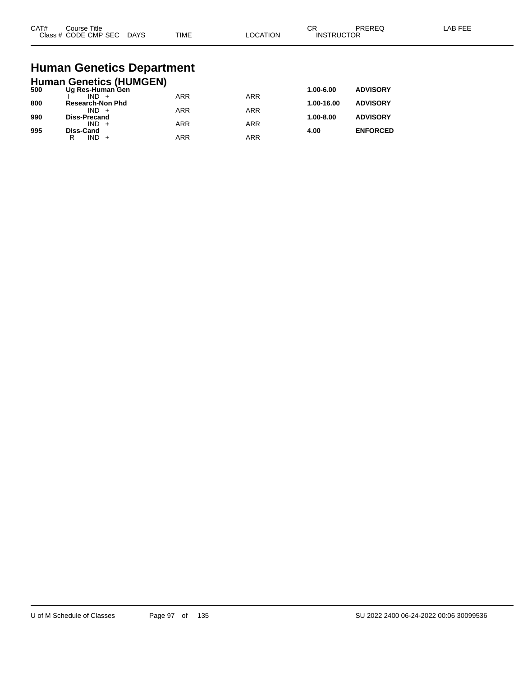| CAT#<br>$2\sqrt{2}$ | Title<br>ourse<br>CMP SEC<br>חר<br>$ -$ | DAYS<br>$\sim$ | <b>TIME</b> | ורו | $\sim$<br>UΗ<br>⊣N.S<br>₽ | ____ |  |
|---------------------|-----------------------------------------|----------------|-------------|-----|---------------------------|------|--|
|---------------------|-----------------------------------------|----------------|-------------|-----|---------------------------|------|--|

# **Human Genetics Department**

|     | <b>Human Genetics (HUMGEN)</b> |            |            |            |                 |
|-----|--------------------------------|------------|------------|------------|-----------------|
| 500 | Ug Res-Human Gen               |            |            | 1.00-6.00  | <b>ADVISORY</b> |
|     |                                | <b>ARR</b> | <b>ARR</b> |            |                 |
| 800 | <b>Research-Non Phd</b>        |            |            | 1.00-16.00 | <b>ADVISORY</b> |
|     | $IND +$                        | <b>ARR</b> | ARR        |            |                 |
| 990 | <b>Diss-Precand</b>            |            |            | 1.00-8.00  | <b>ADVISORY</b> |
|     | $IND +$                        | <b>ARR</b> | ARR        |            |                 |
| 995 | <b>Diss-Cand</b><br>IND.<br>R  | <b>ARR</b> | ARR        | 4.00       | <b>ENFORCED</b> |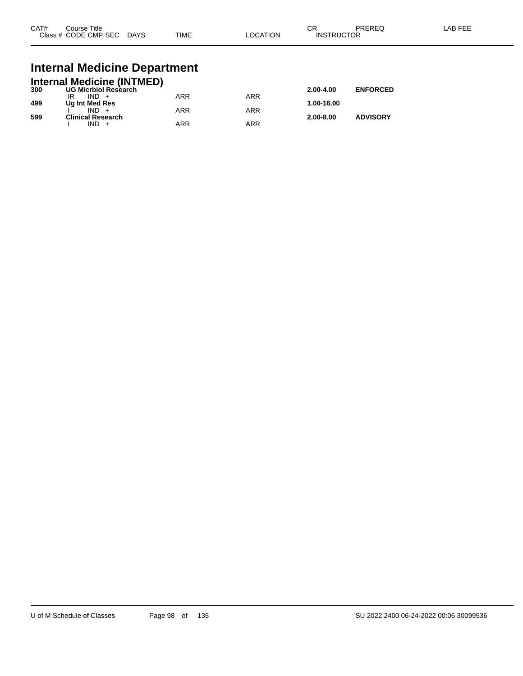| CAT# | Course Title<br>Class # CODE CMP SEC | <b>DAYS</b> | <b>TIME</b> | _OCATION | ∩n<br>-UN<br><b>INSTRUCTOR</b> | PREREQ | _AB FEF |
|------|--------------------------------------|-------------|-------------|----------|--------------------------------|--------|---------|
|      |                                      |             |             |          |                                |        |         |

#### **Internal Medicine Department**

|     | <b>Internal Medicine (INTMED)</b> |     |     |               |                 |
|-----|-----------------------------------|-----|-----|---------------|-----------------|
| 300 | <b>UG Micrbiol Research</b>       |     |     | $2.00 - 4.00$ | <b>ENFORCED</b> |
|     | $IND +$                           | ARR | ARR |               |                 |
| 499 | Ug Int Med Res                    |     |     | 1.00-16.00    |                 |
|     | $IND +$                           | ARR | ARR |               |                 |
| 599 | <b>Clinical Research</b>          |     |     | $2.00 - 8.00$ | <b>ADVISORY</b> |
|     | $IND +$                           | ARR | ARR |               |                 |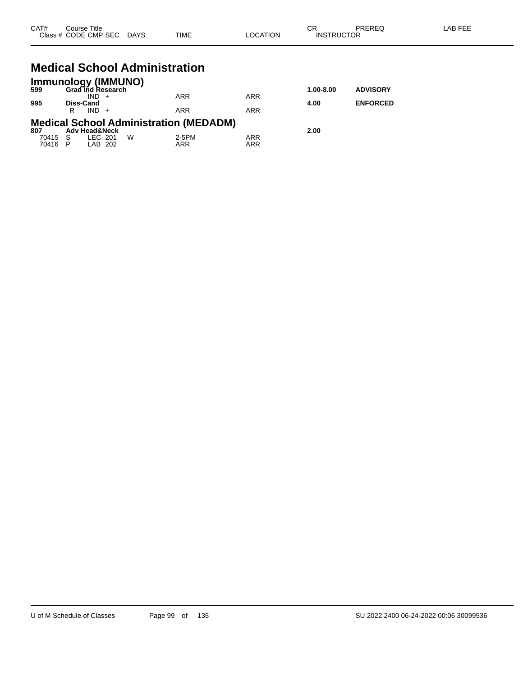| CAT# | Course Title<br>Class # CODE CMP SEC DAYS                                 | <b>TIME</b> | <b>LOCATION</b> | CR<br><b>INSTRUCTOR</b> | PREREQ          | LAB FEE |
|------|---------------------------------------------------------------------------|-------------|-----------------|-------------------------|-----------------|---------|
|      | <b>Medical School Administration</b>                                      |             |                 |                         |                 |         |
| 599  | <b>Immunology (IMMUNO)</b><br><b>Grad Ind Research</b><br>$IND +$         | <b>ARR</b>  | <b>ARR</b>      | $1.00 - 8.00$           | <b>ADVISORY</b> |         |
| 995  | Diss-Cand<br>$IND +$<br>R                                                 | <b>ARR</b>  | <b>ARR</b>      | 4.00                    | <b>ENFORCED</b> |         |
| 807  | <b>Medical School Administration (MEDADM)</b><br><b>Adv Head&amp;Neck</b> |             |                 | 2.00                    |                 |         |

70415 S LEC 201 W 2-5PM ARR 70416 P LAB 202 ARR ARR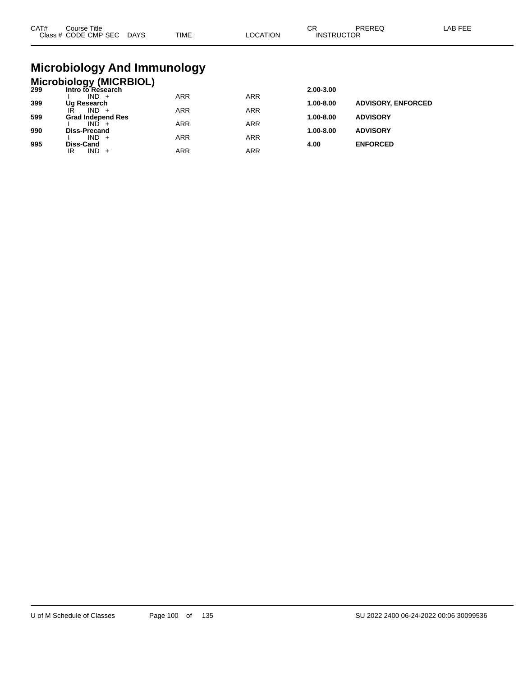| CAT# | ourse Titleٽ<br>Class # CODE CMP SEC DAYS | TIME | LOCATION | ∩⊓<br>◡┍<br><b>INSTRUCTOR</b> | PREREC | LAB FEE |
|------|-------------------------------------------|------|----------|-------------------------------|--------|---------|
|      |                                           |      |          |                               |        |         |

# **Microbiology And Immunology**

## **Microbiology (MICRBIOL) 299 Intro to Research 2.00-3.00**

| -33 | IIIUUUIVIV0560UIII       |            |            | 2.00-J.00     |                           |
|-----|--------------------------|------------|------------|---------------|---------------------------|
|     | $IND +$                  | ARR        | <b>ARR</b> |               |                           |
| 399 | Ug Research              |            |            | 1.00-8.00     | <b>ADVISORY, ENFORCED</b> |
|     | ΙŔ<br>IND.               | <b>ARR</b> | <b>ARR</b> |               |                           |
| 599 | <b>Grad Independ Res</b> |            |            | $1.00 - 8.00$ | <b>ADVISORY</b>           |
|     | IND.                     | ARR        | <b>ARR</b> |               |                           |
| 990 | <b>Diss-Precand</b>      |            |            | $1.00 - 8.00$ | <b>ADVISORY</b>           |
|     | $IND +$                  | <b>ARR</b> | <b>ARR</b> |               |                           |
| 995 | Diss-Cand                |            |            | 4.00          | <b>ENFORCED</b>           |
|     | IND<br>IR<br>$\div$      | ARR        | ARR        |               |                           |
|     |                          |            |            |               |                           |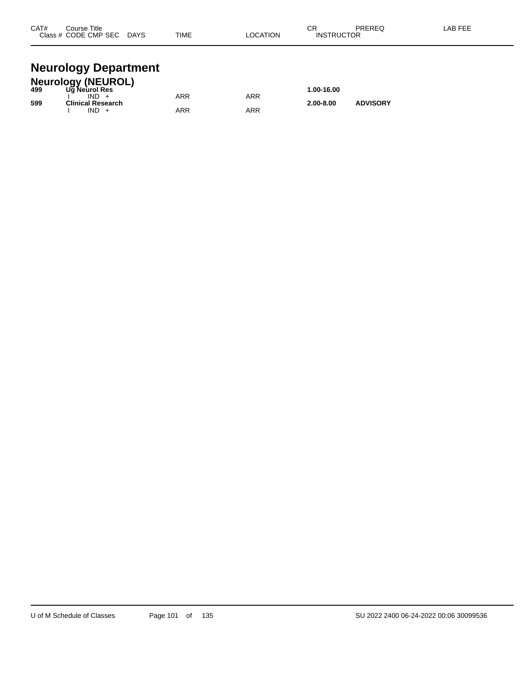| CAT#  | Course Title |             |             | ~-<br>v۱۱           | <b>DDEDEC</b> | . |
|-------|--------------|-------------|-------------|---------------------|---------------|---|
| Class | CODE CMP SEC | <b>DAYS</b> | <b>TIME</b> | <b>UCTOR</b><br>INS | ____          |   |
|       |              |             |             |                     |               |   |

#### **Neurology Department**

|     | <b>Neurology (NEUROL)</b> |     |     |               |                 |  |
|-----|---------------------------|-----|-----|---------------|-----------------|--|
| 499 | Ug Neurol Res             |     |     | 1.00-16.00    |                 |  |
|     | $IND +$                   | ARR | ARR |               |                 |  |
| 599 | Clinical Research         |     |     | $2.00 - 8.00$ | <b>ADVISORY</b> |  |
|     | $IND +$                   | ARR | ARR |               |                 |  |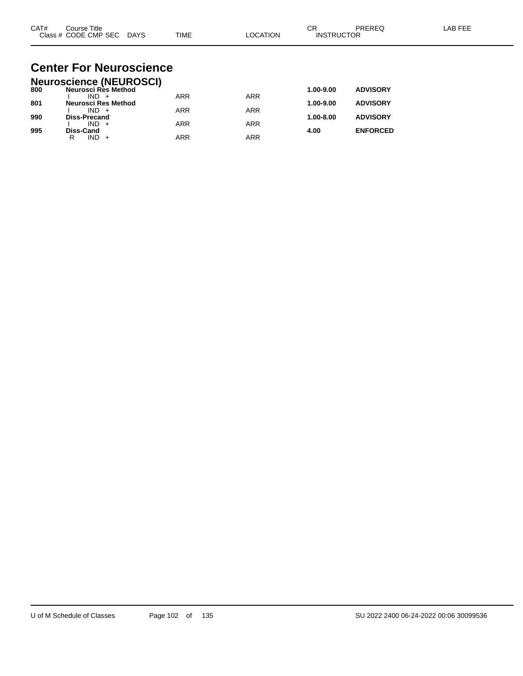| CAT# | Course Title         |             |             |          | ⌒г<br>◡           | PREREC | LAB FEF |
|------|----------------------|-------------|-------------|----------|-------------------|--------|---------|
|      | Class # CODE CMP SEC | <b>DAYS</b> | <b>TIME</b> | LOCATION | <b>INSTRUCTOR</b> |        |         |

#### **Center For Neuroscience Neuroscience (NEUROSCI)**

|     | Neuroscience (NEUROSCI) |            |            |               |                 |
|-----|-------------------------|------------|------------|---------------|-----------------|
| 800 | Neurosci Rès Method     |            |            | 1.00-9.00     | <b>ADVISORY</b> |
|     | $IND +$                 | <b>ARR</b> | <b>ARR</b> |               |                 |
| 801 | Neurosci Res Method     |            |            | 1.00-9.00     | <b>ADVISORY</b> |
|     | $IND +$                 | ARR        | ARR        |               |                 |
| 990 | <b>Diss-Precand</b>     |            |            | $1.00 - 8.00$ | <b>ADVISORY</b> |
|     | $IND +$                 | <b>ARR</b> | ARR        |               |                 |
| 995 | <b>Diss-Cand</b>        |            |            | 4.00          | <b>ENFORCED</b> |
|     | IND.<br>R               | ARR        | ARR        |               |                 |
|     |                         |            |            |               |                 |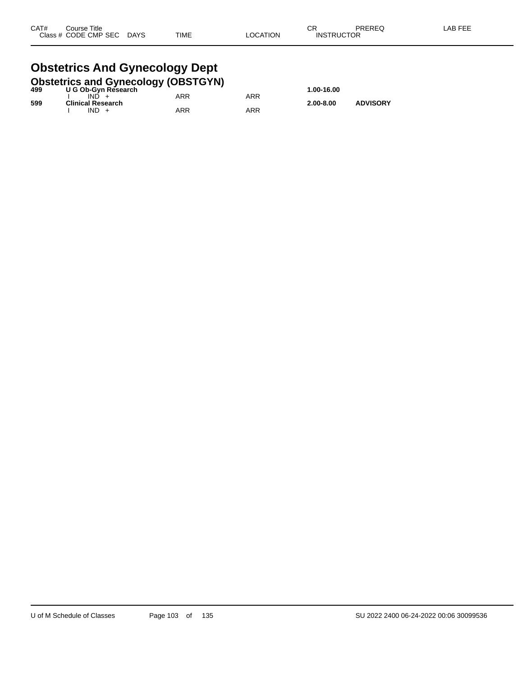# **Obstetrics And Gynecology Dept**

|     | <b>Obstetrics and Gynecology (OBSTGYN)</b> |     |     |               |                 |
|-----|--------------------------------------------|-----|-----|---------------|-----------------|
| 499 | U G Ob-Gyn Research                        |     |     | 1.00-16.00    |                 |
|     | $IND +$                                    | ARR | ARR |               |                 |
| 599 | <b>Clinical Research</b>                   |     |     | $2.00 - 8.00$ | <b>ADVISORY</b> |
|     | $IND +$                                    | ARR | ARR |               |                 |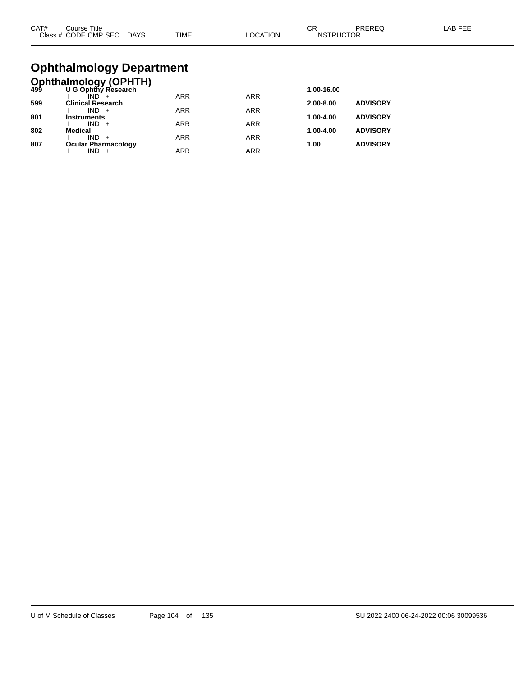| CAT# | Course Title.        |             |             |          | <b>__</b><br>◡Ⴡ   | PREREC | _AB FEF |
|------|----------------------|-------------|-------------|----------|-------------------|--------|---------|
|      | Class # CODE CMP SEC | <b>DAYS</b> | <b>TIME</b> | LOCATION | <b>INSTRUCTOR</b> |        |         |

# **Ophthalmology Department**

|     | <b>Ophthalmology (OPHTH)</b><br>499 U G Ophthy Research |            |            |               |                 |
|-----|---------------------------------------------------------|------------|------------|---------------|-----------------|
|     |                                                         |            |            | 1.00-16.00    |                 |
|     |                                                         | <b>ARR</b> | <b>ARR</b> |               |                 |
| 599 | <b>Clinical Research</b>                                |            |            | $2.00 - 8.00$ | <b>ADVISORY</b> |
| 801 | $IND +$<br><b>Instruments</b>                           | <b>ARR</b> | <b>ARR</b> | 1.00-4.00     | <b>ADVISORY</b> |
|     | $IND +$                                                 | <b>ARR</b> | <b>ARR</b> |               |                 |
| 802 | <b>Medical</b>                                          |            |            | 1.00-4.00     | <b>ADVISORY</b> |
|     | $IND +$                                                 | <b>ARR</b> | <b>ARR</b> |               |                 |
| 807 | <b>Ocular Pharmacology</b>                              |            |            | 1.00          | <b>ADVISORY</b> |
|     | IND                                                     | <b>ARR</b> | <b>ARR</b> |               |                 |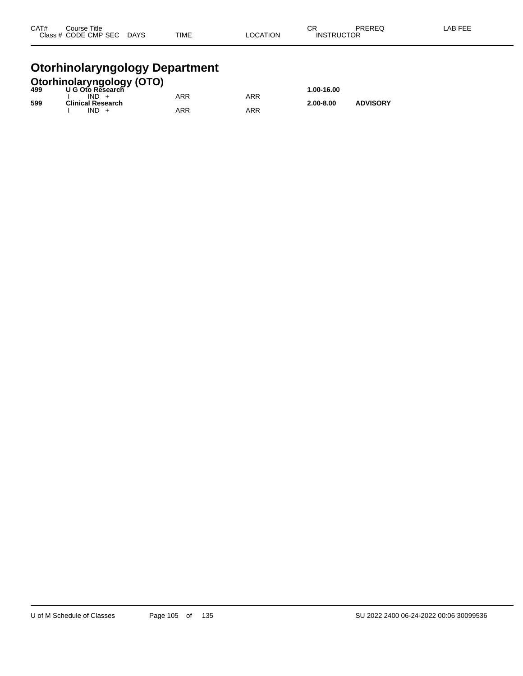| CAT# | Course Title              |             |          | ⌒冖                | PREREQ | LAB FEE |
|------|---------------------------|-------------|----------|-------------------|--------|---------|
|      | Class # CODE CMP SEC DAYS | <b>TIME</b> | LOCATION | <b>INSTRUCTOR</b> |        |         |
|      |                           |             |          |                   |        |         |

#### **Otorhinolaryngology Department**

|     | <b>Otorhinolaryngology (OTO)</b><br>499 U G Oto Research |            |     |               |                 |
|-----|----------------------------------------------------------|------------|-----|---------------|-----------------|
|     |                                                          |            |     | 1.00-16.00    |                 |
|     | $IND +$                                                  | <b>ARR</b> | ARR |               |                 |
| 599 | <b>Clinical Research</b>                                 |            |     | $2.00 - 8.00$ | <b>ADVISORY</b> |
|     | $IND +$                                                  | ARR        | ARR |               |                 |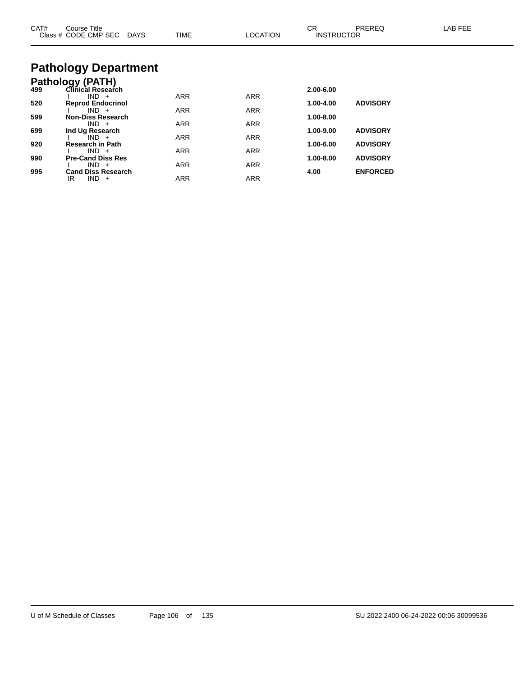| CAT# | Course Title<br>Class # CODE CMP SEC DAYS    | <b>TIME</b> | <b>LOCATION</b> | CR.<br><b>INSTRUCTOR</b> | <b>PREREQ</b>   | LAB FEE |
|------|----------------------------------------------|-------------|-----------------|--------------------------|-----------------|---------|
|      | <b>Pathology Department</b>                  |             |                 |                          |                 |         |
| 499  | <b>Pathology (PATH)</b><br>Clinical Research |             |                 | 2.00-6.00                |                 |         |
| 520  | $IND +$<br><b>Reprod Endocrinol</b>          | <b>ARR</b>  | <b>ARR</b>      | 1.00-4.00                | <b>ADVISORY</b> |         |
|      | $IND +$                                      | <b>ARR</b>  | <b>ARR</b>      |                          |                 |         |
| 599  | <b>Non-Diss Research</b><br>$IND +$          | <b>ARR</b>  | <b>ARR</b>      | 1.00-8.00                |                 |         |
| 699  | Ind Ug Research                              |             |                 | 1.00-9.00                | <b>ADVISORY</b> |         |
| 920  | $IND +$<br>Research in Path                  | <b>ARR</b>  | <b>ARR</b>      | 1.00-6.00                | <b>ADVISORY</b> |         |
|      | $IND +$                                      | <b>ARR</b>  | <b>ARR</b>      |                          |                 |         |
| 990  | <b>Pre-Cand Diss Res</b>                     |             |                 | 1.00-8.00                | <b>ADVISORY</b> |         |
| 995  | $IND +$<br><b>Cand Diss Research</b>         | <b>ARR</b>  | <b>ARR</b>      | 4.00                     | <b>ENFORCED</b> |         |
|      | IR<br>$IND +$                                | <b>ARR</b>  | <b>ARR</b>      |                          |                 |         |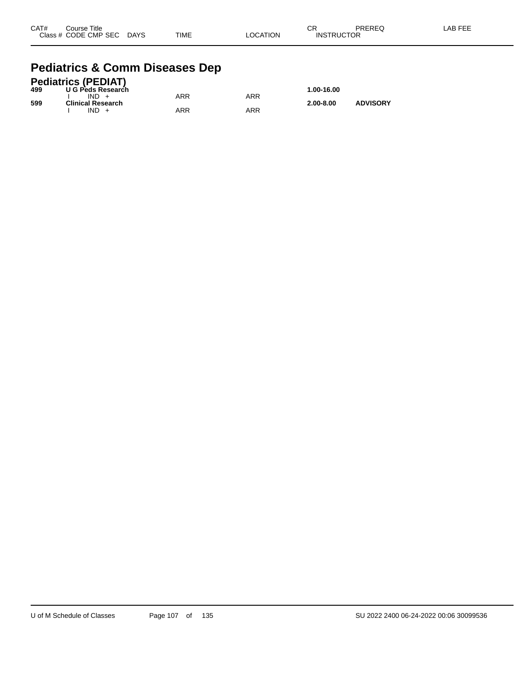| CAT# | Course Title              |             |          | CR                | PREREQ | -AB FEE |
|------|---------------------------|-------------|----------|-------------------|--------|---------|
|      | Class # CODE CMP SEC DAYS | <b>TIME</b> | LOCATION | <b>INSTRUCTOR</b> |        |         |

#### **Pediatrics & Comm Diseases Dep**

|     | <b>Pediatrics (PEDIAT)</b> |     |     |               |                 |
|-----|----------------------------|-----|-----|---------------|-----------------|
| 499 | U G Peds Research          |     |     | 1.00-16.00    |                 |
|     | $IND +$                    | ARR | ARR |               |                 |
| 599 | <b>Clinical Research</b>   |     |     | $2.00 - 8.00$ | <b>ADVISORY</b> |
|     | $IND +$                    | ARR | ARR |               |                 |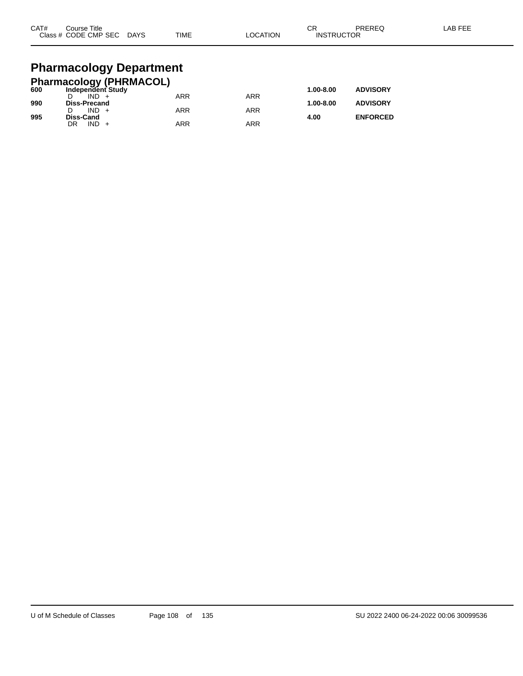| CAT# | Course Title<br>Class # CODE CMP SEC | <b>DAYS</b> | <b>TIME</b> | _OCATION | ∩⊓<br>◡⊓<br><b>INSTRUCTOR</b> | PREREQ | LAB FEE |
|------|--------------------------------------|-------------|-------------|----------|-------------------------------|--------|---------|
|      |                                      |             |             |          |                               |        |         |

# **Pharmacology Department**

| <b>Pharmacology (PHRMACOL)</b> |                     |            |            |               |                 |
|--------------------------------|---------------------|------------|------------|---------------|-----------------|
| 600                            | Independent Study   |            |            | $1.00 - 8.00$ | <b>ADVISORY</b> |
|                                | $IND +$             | <b>ARR</b> | ARR        |               |                 |
| 990                            | <b>Diss-Precand</b> |            |            | $1.00 - 8.00$ | <b>ADVISORY</b> |
|                                | $IND +$             | <b>ARR</b> | <b>ARR</b> |               |                 |
| 995                            | Diss-Cand           |            |            | 4.00          | <b>ENFORCED</b> |
|                                | $IND +$<br>DR       | ARR        | ARR        |               |                 |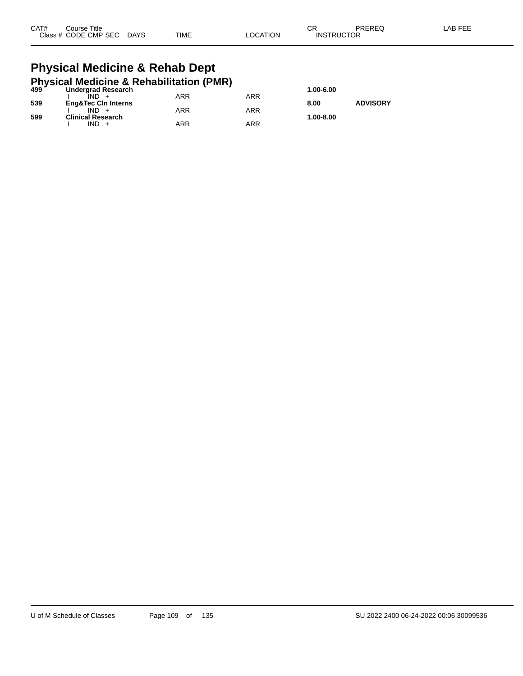| CAT# | Title<br>Course:     |             |             |          | ៱.<br>◡           | PREREQ | _AB FEE |
|------|----------------------|-------------|-------------|----------|-------------------|--------|---------|
|      | Class # CODE CMP SEC | <b>DAYS</b> | <b>TIME</b> | _OCATION | <b>INSTRUCTOR</b> |        |         |

## **Physical Medicine & Rehab Dept Physical Medicine & Rehabilitation (PMR)**

|     | 499 Undergrad Research<br><b>Undergrad Research</b> |     |     | 1.00-6.00 |                 |
|-----|-----------------------------------------------------|-----|-----|-----------|-----------------|
|     |                                                     | ARR | ARR |           |                 |
| 539 | <b>Eng&amp;Tec Cin Interns</b>                      |     |     | 8.00      | <b>ADVISORY</b> |
|     |                                                     | ARR | ARR |           |                 |
| 599 | <b>Clinical Research</b>                            |     |     | 1.00-8.00 |                 |
|     | IND +                                               | ARR | ARR |           |                 |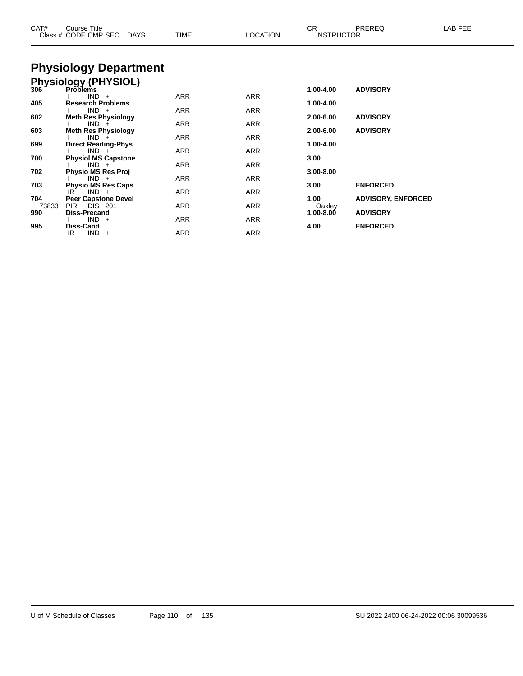| CAT#         | Course Title<br>Class # CODE CMP SEC         | DAYS | TIME       | <b>LOCATION</b> | <b>CR</b><br><b>INSTRUCTOR</b> | PREREQ                    | LAB FEE |
|--------------|----------------------------------------------|------|------------|-----------------|--------------------------------|---------------------------|---------|
|              | <b>Physiology Department</b>                 |      |            |                 |                                |                           |         |
|              | Physiology (PHYSIOL)<br>306 Problems         |      |            |                 |                                |                           |         |
|              |                                              |      |            |                 | 1.00-4.00                      | <b>ADVISORY</b>           |         |
| 405          | $IND +$<br><b>Research Problems</b>          |      | ARR        | ARR             | 1.00-4.00                      |                           |         |
|              | $IND +$                                      |      | ARR        | ARR             |                                |                           |         |
| 602          | <b>Meth Res Physiology</b>                   |      |            |                 | 2.00-6.00                      | <b>ADVISORY</b>           |         |
| 603          | $IND +$<br><b>Meth Res Physiology</b>        |      | ARR        | ARR             | 2.00-6.00                      | <b>ADVISORY</b>           |         |
|              | $IND +$                                      |      | ARR        | ARR             |                                |                           |         |
| 699          | <b>Direct Reading-Phys</b>                   |      |            |                 | 1.00-4.00                      |                           |         |
| 700          | $IND +$<br><b>Physiol MS Capstone</b>        |      | ARR        | ARR             | 3.00                           |                           |         |
|              | $IND +$                                      |      | ARR        | <b>ARR</b>      |                                |                           |         |
| 702          | Physio MS Res Proj<br>$IND +$                |      |            |                 | 3.00-8.00                      |                           |         |
| 703          | <b>Physio MS Res Caps</b>                    |      | ARR        | ARR             | 3.00                           | <b>ENFORCED</b>           |         |
|              | $IND +$<br>IR                                |      | ARR        | ARR             |                                |                           |         |
| 704          | <b>Peer Capstone Devel</b><br><b>DIS</b> 201 |      |            |                 | 1.00                           | <b>ADVISORY, ENFORCED</b> |         |
| 73833<br>990 | <b>PIR</b><br><b>Diss-Precand</b>            |      | ARR        | ARR             | Oakley<br>$1.00 - 8.00$        | <b>ADVISORY</b>           |         |
|              | $IND +$                                      |      | ARR        | ARR             |                                |                           |         |
| 995          | <b>Diss-Cand</b>                             |      |            |                 | 4.00                           | <b>ENFORCED</b>           |         |
|              | $IND +$<br>IR                                |      | <b>ARR</b> | <b>ARR</b>      |                                |                           |         |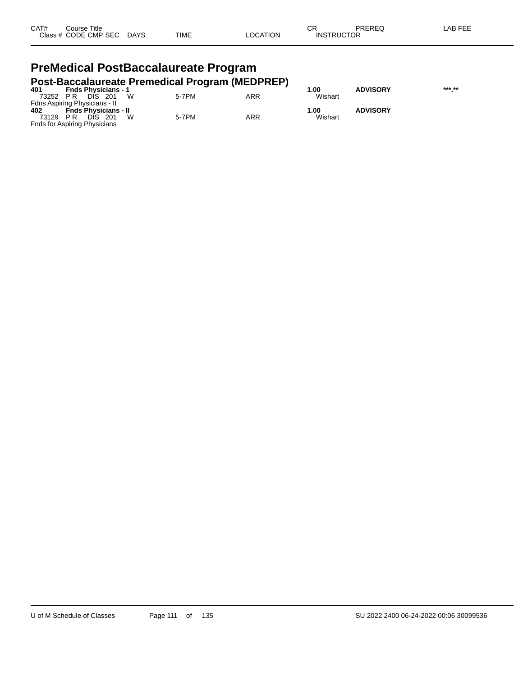| CAT# | Course Title         |             |             |          | СR                | PREREQ | LAB FEE |
|------|----------------------|-------------|-------------|----------|-------------------|--------|---------|
|      | Class # CODE CMP SEC | <b>DAYS</b> | <b>TIME</b> | _OCATION | <b>INSTRUCTOR</b> |        |         |

## **PreMedical PostBaccalaureate Program Post-Baccalaureate Premedical Program (MEDPREP)**

| 401      | <b>Fnds Physicians - 1</b>    |       |     | 1.00    | <b>ADVISORY</b> | *** ** |
|----------|-------------------------------|-------|-----|---------|-----------------|--------|
| 73252 PR | - W<br>DIS 201                | 5-7PM | ARR | Wishart |                 |        |
|          | Fdns Aspiring Physicians - II |       |     |         |                 |        |
| 402      | <b>Fnds Physicians - II</b>   |       |     | 1.00    | <b>ADVISORY</b> |        |
| 73129    | W<br>DIS.<br>- 201<br>PR      | 5-7PM | ARR | Wishart |                 |        |
|          | Fnds for Aspiring Physicians  |       |     |         |                 |        |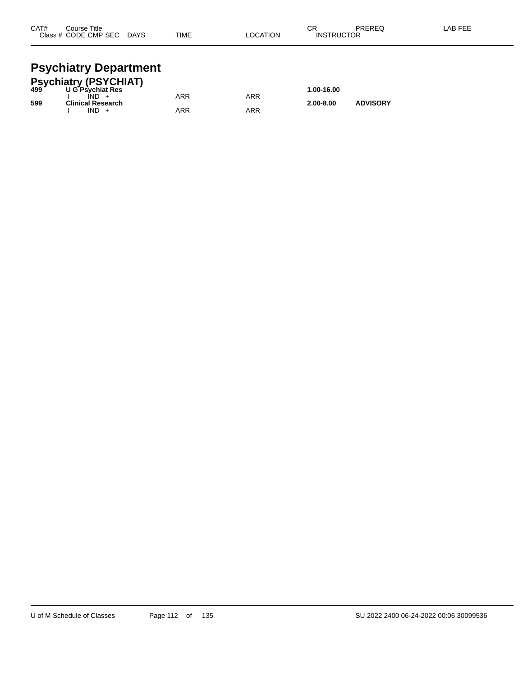| CAT# | Course Title         |             |             |          | ⌒г<br>◡∩          | PREREQ | .AB FEE |
|------|----------------------|-------------|-------------|----------|-------------------|--------|---------|
|      | Class # CODE CMP SEC | <b>DAYS</b> | <b>TIME</b> | LOCATION | <b>INSTRUCTOR</b> |        |         |
|      |                      |             |             |          |                   |        |         |

## **Psychiatry Department**

|     | <b>Psychiatry (PSYCHIAT)</b><br>499 U G Psychiat Res |     |     |               |                 |  |
|-----|------------------------------------------------------|-----|-----|---------------|-----------------|--|
|     |                                                      |     |     | 1.00-16.00    |                 |  |
|     | IND.                                                 | ARR | ARR |               |                 |  |
| 599 | <b>Clinical Research</b>                             |     |     | $2.00 - 8.00$ | <b>ADVISORY</b> |  |
|     | $IND +$                                              | ARR | ARR |               |                 |  |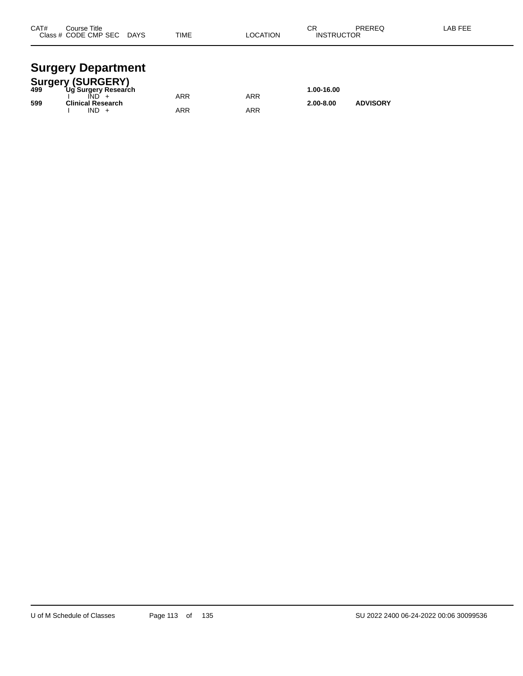| CAT# | Course Title<br>Class # CODE CMP SEC | <b>DAYS</b> | <b>TIME</b> | <b>LOCATION</b> | ◠⊏<br>- 613<br><b>INSTRUCTOR</b> | PREREQ | AB FEE. |
|------|--------------------------------------|-------------|-------------|-----------------|----------------------------------|--------|---------|
|      |                                      |             |             |                 |                                  |        |         |

## **Surgery Department**

|     | <b>Surgery (SURGERY)</b> |     |     |               |                 |  |
|-----|--------------------------|-----|-----|---------------|-----------------|--|
| 499 | Ug Surgery Research      |     |     | 1.00-16.00    |                 |  |
|     |                          | ARR | ARR |               |                 |  |
| 599 | <b>Clinical Research</b> |     |     | $2.00 - 8.00$ | <b>ADVISORY</b> |  |
|     | IND.                     | ARR | ARR |               |                 |  |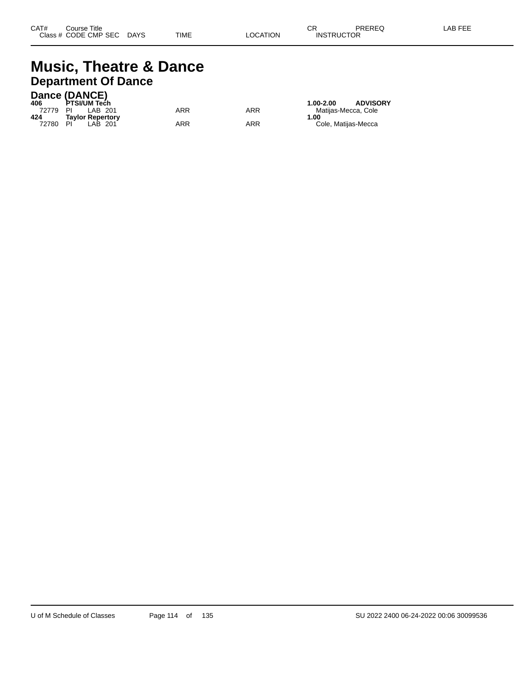## **Music, Theatre & Dance Department Of Dance**

|       | Dance (DANCE)           |     |     |                                  |
|-------|-------------------------|-----|-----|----------------------------------|
| 406   | <b>PTSI/UM Tech</b>     |     |     | <b>ADVISORY</b><br>$1.00 - 2.00$ |
| 72779 | LAB 201<br>PI           | ARR | ARR | Matiias-Mecca. Cole              |
| 424   | <b>Tavlor Repertory</b> |     |     | 1.00                             |
| 72780 | PI<br>LAB 201           | ARR | ARR | Cole, Matijas-Mecca              |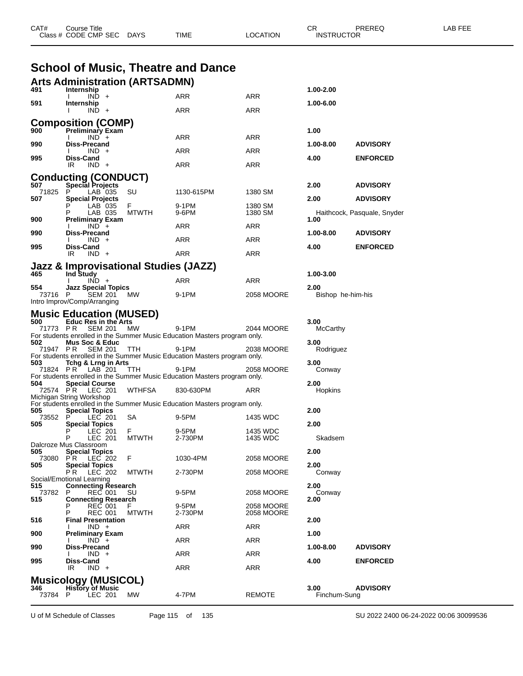|                | Class # CODE CMP SEC DAYS                                     |              | TIME                                                                               | LOCATION                 | <b>INSTRUCTOR</b>         |                             |  |
|----------------|---------------------------------------------------------------|--------------|------------------------------------------------------------------------------------|--------------------------|---------------------------|-----------------------------|--|
|                |                                                               |              |                                                                                    |                          |                           |                             |  |
|                |                                                               |              | <b>School of Music, Theatre and Dance</b>                                          |                          |                           |                             |  |
|                | <b>Arts Administration (ARTSADMN)</b>                         |              |                                                                                    |                          |                           |                             |  |
| 491            | Internship<br>$IND +$                                         |              | ARR                                                                                | ARR                      | 1.00-2.00                 |                             |  |
| 591            | Internship<br>$IND +$                                         |              | ARR                                                                                | ARR                      | 1.00-6.00                 |                             |  |
|                | <b>Composition (COMP)</b>                                     |              |                                                                                    |                          |                           |                             |  |
| 900            | <b>Preliminary Exam</b><br>$IND +$                            |              | ARR                                                                                | ARR                      | 1.00                      |                             |  |
| 990            | <b>Diss-Precand</b><br>$IND +$                                |              | <b>ARR</b>                                                                         | <b>ARR</b>               | 1.00-8.00                 | <b>ADVISORY</b>             |  |
| 995            | Diss-Cand<br>$IND +$<br>IR                                    |              | ARR                                                                                | ARR                      | 4.00                      | <b>ENFORCED</b>             |  |
|                | <b>Conducting (CONDUCT)</b>                                   |              |                                                                                    |                          |                           |                             |  |
| 507<br>71825   | <b>Special Projects</b><br>P<br>LAB 035                       | SU           | 1130-615PM                                                                         | 1380 SM                  | 2.00                      | <b>ADVISORY</b>             |  |
| 507            | <b>Special Projects</b><br>LAB 035                            | F.           | 9-1PM                                                                              | 1380 SM                  | 2.00                      | <b>ADVISORY</b>             |  |
| 900            | LAB 035<br><b>Preliminary Exam</b>                            | <b>MTWTH</b> | 9-6PM                                                                              | 1380 SM                  | 1.00                      | Haithcock, Pasquale, Snyder |  |
| 990            | $IND +$<br>Diss-Precand                                       |              | ARR                                                                                | ARR                      | 1.00-8.00                 | <b>ADVISORY</b>             |  |
| 995            | $IND +$<br>Diss-Cand                                          |              | ARR                                                                                | ARR                      | 4.00                      | <b>ENFORCED</b>             |  |
|                | $IND +$<br>IR                                                 |              | ARR                                                                                | <b>ARR</b>               |                           |                             |  |
|                | <b>Jazz &amp; Improvisational Studies (JAZZ)</b>              |              |                                                                                    |                          |                           |                             |  |
| 465            | Ind Study<br>$IND +$                                          |              | ARR                                                                                | ARR                      | 1.00-3.00                 |                             |  |
| 554<br>73716 P | <b>Jazz Special Topics</b><br><b>SEM 201</b>                  | МW           | 9-1PM                                                                              | 2058 MOORE               | 2.00<br>Bishop he-him-his |                             |  |
|                | Intro Improv/Comp/Arranging                                   |              |                                                                                    |                          |                           |                             |  |
| 500            | <b>Music Education (MUSED)</b><br><b>Educ Res in the Arts</b> |              |                                                                                    |                          | 3.00                      |                             |  |
|                | 71773 PR SEM 201 MW                                           |              | 9-1PM<br>For students enrolled in the Summer Music Education Masters program only. | 2044 MOORE               | <b>McCarthy</b>           |                             |  |
| 502            | <b>Mus Soc &amp; Educ</b><br>71947 PR SEM 201                 | TTH.         | 9-1PM                                                                              | 2038 MOORE               | 3.00<br>Rodriguez         |                             |  |
| 503            | Tchg & Lrng in Arts                                           |              | For students enrolled in the Summer Music Education Masters program only.          |                          | 3.00                      |                             |  |
|                | 71824 PR LAB 201                                              | TTH.         | 9-1PM<br>For students enrolled in the Summer Music Education Masters program only. | 2058 MOORE               | Conway                    |                             |  |
| 504            | <b>Special Course</b><br>72574 PR LEC 201                     | WTHFSA       | 830-630PM                                                                          | ARR                      | 2.00<br>Hopkins           |                             |  |
|                | Michigan String Workshop                                      |              | For students enrolled in the Summer Music Education Masters program only.          |                          |                           |                             |  |
| 505<br>73552 P | <b>Special Topics</b><br>LEC 201                              | SA           | 9-5PM                                                                              | 1435 WDC                 | 2.00                      |                             |  |
| 505            | <b>Special Topics</b><br>LEC 201                              | F.           | 9-5PM                                                                              | 1435 WDC                 | 2.00                      |                             |  |
|                | P<br>LEC 201<br>Dalcroze Mus Classroom                        | <b>MTWTH</b> | 2-730PM                                                                            | 1435 WDC                 | Skadsem                   |                             |  |
| 505            | <b>Special Topics</b><br>73080 PR LEC 202                     | F.           | 1030-4PM                                                                           | 2058 MOORE               | 2.00                      |                             |  |
| 505            | <b>Special Topics</b><br><b>PR</b> LEC 202                    | <b>MTWTH</b> | 2-730PM                                                                            | 2058 MOORE               | 2.00<br>Conway            |                             |  |
| 515            | Social/Emotional Learning<br><b>Connecting Research</b>       |              |                                                                                    |                          | 2.00                      |                             |  |
| 73782<br>515   | P<br>REC 001<br><b>Connecting Research</b>                    | SU           | 9-5PM                                                                              | 2058 MOORE               | Conway<br>2.00            |                             |  |
|                | <b>REC 001</b><br>Р<br><b>REC 001</b>                         | <b>MTWTH</b> | 9-5PM<br>2-730PM                                                                   | 2058 MOORE<br>2058 MOORE |                           |                             |  |
| 516            | <b>Final Presentation</b><br>$IND +$                          |              | ARR                                                                                | ARR                      | 2.00                      |                             |  |
| 900            | <b>Preliminary Exam</b><br>$IND +$                            |              | <b>ARR</b>                                                                         | ARR                      | 1.00                      |                             |  |
| 990            | Diss-Precand<br>$IND +$                                       |              | ARR                                                                                | ARR                      | 1.00-8.00                 | <b>ADVISORY</b>             |  |
| 995            | Diss-Cand                                                     |              |                                                                                    |                          | 4.00                      | <b>ENFORCED</b>             |  |
|                | $IND +$<br>IR.<br><b>Musicology (MUSICOL)</b>                 |              | ARR                                                                                | ARR                      |                           |                             |  |
| 346            | <b>History of Music</b>                                       |              |                                                                                    |                          | 3.00                      | <b>ADVISORY</b>             |  |
| 73784 P        | LEC 201                                                       | MW           | 4-7PM                                                                              | <b>REMOTE</b>            | Finchum-Sung              |                             |  |

CAT# Course Title Case CR PREREQ LAB FEE

U of M Schedule of Classes Page 115 of 135 SU 2022 2400 06-24-2022 00:06 30099536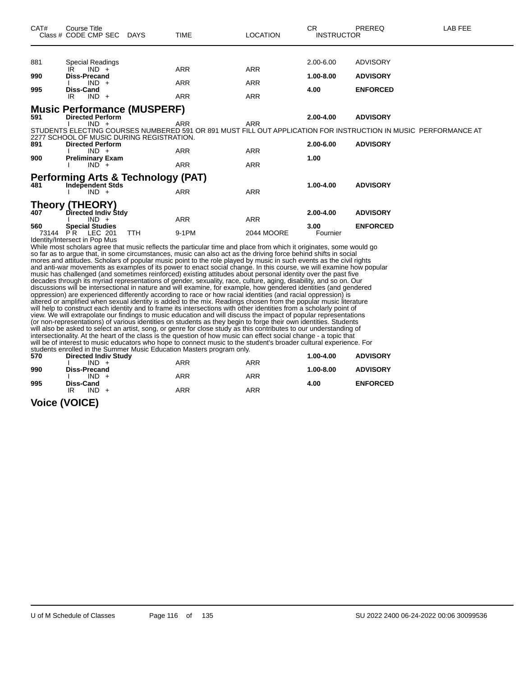| CAT# | <b>Course Title</b><br>Class # CODE CMP SEC DAYS                                                                                                                                                                                                                                                                                                                                                                                                                                                                                                                                                                                                                                                                                                                                                                                                                                                                                                                                                                                                                                                                                                                                                                                                                                                                                                                                                                                                                                     |            | <b>TIME</b> | <b>LOCATION</b>   | CR.<br><b>INSTRUCTOR</b> | PREREQ                                                                                                          | <b>LAB FEE</b> |  |  |
|------|--------------------------------------------------------------------------------------------------------------------------------------------------------------------------------------------------------------------------------------------------------------------------------------------------------------------------------------------------------------------------------------------------------------------------------------------------------------------------------------------------------------------------------------------------------------------------------------------------------------------------------------------------------------------------------------------------------------------------------------------------------------------------------------------------------------------------------------------------------------------------------------------------------------------------------------------------------------------------------------------------------------------------------------------------------------------------------------------------------------------------------------------------------------------------------------------------------------------------------------------------------------------------------------------------------------------------------------------------------------------------------------------------------------------------------------------------------------------------------------|------------|-------------|-------------------|--------------------------|-----------------------------------------------------------------------------------------------------------------|----------------|--|--|
| 881  | <b>Special Readings</b>                                                                                                                                                                                                                                                                                                                                                                                                                                                                                                                                                                                                                                                                                                                                                                                                                                                                                                                                                                                                                                                                                                                                                                                                                                                                                                                                                                                                                                                              |            |             |                   | 2.00-6.00                | <b>ADVISORY</b>                                                                                                 |                |  |  |
| 990  | $IND +$<br>IR.                                                                                                                                                                                                                                                                                                                                                                                                                                                                                                                                                                                                                                                                                                                                                                                                                                                                                                                                                                                                                                                                                                                                                                                                                                                                                                                                                                                                                                                                       |            | <b>ARR</b>  | <b>ARR</b>        |                          |                                                                                                                 |                |  |  |
|      | <b>Diss-Precand</b><br>$IND +$                                                                                                                                                                                                                                                                                                                                                                                                                                                                                                                                                                                                                                                                                                                                                                                                                                                                                                                                                                                                                                                                                                                                                                                                                                                                                                                                                                                                                                                       |            | <b>ARR</b>  | <b>ARR</b>        | $1.00 - 8.00$            | <b>ADVISORY</b>                                                                                                 |                |  |  |
| 995  | <b>Diss-Cand</b><br>$IND +$<br>IR                                                                                                                                                                                                                                                                                                                                                                                                                                                                                                                                                                                                                                                                                                                                                                                                                                                                                                                                                                                                                                                                                                                                                                                                                                                                                                                                                                                                                                                    |            | <b>ARR</b>  | <b>ARR</b>        | 4.00                     | <b>ENFORCED</b>                                                                                                 |                |  |  |
| 591  | <b>Music Performance (MUSPERF)</b><br><b>Directed Perform</b>                                                                                                                                                                                                                                                                                                                                                                                                                                                                                                                                                                                                                                                                                                                                                                                                                                                                                                                                                                                                                                                                                                                                                                                                                                                                                                                                                                                                                        |            |             |                   | 2.00-4.00                | <b>ADVISORY</b>                                                                                                 |                |  |  |
|      | $IND +$<br>2277 SCHOOL OF MUSIC DURING REGISTRATION.                                                                                                                                                                                                                                                                                                                                                                                                                                                                                                                                                                                                                                                                                                                                                                                                                                                                                                                                                                                                                                                                                                                                                                                                                                                                                                                                                                                                                                 |            | ARR         | <b>ARR</b>        |                          | STUDENTS ELECTING COURSES NUMBERED 591 OR 891 MUST FILL OUT APPLICATION FOR INSTRUCTION IN MUSIC PERFORMANCE AT |                |  |  |
| 891  | <b>Directed Perform</b>                                                                                                                                                                                                                                                                                                                                                                                                                                                                                                                                                                                                                                                                                                                                                                                                                                                                                                                                                                                                                                                                                                                                                                                                                                                                                                                                                                                                                                                              |            |             |                   | 2.00-6.00                | <b>ADVISORY</b>                                                                                                 |                |  |  |
| 900  | $IND +$<br><b>Preliminary Exam</b>                                                                                                                                                                                                                                                                                                                                                                                                                                                                                                                                                                                                                                                                                                                                                                                                                                                                                                                                                                                                                                                                                                                                                                                                                                                                                                                                                                                                                                                   |            | ARR         | <b>ARR</b>        | 1.00                     |                                                                                                                 |                |  |  |
|      | $IND +$                                                                                                                                                                                                                                                                                                                                                                                                                                                                                                                                                                                                                                                                                                                                                                                                                                                                                                                                                                                                                                                                                                                                                                                                                                                                                                                                                                                                                                                                              |            | <b>ARR</b>  | <b>ARR</b>        |                          |                                                                                                                 |                |  |  |
| 481  | <b>Performing Arts &amp; Technology (PAT)</b>                                                                                                                                                                                                                                                                                                                                                                                                                                                                                                                                                                                                                                                                                                                                                                                                                                                                                                                                                                                                                                                                                                                                                                                                                                                                                                                                                                                                                                        |            |             |                   | 1.00-4.00                | <b>ADVISORY</b>                                                                                                 |                |  |  |
|      | <b>Independent Stds</b><br>$IND +$                                                                                                                                                                                                                                                                                                                                                                                                                                                                                                                                                                                                                                                                                                                                                                                                                                                                                                                                                                                                                                                                                                                                                                                                                                                                                                                                                                                                                                                   |            | <b>ARR</b>  | <b>ARR</b>        |                          |                                                                                                                 |                |  |  |
| 407  | <b>Theory (THEORY)</b><br>Directed Indiv Stdy<br>$IND +$                                                                                                                                                                                                                                                                                                                                                                                                                                                                                                                                                                                                                                                                                                                                                                                                                                                                                                                                                                                                                                                                                                                                                                                                                                                                                                                                                                                                                             |            | <b>ARR</b>  | <b>ARR</b>        | 2.00-4.00                | <b>ADVISORY</b>                                                                                                 |                |  |  |
| 560  | <b>Special Studies</b>                                                                                                                                                                                                                                                                                                                                                                                                                                                                                                                                                                                                                                                                                                                                                                                                                                                                                                                                                                                                                                                                                                                                                                                                                                                                                                                                                                                                                                                               |            |             |                   | 3.00                     | <b>ENFORCED</b>                                                                                                 |                |  |  |
|      | 73144 PR LEC 201                                                                                                                                                                                                                                                                                                                                                                                                                                                                                                                                                                                                                                                                                                                                                                                                                                                                                                                                                                                                                                                                                                                                                                                                                                                                                                                                                                                                                                                                     | <b>TTH</b> | 9-1PM       | <b>2044 MOORE</b> | Fournier                 |                                                                                                                 |                |  |  |
|      | Identity/Intersect in Pop Mus<br>While most scholars agree that music reflects the particular time and place from which it originates, some would go<br>so far as to argue that, in some circumstances, music can also act as the driving force behind shifts in social<br>mores and attitudes. Scholars of popular music point to the role played by music in such events as the civil rights<br>and anti-war movements as examples of its power to enact social change. In this course, we will examine how popular<br>music has challenged (and sometimes reinforced) existing attitudes about personal identity over the past five<br>decades through its myriad representations of gender, sexuality, race, culture, aging, disability, and so on. Our<br>discussions will be intersectional in nature and will examine, for example, how gendered identities (and gendered<br>oppression) are experienced differently according to race or how racial identities (and racial oppression) is<br>altered or amplified when sexual identity is added to the mix. Readings chosen from the popular music literature<br>will help to construct each identity and to frame its intersections with other identities from a scholarly point of<br>view. We will extrapolate our findings to music education and will discuss the impact of popular representations<br>(or non-representations) of various identities on students as they begin to forge their own identities. Students |            |             |                   |                          |                                                                                                                 |                |  |  |

will also be asked to select an artist, song, or genre for close study as this contributes to our understanding of

intersectionality. At the heart of the class is the question of how music can effect social change - a topic that will be of interest to music educators who hope to connect music to the student's broader cultural experience. For students enrolled in the Summer Music Education Masters program only.

| 570 | <b>Directed Indiv Study</b> |     |            | 1.00-4.00 | <b>ADVISORY</b> |
|-----|-----------------------------|-----|------------|-----------|-----------------|
|     | $IND +$                     | ARR | <b>ARR</b> |           |                 |
| 990 | Diss-Precand                |     |            | 1.00-8.00 | <b>ADVISORY</b> |
|     | $IND +$                     | ARR | <b>ARR</b> |           |                 |
| 995 | Diss-Cand                   |     |            | 4.00      | <b>ENFORCED</b> |
|     | $IND +$<br>IR               | ARR | <b>ARR</b> |           |                 |
|     |                             |     |            |           |                 |

**Voice (VOICE)**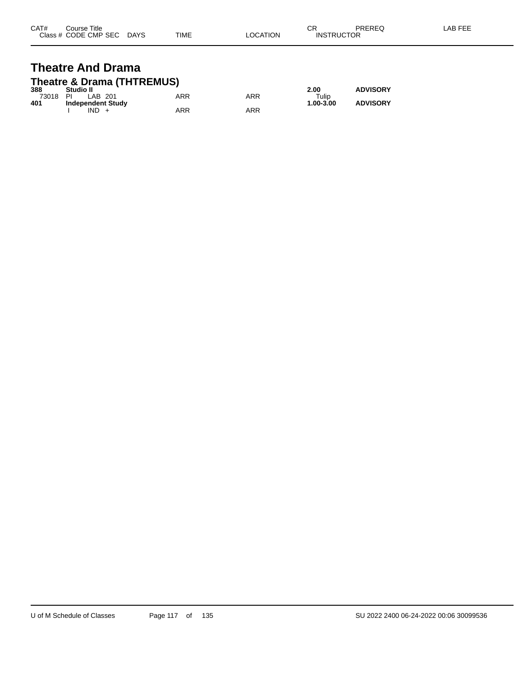| CAT# | Title<br>Course      |             |             |                | ⌒冖<br>◡           | PREREQ | _AB FEF |
|------|----------------------|-------------|-------------|----------------|-------------------|--------|---------|
|      | Class # CODE CMP SEC | <b>DAYS</b> | <b>TIME</b> | <b>OCATION</b> | <b>INSTRUCTOR</b> |        |         |

## **Theatre And Drama Theatre & Drama (THTREMUS)**

| 388   | Studio II                |     |     | 2.00      | <b>ADVISORY</b> |
|-------|--------------------------|-----|-----|-----------|-----------------|
| 73018 | PI<br>LAB 201            | ARR | ARR | Tulip     |                 |
| 401   | <b>Independent Study</b> |     |     | 1.00-3.00 | <b>ADVISORY</b> |
|       | <b>IND</b>               | ARR | ARR |           |                 |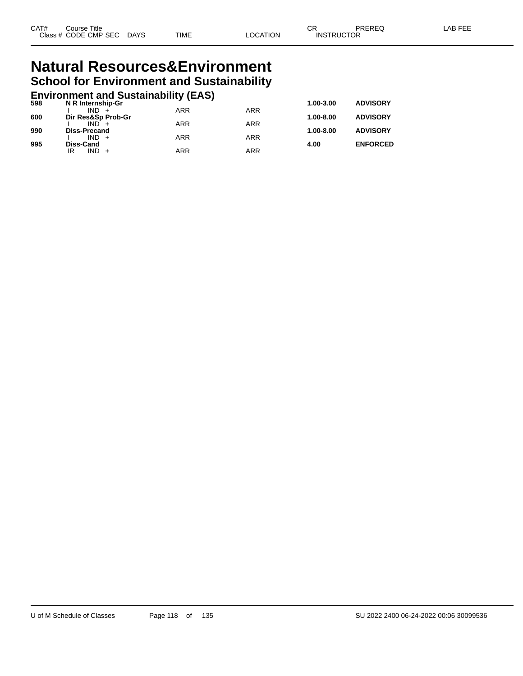## **Natural Resources&Environment School for Environment and Sustainability**

## **Environment and Sustainability (EAS) 598 N R Internship-Gr 1.00-3.00 ADVISORY**

| 598 | N R Internsnip-Gr             |            |            | 1.00-3.00     | <b>ADVISORY</b> |
|-----|-------------------------------|------------|------------|---------------|-----------------|
| 600 | $IND +$<br>Dir Res&Sp Prob-Gr | ARR        | <b>ARR</b> | $1.00 - 8.00$ | <b>ADVISORY</b> |
|     | $IND +$                       | ARR        | <b>ARR</b> |               |                 |
| 990 | Diss-Precand<br>$IND +$       | <b>ARR</b> | <b>ARR</b> | $1.00 - 8.00$ | <b>ADVISORY</b> |
| 995 | Diss-Cand                     |            |            | 4.00          | <b>ENFORCED</b> |
|     | $IND +$<br>IR                 | ARR        | ARR        |               |                 |
|     |                               |            |            |               |                 |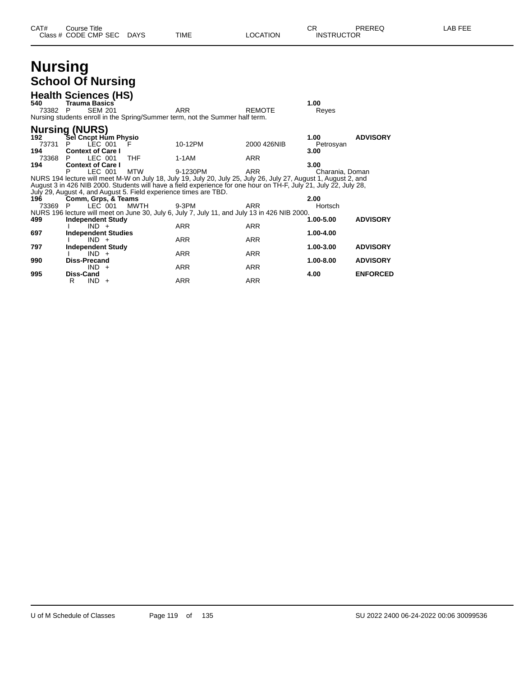| CAT# | Title<br>Course      |             |      |                 | ⌒冖<br>◡           | <b>PREREQ</b> | . EEF<br>AR |
|------|----------------------|-------------|------|-----------------|-------------------|---------------|-------------|
|      | Class # CODE CMP SEC | <b>DAYS</b> | TIME | <b>LOCATION</b> | <b>INSTRUCTOR</b> |               |             |

## **Nursing School Of Nursing**

| 540<br>73382        | <b>Health Sciences (HS)</b><br><b>Trauma Basics</b><br><b>SEM 201</b><br>P                |                                                                          | <b>ARR</b><br>Nursing students enroll in the Spring/Summer term, not the Summer half term.                                                                                                                                                               | <b>REMOTE</b>            | 1.00<br>Reyes             |                                    |
|---------------------|-------------------------------------------------------------------------------------------|--------------------------------------------------------------------------|----------------------------------------------------------------------------------------------------------------------------------------------------------------------------------------------------------------------------------------------------------|--------------------------|---------------------------|------------------------------------|
| 192<br>73731<br>194 | <b>Nursing (NURS)</b><br>Sel Cncpt Hum Physio<br>LEC 001<br>P<br><b>Context of Care I</b> | F                                                                        | 10-12PM                                                                                                                                                                                                                                                  | 2000 426NIB              | 1.00<br>Petrosyan<br>3.00 | <b>ADVISORY</b>                    |
| 73368<br>194        | LEC 001<br>P<br><b>Context of Care I</b><br>LEC 001<br>P                                  | <b>THF</b><br><b>MTW</b>                                                 | 1-1AM<br>9-1230PM<br>NURS 194 lecture will meet M-W on July 18, July 19, July 20, July 25, July 26, July 27, August 1, August 2, and<br>August 3 in 426 NIB 2000. Students will have a field experience for one hour on TH-F, July 21, July 22, July 28, | <b>ARR</b><br><b>ARR</b> | 3.00<br>Charania, Doman   |                                    |
| 196<br>73369        | Comm, Grps, & Teams<br>LEC 001<br>P                                                       | July 29, August 4, and August 5. Field experience times are TBD.<br>MWTH | 9-3PM<br>NURS 196 lecture will meet on June 30, July 6, July 7, July 11, and July 13 in 426 NIB 2000.                                                                                                                                                    | ARR                      | 2.00<br>Hortsch           |                                    |
| 499<br>697          | <b>Independent Study</b><br>$IND +$<br><b>Independent Studies</b><br>$IND +$              |                                                                          | <b>ARR</b><br><b>ARR</b>                                                                                                                                                                                                                                 | <b>ARR</b><br><b>ARR</b> | 1.00-5.00<br>1.00-4.00    | <b>ADVISORY</b>                    |
| 797<br>990          | <b>Independent Study</b><br>$IND +$<br>Diss-Precand<br>$IND +$                            |                                                                          | <b>ARR</b><br><b>ARR</b>                                                                                                                                                                                                                                 | <b>ARR</b><br><b>ARR</b> | 1.00-3.00<br>1.00-8.00    | <b>ADVISORY</b><br><b>ADVISORY</b> |
| 995                 | Diss-Cand<br>$IND +$<br>R                                                                 |                                                                          | <b>ARR</b>                                                                                                                                                                                                                                               | <b>ARR</b>               | 4.00                      | <b>ENFORCED</b>                    |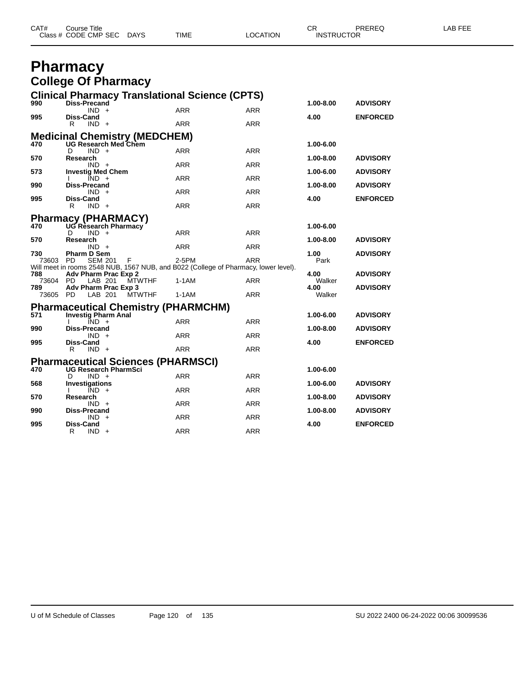| CAT# | Course Title              |      |          | $\cap$<br>◡       | PREREQ | <b>AB FEE</b> |
|------|---------------------------|------|----------|-------------------|--------|---------------|
|      | Class # CODE CMP SEC DAYS | TIME | LOCATION | <b>INSTRUCTOR</b> |        |               |

## **Pharmacy College Of Pharmacy**

| <b>Clinical Pharmacy Translational Science (CPTS)</b><br><b>Diss-Precand</b><br>990<br>1.00-8.00                           | <b>ADVISORY</b> |
|----------------------------------------------------------------------------------------------------------------------------|-----------------|
| <b>ARR</b><br>$IND +$<br><b>ARR</b><br>995<br>4.00<br>Diss-Cand                                                            | <b>ENFORCED</b> |
| <b>ARR</b><br><b>ARR</b><br>R<br>$IND +$                                                                                   |                 |
| <b>Medicinal Chemistry (MEDCHEM)</b>                                                                                       |                 |
| <b>UG Research Med Chem</b><br>470<br>1.00-6.00                                                                            |                 |
| <b>ARR</b><br><b>ARR</b><br>D<br>$IND +$<br>570<br>1.00-8.00<br>Research                                                   | <b>ADVISORY</b> |
| <b>ARR</b><br><b>ARR</b><br>$IND +$                                                                                        |                 |
| 573<br><b>Investig Med Chem</b><br>1.00-6.00<br><b>ARR</b><br><b>ARR</b><br>IND.<br>$+$                                    | <b>ADVISORY</b> |
| 1.00-8.00<br>990<br>Diss-Precand                                                                                           | <b>ADVISORY</b> |
| <b>ARR</b><br><b>ARR</b><br>$IND +$                                                                                        |                 |
| 995<br><b>Diss-Cand</b><br>4.00<br><b>ARR</b><br>R<br>$IND +$<br><b>ARR</b>                                                | <b>ENFORCED</b> |
|                                                                                                                            |                 |
| <b>Pharmacy (PHARMACY)</b><br>470 UG Research Pharmacy<br>1.00-6.00                                                        |                 |
| <b>ARR</b><br><b>ARR</b><br>$IND +$<br>D                                                                                   |                 |
| 570<br>Research<br>1.00-8.00<br><b>ARR</b><br><b>ARR</b><br>$IND +$                                                        | <b>ADVISORY</b> |
| 730<br><b>Pharm D Sem</b><br>1.00                                                                                          | <b>ADVISORY</b> |
| 2-5PM<br><b>ARR</b><br>Park<br>73603 PD<br><b>SEM 201</b><br>F                                                             |                 |
| Will meet in rooms 2548 NUB, 1567 NUB, and B022 (College of Pharmacy, lower level).<br>788<br>Adv Pharm Prac Exp 2<br>4.00 | <b>ADVISORY</b> |
| 73604 PD<br>LAB 201<br><b>MTWTHF</b><br>1-1AM<br><b>ARR</b><br>Walker                                                      |                 |
| 789<br>Adv Pharm Prac Exp 3<br>4.00<br>73605 PD<br><b>MTWTHF</b><br><b>ARR</b><br>Walker<br>LAB 201<br>1-1AM               | <b>ADVISORY</b> |
|                                                                                                                            |                 |
| <b>Pharmaceutical Chemistry (PHARMCHM)</b><br>571<br><b>Investig Pharm Anal</b><br>1.00-6.00                               | <b>ADVISORY</b> |
| <b>ARR</b><br><b>ARR</b><br>$\overline{IND}$ +                                                                             |                 |
| 990<br><b>Diss-Precand</b><br>1.00-8.00                                                                                    | <b>ADVISORY</b> |
| <b>ARR</b><br><b>ARR</b><br>IND +<br>995<br>4.00<br><b>Diss-Cand</b>                                                       | <b>ENFORCED</b> |
| <b>ARR</b><br><b>ARR</b><br>R<br>$IND +$                                                                                   |                 |
| <b>Pharmaceutical Sciences (PHARMSCI)</b>                                                                                  |                 |
| 470<br><b>UG Research PharmSci</b><br>1.00-6.00                                                                            |                 |
| <b>ARR</b><br><b>ARR</b><br>$IND +$<br>D<br>568<br>Investigations<br>1.00-6.00                                             | <b>ADVISORY</b> |
| <b>ARR</b><br><b>ARR</b><br>$IND +$                                                                                        |                 |
| 1.00-8.00<br>570<br>Research                                                                                               | <b>ADVISORY</b> |
| <b>ARR</b><br><b>ARR</b><br>$IND +$<br>990<br><b>Diss-Precand</b><br>1.00-8.00                                             | <b>ADVISORY</b> |
|                                                                                                                            |                 |
| IND.<br>ARR<br>ARR<br>$+$<br>995<br><b>Diss-Cand</b><br>4.00                                                               | <b>ENFORCED</b> |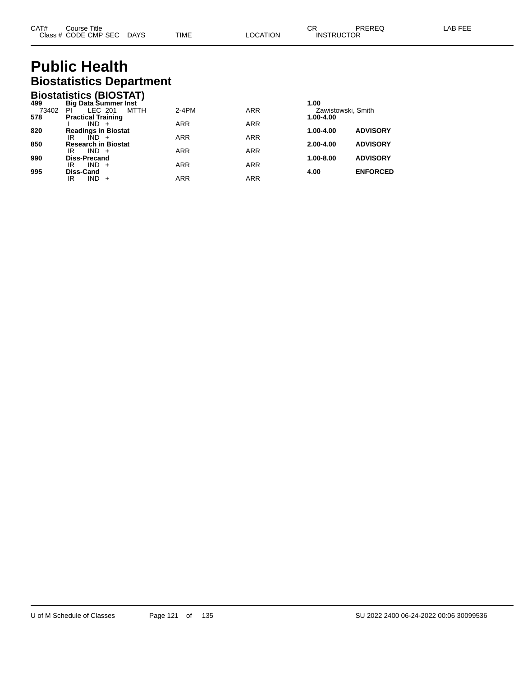# **Public Health Biostatistics Department**

|       | <b>Biostatistics (BIOSTAT)</b> |            |            |                    |                 |
|-------|--------------------------------|------------|------------|--------------------|-----------------|
| 499   | <b>Big Data Summer Inst</b>    |            |            | 1.00               |                 |
| 73402 | LEC 201<br>ΡI<br>MTTH          | $2-4PM$    | <b>ARR</b> | Zawistowski, Smith |                 |
| 578   | <b>Practical Training</b>      |            |            | 1.00-4.00          |                 |
|       | $IND +$                        | <b>ARR</b> | <b>ARR</b> |                    |                 |
| 820   | <b>Readings in Biostat</b>     |            |            | 1.00-4.00          | <b>ADVISORY</b> |
|       | ΙR<br>$IND +$                  | <b>ARR</b> | <b>ARR</b> |                    |                 |
| 850   | <b>Research in Biostat</b>     |            |            | $2.00 - 4.00$      | <b>ADVISORY</b> |
|       | $IND +$<br>IR                  | <b>ARR</b> | <b>ARR</b> |                    |                 |
| 990   | <b>Diss-Precand</b>            |            |            | 1.00-8.00          | <b>ADVISORY</b> |
|       | $IND +$<br>IR                  | <b>ARR</b> | <b>ARR</b> |                    |                 |
| 995   | Diss-Cand                      |            |            | 4.00               | <b>ENFORCED</b> |
|       | $IND +$<br>IR                  | <b>ARR</b> | <b>ARR</b> |                    |                 |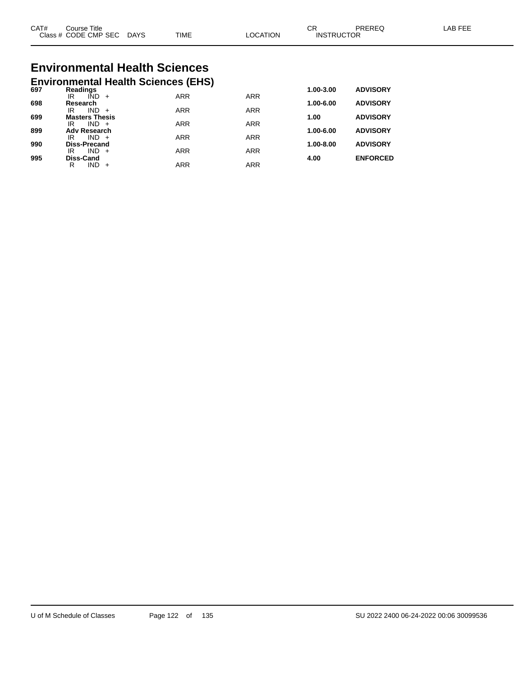| CAT#<br>$\bigcap$ acc $\bigcup$<br>טוט | Title<br>Course<br><b>CODE CMP SEC</b> | <b>DAYS</b> | <b>TIME</b> | <b>TION</b><br>C. | ⌒冖<br>◡<br>ICTOR<br><b>INSTRL</b> | ODEDE <sup>r</sup> | AP |
|----------------------------------------|----------------------------------------|-------------|-------------|-------------------|-----------------------------------|--------------------|----|
|                                        |                                        |             |             |                   |                                   |                    |    |

# **Environmental Health Sciences**

|     | <b>Environmental Health Sciences (EHS)</b> |            |            |               |                 |
|-----|--------------------------------------------|------------|------------|---------------|-----------------|
| 697 | Readings                                   |            |            | 1.00-3.00     | <b>ADVISORY</b> |
|     | IÑD<br>IR<br>$+$                           | <b>ARR</b> | <b>ARR</b> |               |                 |
| 698 | Research<br><b>IND</b><br>IR<br>$+$        | <b>ARR</b> | <b>ARR</b> | 1.00-6.00     | <b>ADVISORY</b> |
| 699 | <b>Masters Thesis</b>                      |            |            | 1.00          | <b>ADVISORY</b> |
|     | $IND +$<br>IR                              | <b>ARR</b> | <b>ARR</b> |               |                 |
| 899 | <b>Adv Research</b>                        |            |            | 1.00-6.00     | <b>ADVISORY</b> |
|     | $IND +$<br>IR                              | <b>ARR</b> | <b>ARR</b> |               |                 |
| 990 | <b>Diss-Precand</b><br>IND.<br>IR<br>$+$   | <b>ARR</b> | <b>ARR</b> | $1.00 - 8.00$ | <b>ADVISORY</b> |
| 995 | Diss-Cand                                  |            |            | 4.00          | <b>ENFORCED</b> |
|     | IND<br>R                                   | ARR        | <b>ARR</b> |               |                 |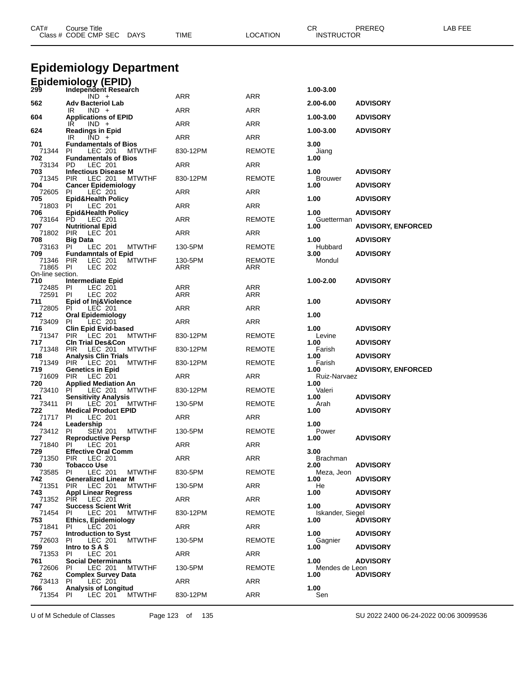| CAT#                    | <b>Course Title</b><br>Class # CODE CMP SEC DAYS                       | TIME           | <b>LOCATION</b>      | CR<br>PREREQ<br><b>INSTRUCTOR</b>           | LAB FEE |
|-------------------------|------------------------------------------------------------------------|----------------|----------------------|---------------------------------------------|---------|
|                         | <b>Epidemiology Department</b>                                         |                |                      |                                             |         |
|                         | Epidemiology (EPID)                                                    |                |                      |                                             |         |
| 299                     | Independent Research<br>$IND +$                                        | ARR            | ARR                  | 1.00-3.00                                   |         |
| 562                     | <b>Adv Bacteriol Lab</b><br>$IND +$<br>IR                              | ARR            | ARR                  | <b>ADVISORY</b><br>2.00-6.00                |         |
| 604                     | <b>Applications of EPID</b>                                            |                |                      | 1.00-3.00<br><b>ADVISORY</b>                |         |
| 624                     | IR<br>$IND +$<br><b>Readings in Epid</b>                               | ARR            | <b>ARR</b>           | 1.00-3.00<br><b>ADVISORY</b>                |         |
| 701                     | IR<br>$IND +$<br><b>Fundamentals of Bios</b>                           | <b>ARR</b>     | ARR                  | 3.00                                        |         |
| 71344<br>702            | LEC 201<br>PI.<br><b>MTWTHF</b><br><b>Fundamentals of Bios</b>         | 830-12PM       | <b>REMOTE</b>        | Jiang<br>1.00                               |         |
| 73134<br>703            | PD<br>LEC 201<br><b>Infectious Disease M</b>                           | ARR            | ARR                  | 1.00<br><b>ADVISORY</b>                     |         |
| 71345<br>704            | PIR.<br>LEC 201<br>MTWTHF                                              | 830-12PM       | <b>REMOTE</b>        | <b>Brouwer</b>                              |         |
| 72605                   | <b>Cancer Epidemiology</b><br>LEC 201<br>PI                            | ARR            | ARR                  | <b>ADVISORY</b><br>1.00                     |         |
| 705<br>71803            | <b>Epid&amp;Health Policy</b><br><b>PI</b><br>LEC 201                  | ARR            | ARR                  | 1.00<br><b>ADVISORY</b>                     |         |
| 706<br>73164            | <b>Epid&amp;Health Policy</b><br>PD.<br>LEC 201                        | <b>ARR</b>     | <b>REMOTE</b>        | 1.00<br><b>ADVISORY</b><br>Guetterman       |         |
| 707<br>71802            | <b>Nutritional Epid</b><br><b>PIR</b><br>LEC 201                       | ARR            | ARR                  | <b>ADVISORY, ENFORCED</b><br>1.00           |         |
| 708<br>73163            | <b>Big Data</b><br><b>MTWTHF</b><br>PI<br>LEC 201                      | 130-5PM        | <b>REMOTE</b>        | 1.00<br><b>ADVISORY</b><br>Hubbard          |         |
| 709                     | <b>Fundamntals of Epid</b>                                             |                |                      | 3.00<br><b>ADVISORY</b>                     |         |
| 71346 PIR<br>71865 PI   | LEC 201<br><b>MTWTHF</b><br>LEC 202                                    | 130-5PM<br>ARR | <b>REMOTE</b><br>ARR | Mondul                                      |         |
| On-line section.<br>710 | Intermediate Epid                                                      |                |                      | 1.00-2.00<br><b>ADVISORY</b>                |         |
| 72485<br>72591          | PI<br>LEC 201<br><b>LEC 202</b><br>PI                                  | ARR<br>ARR     | <b>ARR</b><br>ARR    |                                             |         |
| 711<br>72805            | Epid of Inj&Violence<br><b>PI</b><br>LEC 201                           | ARR            | ARR                  | 1.00<br><b>ADVISORY</b>                     |         |
| 712                     | <b>Oral Epidemiology</b>                                               |                |                      | 1.00                                        |         |
| 73409<br>716            | PI<br>LEC 201<br><b>Clin Epid Evid-based</b>                           | ARR            | ARR                  | 1.00<br><b>ADVISORY</b>                     |         |
| 71347<br>717            | <b>PIR</b><br>LEC 201<br><b>MTWTHF</b><br><b>CIn Trial Des&amp;Con</b> | 830-12PM       | <b>REMOTE</b>        | Levine<br><b>ADVISORY</b><br>1.00           |         |
| 71348<br>718            | <b>PIR</b><br>LEC 201<br><b>MTWTHF</b><br><b>Analysis Clin Trials</b>  | 830-12PM       | <b>REMOTE</b>        | Farish<br>1.00<br><b>ADVISORY</b>           |         |
| 71349<br>719            | PIR<br>LEC 201<br><b>MTWTHF</b><br><b>Genetics in Epid</b>             | 830-12PM       | <b>REMOTE</b>        | Farish<br><b>ADVISORY, ENFORCED</b><br>1.00 |         |
| 71609<br>720            | LEC 201<br>PIR.<br><b>Applied Mediation An</b>                         | ARR            | ARR                  | Ruiz-Narvaez<br>1.00                        |         |
| 73410                   | <b>MTWTHF</b><br><b>PI</b><br>LEC 201                                  | 830-12PM       | <b>REMOTE</b>        | Valeri                                      |         |
| 721<br>73411 PI         | <b>Sensitivity Analysis</b><br>LEC 201<br><b>MTWTHF</b>                | 130-5PM        | <b>REMOTE</b>        | 1.00<br><b>ADVISORY</b><br>Arah             |         |
| 722<br>71717            | <b>Medical Product EPID</b><br>PL<br>LEC 201                           | ARR            | ARR                  | 1.00<br><b>ADVISORY</b>                     |         |
| 724<br>73412 PI         | Leadership<br><b>SEM 201</b><br><b>MTWTHF</b>                          | 130-5PM        | <b>REMOTE</b>        | 1.00<br>Power                               |         |
| 727<br>71840            | <b>Reproductive Persp</b><br>PL<br>LEC 201                             | ARR            | ARR                  | 1.00<br><b>ADVISORY</b>                     |         |
| 729<br>71350            | <b>Effective Oral Comm</b><br>PIR<br>LEC 201                           | ARR            | ARR                  | 3.00<br><b>Brachman</b>                     |         |
| 730                     | <b>Tobacco Use</b>                                                     |                |                      | 2.00<br><b>ADVISORY</b>                     |         |
| 73585<br>742            | PI<br>LEC 201<br><b>MTWTHF</b><br><b>Generalized Linear M</b>          | 830-5PM        | <b>REMOTE</b>        | Meza, Jeon<br>1.00<br><b>ADVISORY</b>       |         |
| 71351<br>743            | PIR LEC 201<br><b>MTWTHF</b><br><b>Appl Linear Regress</b>             | 130-5PM        | ARR                  | He<br>1.00<br><b>ADVISORY</b>               |         |
| 71352<br>747            | PIR LEC 201<br><b>Success Scient Writ</b>                              | ARR            | ARR                  | 1.00<br><b>ADVISORY</b>                     |         |
| 71454<br>753            | PI.<br>LEC 201<br><b>MTWTHF</b><br><b>Ethics, Epidemiology</b>         | 830-12PM       | <b>REMOTE</b>        | Iskander, Siegel<br><b>ADVISORY</b><br>1.00 |         |
| 71841                   | PL<br>LEC 201                                                          | ARR            | ARR                  |                                             |         |
| 757<br>72603            | <b>Introduction to Syst</b><br>LEC 201<br><b>MTWTHF</b><br>PI          | 130-5PM        | <b>REMOTE</b>        | 1.00<br><b>ADVISORY</b><br>Gagnier          |         |
| 759<br>71353            | Intro to SAS<br>PI.<br>LEC 201                                         | ARR            | ARR                  | 1.00<br><b>ADVISORY</b>                     |         |
| 761<br>72606 PI         | <b>Social Determinants</b><br>LEC 201<br>MTWTHF                        | 130-5PM        | <b>REMOTE</b>        | 1.00<br><b>ADVISORY</b><br>Mendes de Leon   |         |
| 762                     | <b>Complex Survey Data</b><br>PI                                       |                |                      | <b>ADVISORY</b><br>1.00                     |         |
| 73413<br>766            | LEC 201<br><b>Analysis of Longitud</b>                                 | ARR            | ARR                  | 1.00                                        |         |
| 71354 PI                | LEC 201<br><b>MTWTHF</b>                                               | 830-12PM       | ARR                  | Sen                                         |         |

U of M Schedule of Classes Page 123 of 135 SU 2022 2400 06-24-2022 00:06 30099536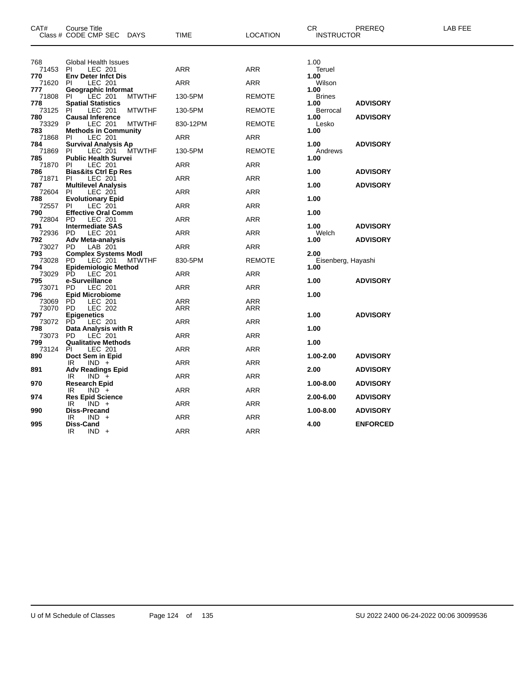| CAT#         | Course Title<br>Class # CODE CMP SEC DAYS                             | TIME       | <b>LOCATION</b> | CR.<br><b>INSTRUCTOR</b> | PREREQ          | LAB FEE |
|--------------|-----------------------------------------------------------------------|------------|-----------------|--------------------------|-----------------|---------|
| 768          | <b>Global Health Issues</b>                                           |            |                 | 1.00                     |                 |         |
| 71453<br>770 | LEC 201<br>PI<br><b>Env Deter Infct Dis</b>                           | ARR        | <b>ARR</b>      | Teruel<br>1.00           |                 |         |
| 71620        | LEC 201<br>PI                                                         | ARR        | <b>ARR</b>      | Wilson                   |                 |         |
| 777          | Geographic Informat                                                   |            |                 | 1.00                     |                 |         |
| 71808        | LEC 201<br>PI.<br><b>MTWTHF</b><br><b>Spatial Statistics</b>          | 130-5PM    | <b>REMOTE</b>   | <b>Brines</b><br>1.00    | <b>ADVISORY</b> |         |
| 778<br>73125 | LEC 201<br>PI<br><b>MTWTHF</b>                                        | 130-5PM    | <b>REMOTE</b>   | Berrocal                 |                 |         |
| 780          | <b>Causal Inference</b>                                               |            |                 | 1.00                     | <b>ADVISORY</b> |         |
| 73329<br>783 | P<br>LEC 201<br><b>MTWTHF</b><br><b>Methods in Community</b>          | 830-12PM   | <b>REMOTE</b>   | Lesko<br>1.00            |                 |         |
| 71868        | LEC 201<br>PI                                                         | ARR        | <b>ARR</b>      |                          |                 |         |
| 784          | <b>Survival Analysis Ap</b>                                           |            |                 | 1.00                     | <b>ADVISORY</b> |         |
| 71869        | LEC 201<br>PI.<br>MTWTHF                                              | 130-5PM    | <b>REMOTE</b>   | Andrews                  |                 |         |
| 785<br>71870 | <b>Public Health Survei</b><br>LEC 201<br>PI.                         | ARR        | ARR             | 1.00                     |                 |         |
| 786          | <b>Bias&amp;its Ctrl Ep Res</b>                                       |            |                 | 1.00                     | <b>ADVISORY</b> |         |
| 71871        | LEC 201<br>PI                                                         | ARR        | <b>ARR</b>      |                          |                 |         |
| 787<br>72604 | <b>Multilevel Analysis</b><br>LEC 201<br>PI                           | ARR        | <b>ARR</b>      | 1.00                     | <b>ADVISORY</b> |         |
| 788          | <b>Evolutionary Epid</b>                                              |            |                 | 1.00                     |                 |         |
| 72557        | PI.<br>LEC 201                                                        | ARR        | ARR             |                          |                 |         |
| 790<br>72804 | <b>Effective Oral Comm</b><br>LEC 201<br><b>PD</b>                    | ARR        | <b>ARR</b>      | 1.00                     |                 |         |
| 791          | <b>Intermediate SAS</b>                                               |            |                 | 1.00                     | <b>ADVISORY</b> |         |
| 72936        | LEC 201<br>PD.                                                        | ARR        | <b>ARR</b>      | Welch                    |                 |         |
| 792          | <b>Adv Meta-analysis</b>                                              |            |                 | 1.00                     | <b>ADVISORY</b> |         |
| 73027<br>793 | LAB 201<br>PD.                                                        | ARR        | ARR             | 2.00                     |                 |         |
| 73028        | <b>Complex Systems Modl</b><br>PD LEC 201 MTW<br>PD.<br><b>MTWTHF</b> | 830-5PM    | <b>REMOTE</b>   | Eisenberg, Hayashi       |                 |         |
| 794          | <b>Epidemiologic Method</b>                                           |            |                 | 1.00                     |                 |         |
| 73029        | PD.<br>LEC 201                                                        | ARR        | <b>ARR</b>      |                          |                 |         |
| 795<br>73071 | e-Surveillance<br>LEC 201<br>PD.                                      | ARR        | <b>ARR</b>      | 1.00                     | <b>ADVISORY</b> |         |
| 796          | <b>Epid Microbiome</b>                                                |            |                 | 1.00                     |                 |         |
| 73069        | PD<br>LEC 201                                                         | ARR        | ARR             |                          |                 |         |
| 73070<br>797 | <b>LEC 202</b><br>PD.<br><b>Epigenetics</b>                           | ARR        | ARR             | 1.00                     | <b>ADVISORY</b> |         |
| 73072        | PD.<br>LEC 201                                                        | ARR        | <b>ARR</b>      |                          |                 |         |
| 798          | Data Analysis with R                                                  |            |                 | 1.00                     |                 |         |
| 73073        | PD.<br>LEC 201                                                        | ARR        | <b>ARR</b>      |                          |                 |         |
| 799<br>73124 | <b>Qualitative Methods</b><br>PI<br>LEC 201                           | ARR        | <b>ARR</b>      | 1.00                     |                 |         |
| 890          | Doct Sem in Epid                                                      |            |                 | 1.00-2.00                | <b>ADVISORY</b> |         |
|              | IR<br>$IND +$                                                         | ARR        | ARR             |                          |                 |         |
| 891          | <b>Adv Readings Epid</b><br>IR.                                       | ARR        | <b>ARR</b>      | 2.00                     | <b>ADVISORY</b> |         |
| 970          | $IND +$<br><b>Research Epid</b>                                       |            |                 | 1.00-8.00                | <b>ADVISORY</b> |         |
|              | $IND +$<br>IR                                                         | ARR        | <b>ARR</b>      |                          |                 |         |
| 974          | <b>Res Epid Science</b>                                               |            |                 | 2.00-6.00                | <b>ADVISORY</b> |         |
| 990          | IR<br>$IND +$<br><b>Diss-Precand</b>                                  | ARR        | ARR             | 1.00-8.00                | <b>ADVISORY</b> |         |
|              | IR<br>IND -                                                           | ARR        | ARR             |                          |                 |         |
| 995          | Diss-Cand                                                             |            |                 | 4.00                     | <b>ENFORCED</b> |         |
|              | IR<br>$IND +$                                                         | <b>ARR</b> | <b>ARR</b>      |                          |                 |         |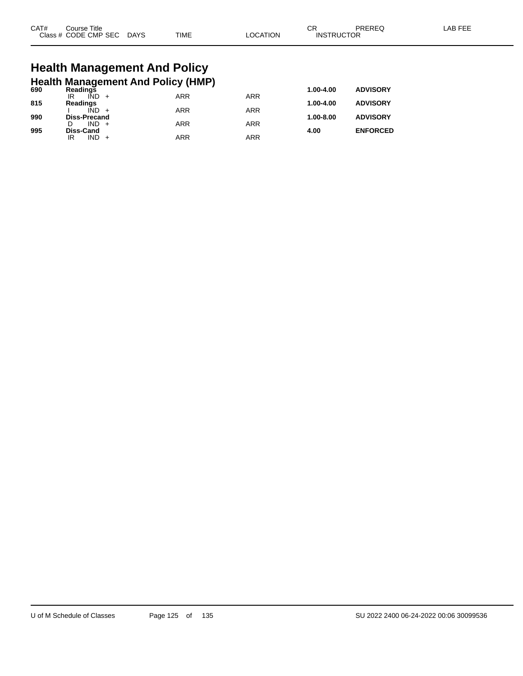| CAT# | Title<br>Course      |             |             |                | ⌒冖<br>- UN        | <b>PRERES</b> | AB FFI |
|------|----------------------|-------------|-------------|----------------|-------------------|---------------|--------|
|      | Class # CODE CMP SEC | <b>DAYS</b> | <b>TIME</b> | <b>OCATION</b> | <b>INSTRUCTOR</b> |               |        |

# **Health Management And Policy**

|     |                |                             | <b>Health Management And Policy (HMP)</b> |            |            |               |                 |
|-----|----------------|-----------------------------|-------------------------------------------|------------|------------|---------------|-----------------|
| 690 | Readings<br>IR | $\overline{IND}$ +          |                                           | <b>ARR</b> | <b>ARR</b> | $1.00 - 4.00$ | <b>ADVISORY</b> |
| 815 | Readings       |                             |                                           |            |            | 1.00-4.00     | <b>ADVISORY</b> |
| 990 |                | IÑD.<br><b>Diss-Precand</b> |                                           | <b>ARR</b> | <b>ARR</b> | $1.00 - 8.00$ | <b>ADVISORY</b> |
|     |                | $IND +$                     |                                           | <b>ARR</b> | <b>ARR</b> |               |                 |
| 995 | Diss-Cand      |                             |                                           |            |            | 4.00          | <b>ENFORCED</b> |
|     | IR             | $IND +$                     |                                           | <b>ARR</b> | ARR        |               |                 |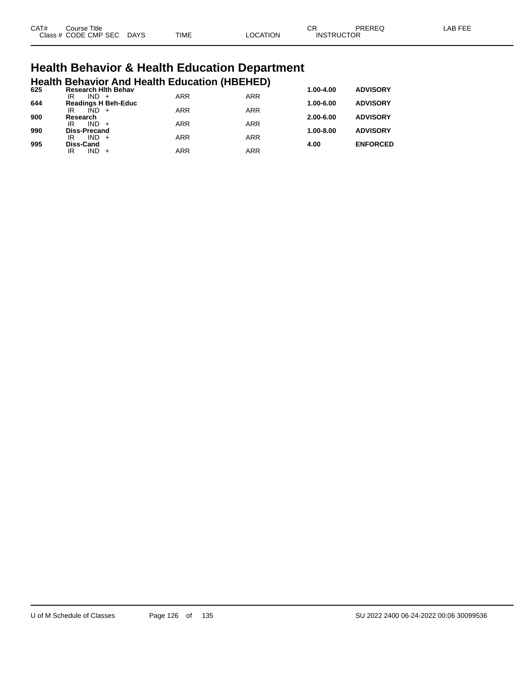| CAT# | Title<br>Course      |             |             |                | $\cap$<br>◡       | PREREQ | AR EEI |
|------|----------------------|-------------|-------------|----------------|-------------------|--------|--------|
|      | Class # CODE CMP SEC | <b>DAYS</b> | <b>TIME</b> | <b>OCATION</b> | <b>INSTRUCTOR</b> |        |        |

# **Health Behavior & Health Education Department**

|     |                           |         |                            | <b>Health Behavior And Health Education (HBEHED)</b> |            |               |                 |
|-----|---------------------------|---------|----------------------------|------------------------------------------------------|------------|---------------|-----------------|
| 625 | IR                        | $IND +$ | <b>Research Hith Behav</b> | <b>ARR</b>                                           | <b>ARR</b> | $1.00 - 4.00$ | <b>ADVISORY</b> |
| 644 |                           |         | <b>Readings H Beh-Educ</b> |                                                      |            | $1.00 - 6.00$ | <b>ADVISORY</b> |
| 900 | IR<br>Research            | $IND +$ |                            | <b>ARR</b>                                           | <b>ARR</b> | $2.00 - 6.00$ | <b>ADVISORY</b> |
|     | IR                        | $IND +$ |                            | <b>ARR</b>                                           | <b>ARR</b> |               |                 |
| 990 | <b>Diss-Precand</b><br>IR | $IND +$ |                            | <b>ARR</b>                                           | <b>ARR</b> | $1.00 - 8.00$ | <b>ADVISORY</b> |
| 995 | <b>Diss-Cand</b>          |         |                            |                                                      |            | 4.00          | <b>ENFORCED</b> |
|     | ΙR                        | $IND +$ |                            | <b>ARR</b>                                           | <b>ARR</b> |               |                 |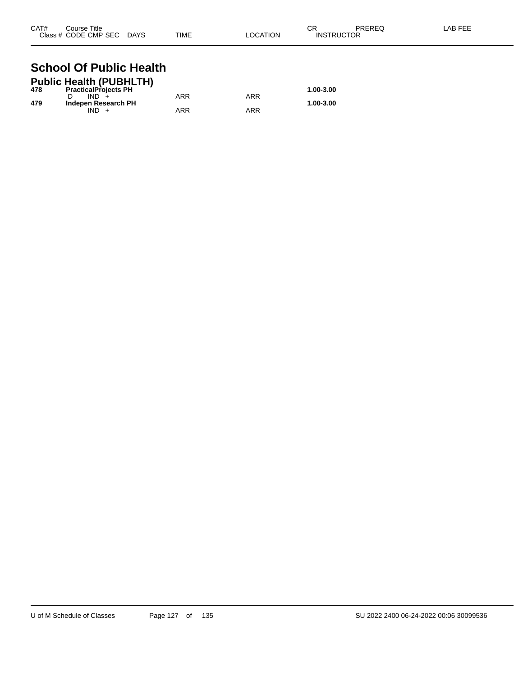| CAT# | Course Title              |      |          | СR                | PREREQ | LAB FEE |
|------|---------------------------|------|----------|-------------------|--------|---------|
|      | Class # CODE CMP SEC DAYS | TIME | LOCATION | <b>INSTRUCTOR</b> |        |         |

### **School Of Public Health Public Health (PUBHLTH)**

|     | Public Health (PUBHLTH)     |     |     |           |
|-----|-----------------------------|-----|-----|-----------|
| 478 | <b>PracticalProjects PH</b> |     |     | 1.00-3.00 |
|     | $IND +$                     | ARR | ARR |           |
| 479 | Indepen Research PH         |     |     | 1.00-3.00 |
|     | IND.                        | ARR | ARR |           |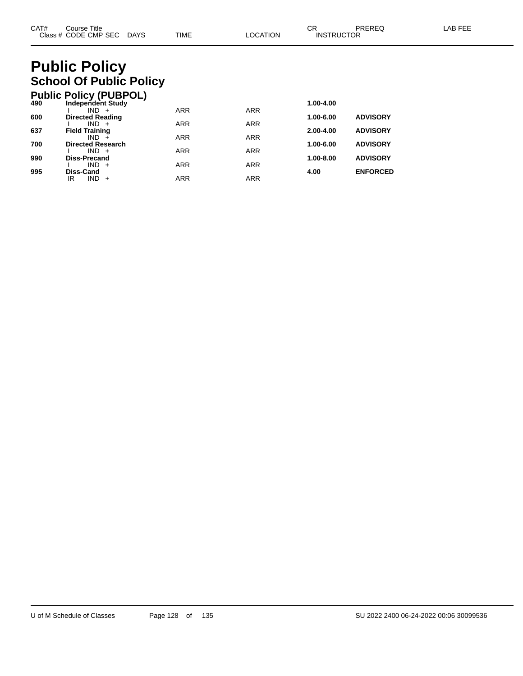# **Public Policy School Of Public Policy**

|     | <b>Public Policy (PUBPOL)</b>    |            |            |               |                 |
|-----|----------------------------------|------------|------------|---------------|-----------------|
| 490 | <b>Independent Study</b>         |            |            | 1.00-4.00     |                 |
|     | $IND +$                          | <b>ARR</b> | <b>ARR</b> |               |                 |
| 600 | <b>Directed Reading</b>          |            |            | 1.00-6.00     | <b>ADVISORY</b> |
| 637 | $IND +$<br><b>Field Training</b> | <b>ARR</b> | <b>ARR</b> | $2.00 - 4.00$ | <b>ADVISORY</b> |
|     | $IND +$                          | <b>ARR</b> | <b>ARR</b> |               |                 |
| 700 | <b>Directed Research</b>         |            |            | 1.00-6.00     | <b>ADVISORY</b> |
|     | $IND +$                          | <b>ARR</b> | <b>ARR</b> |               |                 |
| 990 | <b>Diss-Precand</b>              |            |            | $1.00 - 8.00$ | <b>ADVISORY</b> |
|     | $IND +$                          | <b>ARR</b> | <b>ARR</b> |               |                 |
| 995 | Diss-Cand                        |            |            | 4.00          | <b>ENFORCED</b> |
|     | <b>IND</b><br>ΙR<br>$+$          | ARR        | <b>ARR</b> |               |                 |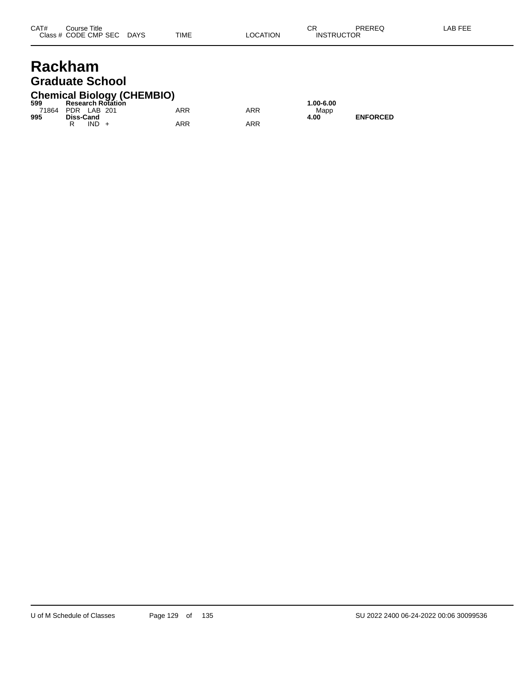## **Rackham Graduate School**

## **Chemical Biology (CHEMBIO) 599 Research Rotation 1.00-6.00**

| ວນນ               |           |         | Research Rotation |            |     | 1.UU-0.U |
|-------------------|-----------|---------|-------------------|------------|-----|----------|
| 71864 PDR LAB 201 |           |         |                   | <b>ARR</b> | ARR | Mapp     |
| 995               | Diss-Cand |         |                   |            |     | 4.00     |
|                   |           | $IND +$ |                   | ARR        | ARR |          |

**995**<br>**4.00 ENFORCED**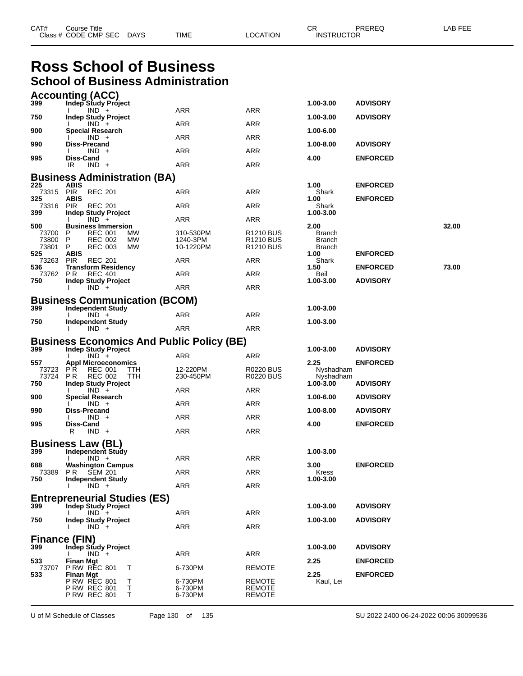| CAT# | Course Title         |             |             |          | ⌒冖<br>UN          | PREREQ | ∟AB FEE |
|------|----------------------|-------------|-------------|----------|-------------------|--------|---------|
|      | Class # CODE CMP SEC | <b>DAYS</b> | <b>TIME</b> | LOCATION | <b>INSTRUCTOR</b> |        |         |

## **Ross School of Business School of Business Administration**

|                             | <b>Accounting (ACC)</b>                                                                                 |                                    |                                                                         |                                     |                          |
|-----------------------------|---------------------------------------------------------------------------------------------------------|------------------------------------|-------------------------------------------------------------------------|-------------------------------------|--------------------------|
| 399                         | Indep Study Project<br>$IND +$                                                                          | ARR                                | ARR                                                                     | 1.00-3.00                           | <b>ADVISORY</b>          |
| 750                         | <b>Indep Study Project</b>                                                                              | ARR                                | ARR                                                                     | 1.00-3.00                           | <b>ADVISORY</b>          |
| 900                         | $IND +$<br>Special Research                                                                             |                                    |                                                                         | 1.00-6.00                           |                          |
| 990                         | $IND +$<br><b>Diss-Precand</b>                                                                          | ARR                                | ARR                                                                     | 1.00-8.00                           | <b>ADVISORY</b>          |
| 995                         | $IND +$<br>Diss-Cand                                                                                    | ARR                                | ARR                                                                     | 4.00                                | <b>ENFORCED</b>          |
|                             | IR<br>$IND +$                                                                                           | ARR                                | ARR                                                                     |                                     |                          |
|                             | <b>Business Administration (BA)</b>                                                                     |                                    |                                                                         |                                     |                          |
| 225<br>73315 PIR            | <b>ABIS</b><br><b>REC 201</b>                                                                           | ARR                                | ARR                                                                     | 1.00<br>Shark                       | <b>ENFORCED</b>          |
| 325<br>73316                | <b>ABIS</b><br><b>REC 201</b>                                                                           |                                    | ARR                                                                     | 1.00                                | <b>ENFORCED</b>          |
| 399                         | <b>PIR</b><br><b>Indep Study Project</b>                                                                | ARR                                |                                                                         | Shark<br>1.00-3.00                  |                          |
| 500                         | $IND +$<br><b>Business Immersion</b>                                                                    | ARR                                | ARR                                                                     | 2.00                                | 32.00                    |
| 73700<br>73800<br>73801     | <b>REC 001</b><br>P<br>MW.<br>P<br><b>REC 002</b><br>МW<br>P<br><b>REC 003</b><br>МW                    | 310-530PM<br>1240-3PM<br>10-1220PM | R <sub>1210</sub> BUS<br>R <sub>1210</sub> BUS<br>R <sub>1210</sub> BUS | Branch<br>Branch<br>Branch          |                          |
| 525<br>73263 PIR            | ABIS<br><b>REC 201</b>                                                                                  | ARR                                | ARR                                                                     | 1.00<br>Shark                       | <b>ENFORCED</b>          |
| 536                         | <b>Transform Residency</b>                                                                              |                                    |                                                                         | 1.50                                | <b>ENFORCED</b><br>73.00 |
| 73762<br>750                | P R<br>REC 401<br><b>Indep Study Project</b>                                                            | ARR                                | ARR                                                                     | Beil<br>1.00-3.00                   | <b>ADVISORY</b>          |
|                             | $IND +$                                                                                                 | ARR                                | ARR                                                                     |                                     |                          |
|                             | <b>Business Communication (BCOM)</b>                                                                    |                                    |                                                                         |                                     |                          |
| 399                         | <b>Independent Study</b><br>$IND +$                                                                     | ARR                                | ARR                                                                     | 1.00-3.00                           |                          |
| 750                         | <b>Independent Study</b><br>$IND +$                                                                     | ARR                                | ARR                                                                     | 1.00-3.00                           |                          |
|                             | <b>Business Economics And Public Policy (BE)</b>                                                        |                                    |                                                                         |                                     |                          |
| 399                         | <b>Indep Study Project</b>                                                                              |                                    |                                                                         | 1.00-3.00                           | <b>ADVISORY</b>          |
| 557                         | $IND +$<br><b>Appl Microeconomics</b>                                                                   | ARR                                | ARR                                                                     | 2.25                                | <b>ENFORCED</b>          |
| 73723<br>73724<br>750       | <b>PR</b><br><b>REC 001</b><br><b>TTH</b><br>P R<br><b>REC 002</b><br>TTH<br><b>Indep Study Project</b> | 12-220PM<br>230-450PM              | <b>R0220 BUS</b><br><b>R0220 BUS</b>                                    | Nyshadham<br>Nyshadham<br>1.00-3.00 | <b>ADVISORY</b>          |
| 900                         | $IND +$<br>Special Research                                                                             | ARR                                | ARR                                                                     | 1.00-6.00                           | <b>ADVISORY</b>          |
|                             | $IND +$                                                                                                 | ARR                                | ARR                                                                     |                                     |                          |
| 990                         | <b>Diss-Precand</b><br>$IND +$                                                                          | ARR                                | ARR                                                                     | 1.00-8.00                           | <b>ADVISORY</b>          |
| 995                         | Diss-Cand<br>$IND +$<br>R                                                                               | ARR                                | ARR                                                                     | 4.00                                | <b>ENFORCED</b>          |
|                             | <b>Business Law (BL)</b>                                                                                |                                    |                                                                         |                                     |                          |
| 399                         | <b>Independent Study</b>                                                                                |                                    |                                                                         | 1.00-3.00                           |                          |
| 688                         | $IND +$<br><b>Washington Campus</b>                                                                     | ARR                                | ARR                                                                     | 3.00                                | <b>ENFORCED</b>          |
| 750                         | 73389 PR SEM 201<br><b>Independent Study</b>                                                            | <b>ARR</b>                         | <b>ARR</b>                                                              | Kress<br>1.00-3.00                  |                          |
|                             | $IND +$                                                                                                 | ARR                                | ARR                                                                     |                                     |                          |
|                             | <b>Entrepreneurial Studies (ES)</b>                                                                     |                                    |                                                                         |                                     |                          |
| 399                         | <b>Indep Study Project</b><br>$IND +$                                                                   | ARR                                | ARR                                                                     | 1.00-3.00                           | <b>ADVISORY</b>          |
| 750                         | <b>Indep Study Project</b>                                                                              |                                    |                                                                         | 1.00-3.00                           | <b>ADVISORY</b>          |
|                             | $IND +$                                                                                                 | ARR                                | ARR                                                                     |                                     |                          |
| <b>Finance (FIN)</b><br>399 | <b>Indep Study Project</b>                                                                              |                                    |                                                                         | 1.00-3.00                           | <b>ADVISORY</b>          |
| 533                         | $IND +$<br><b>Finan Mgt</b>                                                                             | ARR                                | <b>ARR</b>                                                              | 2.25                                | <b>ENFORCED</b>          |
| 73707                       | <b>P RW REC 801</b><br>T                                                                                | 6-730PM                            | <b>REMOTE</b>                                                           |                                     |                          |
| 533                         | <b>Finan Mgt</b><br><b>P RW REC 801</b><br>T<br>Τ<br><b>P RW REC 801</b><br><b>P RW REC 801</b><br>Т    | 6-730PM<br>6-730PM<br>6-730PM      | <b>REMOTE</b><br><b>REMOTE</b><br><b>REMOTE</b>                         | 2.25<br>Kaul, Lei                   | <b>ENFORCED</b>          |

U of M Schedule of Classes Page 130 of 135 SU 2022 2400 06-24-2022 00:06 30099536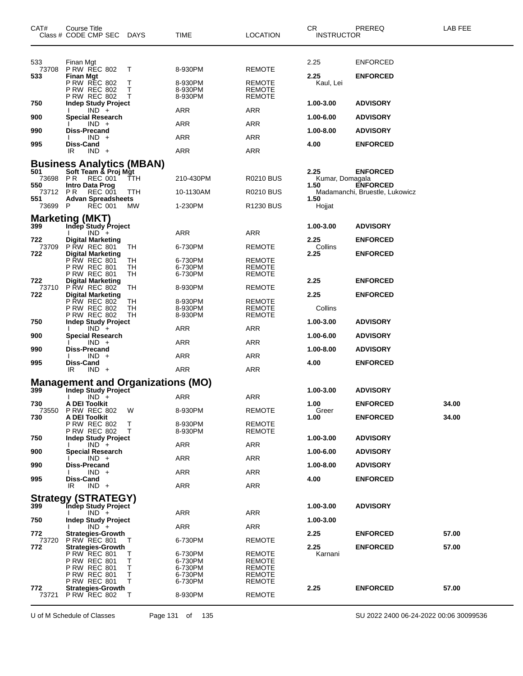| CAT#            | Course Title<br>Class # CODE CMP SEC DAYS                                                     |                | TIME                          | <b>LOCATION</b>                                 | <b>CR</b><br><b>INSTRUCTOR</b> | PREREQ                                            | LAB FEE |
|-----------------|-----------------------------------------------------------------------------------------------|----------------|-------------------------------|-------------------------------------------------|--------------------------------|---------------------------------------------------|---------|
| 533<br>73708    | Finan Mgt<br><b>P RW REC 802</b>                                                              | T              | 8-930PM                       | <b>REMOTE</b>                                   | 2.25                           | <b>ENFORCED</b>                                   |         |
| 533             | <b>Finan Mgt</b><br><b>P RW REC 802</b><br>P RW REC 802<br><b>P RW REC 802</b>                | Т<br>Т<br>Т    | 8-930PM<br>8-930PM<br>8-930PM | <b>REMOTE</b><br><b>REMOTE</b><br><b>REMOTE</b> | 2.25<br>Kaul, Lei              | <b>ENFORCED</b>                                   |         |
| 750             | <b>Indep Study Project</b><br>$IND +$                                                         |                | ARR                           | ARR                                             | 1.00-3.00                      | <b>ADVISORY</b>                                   |         |
| 900             | Special Research                                                                              |                |                               |                                                 | 1.00-6.00                      | <b>ADVISORY</b>                                   |         |
| 990             | $IND +$<br>Diss-Precand                                                                       |                | ARR                           | ARR                                             | 1.00-8.00                      | <b>ADVISORY</b>                                   |         |
| 995             | $IND +$<br>Diss-Cand                                                                          |                | ARR                           | ARR                                             | 4.00                           | <b>ENFORCED</b>                                   |         |
|                 | $IND +$<br>IR.                                                                                |                | <b>ARR</b>                    | <b>ARR</b>                                      |                                |                                                   |         |
| 501<br>73698 PR | <b>Business Analytics (MBAN)</b><br>Soft Team & Proj Mgt<br><b>REC 001</b>                    | TTH            | 210-430PM                     | <b>R0210 BUS</b>                                | 2.25<br>Kumar, Domagala        | <b>ENFORCED</b>                                   |         |
| 550<br>73712    | <b>Intro Data Prog</b><br>P R<br><b>REC 001</b>                                               | <b>TTH</b>     | 10-1130AM                     | <b>R0210 BUS</b>                                | 1.50                           | <b>ENFORCED</b><br>Madamanchi, Bruestle, Lukowicz |         |
| 551<br>73699 P  | <b>Advan Spreadsheets</b><br><b>REC 001</b>                                                   | MW             | 1-230PM                       | R1230 BUS                                       | 1.50<br>Hojjat                 |                                                   |         |
|                 |                                                                                               |                |                               |                                                 |                                |                                                   |         |
| 399             | <b>Marketing (MKT)</b><br>Indep Study Project                                                 |                |                               |                                                 | 1.00-3.00                      | <b>ADVISORY</b>                                   |         |
| 722             | $IND +$<br><b>Digital Marketing</b>                                                           |                | <b>ARR</b>                    | ARR                                             | 2.25                           | <b>ENFORCED</b>                                   |         |
| 73709<br>722    | <b>P RW REC 801</b>                                                                           | TН             | 6-730PM                       | <b>REMOTE</b>                                   | Collins                        |                                                   |         |
|                 | <b>Digital Marketing</b><br><b>P RW REC 801</b><br><b>P RW REC 801</b><br><b>P RW REC 801</b> | TН<br>TH<br>TН | 6-730PM<br>6-730PM<br>6-730PM | <b>REMOTE</b><br><b>REMOTE</b><br><b>REMOTE</b> | 2.25                           | <b>ENFORCED</b>                                   |         |
| 722             | <b>Digital Marketing</b>                                                                      |                |                               |                                                 | 2.25                           | <b>ENFORCED</b>                                   |         |
| 73710<br>722    | <b>P RW REC 802</b><br>Digital Marketing<br>P RW REC 802                                      | TН             | 8-930PM                       | REMOTE                                          | 2.25                           | <b>ENFORCED</b>                                   |         |
|                 | <b>P RW REC 802</b><br><b>P RW REC 802</b>                                                    | TН<br>TH<br>TH | 8-930PM<br>8-930PM<br>8-930PM | <b>REMOTE</b><br><b>REMOTE</b><br><b>REMOTE</b> | Collins                        |                                                   |         |
| 750             | <b>Indep Study Project</b><br>$IND +$                                                         |                | ARR                           | ARR                                             | 1.00-3.00                      | <b>ADVISORY</b>                                   |         |
| 900             | Special Research<br>$IND +$                                                                   |                | ARR                           | ARR                                             | 1.00-6.00                      | <b>ADVISORY</b>                                   |         |
| 990             | Diss-Precand                                                                                  |                |                               |                                                 | 1.00-8.00                      | <b>ADVISORY</b>                                   |         |
| 995             | $IND +$<br>Diss-Cand                                                                          |                | ARR                           | <b>ARR</b>                                      | 4.00                           | <b>ENFORCED</b>                                   |         |
|                 | $IND +$<br>IR                                                                                 |                | <b>ARR</b>                    | ARR                                             |                                |                                                   |         |
| 399             | <b>Management and Organizations (MO)</b><br>Indep Study Project                               |                |                               |                                                 | 1.00-3.00                      | <b>ADVISORY</b>                                   |         |
|                 | $IND +$                                                                                       |                | <b>ARR</b>                    | <b>ARR</b>                                      |                                |                                                   |         |
| 730             | A DEI Toolkit<br>73550 P RW REC 802                                                           | W              | 8-930PM                       | <b>REMOTE</b>                                   | 1.00<br>Greer                  | <b>ENFORCED</b>                                   | 34.00   |
| 730             | A DEI Toolkit<br><b>P RW REC 802</b><br><b>P RW REC 802</b>                                   | Τ<br>$\top$    | 8-930PM<br>8-930PM            | <b>REMOTE</b><br><b>REMOTE</b>                  | 1.00                           | <b>ENFORCED</b>                                   | 34.00   |
| 750             | <b>Indep Study Project</b><br>$IND +$                                                         |                | ARR                           | ARR                                             | 1.00-3.00                      | <b>ADVISORY</b>                                   |         |
| 900             | <b>Special Research</b><br>$IND +$                                                            |                | ARR                           | ARR                                             | 1.00-6.00                      | <b>ADVISORY</b>                                   |         |
| 990             | Diss-Precand                                                                                  |                |                               |                                                 | 1.00-8.00                      | <b>ADVISORY</b>                                   |         |
| 995             | $IND +$<br>Diss-Cand                                                                          |                | ARR                           | ARR                                             | 4.00                           | <b>ENFORCED</b>                                   |         |
|                 | $IND +$<br>IR.                                                                                |                | ARR                           | ARR                                             |                                |                                                   |         |
| 399             | <b>Strategy (STRATEGY)</b><br>Indep Study Project                                             |                |                               |                                                 | 1.00-3.00                      | <b>ADVISORY</b>                                   |         |
|                 | $IND +$<br>$\mathbf{L}$                                                                       |                | ARR                           | ARR                                             |                                |                                                   |         |
| 750             | <b>Indep Study Project</b><br>$IND +$                                                         |                | ARR                           | ARR                                             | 1.00-3.00                      |                                                   |         |
| 772<br>73720    | <b>Strategies-Growth</b><br><b>P RW REC 801</b>                                               | T              | 6-730PM                       | <b>REMOTE</b>                                   | 2.25                           | <b>ENFORCED</b>                                   | 57.00   |
| 772             | <b>Strategies-Growth</b><br><b>P RW REC 801</b>                                               | Τ              | 6-730PM                       | <b>REMOTE</b>                                   | 2.25<br>Karnani                | <b>ENFORCED</b>                                   | 57.00   |
|                 | P RW REC 801                                                                                  | т              | 6-730PM                       | REMOTE                                          |                                |                                                   |         |
|                 | <b>P RW REC 801</b><br><b>P RW REC 801</b>                                                    | Т<br>Т         | 6-730PM<br>6-730PM            | <b>REMOTE</b><br><b>REMOTE</b>                  |                                |                                                   |         |
| 772             | <b>P RW REC 801</b><br><b>Strategies-Growth</b>                                               | T              | 6-730PM                       | <b>REMOTE</b>                                   | 2.25                           | <b>ENFORCED</b>                                   | 57.00   |
|                 | 73721 P RW REC 802                                                                            | T              | 8-930PM                       | <b>REMOTE</b>                                   |                                |                                                   |         |

U of M Schedule of Classes Page 131 of 135 SU 2022 2400 06-24-2022 00:06 30099536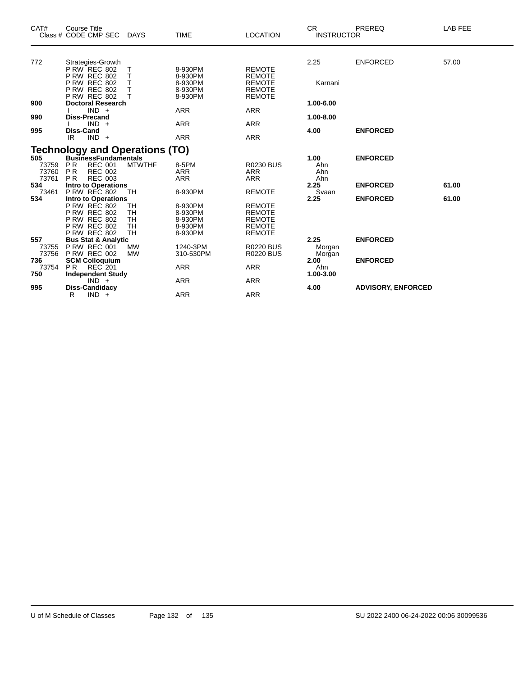| CAT#                                                              | <b>Course Title</b><br>Class # CODE CMP SEC                                               | <b>DAYS</b>                  | <b>TIME</b>                              | <b>LOCATION</b>                                                  | <b>CR</b><br><b>INSTRUCTOR</b> | PREREQ                    | LAB FEE |
|-------------------------------------------------------------------|-------------------------------------------------------------------------------------------|------------------------------|------------------------------------------|------------------------------------------------------------------|--------------------------------|---------------------------|---------|
| 772                                                               | Strategies-Growth<br>PRW REC 802                                                          | Т                            | 8-930PM                                  | <b>REMOTE</b>                                                    | 2.25                           | <b>ENFORCED</b>           | 57.00   |
|                                                                   | <b>P RW REC 802</b><br><b>P RW REC 802</b><br><b>P RW REC 802</b><br><b>P RW REC 802</b>  | Т<br>Т<br>T<br>T             | 8-930PM<br>8-930PM<br>8-930PM<br>8-930PM | <b>REMOTE</b><br><b>REMOTE</b><br><b>REMOTE</b><br><b>REMOTE</b> | Karnani                        |                           |         |
| 900                                                               | <b>Doctoral Research</b><br>$IND +$                                                       |                              | <b>ARR</b>                               | <b>ARR</b>                                                       | 1.00-6.00                      |                           |         |
| 990<br>995                                                        | <b>Diss-Precand</b><br>$IND +$<br>Diss-Cand                                               |                              | <b>ARR</b>                               | <b>ARR</b>                                                       | 1.00-8.00<br>4.00              | <b>ENFORCED</b>           |         |
|                                                                   | $IND +$<br>IR                                                                             |                              | <b>ARR</b>                               | <b>ARR</b>                                                       |                                |                           |         |
| <b>Technology and Operations (TO)</b><br>505 BusinessFundamentals |                                                                                           |                              |                                          | 1.00                                                             | <b>ENFORCED</b>                |                           |         |
| 73759<br>73760<br>73761                                           | <b>REC 001</b><br><b>PR</b><br><b>PR</b><br><b>REC 002</b><br><b>REC 003</b><br><b>PR</b> | <b>MTWTHF</b>                | 8-5PM<br><b>ARR</b><br><b>ARR</b>        | <b>R0230 BUS</b><br><b>ARR</b><br><b>ARR</b>                     | Ahn<br>Ahn<br>Ahn              |                           |         |
| 534<br>73461                                                      | <b>Intro to Operations</b><br><b>P RW REC 802</b>                                         | TH                           | 8-930PM                                  | <b>REMOTE</b>                                                    | 2.25<br>Svaan                  | <b>ENFORCED</b>           | 61.00   |
| 534                                                               | <b>Intro to Operations</b><br><b>P RW REC 802</b><br><b>P RW REC 802</b>                  | TH<br><b>TH</b>              | 8-930PM<br>8-930PM                       | <b>REMOTE</b><br><b>REMOTE</b>                                   | 2.25                           | <b>ENFORCED</b>           | 61.00   |
|                                                                   | <b>P RW REC 802</b><br><b>P RW REC 802</b><br><b>P RW REC 802</b>                         | TH<br><b>TH</b><br><b>TH</b> | 8-930PM<br>8-930PM<br>8-930PM            | <b>REMOTE</b><br><b>REMOTE</b><br><b>REMOTE</b>                  |                                |                           |         |
| 557<br>73755                                                      | <b>Bus Stat &amp; Analytic</b><br><b>P RW REC 001</b><br>73756 P RW REC 002               | <b>MW</b><br><b>MW</b>       | 1240-3PM<br>310-530PM                    | <b>R0220 BUS</b><br><b>R0220 BUS</b>                             | 2.25<br>Morgan<br>Morgan       | <b>ENFORCED</b>           |         |
| 736<br>73754                                                      | <b>SCM Colloquium</b><br><b>PR</b><br><b>REC 201</b>                                      |                              | <b>ARR</b>                               | <b>ARR</b>                                                       | 2.00<br>Ahn                    | <b>ENFORCED</b>           |         |
| 750<br>995                                                        | <b>Independent Study</b><br>$IND +$<br>Diss-Candidacy                                     |                              | <b>ARR</b>                               | <b>ARR</b>                                                       | 1.00-3.00<br>4.00              | <b>ADVISORY, ENFORCED</b> |         |
|                                                                   | R<br>$IND +$                                                                              |                              | <b>ARR</b>                               | <b>ARR</b>                                                       |                                |                           |         |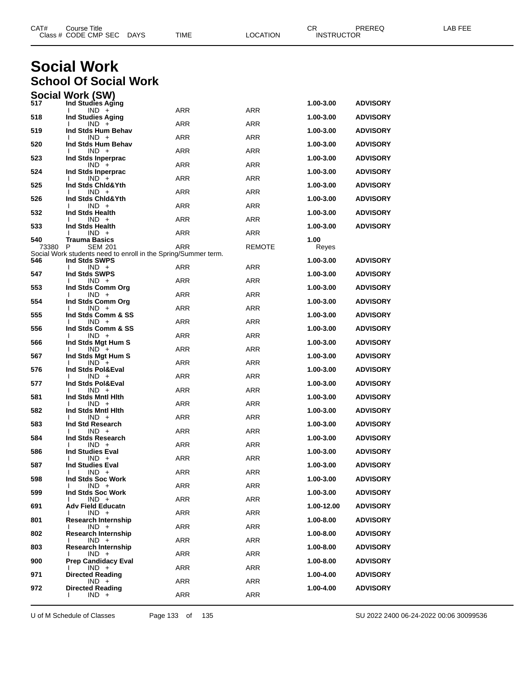|              | Class # CODE CMP SEC<br><b>DAYS</b>                                              | TIME       | LOCATION      | <b>INSTRUCTOR</b> |                 |  |
|--------------|----------------------------------------------------------------------------------|------------|---------------|-------------------|-----------------|--|
|              |                                                                                  |            |               |                   |                 |  |
|              | <b>Social Work</b>                                                               |            |               |                   |                 |  |
|              | <b>School Of Social Work</b>                                                     |            |               |                   |                 |  |
|              | <b>Social Work (SW)</b>                                                          |            |               |                   |                 |  |
| 517          | Ind Studies Aging<br>$IND +$                                                     | ARR        | ARR           | 1.00-3.00         | <b>ADVISORY</b> |  |
| 518          | <b>Ind Studies Aging</b><br>$IND +$                                              | ARR        | ARR           | 1.00-3.00         | <b>ADVISORY</b> |  |
| 519          | Ind Stds Hum Behav<br>$IND +$                                                    | ARR        | <b>ARR</b>    | 1.00-3.00         | <b>ADVISORY</b> |  |
| 520          | Ind Stds Hum Behav<br>$IND +$                                                    | <b>ARR</b> | <b>ARR</b>    | 1.00-3.00         | <b>ADVISORY</b> |  |
| 523          | Ind Stds Inperprac<br>$IND +$                                                    | ARR        | ARR           | 1.00-3.00         | <b>ADVISORY</b> |  |
| 524          | Ind Stds Inperprac<br>$IND +$                                                    | ARR        | ARR           | 1.00-3.00         | <b>ADVISORY</b> |  |
| 525          | Ind Stds Chid&Yth<br>$IND +$                                                     | <b>ARR</b> | <b>ARR</b>    | 1.00-3.00         | <b>ADVISORY</b> |  |
| 526          | Ind Stds Chid&Yth<br>$IND +$                                                     | ARR        | ARR           | 1.00-3.00         | <b>ADVISORY</b> |  |
| 532          | Ind Stds Health<br>$IND +$                                                       | ARR        | ARR           | 1.00-3.00         | <b>ADVISORY</b> |  |
| 533          | Ind Stds Health<br>$IND +$                                                       | <b>ARR</b> | ARR           | 1.00-3.00         | <b>ADVISORY</b> |  |
| 540<br>73380 | <b>Trauma Basics</b><br>P                                                        | ARR        | <b>REMOTE</b> | 1.00              |                 |  |
|              | <b>SEM 201</b><br>Social Work students need to enroll in the Spring/Summer term. |            |               | Reyes             |                 |  |
| 546          | Ind Stds SWPS<br>$IND +$                                                         | ARR        | ARR           | 1.00-3.00         | <b>ADVISORY</b> |  |
| 547          | Ind Stds SWPS<br>$IND +$                                                         | ARR        | ARR           | 1.00-3.00         | <b>ADVISORY</b> |  |
| 553          | Ind Stds Comm Org<br>$IND +$                                                     | <b>ARR</b> | <b>ARR</b>    | 1.00-3.00         | <b>ADVISORY</b> |  |
| 554          | Ind Stds Comm Org<br>$IND +$                                                     | ARR        | ARR           | 1.00-3.00         | <b>ADVISORY</b> |  |
| 555          | Ind Stds Comm & SS<br>$IND +$                                                    | ARR        | ARR           | 1.00-3.00         | <b>ADVISORY</b> |  |
| 556          | Ind Stds Comm & SS<br>$IND +$                                                    | <b>ARR</b> | <b>ARR</b>    | 1.00-3.00         | <b>ADVISORY</b> |  |
| 566          | Ind Stds Mgt Hum S<br>$IND +$                                                    | ARR        | ARR           | 1.00-3.00         | <b>ADVISORY</b> |  |
| 567          | Ind Stds Mgt Hum S<br>$IND +$                                                    | ARR        | ARR           | 1.00-3.00         | <b>ADVISORY</b> |  |
| 576          | Ind Stds Pol&Eval<br>$IND +$                                                     | <b>ARR</b> | <b>ARR</b>    | 1.00-3.00         | <b>ADVISORY</b> |  |
| 577          | Ind Stds Pol&Eval<br>$IND +$                                                     | ARR        | ARR           | 1.00-3.00         | <b>ADVISORY</b> |  |
| 581          | Ind Stds Mntl Hith<br>$IND +$                                                    | ARR        | ARR           | 1.00-3.00         | <b>ADVISORY</b> |  |
| 582          | Ind Stds Mntl Hith                                                               |            |               | 1.00-3.00         | <b>ADVISORY</b> |  |
| 583          | $IND +$<br>Ind Std Research                                                      | ARR        | ARR           | 1.00-3.00         | <b>ADVISORY</b> |  |
| 584          | $IND +$<br>Ind Stds Research                                                     | ARR        | ARR           | 1.00-3.00         | <b>ADVISORY</b> |  |
| 586          | $IND +$<br><b>Ind Studies Eval</b>                                               | ARR        | ARR           | 1.00-3.00         | <b>ADVISORY</b> |  |
| 587          | $IND +$<br><b>Ind Studies Eval</b>                                               | ARR        | ARR           | 1.00-3.00         | <b>ADVISORY</b> |  |
| 598          | $IND +$<br>Ind Stds Soc Work                                                     | ARR        | ARR           | 1.00-3.00         | <b>ADVISORY</b> |  |
| 599          | $IND +$<br>Ind Stds Soc Work                                                     | ARR        | ARR           | 1.00-3.00         | <b>ADVISORY</b> |  |
| 691          | $IND +$<br><b>Adv Field Educatn</b>                                              | ARR        | ARR           | 1.00-12.00        | <b>ADVISORY</b> |  |
| 801          | $IND +$<br><b>Research Internship</b>                                            | ARR        | ARR           | 1.00-8.00         | <b>ADVISORY</b> |  |
| 802          | $IND +$<br><b>Research Internship</b>                                            | ARR        | ARR           | 1.00-8.00         | <b>ADVISORY</b> |  |
|              | $IND +$                                                                          | ARR        | ARR           |                   |                 |  |
| 803          | <b>Research Internship</b><br>$IND +$                                            | ARR        | ARR           | 1.00-8.00         | <b>ADVISORY</b> |  |
| 900          | <b>Prep Candidacy Eval</b><br>$IND +$                                            | ARR        | ARR           | 1.00-8.00         | <b>ADVISORY</b> |  |
| 971          | <b>Directed Reading</b><br>$IND +$                                               | ARR        | ARR           | 1.00-4.00         | <b>ADVISORY</b> |  |
| 972          | <b>Directed Reading</b><br>$IND +$                                               | ARR        | ARR           | 1.00-4.00         | <b>ADVISORY</b> |  |
|              |                                                                                  |            |               |                   |                 |  |

CAT# Course Title Case CR PREREQ LAB FEE

U of M Schedule of Classes Page 133 of 135 SU 2022 2400 06-24-2022 00:06 30099536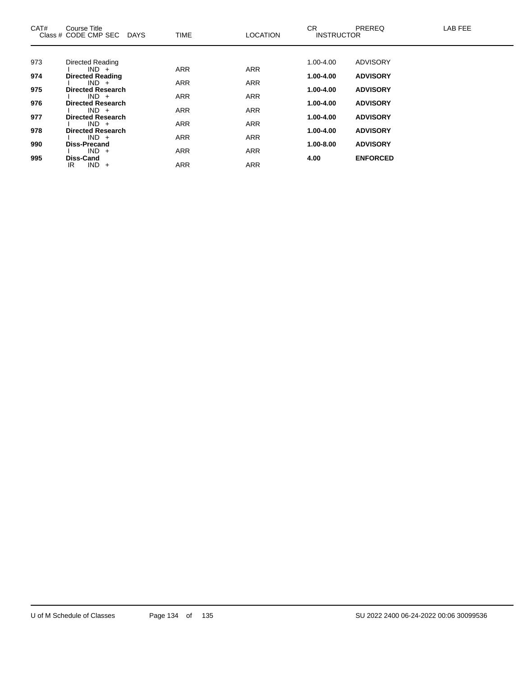| CAT# | Course Title<br>Class # CODE CMP SEC<br><b>DAYS</b> | <b>TIME</b> | <b>LOCATION</b> | <b>CR</b><br><b>INSTRUCTOR</b> | PREREQ          | LAB FEE |
|------|-----------------------------------------------------|-------------|-----------------|--------------------------------|-----------------|---------|
|      |                                                     |             |                 |                                |                 |         |
| 973  | Directed Reading                                    |             |                 | 1.00-4.00                      | <b>ADVISORY</b> |         |
| 974  | $IND +$                                             | <b>ARR</b>  | <b>ARR</b>      | 1.00-4.00                      | <b>ADVISORY</b> |         |
|      | <b>Directed Reading</b><br>$IND +$                  | <b>ARR</b>  | <b>ARR</b>      |                                |                 |         |
| 975  | <b>Directed Research</b>                            |             |                 | 1.00-4.00                      | <b>ADVISORY</b> |         |
|      | $IND +$                                             | <b>ARR</b>  | <b>ARR</b>      |                                |                 |         |
| 976  | <b>Directed Research</b>                            |             |                 | 1.00-4.00                      | <b>ADVISORY</b> |         |
| 977  | $IND +$<br><b>Directed Research</b>                 | <b>ARR</b>  | <b>ARR</b>      | 1.00-4.00                      | <b>ADVISORY</b> |         |
|      | $IND +$                                             | <b>ARR</b>  | <b>ARR</b>      |                                |                 |         |
| 978  | <b>Directed Research</b>                            |             |                 | 1.00-4.00                      | <b>ADVISORY</b> |         |
|      | $IND +$                                             | <b>ARR</b>  | <b>ARR</b>      |                                |                 |         |
| 990  | <b>Diss-Precand</b>                                 |             |                 | 1.00-8.00                      | <b>ADVISORY</b> |         |
| 995  | $IND +$<br><b>Diss-Cand</b>                         | <b>ARR</b>  | <b>ARR</b>      | 4.00                           | <b>ENFORCED</b> |         |
|      | $IND +$<br>IR.                                      | <b>ARR</b>  | <b>ARR</b>      |                                |                 |         |